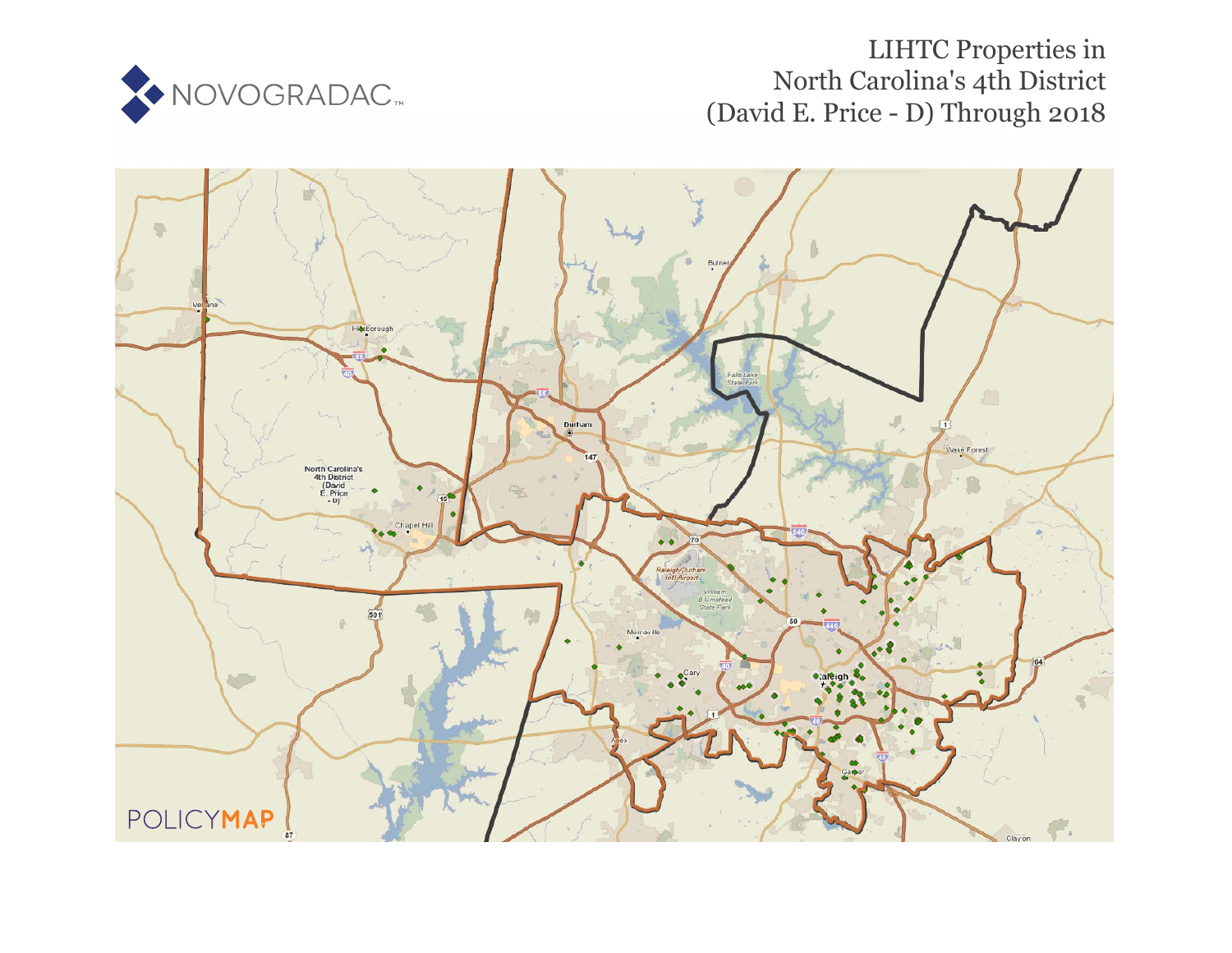

# LIHTC Properties in Nor[th](https://www.policymap.com/our-data-directory.html#HUD%20LIHTC) Carolina's 4th District (David E. Price - D) Through 2018

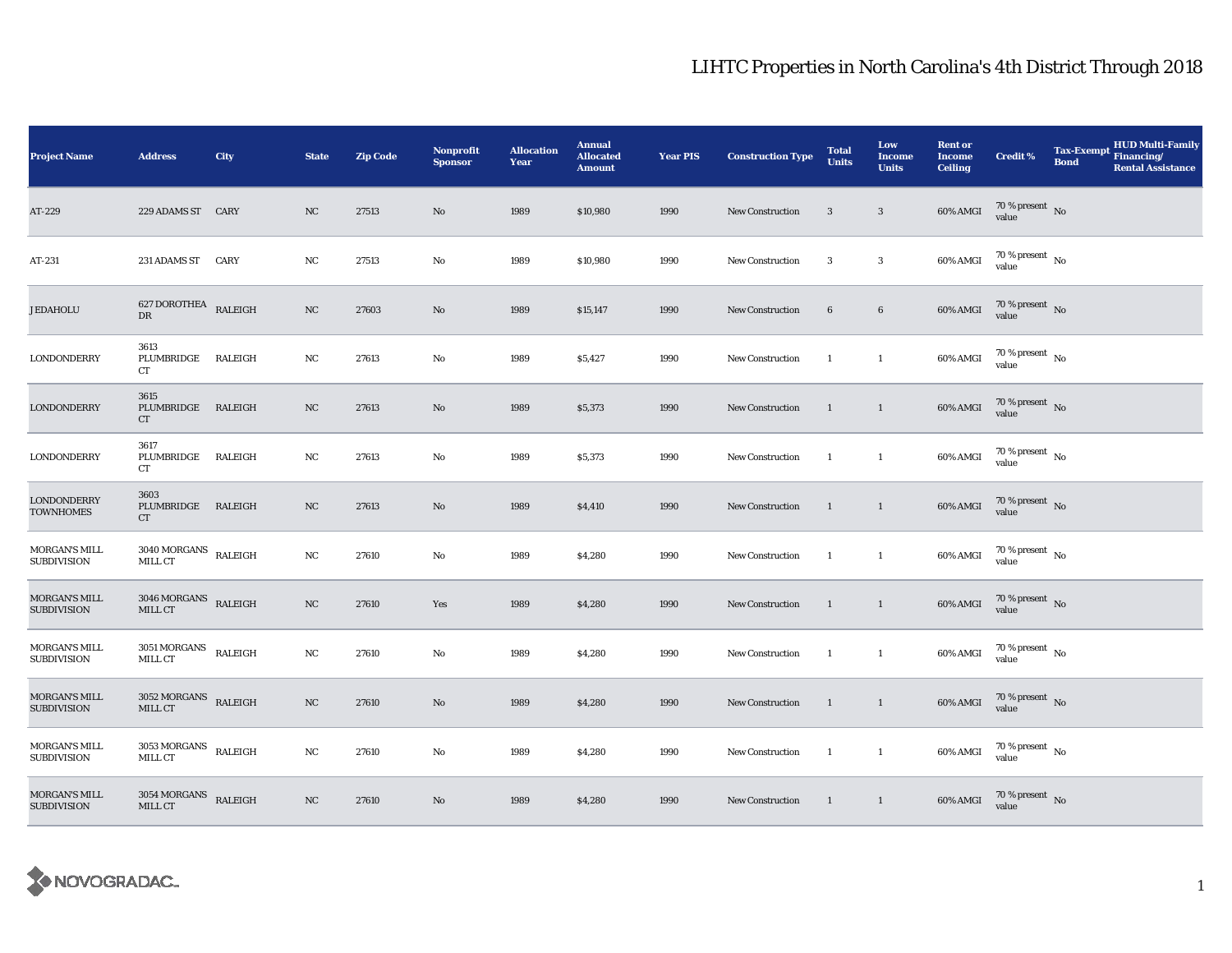| <b>Project Name</b>                        | <b>Address</b>                                       | City                     | <b>State</b> | <b>Zip Code</b> | Nonprofit<br><b>Sponsor</b> | <b>Allocation</b><br>Year | <b>Annual</b><br><b>Allocated</b><br><b>Amount</b> | <b>Year PIS</b> | <b>Construction Type</b> | <b>Total</b><br><b>Units</b> | Low<br><b>Income</b><br><b>Units</b> | <b>Rent or</b><br><b>Income</b><br><b>Ceiling</b> | <b>Credit %</b>                        | <b>HUD Multi-Family</b><br><b>Tax-Exempt</b><br>Financing/<br><b>Bond</b><br><b>Rental Assistance</b> |
|--------------------------------------------|------------------------------------------------------|--------------------------|--------------|-----------------|-----------------------------|---------------------------|----------------------------------------------------|-----------------|--------------------------|------------------------------|--------------------------------------|---------------------------------------------------|----------------------------------------|-------------------------------------------------------------------------------------------------------|
| AT-229                                     | 229 ADAMS ST CARY                                    |                          | NC           | 27513           | No                          | 1989                      | \$10,980                                           | 1990            | <b>New Construction</b>  | 3                            | $\overline{\mathbf{3}}$              | 60% AMGI                                          | $70\,\%$ present $\,$ No value         |                                                                                                       |
| AT-231                                     | 231 ADAMS ST CARY                                    |                          | NC           | 27513           | No                          | 1989                      | \$10,980                                           | 1990            | <b>New Construction</b>  | 3                            | $\boldsymbol{3}$                     | 60% AMGI                                          | $70\,\%$ present $\,$ No $\,$<br>value |                                                                                                       |
| <b>JEDAHOLU</b>                            | 627 DOROTHEA RALEIGH<br>$_{\rm DR}$                  |                          | NC           | 27603           | $\mathbf{No}$               | 1989                      | \$15,147                                           | 1990            | <b>New Construction</b>  | $\bf 6$                      | $6\phantom{.0}$                      | 60% AMGI                                          | $70$ % present $$\rm \, No$$ value     |                                                                                                       |
| LONDONDERRY                                | 3613<br>PLUMBRIDGE<br>CT                             | RALEIGH                  | NC           | 27613           | $\mathbf{No}$               | 1989                      | \$5,427                                            | 1990            | New Construction         | $\overline{1}$               | $\mathbf{1}$                         | 60% AMGI                                          | 70 % present $\hbox{~No}$<br>value     |                                                                                                       |
| <b>LONDONDERRY</b>                         | 3615<br>PLUMBRIDGE RALEIGH<br>CT                     |                          | NC           | 27613           | No                          | 1989                      | \$5,373                                            | 1990            | New Construction         | <sup>1</sup>                 | $\mathbf{1}$                         | 60% AMGI                                          | $70$ % present $\,$ No value           |                                                                                                       |
| LONDONDERRY                                | 3617<br>PLUMBRIDGE<br>CT                             | RALEIGH                  | NC           | 27613           | No                          | 1989                      | \$5,373                                            | 1990            | New Construction         | <sup>1</sup>                 | $\mathbf{1}$                         | 60% AMGI                                          | $70$ % present $\,$ No value           |                                                                                                       |
| <b>LONDONDERRY</b><br><b>TOWNHOMES</b>     | 3603<br>PLUMBRIDGE RALEIGH<br>CT                     |                          | NC           | 27613           | No                          | 1989                      | \$4,410                                            | 1990            | New Construction         | $\overline{1}$               | $\mathbf{1}$                         | 60% AMGI                                          | $70$ % present $\,$ No value           |                                                                                                       |
| MORGAN'S MILL<br><b>SUBDIVISION</b>        | $3040\, \mbox{MORGANS}$ RALEIGH<br>MILL CT           |                          | NC           | 27610           | No                          | 1989                      | \$4,280                                            | 1990            | <b>New Construction</b>  | -1                           | $\mathbf{1}$                         | 60% AMGI                                          | $70\,\%$ present $\,$ No value         |                                                                                                       |
| MORGAN'S MILL<br><b>SUBDIVISION</b>        | $3046\,$ MORGANS $\,$ RALEIGH<br>MILL CT             |                          | NC           | 27610           | Yes                         | 1989                      | \$4,280                                            | 1990            | <b>New Construction</b>  | <sup>1</sup>                 | $\mathbf{1}$                         | $60\%$ AMGI                                       | $70$ % present $$\rm{No}$$ value       |                                                                                                       |
| MORGAN'S MILL<br><b>SUBDIVISION</b>        | $3051\, \sf MORGANS$<br>MILL CT                      | $\operatorname{RALEIGH}$ | $_{\rm NC}$  | 27610           | No                          | 1989                      | \$4,280                                            | 1990            | New Construction         | <sup>1</sup>                 | $\mathbf{1}$                         | 60% AMGI                                          | $70$ % present $\,$ No $\,$<br>value   |                                                                                                       |
| <b>MORGAN'S MILL</b><br><b>SUBDIVISION</b> | $3052\;\mbox{MORGANS}$ RALEIGH<br>MILL CT            |                          | NC           | 27610           | No                          | 1989                      | \$4,280                                            | 1990            | New Construction         | -1                           | $\mathbf{1}$                         | 60% AMGI                                          | $70$ % present $$\rm{No}$$ value       |                                                                                                       |
| MORGAN'S MILL<br><b>SUBDIVISION</b>        | $3053\, \mbox{MORGANS} \quad \mbox{RALEIGH}$ MILL CT |                          | $_{\rm NC}$  | 27610           | No                          | 1989                      | \$4,280                                            | 1990            | New Construction         | <sup>1</sup>                 | $\mathbf{1}$                         | 60% AMGI                                          | $70$ % present $\,$ No value           |                                                                                                       |
| <b>MORGAN'S MILL</b><br><b>SUBDIVISION</b> | $3054\,\mbox{MORGANS}$ RALEIGH MILL CT               |                          | NC           | 27610           | No                          | 1989                      | \$4,280                                            | 1990            | <b>New Construction</b>  | $\overline{1}$               | $\overline{1}$                       | 60% AMGI                                          | $70\,\%$ present $\;$ No value         |                                                                                                       |

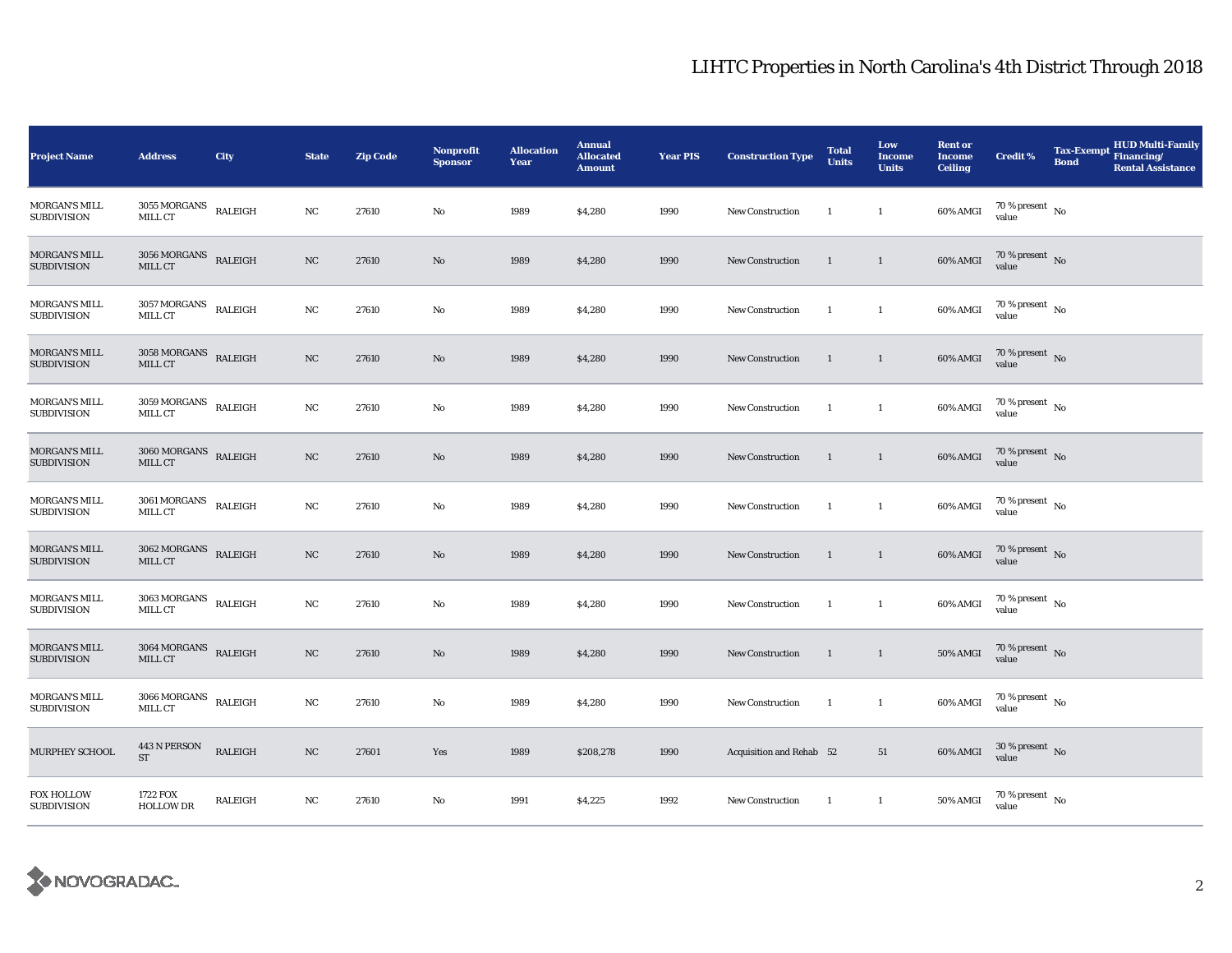| <b>Project Name</b>                        | <b>Address</b>                              | City    | <b>State</b> | <b>Zip Code</b> | <b>Nonprofit</b><br><b>Sponsor</b> | <b>Allocation</b><br>Year | <b>Annual</b><br><b>Allocated</b><br><b>Amount</b> | <b>Year PIS</b> | <b>Construction Type</b> | <b>Total</b><br><b>Units</b> | Low<br><b>Income</b><br><b>Units</b> | <b>Rent or</b><br><b>Income</b><br><b>Ceiling</b> | <b>Credit %</b>                      | <b>Tax-Exempt</b><br><b>Bond</b> | <b>HUD Multi-Family</b><br>Financing/<br><b>Rental Assistance</b> |
|--------------------------------------------|---------------------------------------------|---------|--------------|-----------------|------------------------------------|---------------------------|----------------------------------------------------|-----------------|--------------------------|------------------------------|--------------------------------------|---------------------------------------------------|--------------------------------------|----------------------------------|-------------------------------------------------------------------|
| <b>MORGAN'S MILL</b><br><b>SUBDIVISION</b> | $3055\,MORGANS$<br>MILL CT                  | RALEIGH | NC           | 27610           | No                                 | 1989                      | \$4,280                                            | 1990            | <b>New Construction</b>  | -1                           | $\mathbf{1}$                         | 60% AMGI                                          | 70 % present $\hbox{~No}$<br>value   |                                  |                                                                   |
| MORGAN'S MILL<br><b>SUBDIVISION</b>        | $3056\,\mbox{MORGANS}$ RALEIGH<br>MILL CT   |         | $_{\rm NC}$  | 27610           | No                                 | 1989                      | \$4,280                                            | 1990            | <b>New Construction</b>  | 1                            | $\mathbf{1}$                         | 60% AMGI                                          | $70$ % present $\,$ No $\,$<br>value |                                  |                                                                   |
| <b>MORGAN'S MILL</b><br><b>SUBDIVISION</b> | $3057\, \mbox{MORGANS}$ RALEIGH<br>MILL CT  |         | $_{\rm NC}$  | 27610           | No                                 | 1989                      | \$4,280                                            | 1990            | <b>New Construction</b>  | -1                           | $\mathbf{1}$                         | 60% AMGI                                          | $70\,\%$ present $_{\rm{No}}$        |                                  |                                                                   |
| MORGAN'S MILL<br><b>SUBDIVISION</b>        | $3058\,\mathrm{MORGANS}$ RALEIGH<br>MILL CT |         | NC           | 27610           | No                                 | 1989                      | \$4,280                                            | 1990            | New Construction         | $\overline{1}$               | $\mathbf{1}$                         | 60% AMGI                                          | 70 % present $\hbox{~No}$<br>value   |                                  |                                                                   |
| <b>MORGAN'S MILL</b><br><b>SUBDIVISION</b> | $3059\,\mbox{MORGANS}$ RALEIGH<br>MILL CT   |         | NC           | 27610           | No                                 | 1989                      | \$4,280                                            | 1990            | <b>New Construction</b>  | -1                           | $\mathbf{1}$                         | 60% AMGI                                          | 70 % present $\hbox{~No}$<br>value   |                                  |                                                                   |
| MORGAN'S MILL<br><b>SUBDIVISION</b>        | $3060\,\mbox{MORGANS}$ RALEIGH<br>MILL CT   |         | NC           | 27610           | No                                 | 1989                      | \$4,280                                            | 1990            | <b>New Construction</b>  | $\mathbf{1}$                 | $\overline{1}$                       | 60% AMGI                                          | $70\,\%$ present $\,$ No value       |                                  |                                                                   |
| MORGAN'S MILL<br><b>SUBDIVISION</b>        | $3061\, \mbox{MORGANS}$ RALEIGH<br>MILL CT  |         | NC           | 27610           | No                                 | 1989                      | \$4,280                                            | 1990            | <b>New Construction</b>  | $\mathbf{1}$                 | $\mathbf{1}$                         | 60% AMGI                                          | $70$ % present $\,$ No $\,$<br>value |                                  |                                                                   |
| MORGAN'S MILL<br><b>SUBDIVISION</b>        | $3062\;\mbox{MORGANS}$ RALEIGH<br>MILL CT   |         | NC           | 27610           | No                                 | 1989                      | \$4,280                                            | 1990            | <b>New Construction</b>  | 1                            | $\langle 1 \rangle$                  | 60% AMGI                                          | $70\,\%$ present $\,$ No value       |                                  |                                                                   |
| <b>MORGAN'S MILL</b><br><b>SUBDIVISION</b> | $3063\, \mbox{MORGANS}$ RALEIGH<br>MILL CT  |         | $_{\rm NC}$  | 27610           | No                                 | 1989                      | \$4,280                                            | 1990            | <b>New Construction</b>  | $\mathbf{1}$                 | $\overline{1}$                       | 60% AMGI                                          | $70$ % present $\,$ No $\,$<br>value |                                  |                                                                   |
| <b>MORGAN'S MILL</b><br><b>SUBDIVISION</b> | $3064\,\mbox{MORGANS}$ RALEIGH<br>MILL CT   |         | $_{\rm NC}$  | 27610           | No                                 | 1989                      | \$4,280                                            | 1990            | <b>New Construction</b>  | $\mathbf{1}$                 | $\mathbf{1}$                         | <b>50% AMGI</b>                                   | 70 % present $\,$ No $\,$<br>value   |                                  |                                                                   |
| <b>MORGAN'S MILL</b><br><b>SUBDIVISION</b> | $3066 \, \mbox{MORGANS}$ RALEIGH<br>MILL CT |         | NC           | 27610           | No                                 | 1989                      | \$4,280                                            | 1990            | <b>New Construction</b>  | -1                           | $\mathbf{1}$                         | 60% AMGI                                          | 70 % present $\hbox{~No}$<br>value   |                                  |                                                                   |
| MURPHEY SCHOOL                             | 443 N PERSON<br><b>ST</b>                   | RALEIGH | $_{\rm NC}$  | 27601           | Yes                                | 1989                      | \$208,278                                          | 1990            | Acquisition and Rehab 52 |                              | 51                                   | 60% AMGI                                          | $30\,\%$ present $\,$ No value       |                                  |                                                                   |
| <b>FOX HOLLOW</b><br><b>SUBDIVISION</b>    | 1722 FOX<br><b>HOLLOW DR</b>                | RALEIGH | NC           | 27610           | No                                 | 1991                      | \$4,225                                            | 1992            | <b>New Construction</b>  | $\mathbf{1}$                 | $\mathbf{1}$                         | 50% AMGI                                          | $70$ % present $\,$ No $\,$<br>value |                                  |                                                                   |

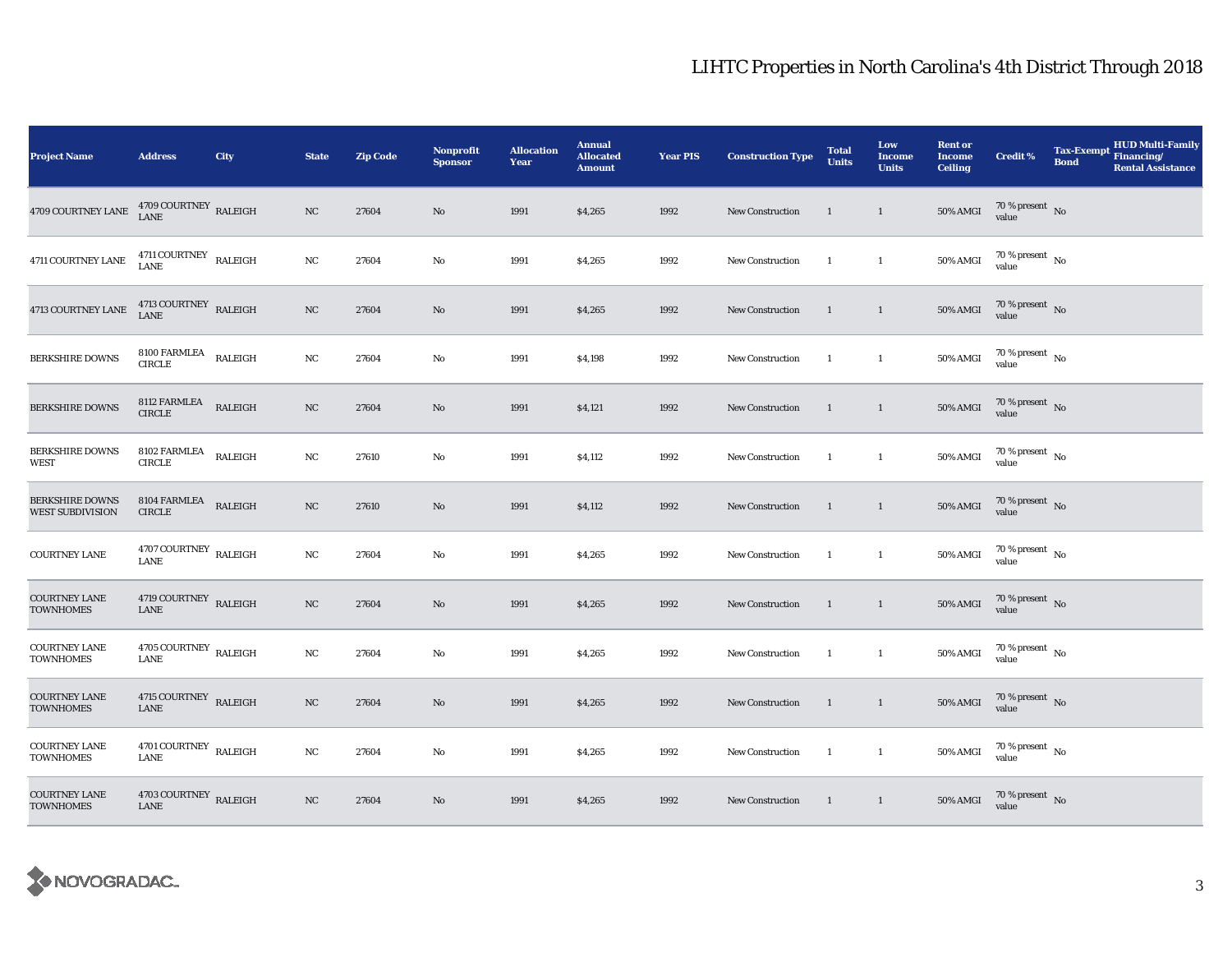| <b>Project Name</b>                               | <b>Address</b>                            | City           | <b>State</b> | <b>Zip Code</b> | Nonprofit<br><b>Sponsor</b> | <b>Allocation</b><br>Year | <b>Annual</b><br><b>Allocated</b><br><b>Amount</b> | <b>Year PIS</b> | <b>Construction Type</b> | <b>Total</b><br><b>Units</b> | Low<br><b>Income</b><br><b>Units</b> | <b>Rent or</b><br><b>Income</b><br><b>Ceiling</b> | <b>Credit %</b>                      | <b>Tax-Exempt</b><br><b>Bond</b> | <b>HUD Multi-Family</b><br>Financing/<br><b>Rental Assistance</b> |
|---------------------------------------------------|-------------------------------------------|----------------|--------------|-----------------|-----------------------------|---------------------------|----------------------------------------------------|-----------------|--------------------------|------------------------------|--------------------------------------|---------------------------------------------------|--------------------------------------|----------------------------------|-------------------------------------------------------------------|
| 4709 COURTNEY LANE                                | $4709$ COURTNEY $\,$ RALEIGH LANE         |                | NC           | 27604           | No                          | 1991                      | \$4,265                                            | 1992            | <b>New Construction</b>  | <sup>1</sup>                 | $\mathbf{1}$                         | <b>50% AMGI</b>                                   | $70\,\%$ present $\,$ No value       |                                  |                                                                   |
| 4711 COURTNEY LANE                                | $4711$ COURTNEY $\;$ RALEIGH LANE         |                | NC           | 27604           | No                          | 1991                      | \$4,265                                            | 1992            | <b>New Construction</b>  | $\mathbf{1}$                 | $\mathbf{1}$                         | <b>50% AMGI</b>                                   | $70$ % present $\,$ No $\,$<br>value |                                  |                                                                   |
| 4713 COURTNEY LANE                                | $4713$ COURTNEY $\;$ RALEIGH LANE         |                | NC           | 27604           | No                          | 1991                      | \$4,265                                            | 1992            | <b>New Construction</b>  | -1                           | $\mathbf{1}$                         | <b>50% AMGI</b>                                   | $70\,\%$ present $\,$ No value       |                                  |                                                                   |
| <b>BERKSHIRE DOWNS</b>                            | $8100\text{ FARMLEA}$<br><b>CIRCLE</b>    | RALEIGH        | NC           | 27604           | No                          | 1991                      | \$4,198                                            | 1992            | <b>New Construction</b>  | $\overline{1}$               | $\mathbf{1}$                         | <b>50% AMGI</b>                                   | 70 % present $\hbox{~No}$<br>value   |                                  |                                                                   |
| <b>BERKSHIRE DOWNS</b>                            | 8112 FARMLEA<br><b>CIRCLE</b>             | <b>RALEIGH</b> | NC           | 27604           | No                          | 1991                      | \$4,121                                            | 1992            | <b>New Construction</b>  | $\overline{1}$               | $\mathbf{1}$                         | <b>50% AMGI</b>                                   | $70\,\%$ present $\,$ No value       |                                  |                                                                   |
| <b>BERKSHIRE DOWNS</b><br>WEST                    | 8102 FARMLEA<br><b>CIRCLE</b>             | RALEIGH        | $_{\rm NC}$  | 27610           | No                          | 1991                      | \$4,112                                            | 1992            | New Construction         | $\mathbf{1}$                 | $\mathbf{1}$                         | 50% AMGI                                          | $70\,\%$ present $\,$ No value       |                                  |                                                                   |
| <b>BERKSHIRE DOWNS</b><br><b>WEST SUBDIVISION</b> | 8104 FARMLEA<br><b>CIRCLE</b>             | RALEIGH        | NC           | 27610           | No                          | 1991                      | \$4,112                                            | 1992            | New Construction         | $\overline{1}$               | $\mathbf{1}$                         | <b>50% AMGI</b>                                   | $70\,\%$ present $\,$ No value       |                                  |                                                                   |
| <b>COURTNEY LANE</b>                              | 4707 COURTNEY $\,$ RALEIGH<br><b>LANE</b> |                | NC           | 27604           | No                          | 1991                      | \$4,265                                            | 1992            | <b>New Construction</b>  | -1                           | $\mathbf{1}$                         | <b>50% AMGI</b>                                   | $70\,\%$ present $_{\rm{No}}$        |                                  |                                                                   |
| <b>COURTNEY LANE</b><br><b>TOWNHOMES</b>          | 4719 COURTNEY RALEIGH<br>${\rm LANE}$     |                | NC           | 27604           | No                          | 1991                      | \$4,265                                            | 1992            | New Construction         | $\mathbf{1}$                 | $\overline{1}$                       | $50\%$ AMGI                                       | $70\,\%$ present $\,$ No value       |                                  |                                                                   |
| <b>COURTNEY LANE</b><br><b>TOWNHOMES</b>          | 4705 COURTNEY RALEIGH<br><b>LANE</b>      |                | NC           | 27604           | No                          | 1991                      | \$4,265                                            | 1992            | New Construction         | $\overline{1}$               | $\mathbf{1}$                         | <b>50% AMGI</b>                                   | $70\,\%$ present $\,$ No value       |                                  |                                                                   |
| <b>COURTNEY LANE</b><br><b>TOWNHOMES</b>          | 4715 COURTNEY RALEIGH<br><b>LANE</b>      |                | $_{\rm NC}$  | 27604           | $\mathbf{N}\mathbf{o}$      | 1991                      | \$4,265                                            | 1992            | <b>New Construction</b>  | $\mathbf{1}$                 | $\mathbf{1}$                         | <b>50% AMGI</b>                                   | $70\,\%$ present $\,$ No value       |                                  |                                                                   |
| <b>COURTNEY LANE</b><br><b>TOWNHOMES</b>          | 4701 COURTNEY RALEIGH<br><b>LANE</b>      |                | $_{\rm NC}$  | 27604           | No                          | 1991                      | \$4,265                                            | 1992            | New Construction         | $\mathbf{1}$                 | $\mathbf{1}$                         | 50% AMGI                                          | $70\,\%$ present $\,$ No value       |                                  |                                                                   |
| <b>COURTNEY LANE</b><br><b>TOWNHOMES</b>          | 4703 COURTNEY RALEIGH<br>LANE             |                | NC           | 27604           | No                          | 1991                      | \$4,265                                            | 1992            | <b>New Construction</b>  | $\mathbf{1}$                 | $\overline{1}$                       | 50% AMGI                                          | $70\,\%$ present $\,$ No value       |                                  |                                                                   |

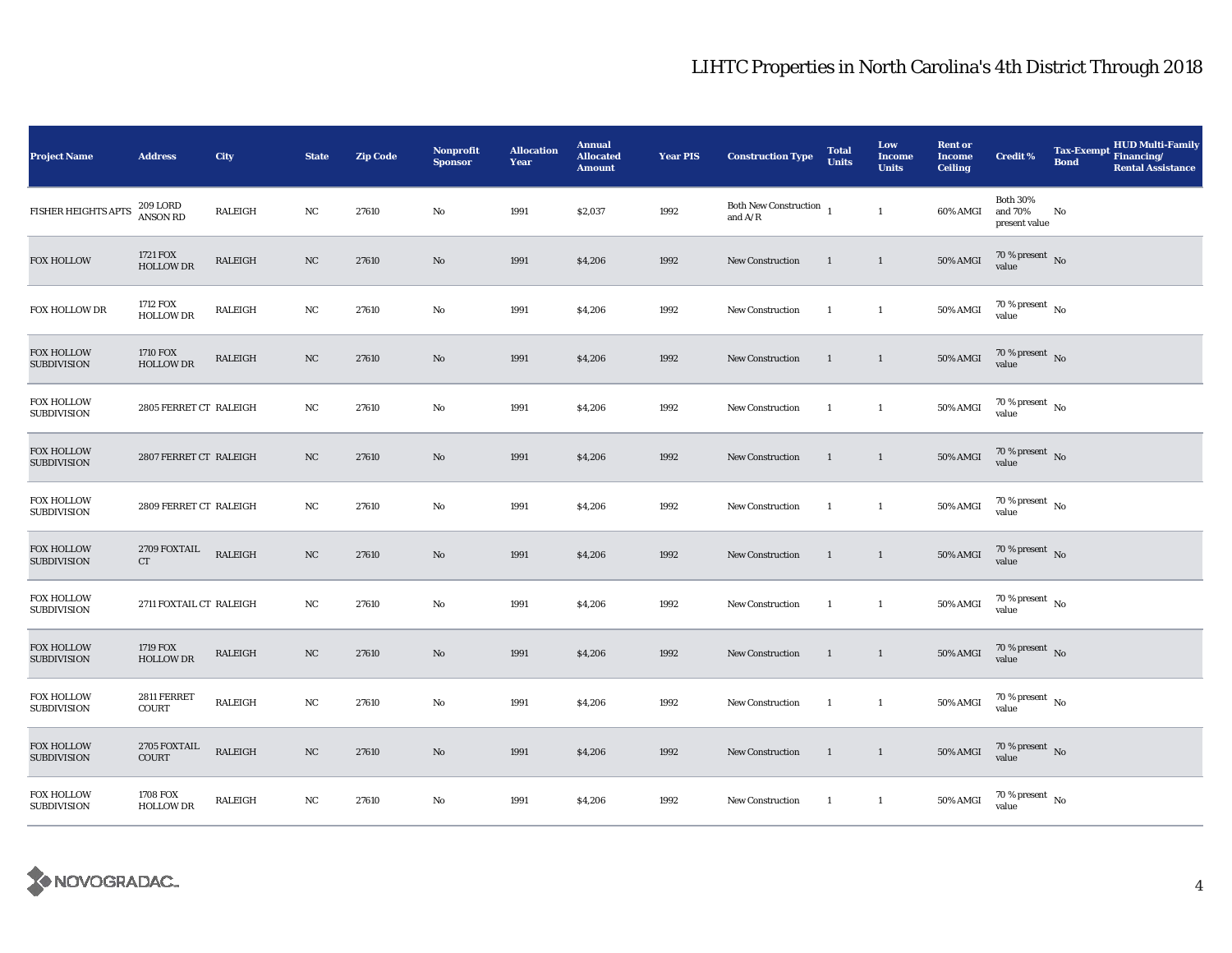| <b>Project Name</b>                     | <b>Address</b>               | <b>City</b>    | <b>State</b> | <b>Zip Code</b> | Nonprofit<br><b>Sponsor</b> | <b>Allocation</b><br>Year | <b>Annual</b><br><b>Allocated</b><br><b>Amount</b> | <b>Year PIS</b> | <b>Construction Type</b>                                                                      | <b>Total</b><br><b>Units</b> | Low<br><b>Income</b><br><b>Units</b> | <b>Rent or</b><br><b>Income</b><br><b>Ceiling</b> | <b>Credit %</b>                             | <b>Tax-Exempt</b><br><b>Bond</b> | <b>HUD Multi-Family</b><br>Financing/<br><b>Rental Assistance</b> |
|-----------------------------------------|------------------------------|----------------|--------------|-----------------|-----------------------------|---------------------------|----------------------------------------------------|-----------------|-----------------------------------------------------------------------------------------------|------------------------------|--------------------------------------|---------------------------------------------------|---------------------------------------------|----------------------------------|-------------------------------------------------------------------|
| FISHER HEIGHTS APTS                     | 209 LORD<br>ANSON RD         | RALEIGH        | $_{\rm NC}$  | 27610           | $\rm No$                    | 1991                      | \$2,037                                            | 1992            | Both New Construction $\hskip 1mm_1$<br>and $\ensuremath{\mathrm{A}}/\ensuremath{\mathrm{R}}$ |                              | $\mathbf{1}$                         | 60% AMGI                                          | <b>Both 30%</b><br>and 70%<br>present value | No                               |                                                                   |
| <b>FOX HOLLOW</b>                       | 1721 FOX<br>HOLLOW DR        | <b>RALEIGH</b> | $_{\rm NC}$  | 27610           | No                          | 1991                      | \$4,206                                            | 1992            | <b>New Construction</b>                                                                       | 1                            | $\mathbf{1}$                         | <b>50% AMGI</b>                                   | 70 % present $\,$ No $\,$<br>value          |                                  |                                                                   |
| FOX HOLLOW DR                           | 1712 FOX<br><b>HOLLOW DR</b> | RALEIGH        | NC           | 27610           | No                          | 1991                      | \$4,206                                            | 1992            | <b>New Construction</b>                                                                       | $\mathbf{1}$                 | $\mathbf{1}$                         | 50% AMGI                                          | $70\,\%$ present $\,$ No value              |                                  |                                                                   |
| <b>FOX HOLLOW</b><br><b>SUBDIVISION</b> | 1710 FOX<br><b>HOLLOW DR</b> | RALEIGH        | NC           | 27610           | No                          | 1991                      | \$4,206                                            | 1992            | New Construction                                                                              | <sup>1</sup>                 | $\mathbf{1}$                         | 50% AMGI                                          | 70 % present $\hbox{~No}$<br>value          |                                  |                                                                   |
| <b>FOX HOLLOW</b><br><b>SUBDIVISION</b> | 2805 FERRET CT RALEIGH       |                | NC           | 27610           | No                          | 1991                      | \$4,206                                            | 1992            | <b>New Construction</b>                                                                       | $\mathbf{1}$                 | $\mathbf{1}$                         | 50% AMGI                                          | 70 % present $\hbox{~No}$<br>value          |                                  |                                                                   |
| <b>FOX HOLLOW</b><br><b>SUBDIVISION</b> | 2807 FERRET CT RALEIGH       |                | NC           | 27610           | $\mathbf{No}$               | 1991                      | \$4,206                                            | 1992            | New Construction                                                                              | $\mathbf{1}$                 | $\mathbf{1}$                         | <b>50% AMGI</b>                                   | $70\,\%$ present $\,$ No value              |                                  |                                                                   |
| FOX HOLLOW<br><b>SUBDIVISION</b>        | 2809 FERRET CT RALEIGH       |                | NC           | 27610           | No                          | 1991                      | \$4,206                                            | 1992            | <b>New Construction</b>                                                                       | -1                           | $\mathbf{1}$                         | 50% AMGI                                          | $70\,\%$ present $\,$ No $\,$<br>value      |                                  |                                                                   |
| <b>FOX HOLLOW</b><br><b>SUBDIVISION</b> | 2709 FOXTAIL<br>${\rm CT}$   | <b>RALEIGH</b> | $_{\rm NC}$  | 27610           | $\rm No$                    | 1991                      | \$4,206                                            | 1992            | <b>New Construction</b>                                                                       | 1                            | $\mathbf{1}$                         | <b>50% AMGI</b>                                   | $70\,\%$ present $\,$ No value              |                                  |                                                                   |
| <b>FOX HOLLOW</b><br><b>SUBDIVISION</b> | 2711 FOXTAIL CT RALEIGH      |                | NC           | 27610           | No                          | 1991                      | \$4,206                                            | 1992            | New Construction                                                                              | $\mathbf{1}$                 | $\mathbf{1}$                         | 50% AMGI                                          | $70\%$ present No<br>value                  |                                  |                                                                   |
| <b>FOX HOLLOW</b><br><b>SUBDIVISION</b> | 1719 FOX<br><b>HOLLOW DR</b> | <b>RALEIGH</b> | NC           | 27610           | No                          | 1991                      | \$4,206                                            | 1992            | <b>New Construction</b>                                                                       | $\mathbf{1}$                 | $\mathbf{1}$                         | <b>50% AMGI</b>                                   | $70\,\%$ present $\,$ No value              |                                  |                                                                   |
| <b>FOX HOLLOW</b><br><b>SUBDIVISION</b> | 2811 FERRET<br><b>COURT</b>  | <b>RALEIGH</b> | $_{\rm NC}$  | 27610           | No                          | 1991                      | \$4,206                                            | 1992            | <b>New Construction</b>                                                                       | $\mathbf{1}$                 | $\mathbf{1}$                         | 50% AMGI                                          | 70 % present $\hbox{~No}$<br>value          |                                  |                                                                   |
| <b>FOX HOLLOW</b><br><b>SUBDIVISION</b> | 2705 FOXTAIL<br>COURT        | <b>RALEIGH</b> | $_{\rm NC}$  | 27610           | No                          | 1991                      | \$4,206                                            | 1992            | New Construction                                                                              | $\overline{1}$               | $\mathbf{1}$                         | <b>50% AMGI</b>                                   | $70\,\%$ present $\,$ No value              |                                  |                                                                   |
| <b>FOX HOLLOW</b><br><b>SUBDIVISION</b> | 1708 FOX<br><b>HOLLOW DR</b> | <b>RALEIGH</b> | NC           | 27610           | No                          | 1991                      | \$4,206                                            | 1992            | <b>New Construction</b>                                                                       | -1                           | $\mathbf{1}$                         | 50% AMGI                                          | $70\,\%$ present $\,$ No value              |                                  |                                                                   |

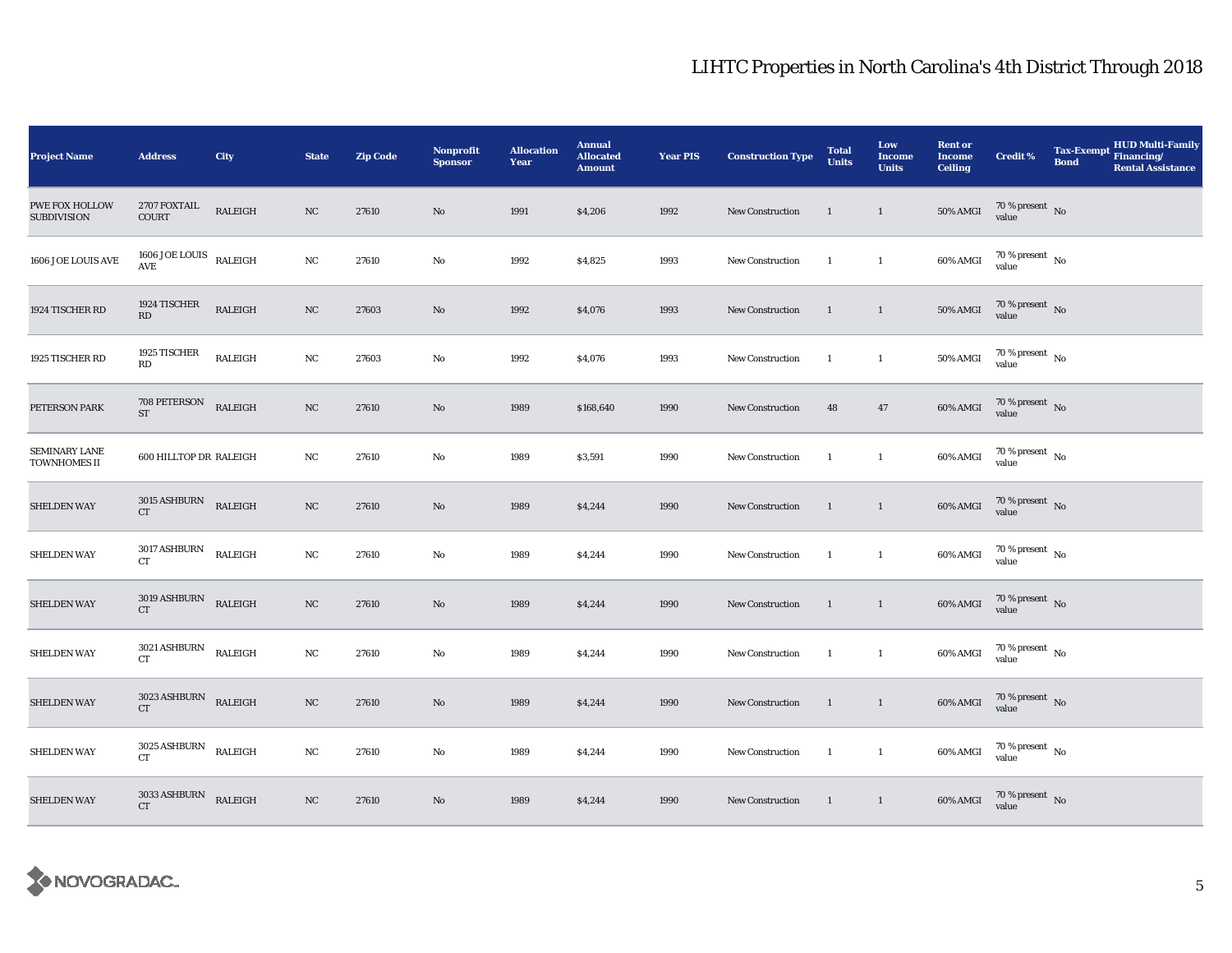| <b>Project Name</b>                         | <b>Address</b>                                | <b>City</b>    | <b>State</b> | <b>Zip Code</b> | Nonprofit<br><b>Sponsor</b> | <b>Allocation</b><br>Year | <b>Annual</b><br><b>Allocated</b><br><b>Amount</b> | <b>Year PIS</b> | <b>Construction Type</b> | <b>Total</b><br><b>Units</b> | Low<br>Income<br><b>Units</b> | <b>Rent or</b><br><b>Income</b><br><b>Ceiling</b> | <b>Credit %</b>                | <b>Tax-Exempt</b><br><b>Bond</b> | HUD Multi-Family<br>Financing/<br><b>Rental Assistance</b> |
|---------------------------------------------|-----------------------------------------------|----------------|--------------|-----------------|-----------------------------|---------------------------|----------------------------------------------------|-----------------|--------------------------|------------------------------|-------------------------------|---------------------------------------------------|--------------------------------|----------------------------------|------------------------------------------------------------|
| <b>PWE FOX HOLLOW</b><br><b>SUBDIVISION</b> | 2707 FOXTAIL<br><b>COURT</b>                  | RALEIGH        | $_{\rm NC}$  | 27610           | No                          | 1991                      | \$4,206                                            | 1992            | <b>New Construction</b>  | $\overline{1}$               | $\overline{1}$                | $50\%$ AMGI                                       | $70\,\%$ present $\,$ No value |                                  |                                                            |
| 1606 JOE LOUIS AVE                          | $1606$ JOE LOUIS $\quad$ RALEIGH<br>AVE       |                | $_{\rm NC}$  | 27610           | No                          | 1992                      | \$4,825                                            | 1993            | New Construction         | $\overline{1}$               | $\mathbf{1}$                  | 60% AMGI                                          | $70\,\%$ present $\,$ No value |                                  |                                                            |
| 1924 TISCHER RD                             | 1924 TISCHER<br>$\mathbf{R}\mathbf{D}$        | RALEIGH        | $_{\rm NC}$  | 27603           | $\mathbf{No}$               | 1992                      | \$4,076                                            | 1993            | <b>New Construction</b>  | $\mathbf{1}$                 | $\overline{1}$                | 50% AMGI                                          | $70\,\%$ present $\,$ No value |                                  |                                                            |
| 1925 TISCHER RD                             | 1925 TISCHER<br>RD                            | <b>RALEIGH</b> | NC           | 27603           | No                          | 1992                      | \$4,076                                            | 1993            | <b>New Construction</b>  | <sup>1</sup>                 | $\mathbf{1}$                  | 50% AMGI                                          | $70\,\%$ present $\,$ No value |                                  |                                                            |
| PETERSON PARK                               | 708 PETERSON<br>ST                            | RALEIGH        | NC           | 27610           | $\mathbf{No}$               | 1989                      | \$168,640                                          | 1990            | New Construction         | 48                           | 47                            | 60% AMGI                                          | $70\,\%$ present $\,$ No value |                                  |                                                            |
| <b>SEMINARY LANE</b><br>TOWNHOMES II        | 600 HILLTOP DR RALEIGH                        |                | NC           | 27610           | No                          | 1989                      | \$3,591                                            | 1990            | New Construction         | $\mathbf{1}$                 | $\mathbf{1}$                  | 60% AMGI                                          | $70\,\%$ present $\,$ No value |                                  |                                                            |
| <b>SHELDEN WAY</b>                          | $3015$ ASHBURN RALEIGH<br>CT                  |                | NC           | 27610           | $\mathbf{No}$               | 1989                      | \$4,244                                            | 1990            | New Construction         | $\overline{1}$               | $\overline{1}$                | 60% AMGI                                          | $70\,\%$ present $\,$ No value |                                  |                                                            |
| <b>SHELDEN WAY</b>                          | $3017$ ASHBURN<br><b>CT</b>                   | RALEIGH        | NC           | 27610           | No                          | 1989                      | \$4,244                                            | 1990            | <b>New Construction</b>  | $\overline{1}$               | $\mathbf{1}$                  | 60% AMGI                                          | $70\,\%$ present $\,$ No value |                                  |                                                            |
| <b>SHELDEN WAY</b>                          | $3019$ ASHBURN RALEIGH<br>CT                  |                | $_{\rm NC}$  | 27610           | $\mathbf{No}$               | 1989                      | \$4,244                                            | 1990            | New Construction         | $\overline{1}$               | $\overline{1}$                | 60% AMGI                                          | $70\,\%$ present $\,$ No value |                                  |                                                            |
| <b>SHELDEN WAY</b>                          | $3021\,\mathrm{ASHBURN}$ RALEIGH<br>CT        |                | NC           | 27610           | $\mathbf{No}$               | 1989                      | \$4,244                                            | 1990            | New Construction         | $\overline{1}$               | $\mathbf{1}$                  | 60% AMGI                                          | $70\,\%$ present $\,$ No value |                                  |                                                            |
| <b>SHELDEN WAY</b>                          | $3023\,\mathrm{ASHBURN}$ RALEIGH<br><b>CT</b> |                | $_{\rm NC}$  | 27610           | No                          | 1989                      | \$4,244                                            | 1990            | New Construction         | $\overline{1}$               | $\overline{1}$                | 60% AMGI                                          | $70\,\%$ present $\,$ No value |                                  |                                                            |
| <b>SHELDEN WAY</b>                          | $3025\,\mathrm{ASHBURN}$ RALEIGH<br><b>CT</b> |                | $_{\rm NC}$  | 27610           | $\mathbf{No}$               | 1989                      | \$4,244                                            | 1990            | New Construction         | $\overline{1}$               | $\mathbf{1}$                  | 60% AMGI                                          | $70\,\%$ present $\,$ No value |                                  |                                                            |
| <b>SHELDEN WAY</b>                          | $3033$ ASHBURN RALEIGH<br><b>CT</b>           |                | $_{\rm NC}$  | 27610           | $\mathbf{No}$               | 1989                      | \$4,244                                            | 1990            | <b>New Construction</b>  | $\overline{1}$               | $\overline{1}$                | 60% AMGI                                          | $70\,\%$ present $\;$ No value |                                  |                                                            |

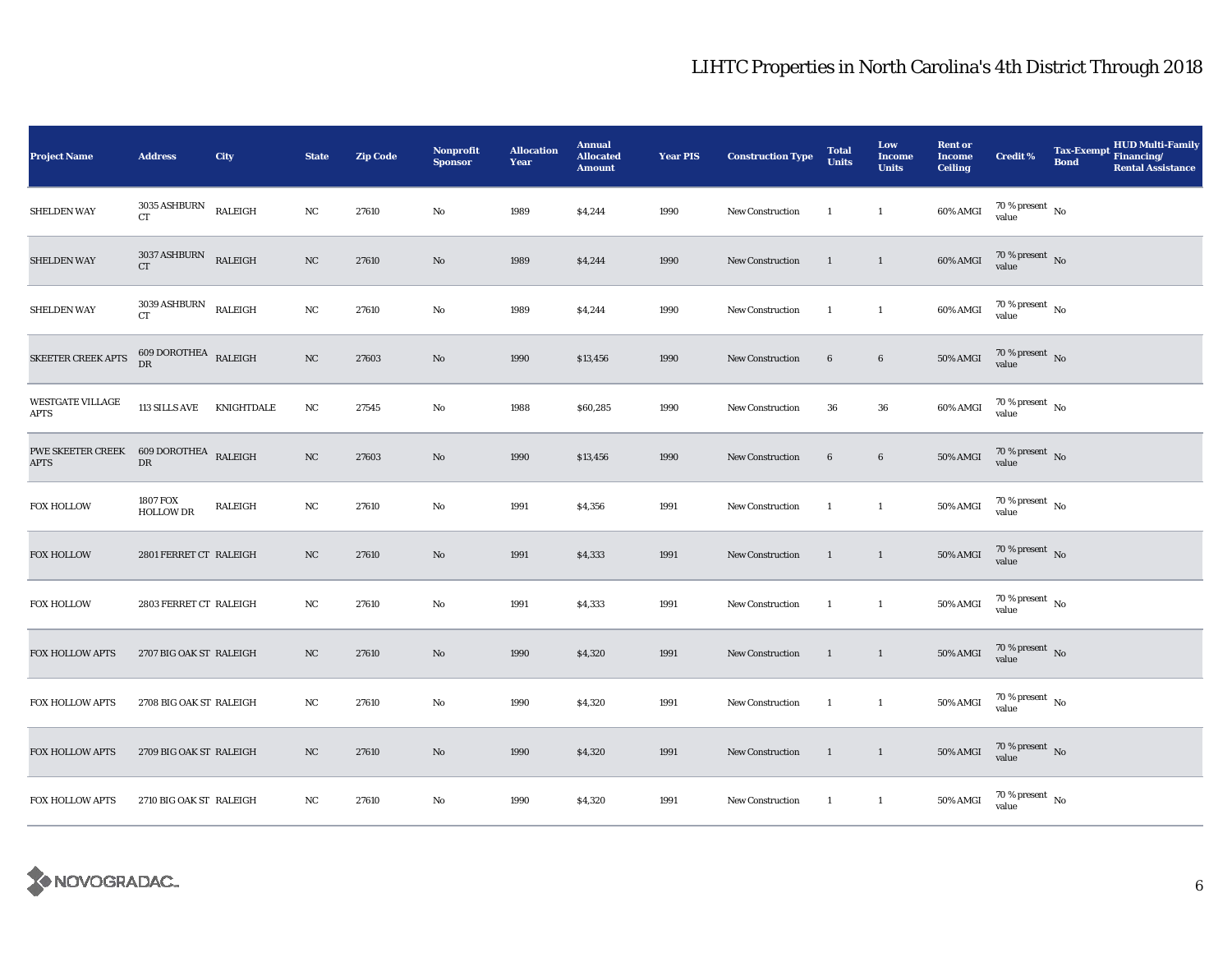| <b>Project Name</b>                                   | <b>Address</b>                            | City    | <b>State</b> | <b>Zip Code</b> | Nonprofit<br><b>Sponsor</b> | <b>Allocation</b><br>Year | <b>Annual</b><br><b>Allocated</b><br><b>Amount</b> | <b>Year PIS</b> | <b>Construction Type</b> | <b>Total</b><br><b>Units</b> | Low<br><b>Income</b><br><b>Units</b> | <b>Rent or</b><br><b>Income</b><br>Ceiling | <b>Credit %</b>                | Tax-Exempt Financing/<br><b>Bond</b> | <b>HUD Multi-Family</b><br><b>Rental Assistance</b> |
|-------------------------------------------------------|-------------------------------------------|---------|--------------|-----------------|-----------------------------|---------------------------|----------------------------------------------------|-----------------|--------------------------|------------------------------|--------------------------------------|--------------------------------------------|--------------------------------|--------------------------------------|-----------------------------------------------------|
| <b>SHELDEN WAY</b>                                    | 3035 ASHBURN<br><b>CT</b>                 | RALEIGH | NC           | 27610           | No                          | 1989                      | \$4,244                                            | 1990            | <b>New Construction</b>  | <sup>1</sup>                 | $\mathbf{1}$                         | 60% AMGI                                   | $70\,\%$ present $\,$ No value |                                      |                                                     |
| <b>SHELDEN WAY</b>                                    | $3037\,\mathrm{ASHBURN}$ RALEIGH CT       |         | $_{\rm NC}$  | 27610           | No                          | 1989                      | \$4,244                                            | 1990            | New Construction         | 1                            | $\mathbf{1}$                         | $60\%$ AMGI                                | $70\%$ present No<br>value     |                                      |                                                     |
| <b>SHELDEN WAY</b>                                    | $3039\text{\,ASHBURN}\quad$ RALEIGH<br>CT |         | NC           | 27610           | No                          | 1989                      | \$4,244                                            | 1990            | New Construction         | $\overline{1}$               | $\mathbf{1}$                         | 60% AMGI                                   | $70\,\%$ present $\,$ No value |                                      |                                                     |
| SKEETER CREEK APTS                                    | $609$ DOROTHEA $\;$ RALEIGH $\;$ DR       |         | $_{\rm NC}$  | 27603           | No                          | 1990                      | \$13,456                                           | 1990            | New Construction         | $\bf 6$                      | $6\phantom{.0}$                      | <b>50% AMGI</b>                            | $70\,\%$ present $\,$ No value |                                      |                                                     |
| <b>WESTGATE VILLAGE</b><br><b>APTS</b>                | 113 SILLS AVE KNIGHTDALE                  |         | $_{\rm NC}$  | 27545           | No                          | 1988                      | \$60,285                                           | 1990            | <b>New Construction</b>  | ${\bf 36}$                   | 36                                   | 60% AMGI                                   | $70\,\%$ present $\,$ No value |                                      |                                                     |
| PWE SKEETER CREEK 609 DOROTHEA RALEIGH<br><b>APTS</b> | ${\rm DR}$                                |         | $_{\rm NC}$  | 27603           | No                          | 1990                      | \$13,456                                           | 1990            | New Construction         | $\bf 6$                      | $\bf 6$                              | $50\%$ AMGI                                | $70\,\%$ present $\,$ No value |                                      |                                                     |
| FOX HOLLOW                                            | 1807 FOX<br><b>HOLLOW DR</b>              | RALEIGH | $_{\rm NC}$  | 27610           | $\rm No$                    | 1991                      | \$4,356                                            | 1991            | New Construction         | $\overline{1}$               | $\mathbf{1}$                         | 50% AMGI                                   | $70\,\%$ present $\,$ No value |                                      |                                                     |
| <b>FOX HOLLOW</b>                                     | 2801 FERRET CT RALEIGH                    |         | NC           | 27610           | No                          | 1991                      | \$4,333                                            | 1991            | <b>New Construction</b>  | 1                            | $\mathbf{1}$                         | <b>50% AMGI</b>                            | $70\,\%$ present $\,$ No value |                                      |                                                     |
| <b>FOX HOLLOW</b>                                     | 2803 FERRET CT RALEIGH                    |         | NC           | 27610           | No                          | 1991                      | \$4,333                                            | 1991            | New Construction         | $\mathbf{1}$                 | $\mathbf{1}$                         | 50% AMGI                                   | $70\,\%$ present $\,$ No value |                                      |                                                     |
| FOX HOLLOW APTS                                       | 2707 BIG OAK ST RALEIGH                   |         | NC           | 27610           | No                          | 1990                      | \$4,320                                            | 1991            | New Construction         | $\overline{1}$               | $\mathbf{1}$                         | <b>50% AMGI</b>                            | $70\,\%$ present $\,$ No value |                                      |                                                     |
| FOX HOLLOW APTS                                       | 2708 BIG OAK ST RALEIGH                   |         | NC           | 27610           | No                          | 1990                      | \$4,320                                            | 1991            | <b>New Construction</b>  | $\overline{1}$               | $\mathbf{1}$                         | <b>50% AMGI</b>                            | $70\,\%$ present $\,$ No value |                                      |                                                     |
| FOX HOLLOW APTS                                       | 2709 BIG OAK ST RALEIGH                   |         | $_{\rm NC}$  | 27610           | No                          | 1990                      | \$4,320                                            | 1991            | New Construction         | $\overline{1}$               | $\overline{1}$                       | <b>50% AMGI</b>                            | $70\,\%$ present $\,$ No value |                                      |                                                     |
| <b>FOX HOLLOW APTS</b>                                | 2710 BIG OAK ST RALEIGH                   |         | NC           | 27610           | No                          | 1990                      | \$4,320                                            | 1991            | New Construction         | <sup>1</sup>                 | $\mathbf{1}$                         | 50% AMGI                                   | $70\,\%$ present $\,$ No value |                                      |                                                     |

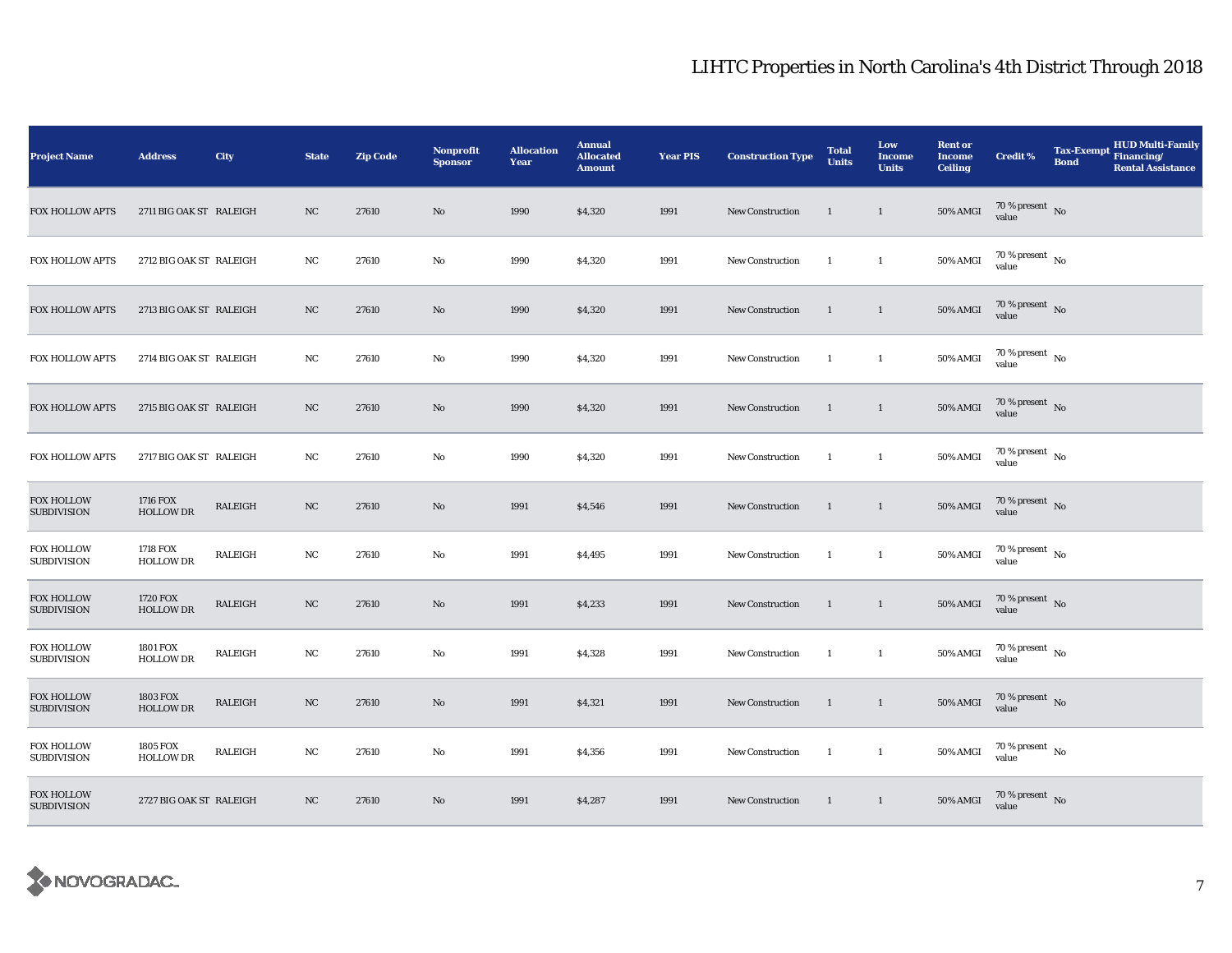| <b>Project Name</b>                     | <b>Address</b>                      | City           | <b>State</b> | <b>Zip Code</b> | <b>Nonprofit</b><br><b>Sponsor</b> | <b>Allocation</b><br>Year | <b>Annual</b><br><b>Allocated</b><br><b>Amount</b> | <b>Year PIS</b> | <b>Construction Type</b> | <b>Total</b><br><b>Units</b> | Low<br><b>Income</b><br><b>Units</b> | <b>Rent or</b><br><b>Income</b><br><b>Ceiling</b> | <b>Credit %</b>                        | <b>Tax-Exempt</b><br><b>Bond</b> | <b>HUD Multi-Family</b><br>Financing/<br><b>Rental Assistance</b> |
|-----------------------------------------|-------------------------------------|----------------|--------------|-----------------|------------------------------------|---------------------------|----------------------------------------------------|-----------------|--------------------------|------------------------------|--------------------------------------|---------------------------------------------------|----------------------------------------|----------------------------------|-------------------------------------------------------------------|
| <b>FOX HOLLOW APTS</b>                  | 2711 BIG OAK ST RALEIGH             |                | NC           | 27610           | No                                 | 1990                      | \$4,320                                            | 1991            | <b>New Construction</b>  | $\mathbf{1}$                 | $\mathbf{1}$                         | <b>50% AMGI</b>                                   | $70\,\%$ present $\,$ No value         |                                  |                                                                   |
| FOX HOLLOW APTS                         | 2712 BIG OAK ST RALEIGH             |                | NC           | 27610           | $\mathbf{No}$                      | 1990                      | \$4,320                                            | 1991            | New Construction         | $\mathbf{1}$                 | $\mathbf{1}$                         | <b>50% AMGI</b>                                   | $70\,\%$ present $\,$ No $\,$<br>value |                                  |                                                                   |
| <b>FOX HOLLOW APTS</b>                  | 2713 BIG OAK ST RALEIGH             |                | NC           | 27610           | No                                 | 1990                      | \$4,320                                            | 1991            | <b>New Construction</b>  | $\mathbf{1}$                 | $\mathbf{1}$                         | 50% AMGI                                          | $70\,\%$ present $\,$ No value         |                                  |                                                                   |
| FOX HOLLOW APTS                         | 2714 BIG OAK ST RALEIGH             |                | NC           | 27610           | $\mathbf{No}$                      | 1990                      | \$4,320                                            | 1991            | New Construction         | $\overline{1}$               | $\mathbf{1}$                         | 50% AMGI                                          | $70\,\%$ present $\,$ No value         |                                  |                                                                   |
| FOX HOLLOW APTS                         | 2715 BIG OAK ST RALEIGH             |                | NC           | 27610           | $\mathbf{No}$                      | 1990                      | \$4,320                                            | 1991            | New Construction         | $\mathbf{1}$                 | $\mathbf{1}$                         | <b>50% AMGI</b>                                   | $70\,\%$ present $\,$ No value         |                                  |                                                                   |
| FOX HOLLOW APTS                         | 2717 BIG OAK ST RALEIGH             |                | NC           | 27610           | $\mathbf{No}$                      | 1990                      | \$4,320                                            | 1991            | New Construction         | $\overline{1}$               | $\mathbf{1}$                         | 50% AMGI                                          | $70$ % present $\,$ No $\,$<br>value   |                                  |                                                                   |
| <b>FOX HOLLOW</b><br><b>SUBDIVISION</b> | 1716 FOX<br><b>HOLLOW DR</b>        | <b>RALEIGH</b> | NC           | 27610           | $\mathbf{No}$                      | 1991                      | \$4,546                                            | 1991            | New Construction         | $\mathbf{1}$                 | $\mathbf{1}$                         | <b>50% AMGI</b>                                   | $70\,\%$ present $\,$ No value         |                                  |                                                                   |
| <b>FOX HOLLOW</b><br><b>SUBDIVISION</b> | 1718 FOX<br><b>HOLLOW DR</b>        | RALEIGH        | NC           | 27610           | $\mathbf{No}$                      | 1991                      | \$4,495                                            | 1991            | New Construction         | - 1                          | $\mathbf{1}$                         | <b>50% AMGI</b>                                   | 70 % present $\hbox{~No}$<br>value     |                                  |                                                                   |
| <b>FOX HOLLOW</b><br><b>SUBDIVISION</b> | 1720 FOX<br><b>HOLLOW DR</b>        | RALEIGH        | NC           | 27610           | No                                 | 1991                      | \$4,233                                            | 1991            | New Construction         | $\mathbf{1}$                 | $\overline{1}$                       | $50\%$ AMGI                                       | $70\,\%$ present $\,$ No value         |                                  |                                                                   |
| <b>FOX HOLLOW</b><br><b>SUBDIVISION</b> | <b>1801 FOX</b><br><b>HOLLOW DR</b> | RALEIGH        | NC           | 27610           | No                                 | 1991                      | \$4,328                                            | 1991            | New Construction         | $\mathbf{1}$                 | $\mathbf{1}$                         | <b>50% AMGI</b>                                   | $70$ % present $_{\, \rm No}$<br>value |                                  |                                                                   |
| <b>FOX HOLLOW</b><br><b>SUBDIVISION</b> | <b>1803 FOX</b><br><b>HOLLOW DR</b> | RALEIGH        | NC           | 27610           | No                                 | 1991                      | \$4,321                                            | 1991            | New Construction         | 1                            | $\mathbf{1}$                         | <b>50% AMGI</b>                                   | $70\,\%$ present $\,$ No value         |                                  |                                                                   |
| <b>FOX HOLLOW</b><br><b>SUBDIVISION</b> | <b>1805 FOX</b><br><b>HOLLOW DR</b> | RALEIGH        | NC           | 27610           | No                                 | 1991                      | \$4,356                                            | 1991            | New Construction         | $\overline{1}$               | $\mathbf{1}$                         | <b>50% AMGI</b>                                   | $70\,\%$ present $\,$ No value         |                                  |                                                                   |
| <b>FOX HOLLOW</b><br><b>SUBDIVISION</b> | 2727 BIG OAK ST RALEIGH             |                | NC           | 27610           | $\mathbf{N}\mathbf{o}$             | 1991                      | \$4,287                                            | 1991            | New Construction         | $\overline{1}$               | $\overline{1}$                       | <b>50% AMGI</b>                                   | $70\,\%$ present $\,$ No value         |                                  |                                                                   |

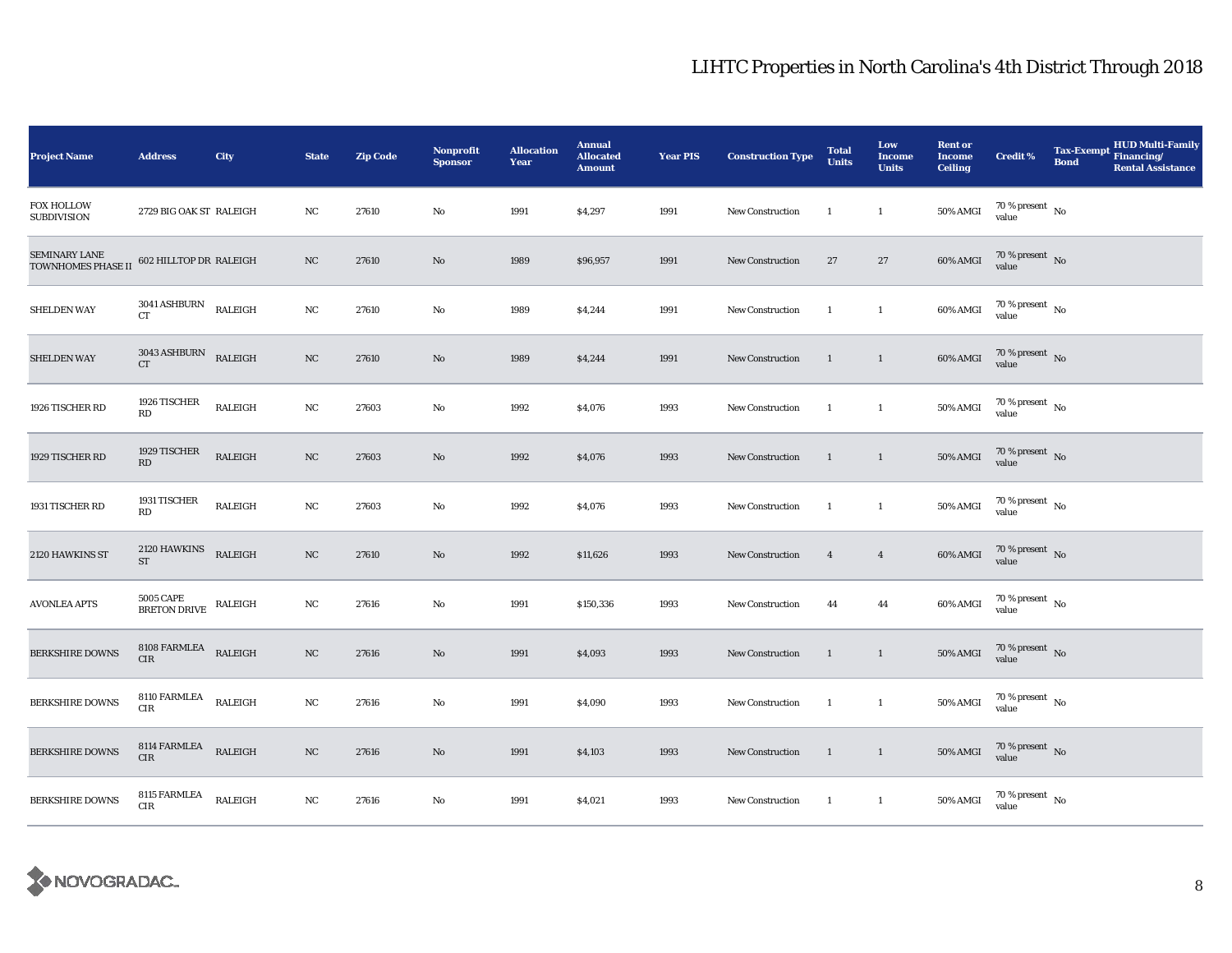| <b>Project Name</b>                     | <b>Address</b>                                            | City           | <b>State</b> | <b>Zip Code</b> | Nonprofit<br><b>Sponsor</b> | <b>Allocation</b><br>Year | <b>Annual</b><br><b>Allocated</b><br><b>Amount</b> | <b>Year PIS</b> | <b>Construction Type</b> | <b>Total</b><br><b>Units</b> | Low<br><b>Income</b><br><b>Units</b> | <b>Rent or</b><br><b>Income</b><br><b>Ceiling</b> | <b>Credit %</b>                | <b>Tax-Exempt</b><br><b>Bond</b> | <b>HUD Multi-Family</b><br>Financing/<br><b>Rental Assistance</b> |
|-----------------------------------------|-----------------------------------------------------------|----------------|--------------|-----------------|-----------------------------|---------------------------|----------------------------------------------------|-----------------|--------------------------|------------------------------|--------------------------------------|---------------------------------------------------|--------------------------------|----------------------------------|-------------------------------------------------------------------|
| <b>FOX HOLLOW</b><br><b>SUBDIVISION</b> | 2729 BIG OAK ST RALEIGH                                   |                | NC           | 27610           | No                          | 1991                      | \$4,297                                            | 1991            | <b>New Construction</b>  | -1                           | $\mathbf{1}$                         | <b>50% AMGI</b>                                   | $70\,\%$ present $\,$ No value |                                  |                                                                   |
| SEMINARY LANE<br>TOWNHOMES PHASE II     | 602 HILLTOP DR RALEIGH                                    |                | NC           | 27610           | No                          | 1989                      | \$96,957                                           | 1991            | <b>New Construction</b>  | $27\,$                       | $27\,$                               | 60% AMGI                                          | $70\%$ present No<br>value     |                                  |                                                                   |
| <b>SHELDEN WAY</b>                      | $3041\,\mathrm{ASHBURN}$ RALEIGH<br>CT                    |                | $_{\rm NC}$  | 27610           | No                          | 1989                      | \$4,244                                            | 1991            | New Construction         | -1                           | $\mathbf{1}$                         | 60% AMGI                                          | $70\,\%$ present $\,$ No value |                                  |                                                                   |
| <b>SHELDEN WAY</b>                      | $3043\,\mathrm{ASHBURN}$ RALEIGH<br>${\cal C}{\cal T}$    |                | $_{\rm NC}$  | 27610           | $\rm No$                    | 1989                      | \$4,244                                            | 1991            | New Construction         | $\overline{1}$               | $\mathbf{1}$                         | 60% AMGI                                          | $70\,\%$ present $\,$ No value |                                  |                                                                   |
| 1926 TISCHER RD                         | 1926 TISCHER<br>RD                                        | RALEIGH        | $_{\rm NC}$  | 27603           | $\mathbf{No}$               | 1992                      | \$4,076                                            | 1993            | <b>New Construction</b>  | -1                           | $\mathbf{1}$                         | 50% AMGI                                          | $70\,\%$ present $\,$ No value |                                  |                                                                   |
| 1929 TISCHER RD                         | 1929 TISCHER<br>$\mathbf{R}\mathbf{D}$                    | RALEIGH        | $_{\rm NC}$  | 27603           | No                          | 1992                      | \$4,076                                            | 1993            | New Construction         | $\mathbf{1}$                 | $\mathbf{1}$                         | $50\%$ AMGI                                       | $70\,\%$ present $\,$ No value |                                  |                                                                   |
| 1931 TISCHER RD                         | 1931 TISCHER<br>RD                                        | <b>RALEIGH</b> | $_{\rm NC}$  | 27603           | No                          | 1992                      | \$4,076                                            | 1993            | New Construction         | -1                           | $\mathbf{1}$                         | 50% AMGI                                          | $70\,\%$ present $\,$ No value |                                  |                                                                   |
| 2120 HAWKINS ST                         | 2120 HAWKINS<br><b>ST</b>                                 | RALEIGH        | $_{\rm NC}$  | 27610           | $\rm No$                    | 1992                      | \$11,626                                           | 1993            | <b>New Construction</b>  | $\overline{4}$               | $\overline{4}$                       | <b>60% AMGI</b>                                   | $70\,\%$ present $\,$ No value |                                  |                                                                   |
| <b>AVONLEA APTS</b>                     | <b>5005 CAPE</b><br>BRETON DRIVE RALEIGH                  |                | NC           | 27616           | $\mathbf{No}$               | 1991                      | \$150,336                                          | 1993            | <b>New Construction</b>  | 44                           | 44                                   | 60% AMGI                                          | $70\,\%$ present $\,$ No value |                                  |                                                                   |
| <b>BERKSHIRE DOWNS</b>                  | $8108$ FARMLEA $\quad$ RALEIGH<br>CIR                     |                | NC           | 27616           | $\mathbf{No}$               | 1991                      | \$4,093                                            | 1993            | New Construction         | $\mathbf{1}$                 | $\mathbf{1}$                         | <b>50% AMGI</b>                                   | $70\,\%$ present $\,$ No value |                                  |                                                                   |
| <b>BERKSHIRE DOWNS</b>                  | 8110 FARMLEA<br>$\rm CIR$                                 | RALEIGH        | $_{\rm NC}$  | 27616           | $\mathbf{No}$               | 1991                      | \$4,090                                            | 1993            | <b>New Construction</b>  | -1                           | $\mathbf{1}$                         | 50% AMGI                                          | $70\,\%$ present $\,$ No value |                                  |                                                                   |
| <b>BERKSHIRE DOWNS</b>                  | $8114 \text{ FARMLEA} \qquad \text{RALEIGH}$<br>$\rm CIR$ |                | $_{\rm NC}$  | 27616           | No                          | 1991                      | \$4,103                                            | 1993            | New Construction         | $\overline{1}$               | $\overline{1}$                       | $50\%$ AMGI                                       | $70\,\%$ present $\,$ No value |                                  |                                                                   |
| <b>BERKSHIRE DOWNS</b>                  | 8115 FARMLEA<br>CIR                                       | RALEIGH        | NC           | 27616           | No                          | 1991                      | \$4,021                                            | 1993            | New Construction         | $\mathbf{1}$                 | $\mathbf{1}$                         | $50\%$ AMGI                                       | $70\,\%$ present $\,$ No value |                                  |                                                                   |

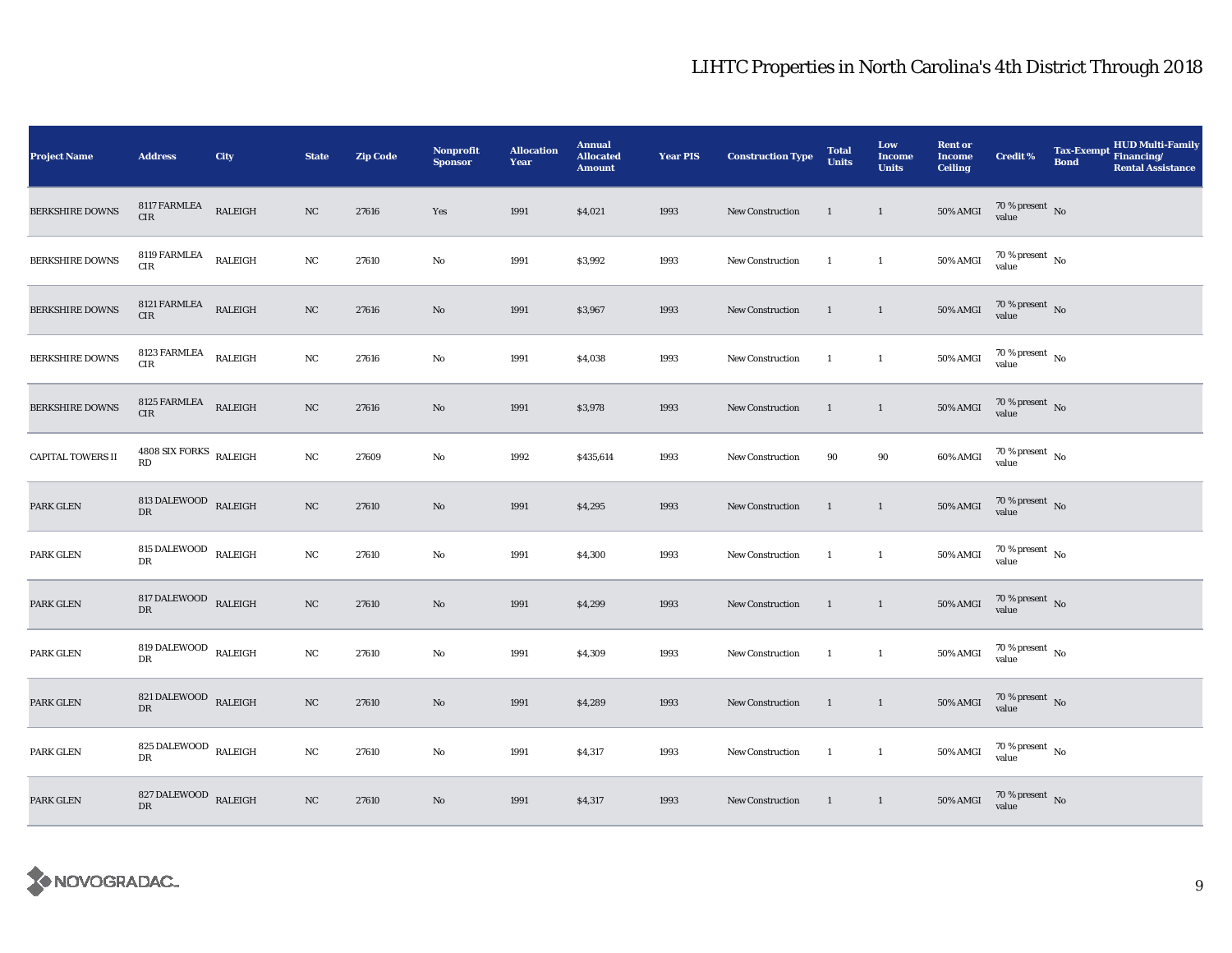| <b>Project Name</b>      | <b>Address</b>                             | City    | <b>State</b> | <b>Zip Code</b> | Nonprofit<br><b>Sponsor</b> | <b>Allocation</b><br>Year | <b>Annual</b><br><b>Allocated</b><br><b>Amount</b> | <b>Year PIS</b> | <b>Construction Type</b> | <b>Total</b><br><b>Units</b> | Low<br><b>Income</b><br><b>Units</b> | <b>Rent or</b><br><b>Income</b><br><b>Ceiling</b> | <b>Credit %</b>                                                 | <b>Tax-Exempt</b><br><b>Bond</b> | <b>HUD Multi-Family</b><br>Financing/<br><b>Rental Assistance</b> |
|--------------------------|--------------------------------------------|---------|--------------|-----------------|-----------------------------|---------------------------|----------------------------------------------------|-----------------|--------------------------|------------------------------|--------------------------------------|---------------------------------------------------|-----------------------------------------------------------------|----------------------------------|-------------------------------------------------------------------|
| <b>BERKSHIRE DOWNS</b>   | 8117 FARMLEA<br>CIR                        | RALEIGH | NC           | 27616           | Yes                         | 1991                      | \$4,021                                            | 1993            | <b>New Construction</b>  | $\overline{1}$               | $\mathbf{1}$                         | <b>50% AMGI</b>                                   | $70\,\%$ present $\,$ No value                                  |                                  |                                                                   |
| <b>BERKSHIRE DOWNS</b>   | 8119 FARMLEA<br>CIR                        | RALEIGH | $_{\rm NC}$  | 27610           | No                          | 1991                      | \$3,992                                            | 1993            | New Construction         | <sup>1</sup>                 | $\mathbf{1}$                         | 50% AMGI                                          | $70\,\%$ present $\,$ No value                                  |                                  |                                                                   |
| <b>BERKSHIRE DOWNS</b>   | 8121 FARMLEA<br>$\rm CIR$                  | RALEIGH | $_{\rm NC}$  | 27616           | No                          | 1991                      | \$3,967                                            | 1993            | New Construction         | $\overline{1}$               | $\mathbf{1}$                         | <b>50% AMGI</b>                                   | $70\,\%$ present $\,$ No value                                  |                                  |                                                                   |
| <b>BERKSHIRE DOWNS</b>   | $8123$ FARMLEA $\quad$ RALEIGH<br>CIR      |         | NC           | 27616           | No                          | 1991                      | \$4,038                                            | 1993            | <b>New Construction</b>  | <sup>1</sup>                 | $\mathbf{1}$                         | 50% AMGI                                          | $70\,\%$ present $\,$ No value                                  |                                  |                                                                   |
| <b>BERKSHIRE DOWNS</b>   | 8125 FARMLEA RALEIGH<br><b>CIR</b>         |         | NC           | 27616           | No                          | 1991                      | \$3,978                                            | 1993            | New Construction         | $\overline{1}$               | $\mathbf{1}$                         | $50\%$ AMGI                                       | $70\,\%$ present $\,$ No value                                  |                                  |                                                                   |
| <b>CAPITAL TOWERS II</b> | $4808$ SIX FORKS $_{\rm RALEIGH}$<br>RD    |         | NC           | 27609           | No                          | 1992                      | \$435,614                                          | 1993            | New Construction         | 90                           | 90                                   | 60% AMGI                                          | $70\,\%$ present $\,$ No value                                  |                                  |                                                                   |
| PARK GLEN                | 813 DALEWOOD RALEIGH<br>DR                 |         | NC           | 27610           | No                          | 1991                      | \$4,295                                            | 1993            | New Construction         | $\mathbf{1}$                 | $\mathbf{1}$                         | <b>50% AMGI</b>                                   | $70\,\%$ present $\,$ No value                                  |                                  |                                                                   |
| PARK GLEN                | 815 DALEWOOD $_{\rm RALEIGH}$<br><b>DR</b> |         | NC           | 27610           | No                          | 1991                      | \$4,300                                            | 1993            | New Construction         | <sup>1</sup>                 | $\mathbf{1}$                         | <b>50% AMGI</b>                                   | $70\,\%$ present $\,$ No value                                  |                                  |                                                                   |
| PARK GLEN                | $817$ DALEWOOD $\,$ RALEIGH<br>${\rm DR}$  |         | NC           | 27610           | No                          | 1991                      | \$4,299                                            | 1993            | New Construction         | $\overline{1}$               | $\mathbf{1}$                         | $50\%$ AMGI                                       | $70\,\%$ present $\,$ No value                                  |                                  |                                                                   |
| PARK GLEN                | 819 DALEWOOD RALEIGH<br>DR                 |         | NC           | 27610           | No                          | 1991                      | \$4,309                                            | 1993            | New Construction         | $\mathbf{1}$                 | $\mathbf{1}$                         | <b>50% AMGI</b>                                   | $70\,\%$ present $\,$ No value                                  |                                  |                                                                   |
| PARK GLEN                | 821 DALEWOOD RALEIGH<br>${\rm DR}$         |         | NC           | 27610           | No                          | 1991                      | \$4,289                                            | 1993            | New Construction         | $\overline{1}$               | $\mathbf{1}$                         | $50\%$ AMGI                                       | $70\,\%$ present $\,$ No value                                  |                                  |                                                                   |
| PARK GLEN                | 825 DALEWOOD $_{\rm RALEIGH}$<br>DR        |         | NC           | 27610           | No                          | 1991                      | \$4,317                                            | 1993            | New Construction         | $\mathbf{1}$                 | $\mathbf{1}$                         | 50% AMGI                                          | $70\,\%$ present $\,$ No value                                  |                                  |                                                                   |
| PARK GLEN                | 827 DALEWOOD RALEIGH<br>DR                 |         | NC           | 27610           | No                          | 1991                      | \$4,317                                            | 1993            | New Construction         | $\overline{1}$               | $\overline{1}$                       |                                                   | 50% AMGI $\frac{70 \text{ %} \text{ present}}{\text{value}}$ No |                                  |                                                                   |

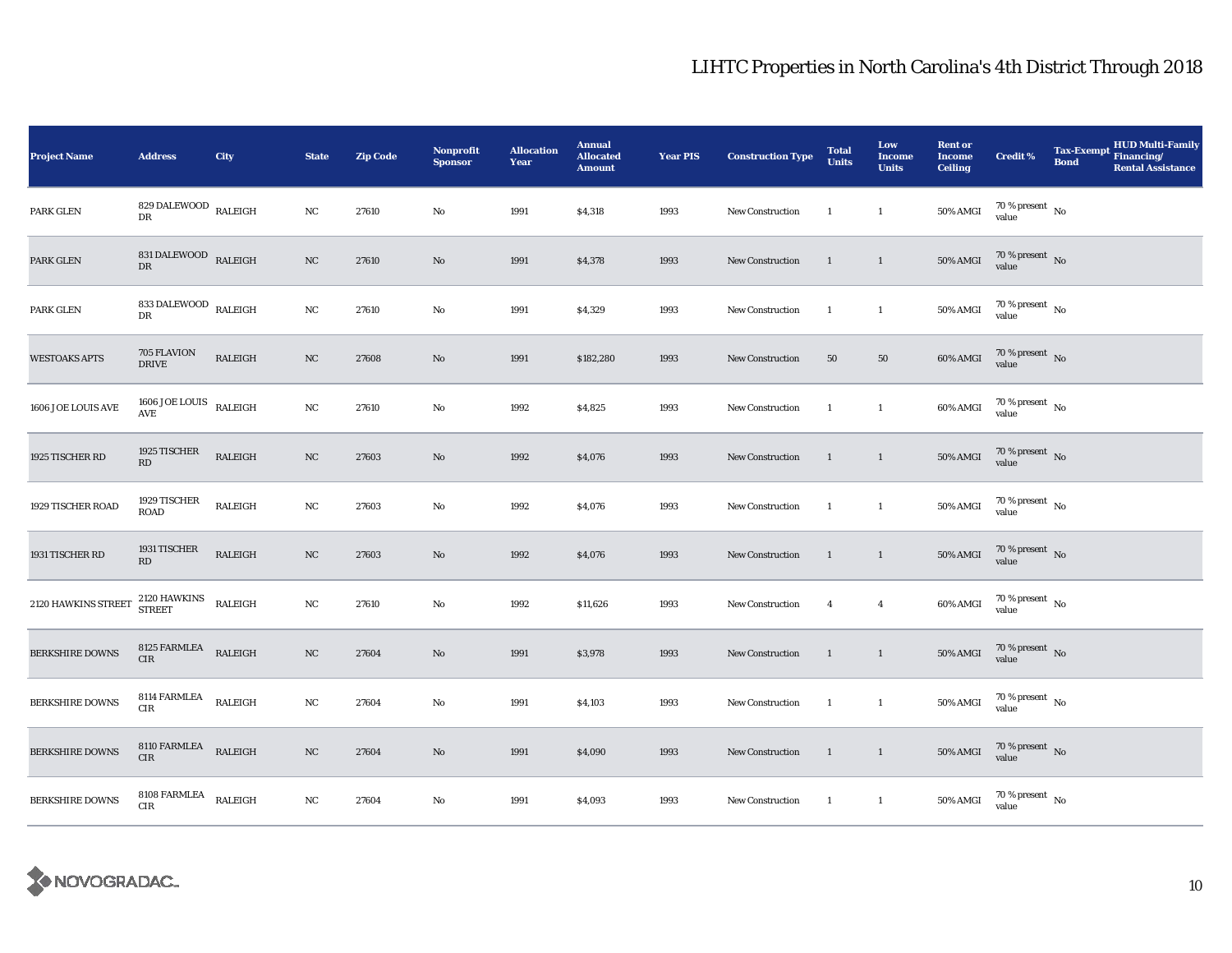| <b>Project Name</b>    | <b>Address</b>                         | City           | <b>State</b> | <b>Zip Code</b> | Nonprofit<br><b>Sponsor</b> | <b>Allocation</b><br>Year | <b>Annual</b><br><b>Allocated</b><br><b>Amount</b> | <b>Year PIS</b> | <b>Construction Type</b> | <b>Total</b><br><b>Units</b> | Low<br><b>Income</b><br><b>Units</b> | <b>Rent or</b><br><b>Income</b><br><b>Ceiling</b> | <b>Credit %</b>                | <b>Tax-Exempt</b><br><b>Bond</b> | <b>HUD Multi-Family</b><br>Financing/<br><b>Rental Assistance</b> |
|------------------------|----------------------------------------|----------------|--------------|-----------------|-----------------------------|---------------------------|----------------------------------------------------|-----------------|--------------------------|------------------------------|--------------------------------------|---------------------------------------------------|--------------------------------|----------------------------------|-------------------------------------------------------------------|
| PARK GLEN              | 829 DALEWOOD $\,$ RALEIGH<br>DR        |                | NC           | 27610           | No                          | 1991                      | \$4,318                                            | 1993            | <b>New Construction</b>  | -1                           | $\mathbf{1}$                         | <b>50% AMGI</b>                                   | $70\,\%$ present $\,$ No value |                                  |                                                                   |
| PARK GLEN              | 831 DALEWOOD RALEIGH<br>DR             |                | $_{\rm NC}$  | 27610           | No                          | 1991                      | \$4,378                                            | 1993            | <b>New Construction</b>  | $\mathbf{1}$                 | $\mathbf{1}$                         | <b>50% AMGI</b>                                   | $70\,\%$ present $\,$ No value |                                  |                                                                   |
| PARK GLEN              | 833 DALEWOOD $\,$ RALEIGH<br>DR        |                | $_{\rm NC}$  | 27610           | No                          | 1991                      | \$4,329                                            | 1993            | New Construction         | -1                           | $\mathbf{1}$                         | 50% AMGI                                          | $70\,\%$ present $\,$ No value |                                  |                                                                   |
| <b>WESTOAKS APTS</b>   | 705 FLAVION<br><b>DRIVE</b>            | RALEIGH        | NC           | 27608           | $\rm No$                    | 1991                      | \$182,280                                          | 1993            | New Construction         | 50                           | 50                                   | 60% AMGI                                          | $70\,\%$ present $\,$ No value |                                  |                                                                   |
| 1606 JOE LOUIS AVE     | $1606$ JOE LOUIS<br>AVE                | RALEIGH        | NC           | 27610           | $\mathbf{No}$               | 1992                      | \$4,825                                            | 1993            | New Construction         | $\mathbf{1}$                 | $\mathbf{1}$                         | 60% AMGI                                          | $70\,\%$ present $\,$ No value |                                  |                                                                   |
| 1925 TISCHER RD        | 1925 TISCHER<br>$\mathbf{R}\mathbf{D}$ | RALEIGH        | $_{\rm NC}$  | 27603           | No                          | 1992                      | \$4,076                                            | 1993            | New Construction         | $\mathbf{1}$                 | $\mathbf{1}$                         | $50\%$ AMGI                                       | $70\,\%$ present $\,$ No value |                                  |                                                                   |
| 1929 TISCHER ROAD      | 1929 TISCHER<br><b>ROAD</b>            | <b>RALEIGH</b> | $_{\rm NC}$  | 27603           | No                          | 1992                      | \$4,076                                            | 1993            | New Construction         | -1                           | $\mathbf{1}$                         | 50% AMGI                                          | $70\,\%$ present $\,$ No value |                                  |                                                                   |
| 1931 TISCHER RD        | 1931 TISCHER<br>RD                     | RALEIGH        | $_{\rm NC}$  | 27603           | $\rm No$                    | 1992                      | \$4,076                                            | 1993            | <b>New Construction</b>  | $\mathbf{1}$                 | $\mathbf{1}$                         | 50% AMGI                                          | $70\,\%$ present $\,$ No value |                                  |                                                                   |
| 2120 HAWKINS STREET    | 2120 HAWKINS<br>STREET                 | RALEIGH        | NC           | 27610           | $\mathbf{No}$               | 1992                      | \$11,626                                           | 1993            | New Construction         | $\overline{4}$               | $\overline{4}$                       | $60\%$ AMGI                                       | $70\,\%$ present $\,$ No value |                                  |                                                                   |
| <b>BERKSHIRE DOWNS</b> | $8125$ FARMLEA RALEIGH<br>CIR          |                | NC           | 27604           | $\mathbf{No}$               | 1991                      | \$3,978                                            | 1993            | New Construction         | $\mathbf{1}$                 | $\mathbf{1}$                         | <b>50% AMGI</b>                                   | $70\,\%$ present $\,$ No value |                                  |                                                                   |
| <b>BERKSHIRE DOWNS</b> | 8114 FARMLEA<br>$\rm CIR$              | RALEIGH        | $_{\rm NC}$  | 27604           | $\mathbf{No}$               | 1991                      | \$4,103                                            | 1993            | New Construction         | -1                           | $\mathbf{1}$                         | 50% AMGI                                          | $70\,\%$ present $\,$ No value |                                  |                                                                   |
| <b>BERKSHIRE DOWNS</b> | $8110$ FARMLEA RALEIGH<br>$\rm CIR$    |                | $_{\rm NC}$  | 27604           | No                          | 1991                      | \$4,090                                            | 1993            | New Construction         | $\overline{1}$               | $\overline{1}$                       | $50\%$ AMGI                                       | $70\,\%$ present $\,$ No value |                                  |                                                                   |
| <b>BERKSHIRE DOWNS</b> | 8108 FARMLEA<br>CIR                    | <b>RALEIGH</b> | NC           | 27604           | $\mathbf{No}$               | 1991                      | \$4,093                                            | 1993            | New Construction         | $\mathbf{1}$                 | $\mathbf{1}$                         | $50\%$ AMGI                                       | $70\,\%$ present $\,$ No value |                                  |                                                                   |

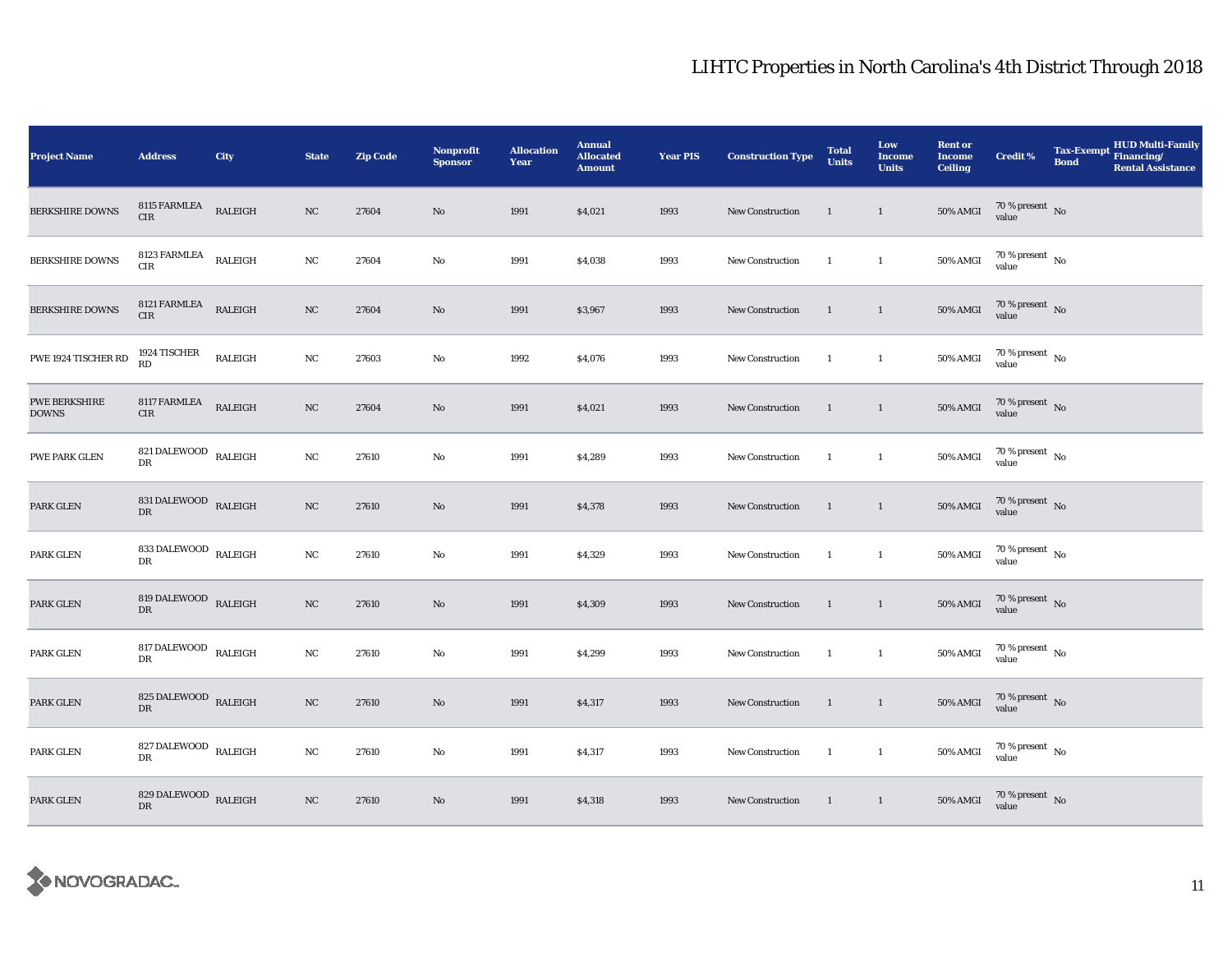| <b>Project Name</b>                  | <b>Address</b>                              | City           | <b>State</b> | <b>Zip Code</b> | Nonprofit<br><b>Sponsor</b> | <b>Allocation</b><br>Year | <b>Annual</b><br><b>Allocated</b><br><b>Amount</b> | <b>Year PIS</b> | <b>Construction Type</b> | <b>Total</b><br><b>Units</b> | Low<br>Income<br><b>Units</b> | <b>Rent or</b><br><b>Income</b><br><b>Ceiling</b> | <b>Credit %</b>                                                 | <b>Tax-Exempt</b><br><b>Bond</b> | <b>HUD Multi-Family</b><br>Financing/<br><b>Rental Assistance</b> |
|--------------------------------------|---------------------------------------------|----------------|--------------|-----------------|-----------------------------|---------------------------|----------------------------------------------------|-----------------|--------------------------|------------------------------|-------------------------------|---------------------------------------------------|-----------------------------------------------------------------|----------------------------------|-------------------------------------------------------------------|
| <b>BERKSHIRE DOWNS</b>               | 8115 FARMLEA<br><b>CIR</b>                  | RALEIGH        | NC           | 27604           | No                          | 1991                      | \$4,021                                            | 1993            | <b>New Construction</b>  | $\overline{1}$               | $\overline{1}$                | <b>50% AMGI</b>                                   | $70\,\%$ present $\,$ No value                                  |                                  |                                                                   |
| <b>BERKSHIRE DOWNS</b>               | $8123$ FARMLEA $\quad$ RALEIGH<br>CIR       |                | NC           | 27604           | No                          | 1991                      | \$4,038                                            | 1993            | <b>New Construction</b>  | $\mathbf{1}$                 | $\mathbf{1}$                  | 50% AMGI                                          | $70\,\%$ present $\,$ No value                                  |                                  |                                                                   |
| <b>BERKSHIRE DOWNS</b>               | 8121 FARMLEA<br>$\rm CIR$                   | RALEIGH        | $_{\rm NC}$  | 27604           | No                          | 1991                      | \$3,967                                            | 1993            | New Construction         | $\mathbf{1}$                 | $\mathbf{1}$                  | 50% AMGI                                          | $70\,\%$ present $\,$ No value                                  |                                  |                                                                   |
| PWE 1924 TISCHER RD                  | 1924 TISCHER<br>RD                          | <b>RALEIGH</b> | NC           | 27603           | No                          | 1992                      | \$4,076                                            | 1993            | <b>New Construction</b>  | $\mathbf{1}$                 | $\mathbf{1}$                  | 50% AMGI                                          | $70\,\%$ present $\,$ No value                                  |                                  |                                                                   |
| <b>PWE BERKSHIRE</b><br><b>DOWNS</b> | 8117 FARMLEA<br>CIR                         | RALEIGH        | NC           | 27604           | No                          | 1991                      | \$4,021                                            | 1993            | New Construction         | $\mathbf{1}$                 | $\mathbf{1}$                  | <b>50% AMGI</b>                                   | $70\,\%$ present $\,$ No value                                  |                                  |                                                                   |
| PWE PARK GLEN                        | 821 DALEWOOD $_{\rm RALEIGH}$<br>DR         |                | NC           | 27610           | No                          | 1991                      | \$4,289                                            | 1993            | New Construction         | $\mathbf{1}$                 | $\overline{1}$                | 50% AMGI                                          | $70\,\%$ present $\,$ No value                                  |                                  |                                                                   |
| PARK GLEN                            | 831 DALEWOOD RALEIGH<br>DR                  |                | NC           | 27610           | No                          | 1991                      | \$4,378                                            | 1993            | New Construction         | $\overline{1}$               | $\overline{1}$                | <b>50% AMGI</b>                                   | $70\,\%$ present $\,$ No value                                  |                                  |                                                                   |
| PARK GLEN                            | 833 DALEWOOD $\,$ RALEIGH<br><b>DR</b>      |                | NC           | 27610           | No                          | 1991                      | \$4,329                                            | 1993            | <b>New Construction</b>  | $\mathbf{1}$                 | $\mathbf{1}$                  | 50% AMGI                                          | $70\,\%$ present $\,$ No value                                  |                                  |                                                                   |
| PARK GLEN                            | 819 DALEWOOD $_{\rm RALEIGH}$<br>${\rm DR}$ |                | NC           | 27610           | No                          | 1991                      | \$4,309                                            | 1993            | New Construction         | $\overline{1}$               | $\mathbf{1}$                  | $50\%$ AMGI                                       | $70\,\%$ present $\,$ No value                                  |                                  |                                                                   |
| PARK GLEN                            | 817 DALEWOOD $_{\rm RALEIGH}$<br>DR         |                | NC           | 27610           | No                          | 1991                      | \$4,299                                            | 1993            | New Construction         | $\mathbf{1}$                 | $\mathbf{1}$                  | 50% AMGI                                          | $70\,\%$ present $\,$ No value                                  |                                  |                                                                   |
| PARK GLEN                            | 825 DALEWOOD RALEIGH<br>${\rm DR}$          |                | NC           | 27610           | No                          | 1991                      | \$4,317                                            | 1993            | New Construction         | $\overline{1}$               | $\mathbf{1}$                  | $50\%$ AMGI                                       | $70\,\%$ present $\,$ No value                                  |                                  |                                                                   |
| PARK GLEN                            | 827 DALEWOOD $_{\rm RALEIGH}$<br>DR         |                | NC           | 27610           | No                          | 1991                      | \$4,317                                            | 1993            | New Construction         | $\mathbf{1}$                 | $\mathbf{1}$                  | <b>50% AMGI</b>                                   | $70\,\%$ present $\,$ No value                                  |                                  |                                                                   |
| PARK GLEN                            | 829 DALEWOOD RALEIGH<br>${\rm DR}$          |                | NC           | 27610           | No                          | 1991                      | \$4,318                                            | 1993            | New Construction         | $\blacksquare$               | $\overline{1}$                |                                                   | 50% AMGI $\frac{70 \text{ %} \text{ present}}{\text{value}}$ No |                                  |                                                                   |

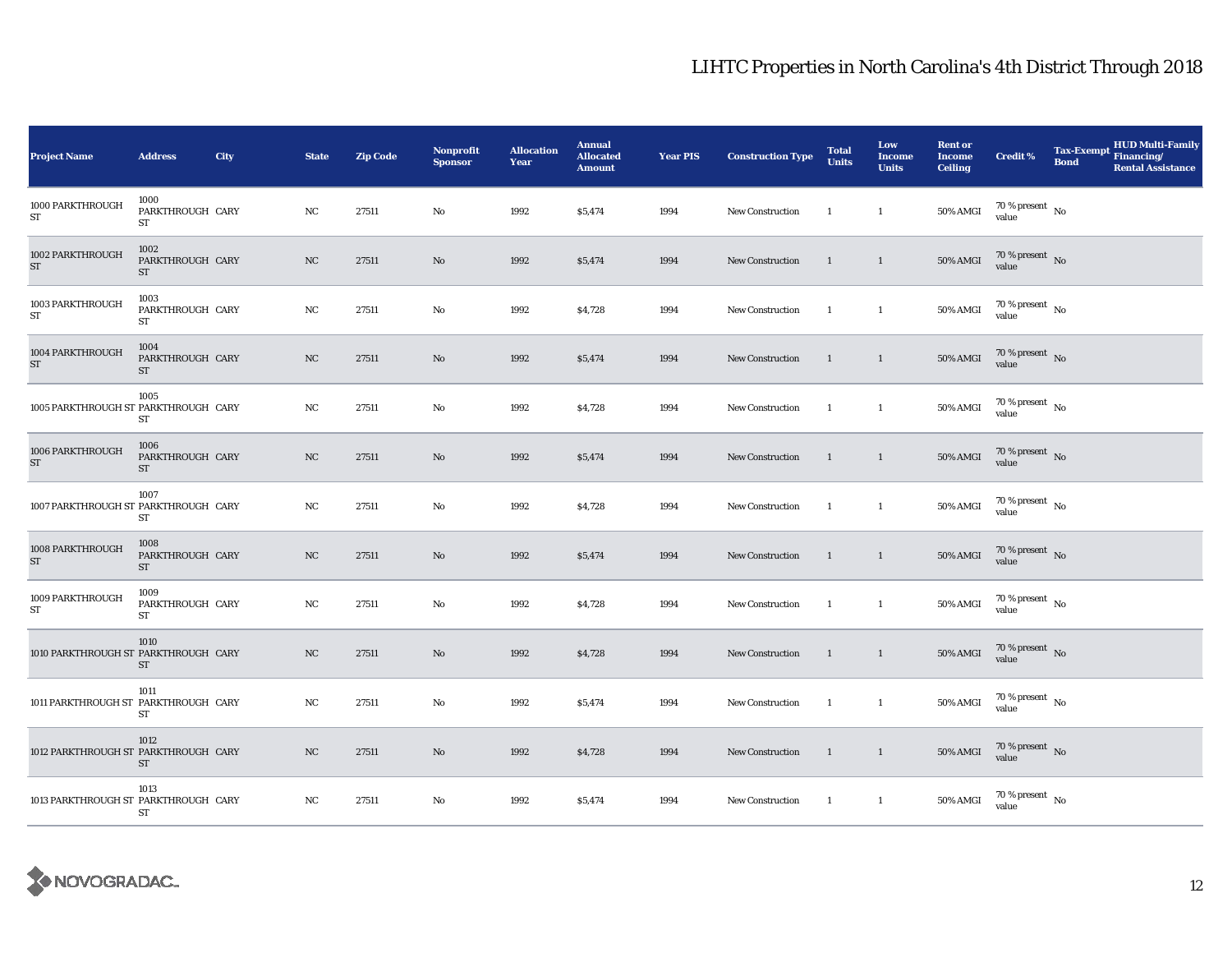| <b>Project Name</b>                  | <b>Address</b>                        | City | <b>State</b> | <b>Zip Code</b> | Nonprofit<br><b>Sponsor</b> | <b>Allocation</b><br>Year | <b>Annual</b><br><b>Allocated</b><br><b>Amount</b> | <b>Year PIS</b> | <b>Construction Type</b> | <b>Total</b><br><b>Units</b> | Low<br><b>Income</b><br><b>Units</b> | <b>Rent or</b><br><b>Income</b><br><b>Ceiling</b> | <b>Credit %</b>                        | <b>Tax-Exempt</b><br><b>Bond</b> | <b>HUD Multi-Family</b><br>Financing/<br><b>Rental Assistance</b> |
|--------------------------------------|---------------------------------------|------|--------------|-----------------|-----------------------------|---------------------------|----------------------------------------------------|-----------------|--------------------------|------------------------------|--------------------------------------|---------------------------------------------------|----------------------------------------|----------------------------------|-------------------------------------------------------------------|
| 1000 PARKTHROUGH<br>ST               | 1000<br>PARKTHROUGH CARY<br>ST        |      | NC           | 27511           | No                          | 1992                      | \$5,474                                            | 1994            | New Construction         | $\overline{1}$               | $\mathbf{1}$                         | <b>50% AMGI</b>                                   | $70$ % present $\,$ No $\,$<br>value   |                                  |                                                                   |
| 1002 PARKTHROUGH<br>ST               | 1002<br>PARKTHROUGH CARY<br><b>ST</b> |      | NC           | 27511           | No                          | 1992                      | \$5,474                                            | 1994            | New Construction         | -1                           | $\mathbf{1}$                         | $50\%$ AMGI                                       | $70\,\%$ present $\,$ No value         |                                  |                                                                   |
| 1003 PARKTHROUGH<br>${\rm ST}$       | 1003<br>PARKTHROUGH CARY<br><b>ST</b> |      | $_{\rm NC}$  | 27511           | No                          | 1992                      | \$4,728                                            | 1994            | New Construction         | -1                           | $\mathbf{1}$                         | 50% AMGI                                          | $70\,\%$ present $$$ No value          |                                  |                                                                   |
| 1004 PARKTHROUGH<br>ST               | 1004<br>PARKTHROUGH CARY<br>ST        |      | NC           | 27511           | No                          | 1992                      | \$5,474                                            | 1994            | <b>New Construction</b>  | $\overline{1}$               | $\mathbf{1}$                         | <b>50% AMGI</b>                                   | $70\,\%$ present $\,$ No value         |                                  |                                                                   |
| 1005 PARKTHROUGH ST PARKTHROUGH CARY | 1005<br>ST                            |      | NC           | 27511           | No                          | 1992                      | \$4,728                                            | 1994            | New Construction         | $\overline{1}$               | $\mathbf{1}$                         | <b>50% AMGI</b>                                   | $70\,\%$ present $\,$ No value         |                                  |                                                                   |
| 1006 PARKTHROUGH<br>ST               | 1006<br>PARKTHROUGH CARY<br>ST        |      | NC           | 27511           | No                          | 1992                      | \$5,474                                            | 1994            | New Construction         | $\overline{1}$               | $\overline{1}$                       | $50\%$ AMGI                                       | $70\,\%$ present $\,$ No value         |                                  |                                                                   |
| 1007 PARKTHROUGH ST PARKTHROUGH CARY | 1007<br>ST                            |      | NC           | 27511           | No                          | 1992                      | \$4,728                                            | 1994            | New Construction         | $\overline{1}$               | $\mathbf{1}$                         | <b>50% AMGI</b>                                   | $70\,\%$ present $\,$ No $\,$<br>value |                                  |                                                                   |
| 1008 PARKTHROUGH<br>ST               | 1008<br>PARKTHROUGH CARY<br><b>ST</b> |      | NC           | 27511           | No                          | 1992                      | \$5,474                                            | 1994            | New Construction         | $\overline{1}$               | $\mathbf{1}$                         | <b>50% AMGI</b>                                   | $70\,\%$ present $\,$ No value         |                                  |                                                                   |
| 1009 PARKTHROUGH<br>${\rm ST}$       | 1009<br>PARKTHROUGH CARY<br>ST        |      | NC           | 27511           | No                          | 1992                      | \$4,728                                            | 1994            | New Construction         | <sup>1</sup>                 | $\mathbf{1}$                         | <b>50% AMGI</b>                                   | $70\,\%$ present $\,$ No value         |                                  |                                                                   |
| 1010 PARKTHROUGH ST PARKTHROUGH CARY | 1010<br>ST                            |      | NC           | 27511           | No                          | 1992                      | \$4,728                                            | 1994            | <b>New Construction</b>  | $\overline{1}$               | $\mathbf{1}$                         | <b>50% AMGI</b>                                   | $70\,\%$ present $\,$ No value         |                                  |                                                                   |
| 1011 PARKTHROUGH ST PARKTHROUGH CARY | 1011<br>ST                            |      | $_{\rm NC}$  | 27511           | No                          | 1992                      | \$5,474                                            | 1994            | New Construction         | $\overline{\phantom{a}}$     | $\mathbf{1}$                         | <b>50% AMGI</b>                                   | $70\,\%$ present $\,$ No value         |                                  |                                                                   |
| 1012 PARKTHROUGH ST PARKTHROUGH CARY | 1012<br>ST                            |      | NC           | 27511           | No                          | 1992                      | \$4,728                                            | 1994            | New Construction         | $\overline{1}$               | $\mathbf{1}$                         | <b>50% AMGI</b>                                   | $70$ % present $$\rm{No}$$ value       |                                  |                                                                   |
| 1013 PARKTHROUGH ST PARKTHROUGH CARY | 1013<br>ST                            |      | NC           | 27511           | No                          | 1992                      | \$5,474                                            | 1994            | New Construction         | $\blacksquare$               | $\mathbf{1}$                         | 50% AMGI                                          | $70\,\%$ present $\,$ No value         |                                  |                                                                   |

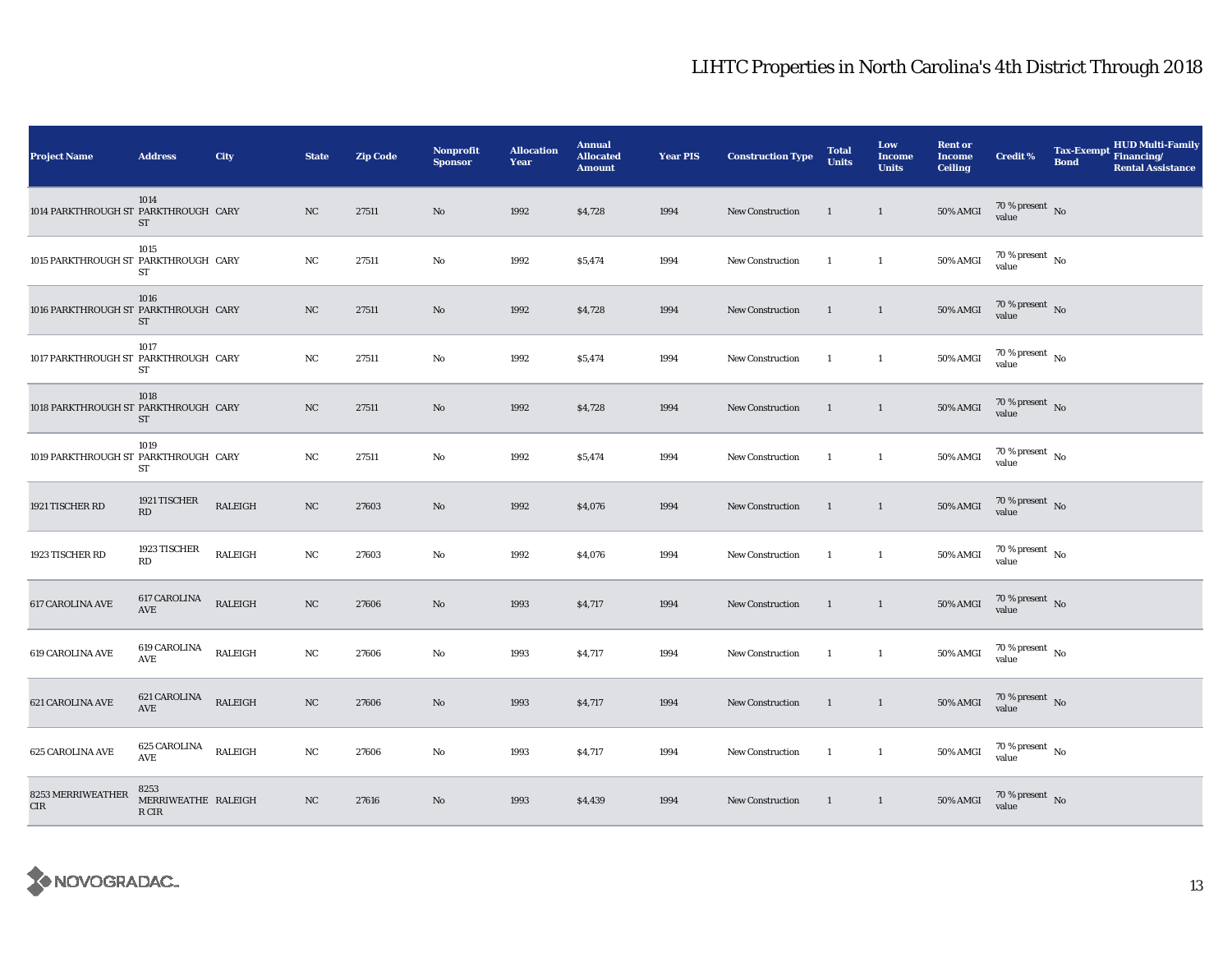| <b>Project Name</b>                  | <b>Address</b>                       | City           | <b>State</b> | <b>Zip Code</b> | Nonprofit<br><b>Sponsor</b> | <b>Allocation</b><br>Year | <b>Annual</b><br><b>Allocated</b><br><b>Amount</b> | <b>Year PIS</b> | <b>Construction Type</b> | <b>Total</b><br><b>Units</b> | Low<br><b>Income</b><br><b>Units</b> | <b>Rent or</b><br><b>Income</b><br><b>Ceiling</b> | <b>Credit %</b>                        | <b>HUD Multi-Family</b><br><b>Tax-Exempt</b><br>Financing/<br><b>Bond</b><br><b>Rental Assistance</b> |
|--------------------------------------|--------------------------------------|----------------|--------------|-----------------|-----------------------------|---------------------------|----------------------------------------------------|-----------------|--------------------------|------------------------------|--------------------------------------|---------------------------------------------------|----------------------------------------|-------------------------------------------------------------------------------------------------------|
| 1014 PARKTHROUGH ST PARKTHROUGH CARY | 1014<br>ST                           |                | NC           | 27511           | $\mathbf{N}\mathbf{o}$      | 1992                      | \$4,728                                            | 1994            | New Construction         | $\overline{1}$               | $\mathbf{1}$                         | <b>50% AMGI</b>                                   | 70 % present $\hbox{~No}$<br>value     |                                                                                                       |
| 1015 PARKTHROUGH ST PARKTHROUGH CARY | 1015<br>ST                           |                | NC           | 27511           | No                          | 1992                      | \$5,474                                            | 1994            | New Construction         | $\mathbf{1}$                 | $\mathbf{1}$                         | <b>50% AMGI</b>                                   | $70\,\%$ present $\,$ No $\,$<br>value |                                                                                                       |
| 1016 PARKTHROUGH ST PARKTHROUGH CARY | 1016<br><b>ST</b>                    |                | $_{\rm NC}$  | 27511           | $\mathbf{N}\mathbf{o}$      | 1992                      | \$4,728                                            | 1994            | <b>New Construction</b>  | $\overline{1}$               | $\overline{1}$                       | 50% AMGI                                          | $70\,\%$ present $\,$ No value         |                                                                                                       |
| 1017 PARKTHROUGH ST PARKTHROUGH CARY | 1017<br>ST                           |                | NC           | 27511           | No                          | 1992                      | \$5,474                                            | 1994            | New Construction         | $\mathbf{1}$                 | $\mathbf{1}$                         | 50% AMGI                                          | $70$ % present $\,$ No $\,$<br>value   |                                                                                                       |
| 1018 PARKTHROUGH ST PARKTHROUGH CARY | 1018<br><b>ST</b>                    |                | NC           | 27511           | No                          | 1992                      | \$4,728                                            | 1994            | <b>New Construction</b>  | 1                            | $\overline{1}$                       | <b>50% AMGI</b>                                   | $70\,\%$ present $\,$ No value         |                                                                                                       |
| 1019 PARKTHROUGH ST PARKTHROUGH CARY | 1019<br>ST                           |                | NC           | 27511           | No                          | 1992                      | \$5,474                                            | 1994            | <b>New Construction</b>  | $\mathbf{1}$                 | $\mathbf{1}$                         | <b>50% AMGI</b>                                   | $70$ % present $\,$ No $\,$<br>value   |                                                                                                       |
| 1921 TISCHER RD                      | 1921 TISCHER<br>RD                   | RALEIGH        | NC           | 27603           | No                          | 1992                      | \$4,076                                            | 1994            | New Construction         | $\overline{1}$               | $\overline{1}$                       | <b>50% AMGI</b>                                   | $70\,\%$ present $\,$ No value         |                                                                                                       |
| 1923 TISCHER RD                      | 1923 TISCHER<br>RD                   | <b>RALEIGH</b> | NC           | 27603           | No                          | 1992                      | \$4,076                                            | 1994            | New Construction         | $\mathbf{1}$                 | $\mathbf{1}$                         | 50% AMGI                                          | 70 % present $\hbox{~No}$<br>value     |                                                                                                       |
| <b>617 CAROLINA AVE</b>              | 617 CAROLINA<br>AVE                  | <b>RALEIGH</b> | $_{\rm NC}$  | 27606           | $\mathbf{N}\mathbf{o}$      | 1993                      | \$4,717                                            | 1994            | New Construction         | $\overline{1}$               | $\overline{1}$                       | $50\%$ AMGI                                       | $70\,\%$ present $\,$ No value         |                                                                                                       |
| <b>619 CAROLINA AVE</b>              | 619 CAROLINA<br>AVE                  | <b>RALEIGH</b> | NC           | 27606           | No                          | 1993                      | \$4,717                                            | 1994            | New Construction         | $\mathbf{1}$                 | $\overline{1}$                       | 50% AMGI                                          | $70\,\%$ present $\,$ No value         |                                                                                                       |
| <b>621 CAROLINA AVE</b>              | 621 CAROLINA<br>AVE                  | <b>RALEIGH</b> | $_{\rm NC}$  | 27606           | $\mathbf{N}\mathbf{o}$      | 1993                      | \$4,717                                            | 1994            | <b>New Construction</b>  | $\overline{1}$               | $\mathbf{1}$                         | <b>50% AMGI</b>                                   | $70\,\%$ present $\,$ No value         |                                                                                                       |
| 625 CAROLINA AVE                     | 625 CAROLINA<br>AVE                  | <b>RALEIGH</b> | NC           | 27606           | No                          | 1993                      | \$4,717                                            | 1994            | <b>New Construction</b>  | $\mathbf{1}$                 | $\mathbf{1}$                         | <b>50% AMGI</b>                                   | $70$ % present $\,$ No $\,$<br>value   |                                                                                                       |
| 8253 MERRIWEATHER<br>${\rm CIR}$     | 8253<br>MERRIWEATHE RALEIGH<br>R CIR |                | NC           | 27616           | No                          | 1993                      | \$4,439                                            | 1994            | New Construction         | $\blacksquare$               | $\overline{1}$                       | 50% AMGI                                          | $70\,\%$ present $\,$ No value         |                                                                                                       |

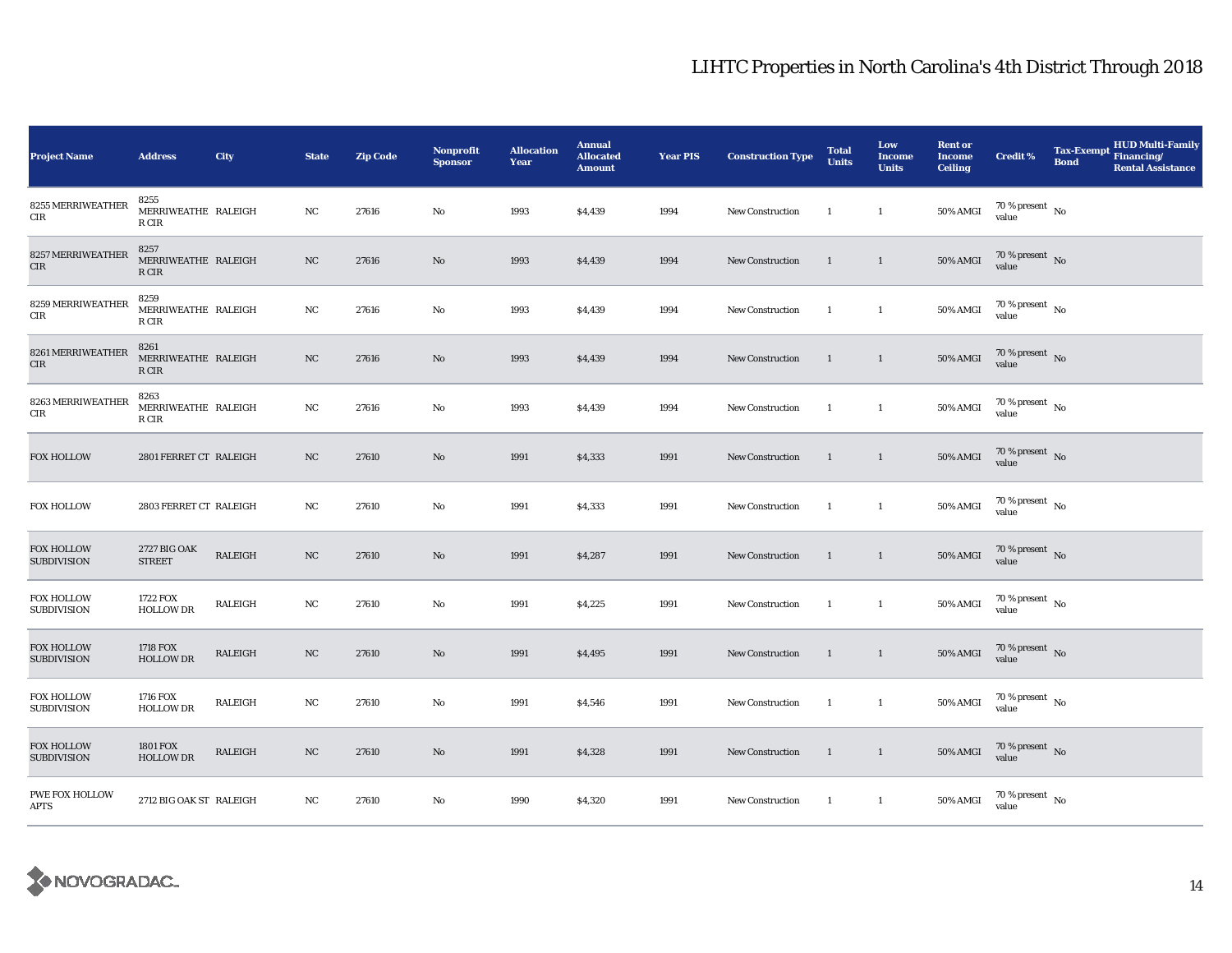| <b>Project Name</b>                     | <b>Address</b>                       | City           | <b>State</b> | <b>Zip Code</b> | <b>Nonprofit</b><br><b>Sponsor</b> | <b>Allocation</b><br>Year | <b>Annual</b><br><b>Allocated</b><br><b>Amount</b> | <b>Year PIS</b> | <b>Construction Type</b> | <b>Total</b><br><b>Units</b> | Low<br><b>Income</b><br><b>Units</b> | <b>Rent or</b><br><b>Income</b><br><b>Ceiling</b> | <b>Credit %</b>                          | <b>Tax-Exempt</b><br><b>Bond</b> | <b>HUD Multi-Family</b><br>Financing/<br><b>Rental Assistance</b> |
|-----------------------------------------|--------------------------------------|----------------|--------------|-----------------|------------------------------------|---------------------------|----------------------------------------------------|-----------------|--------------------------|------------------------------|--------------------------------------|---------------------------------------------------|------------------------------------------|----------------------------------|-------------------------------------------------------------------|
| 8255 MERRIWEATHER<br>CIR                | 8255<br>MERRIWEATHE RALEIGH<br>R CIR |                | NC           | 27616           | No                                 | 1993                      | \$4,439                                            | 1994            | <b>New Construction</b>  | <sup>1</sup>                 | $\mathbf{1}$                         | 50% AMGI                                          | $70\,\%$ present $\,$ No value           |                                  |                                                                   |
| 8257 MERRIWEATHER<br>${\rm CIR}$        | 8257<br>MERRIWEATHE RALEIGH<br>R CIR |                | NC           | 27616           | No                                 | 1993                      | \$4,439                                            | 1994            | <b>New Construction</b>  | $\mathbf{1}$                 | $\mathbf{1}$                         | $50\%$ AMGI                                       | $70\%$ present No<br>value               |                                  |                                                                   |
| 8259 MERRIWEATHER<br>$\rm CIR$          | 8259<br>MERRIWEATHE RALEIGH<br>R CIR |                | NC           | 27616           | No                                 | 1993                      | \$4,439                                            | 1994            | New Construction         | $\mathbf{1}$                 | $\mathbf{1}$                         | 50% AMGI                                          | $70\,\%$ present $_{\rm{No}}$            |                                  |                                                                   |
| 8261 MERRIWEATHER<br>${\rm CIR}$        | 8261<br>MERRIWEATHE RALEIGH<br>R CIR |                | NC           | 27616           | No                                 | 1993                      | \$4,439                                            | 1994            | <b>New Construction</b>  | $\overline{1}$               | $\mathbf{1}$                         | <b>50% AMGI</b>                                   | 70 % present $\hbox{~No}$<br>value       |                                  |                                                                   |
| 8263 MERRIWEATHER<br>CIR                | 8263<br>MERRIWEATHE RALEIGH<br>R CIR |                | NC           | 27616           | No                                 | 1993                      | \$4,439                                            | 1994            | <b>New Construction</b>  | $\mathbf{1}$                 | $\mathbf{1}$                         | 50% AMGI                                          | $70\,\%$ present $_{\rm{No}}$            |                                  |                                                                   |
| <b>FOX HOLLOW</b>                       | 2801 FERRET CT RALEIGH               |                | NC           | 27610           | No                                 | 1991                      | \$4,333                                            | 1991            | New Construction         | $\overline{1}$               | $\mathbf{1}$                         | <b>50% AMGI</b>                                   | $70\,\%$ present $\,$ No value           |                                  |                                                                   |
| <b>FOX HOLLOW</b>                       | 2803 FERRET CT RALEIGH               |                | NC           | 27610           | No                                 | 1991                      | \$4,333                                            | 1991            | New Construction         | $\overline{1}$               | $\mathbf{1}$                         | 50% AMGI                                          | $70\,\%$ present $_{\rm{No}}$            |                                  |                                                                   |
| <b>FOX HOLLOW</b><br><b>SUBDIVISION</b> | 2727 BIG OAK<br><b>STREET</b>        | <b>RALEIGH</b> | NC           | 27610           | No                                 | 1991                      | \$4,287                                            | 1991            | New Construction         | $\overline{1}$               | $\mathbf{1}$                         | <b>50% AMGI</b>                                   | $70\,\%$ present $\,$ No value           |                                  |                                                                   |
| <b>FOX HOLLOW</b><br><b>SUBDIVISION</b> | 1722 FOX<br><b>HOLLOW DR</b>         | RALEIGH        | NC           | 27610           | No                                 | 1991                      | \$4,225                                            | 1991            | New Construction         | $\overline{1}$               | $\mathbf{1}$                         | 50% AMGI                                          | $70\,\%$ present $_{\, \rm No}$<br>value |                                  |                                                                   |
| <b>FOX HOLLOW</b><br><b>SUBDIVISION</b> | 1718 FOX<br><b>HOLLOW DR</b>         | <b>RALEIGH</b> | $_{\rm NC}$  | 27610           | No                                 | 1991                      | \$4,495                                            | 1991            | <b>New Construction</b>  | $\mathbf{1}$                 | $\mathbf{1}$                         | 50% AMGI                                          | $70\,\%$ present $\,$ No value           |                                  |                                                                   |
| <b>FOX HOLLOW</b><br><b>SUBDIVISION</b> | 1716 FOX<br><b>HOLLOW DR</b>         | <b>RALEIGH</b> | NC           | 27610           | No                                 | 1991                      | \$4,546                                            | 1991            | <b>New Construction</b>  | $\overline{1}$               | $\mathbf{1}$                         | 50% AMGI                                          | 70 % present $\hbox{~No}$<br>value       |                                  |                                                                   |
| FOX HOLLOW<br><b>SUBDIVISION</b>        | <b>1801 FOX</b><br><b>HOLLOW DR</b>  | RALEIGH        | $_{\rm NC}$  | 27610           | No                                 | 1991                      | \$4,328                                            | 1991            | <b>New Construction</b>  | $\overline{1}$               | $\mathbf{1}$                         | <b>50% AMGI</b>                                   | $70\,\%$ present $\,$ No value           |                                  |                                                                   |
| PWE FOX HOLLOW<br><b>APTS</b>           | 2712 BIG OAK ST RALEIGH              |                | NC           | 27610           | No                                 | 1990                      | \$4,320                                            | 1991            | New Construction         | $\mathbf{1}$                 | $\mathbf{1}$                         | $50\%$ AMGI                                       | $70\,\%$ present $\,$ No value           |                                  |                                                                   |

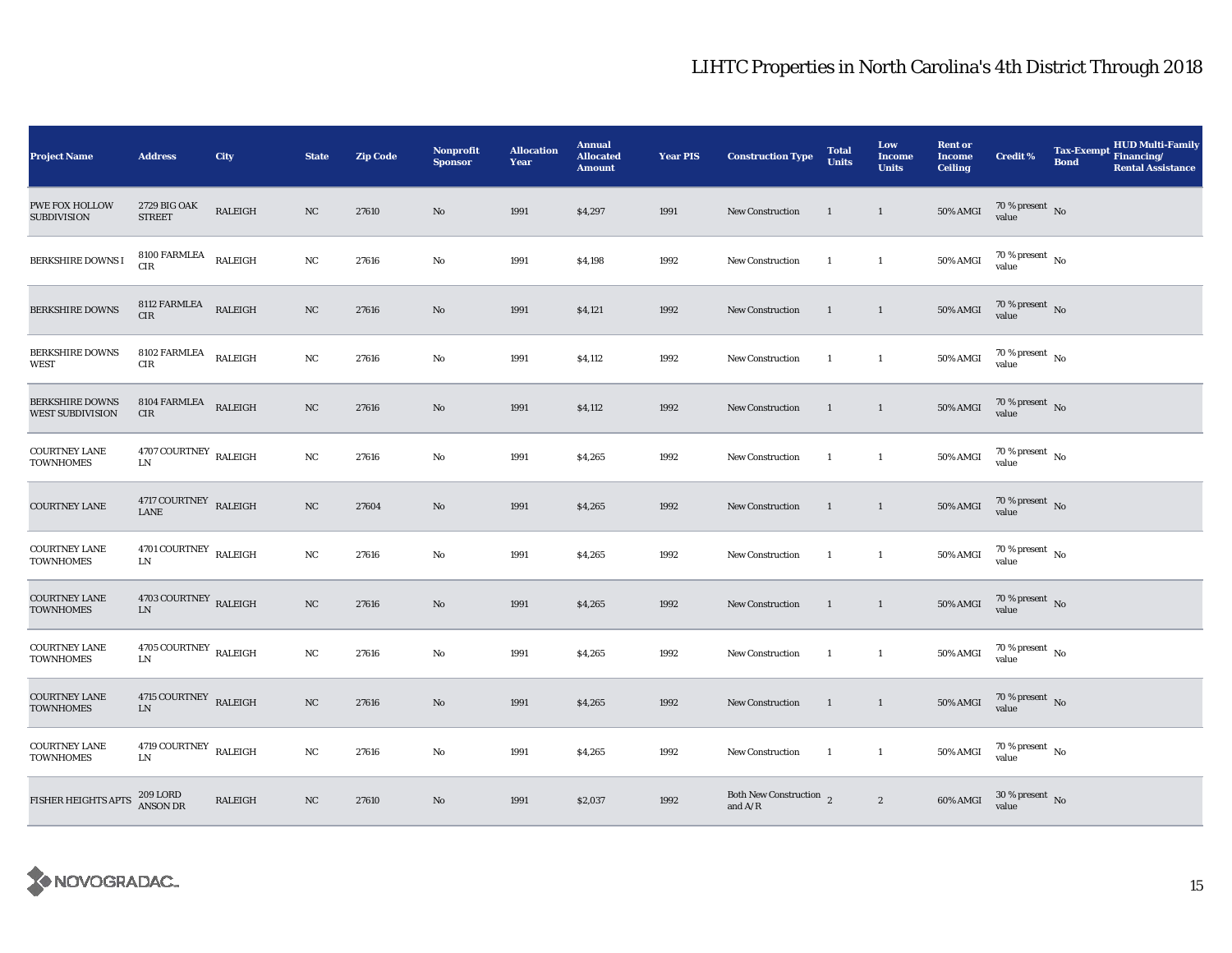| <b>Project Name</b>                               | <b>Address</b>                                | City           | <b>State</b> | <b>Zip Code</b> | <b>Nonprofit</b><br><b>Sponsor</b> | <b>Allocation</b><br>Year | <b>Annual</b><br><b>Allocated</b><br><b>Amount</b> | <b>Year PIS</b> | <b>Construction Type</b>                               | <b>Total</b><br><b>Units</b> | Low<br><b>Income</b><br><b>Units</b> | <b>Rent or</b><br><b>Income</b><br><b>Ceiling</b> | <b>Credit %</b>                        | <b>Tax-Exempt</b><br><b>Bond</b> | <b>HUD Multi-Family</b><br>Financing/<br><b>Rental Assistance</b> |
|---------------------------------------------------|-----------------------------------------------|----------------|--------------|-----------------|------------------------------------|---------------------------|----------------------------------------------------|-----------------|--------------------------------------------------------|------------------------------|--------------------------------------|---------------------------------------------------|----------------------------------------|----------------------------------|-------------------------------------------------------------------|
| <b>PWE FOX HOLLOW</b><br><b>SUBDIVISION</b>       | 2729 BIG OAK<br><b>STREET</b>                 | RALEIGH        | NC           | 27610           | No                                 | 1991                      | \$4,297                                            | 1991            | <b>New Construction</b>                                | $\overline{1}$               | $\mathbf{1}$                         | <b>50% AMGI</b>                                   | $70\,\%$ present $\,$ No value         |                                  |                                                                   |
| <b>BERKSHIRE DOWNS I</b>                          | 8100 FARMLEA<br>CIR                           | <b>RALEIGH</b> | $_{\rm NC}$  | 27616           | $\rm No$                           | 1991                      | \$4,198                                            | 1992            | <b>New Construction</b>                                | $\mathbf{1}$                 | $\mathbf{1}$                         | 50% AMGI                                          | $70\,\%$ present $\,$ No $\,$<br>value |                                  |                                                                   |
| <b>BERKSHIRE DOWNS</b>                            | 8112 FARMLEA<br>CIR                           | RALEIGH        | NC           | 27616           | No                                 | 1991                      | \$4,121                                            | 1992            | <b>New Construction</b>                                | $\mathbf{1}$                 | $\mathbf{1}$                         | <b>50% AMGI</b>                                   | $70\,\%$ present $\,$ No value         |                                  |                                                                   |
| <b>BERKSHIRE DOWNS</b><br><b>WEST</b>             | 8102 FARMLEA<br>$\rm CIR$                     | RALEIGH        | NC           | 27616           | No                                 | 1991                      | \$4,112                                            | 1992            | <b>New Construction</b>                                | <sup>1</sup>                 | $\overline{1}$                       | 50% AMGI                                          | $70$ % present $\,$ No $\,$<br>value   |                                  |                                                                   |
| <b>BERKSHIRE DOWNS</b><br><b>WEST SUBDIVISION</b> | 8104 FARMLEA<br>CIR                           | RALEIGH        | NC           | 27616           | No                                 | 1991                      | \$4,112                                            | 1992            | New Construction                                       | <sup>1</sup>                 | <sup>1</sup>                         | <b>50% AMGI</b>                                   | $70\,\%$ present $\,$ No value         |                                  |                                                                   |
| <b>COURTNEY LANE</b><br><b>TOWNHOMES</b>          | $4707$ COURTNEY $\,$ RALEIGH<br>$\text{LN}{}$ |                | NC           | 27616           | $\rm No$                           | 1991                      | \$4,265                                            | 1992            | New Construction                                       | $\mathbf{1}$                 | $\mathbf{1}$                         | 50% AMGI                                          | $70\,\%$ present $\,$ No value         |                                  |                                                                   |
| <b>COURTNEY LANE</b>                              | $4717$ COURTNEY $\;$ RALEIGH LANE             |                | $_{\rm NC}$  | 27604           | No                                 | 1991                      | \$4,265                                            | 1992            | <b>New Construction</b>                                | $\overline{1}$               | $\overline{1}$                       | <b>50% AMGI</b>                                   | $70\,\%$ present $\,$ No value         |                                  |                                                                   |
| <b>COURTNEY LANE</b><br>TOWNHOMES                 | $4701$ COURTNEY $\,$ RALEIGH<br><b>LN</b>     |                | NC           | 27616           | No                                 | 1991                      | \$4,265                                            | 1992            | <b>New Construction</b>                                | -1                           | $\mathbf{1}$                         | 50% AMGI                                          | $70\,\%$ present $\,$ No value         |                                  |                                                                   |
| <b>COURTNEY LANE</b><br><b>TOWNHOMES</b>          | $4703$ COURTNEY $\,$ RALEIGH<br>${\rm LN}$    |                | NC           | 27616           | No                                 | 1991                      | \$4,265                                            | 1992            | New Construction                                       | $\mathbf{1}$                 | $\overline{1}$                       | <b>50% AMGI</b>                                   | $70\,\%$ present $\,$ No value         |                                  |                                                                   |
| <b>COURTNEY LANE</b><br><b>TOWNHOMES</b>          | 4705 COURTNEY $_{\rm RALEIGH}$<br>${\rm LN}$  |                | NC           | 27616           | No                                 | 1991                      | \$4,265                                            | 1992            | New Construction                                       | $\overline{1}$               | $\mathbf{1}$                         | <b>50% AMGI</b>                                   | $70$ % present $\,$ No $\,$<br>value   |                                  |                                                                   |
| <b>COURTNEY LANE</b><br><b>TOWNHOMES</b>          | 4715 COURTNEY RALEIGH<br>${\rm LN}$           |                | $_{\rm NC}$  | 27616           | $\mathbf{N}\mathbf{o}$             | 1991                      | \$4,265                                            | 1992            | <b>New Construction</b>                                | <sup>1</sup>                 | $\mathbf{1}$                         | <b>50% AMGI</b>                                   | $70\,\%$ present $\,$ No value         |                                  |                                                                   |
| <b>COURTNEY LANE</b><br><b>TOWNHOMES</b>          | $4719$ COURTNEY $\;$ RALEIGH<br><b>LN</b>     |                | $_{\rm NC}$  | 27616           | No                                 | 1991                      | \$4,265                                            | 1992            | <b>New Construction</b>                                | <sup>1</sup>                 | $\mathbf{1}$                         | 50% AMGI                                          | $70\,\%$ present $\,$ No value         |                                  |                                                                   |
| FISHER HEIGHTS APTS                               | 209 LORD<br>ANSON DR                          | RALEIGH        | NC           | 27610           | No                                 | 1991                      | \$2,037                                            | 1992            | Both New Construction 2<br>and $\mathrm{A}/\mathrm{R}$ |                              | $\boldsymbol{2}$                     | 60% AMGI                                          | $30\,\%$ present $\,$ No value         |                                  |                                                                   |

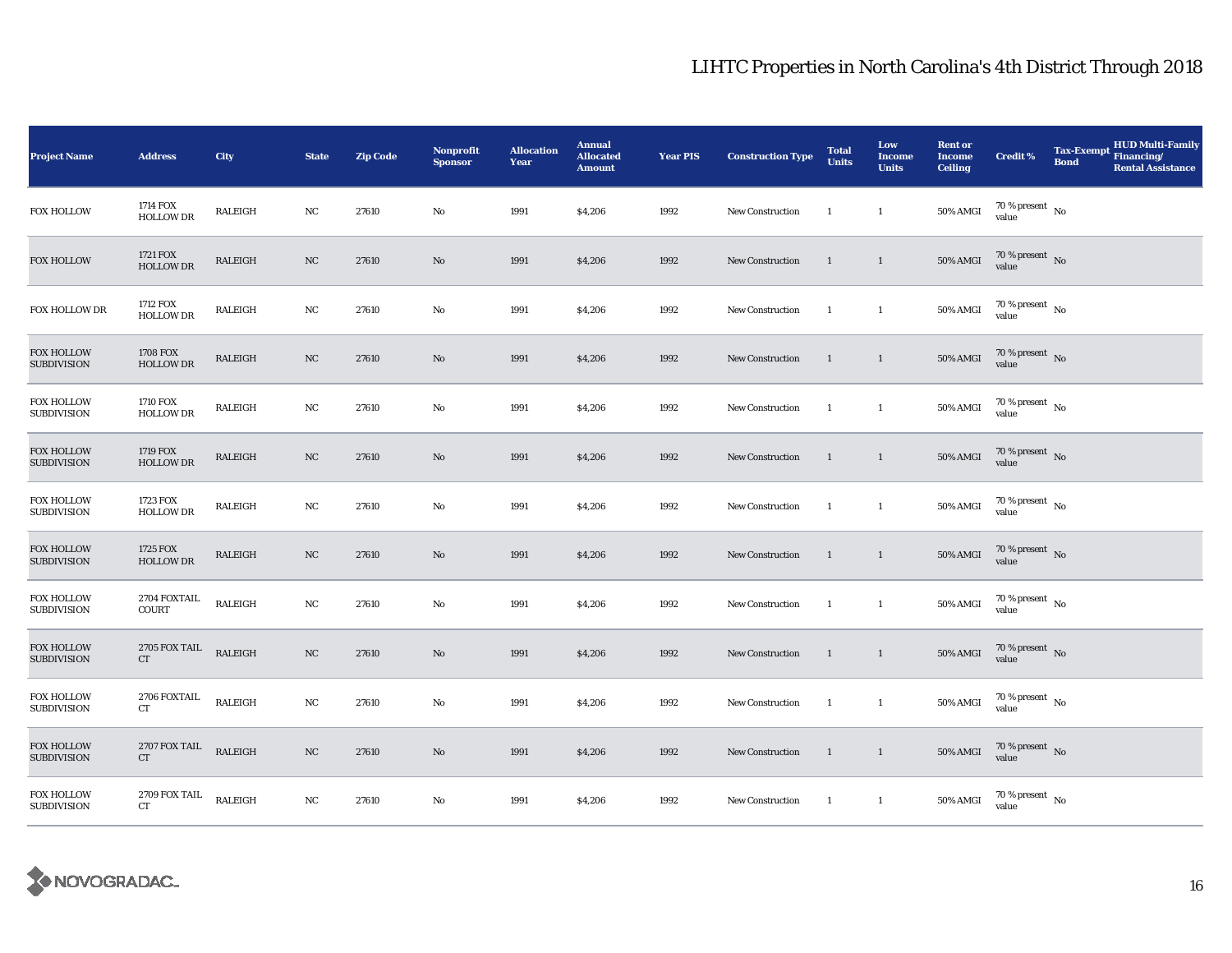| <b>Project Name</b>                     | <b>Address</b>                             | City           | <b>State</b> | <b>Zip Code</b> | <b>Nonprofit</b><br><b>Sponsor</b> | <b>Allocation</b><br>Year | <b>Annual</b><br><b>Allocated</b><br><b>Amount</b> | <b>Year PIS</b> | <b>Construction Type</b> | <b>Total</b><br><b>Units</b> | Low<br><b>Income</b><br><b>Units</b> | <b>Rent or</b><br><b>Income</b><br><b>Ceiling</b> | <b>Credit %</b>                        | <b>Tax-Exempt</b><br>Financing/<br><b>Bond</b> | <b>HUD Multi-Family</b><br><b>Rental Assistance</b> |
|-----------------------------------------|--------------------------------------------|----------------|--------------|-----------------|------------------------------------|---------------------------|----------------------------------------------------|-----------------|--------------------------|------------------------------|--------------------------------------|---------------------------------------------------|----------------------------------------|------------------------------------------------|-----------------------------------------------------|
| <b>FOX HOLLOW</b>                       | 1714 FOX<br><b>HOLLOW DR</b>               | RALEIGH        | NC           | 27610           | No                                 | 1991                      | \$4,206                                            | 1992            | <b>New Construction</b>  | <sup>1</sup>                 | $\mathbf{1}$                         | 50% AMGI                                          | 70 % present $\hbox{~No}$<br>value     |                                                |                                                     |
| <b>FOX HOLLOW</b>                       | 1721 FOX<br><b>HOLLOW DR</b>               | RALEIGH        | NC           | 27610           | No                                 | 1991                      | \$4,206                                            | 1992            | <b>New Construction</b>  | 1                            | $\mathbf{1}$                         | $50\%$ AMGI                                       | $70\%$ present No<br>value             |                                                |                                                     |
| FOX HOLLOW DR                           | 1712 FOX<br><b>HOLLOW DR</b>               | RALEIGH        | NC           | 27610           | No                                 | 1991                      | \$4,206                                            | 1992            | New Construction         | $\overline{1}$               | $\mathbf{1}$                         | 50% AMGI                                          | $70\,\%$ present $\,$ No value         |                                                |                                                     |
| <b>FOX HOLLOW</b><br><b>SUBDIVISION</b> | <b>1708 FOX</b><br><b>HOLLOW DR</b>        | RALEIGH        | NC           | 27610           | No                                 | 1991                      | \$4,206                                            | 1992            | New Construction         | $\overline{1}$               | $\overline{1}$                       | <b>50% AMGI</b>                                   | $70\,\%$ present $\,$ No value         |                                                |                                                     |
| <b>FOX HOLLOW</b><br><b>SUBDIVISION</b> | 1710 FOX<br><b>HOLLOW DR</b>               | RALEIGH        | $_{\rm NC}$  | 27610           | No                                 | 1991                      | \$4,206                                            | 1992            | New Construction         | <sup>1</sup>                 | $\mathbf{1}$                         | <b>50% AMGI</b>                                   | $70\,\%$ present $\,$ No $\,$<br>value |                                                |                                                     |
| <b>FOX HOLLOW</b><br><b>SUBDIVISION</b> | 1719 FOX<br><b>HOLLOW DR</b>               | RALEIGH        | NC           | 27610           | No                                 | 1991                      | \$4,206                                            | 1992            | <b>New Construction</b>  | 1                            | $\mathbf{1}$                         | $50\%$ AMGI                                       | $70\,\%$ present $\,$ No value         |                                                |                                                     |
| <b>FOX HOLLOW</b><br><b>SUBDIVISION</b> | 1723 FOX<br><b>HOLLOW DR</b>               | RALEIGH        | NC           | 27610           | No                                 | 1991                      | \$4,206                                            | 1992            | New Construction         | $\overline{1}$               | $\mathbf{1}$                         | <b>50% AMGI</b>                                   | $70\,\%$ present $\,$ No value         |                                                |                                                     |
| <b>FOX HOLLOW</b><br><b>SUBDIVISION</b> | 1725 FOX<br><b>HOLLOW DR</b>               | <b>RALEIGH</b> | NC           | 27610           | No                                 | 1991                      | \$4,206                                            | 1992            | <b>New Construction</b>  | 1                            | $\mathbf{1}$                         | <b>50% AMGI</b>                                   | $70\,\%$ present $\,$ No value         |                                                |                                                     |
| <b>FOX HOLLOW</b><br><b>SUBDIVISION</b> | 2704 FOXTAIL<br><b>COURT</b>               | RALEIGH        | NC           | 27610           | No                                 | 1991                      | \$4,206                                            | 1992            | New Construction         | <sup>1</sup>                 | $\mathbf{1}$                         | 50% AMGI                                          | $70\,\%$ present $\,$ No value         |                                                |                                                     |
| <b>FOX HOLLOW</b><br><b>SUBDIVISION</b> | <b>2705 FOX TAIL</b><br>${\cal C}{\cal T}$ | <b>RALEIGH</b> | $_{\rm NC}$  | 27610           | No                                 | 1991                      | \$4,206                                            | 1992            | New Construction         | $\overline{1}$               | $\mathbf{1}$                         | <b>50% AMGI</b>                                   | $70\,\%$ present $\,$ No value         |                                                |                                                     |
| <b>FOX HOLLOW</b><br><b>SUBDIVISION</b> | 2706 FOXTAIL<br>CT                         | RALEIGH        | NC           | 27610           | No                                 | 1991                      | \$4,206                                            | 1992            | New Construction         | <sup>1</sup>                 | $\mathbf{1}$                         | <b>50% AMGI</b>                                   | $70\,\%$ present $\,$ No value         |                                                |                                                     |
| <b>FOX HOLLOW</b><br><b>SUBDIVISION</b> | $2707\,\mathrm{FOX}$ TAIL<br>CT            | RALEIGH        | $_{\rm NC}$  | 27610           | No                                 | 1991                      | \$4,206                                            | 1992            | New Construction         | $\overline{1}$               | $\overline{1}$                       | <b>50% AMGI</b>                                   | $70\,\%$ present $\,$ No value         |                                                |                                                     |
| <b>FOX HOLLOW</b><br><b>SUBDIVISION</b> | 2709 FOX TAIL<br>CT                        | RALEIGH        | NC           | 27610           | No                                 | 1991                      | \$4,206                                            | 1992            | <b>New Construction</b>  | <sup>1</sup>                 | $\mathbf{1}$                         | 50% AMGI                                          | $70\,\%$ present $\,$ No value         |                                                |                                                     |

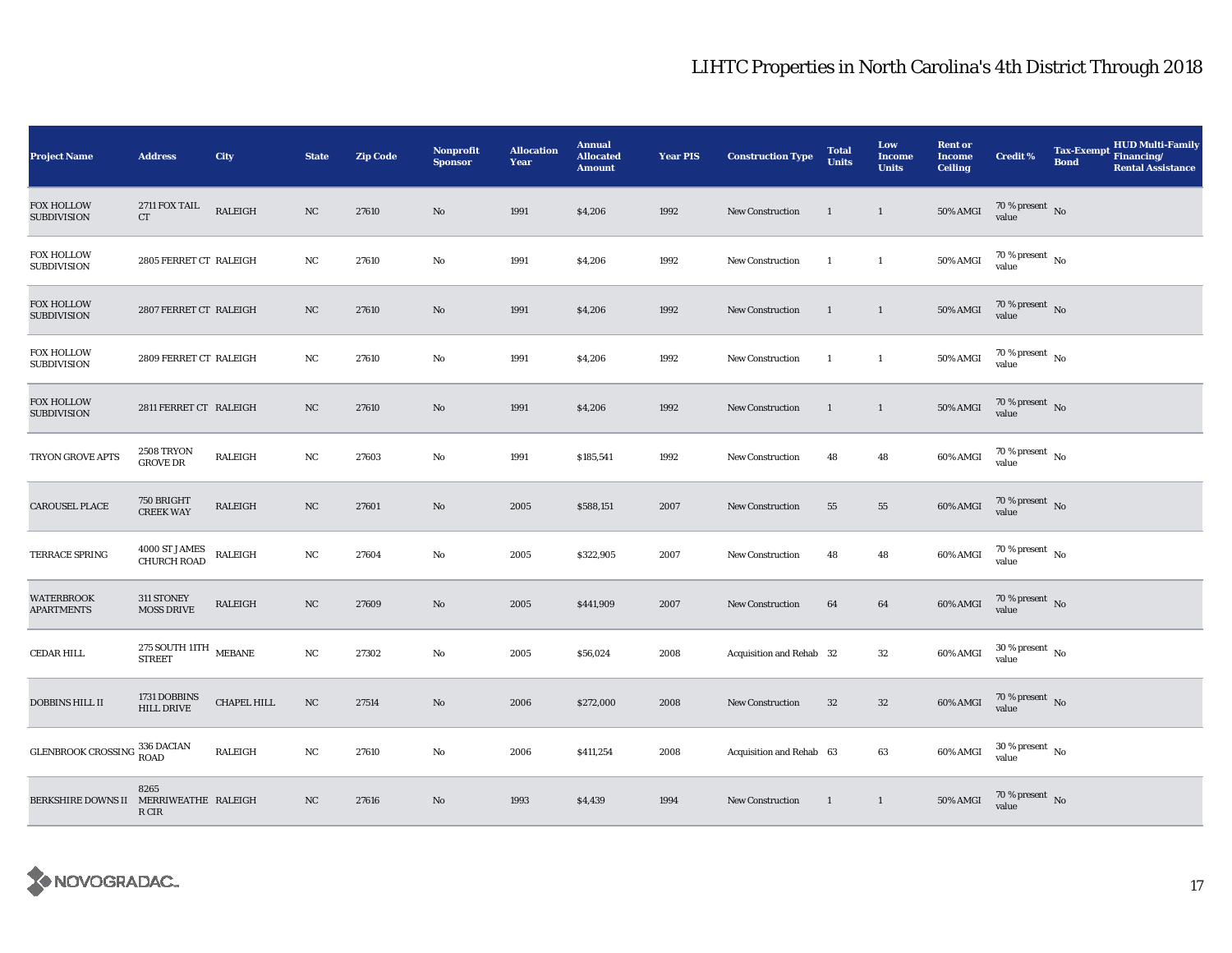| <b>Project Name</b>                     | <b>Address</b>                                                 | City        | <b>State</b> | <b>Zip Code</b> | Nonprofit<br><b>Sponsor</b> | <b>Allocation</b><br>Year | <b>Annual</b><br><b>Allocated</b><br><b>Amount</b> | <b>Year PIS</b> | <b>Construction Type</b> | <b>Total</b><br><b>Units</b> | Low<br><b>Income</b><br><b>Units</b> | <b>Rent or</b><br><b>Income</b><br><b>Ceiling</b> | <b>Credit %</b>                      | <b>Tax-Exempt</b><br><b>Bond</b> | <b>HUD Multi-Family</b><br>Financing/<br><b>Rental Assistance</b> |
|-----------------------------------------|----------------------------------------------------------------|-------------|--------------|-----------------|-----------------------------|---------------------------|----------------------------------------------------|-----------------|--------------------------|------------------------------|--------------------------------------|---------------------------------------------------|--------------------------------------|----------------------------------|-------------------------------------------------------------------|
| <b>FOX HOLLOW</b><br><b>SUBDIVISION</b> | 2711 FOX TAIL<br>CT                                            | RALEIGH     | NC           | 27610           | No                          | 1991                      | \$4,206                                            | 1992            | <b>New Construction</b>  | $\mathbf{1}$                 | $\mathbf{1}$                         | <b>50% AMGI</b>                                   | 70 % present $\hbox{~No}$<br>value   |                                  |                                                                   |
| <b>FOX HOLLOW</b><br><b>SUBDIVISION</b> | 2805 FERRET CT RALEIGH                                         |             | NC           | 27610           | No                          | 1991                      | \$4,206                                            | 1992            | <b>New Construction</b>  | -1                           | $\mathbf{1}$                         | <b>50% AMGI</b>                                   | $70$ % present $\,$ No $\,$<br>value |                                  |                                                                   |
| <b>FOX HOLLOW</b><br><b>SUBDIVISION</b> | 2807 FERRET CT RALEIGH                                         |             | $_{\rm NC}$  | 27610           | $\mathbf{No}$               | 1991                      | \$4,206                                            | 1992            | New Construction         | $\mathbf{1}$                 | $\mathbf{1}$                         | <b>50% AMGI</b>                                   | $70\,\%$ present $\,$ No value       |                                  |                                                                   |
| <b>FOX HOLLOW</b><br><b>SUBDIVISION</b> | 2809 FERRET CT RALEIGH                                         |             | $_{\rm NC}$  | 27610           | No                          | 1991                      | \$4,206                                            | 1992            | <b>New Construction</b>  | $\mathbf{1}$                 | $\mathbf{1}$                         | 50% AMGI                                          | $70\,\%$ present $\,$ No value       |                                  |                                                                   |
| <b>FOX HOLLOW</b><br><b>SUBDIVISION</b> | 2811 FERRET CT RALEIGH                                         |             | NC           | 27610           | $\mathbf{N}\mathbf{o}$      | 1991                      | \$4,206                                            | 1992            | <b>New Construction</b>  | $\mathbf{1}$                 | $\mathbf{1}$                         | 50% AMGI                                          | $70\,\%$ present $\,$ No value       |                                  |                                                                   |
| TRYON GROVE APTS                        | <b>2508 TRYON</b><br><b>GROVE DR</b>                           | RALEIGH     | $_{\rm NC}$  | 27603           | No                          | 1991                      | \$185,541                                          | 1992            | <b>New Construction</b>  | 48                           | 48                                   | 60% AMGI                                          | $70\,\%$ present $\,$ No value       |                                  |                                                                   |
| <b>CAROUSEL PLACE</b>                   | 750 BRIGHT<br><b>CREEK WAY</b>                                 | RALEIGH     | NC           | 27601           | No                          | 2005                      | \$588,151                                          | 2007            | <b>New Construction</b>  | 55                           | 55                                   | 60% AMGI                                          | $70\,\%$ present $\,$ No value       |                                  |                                                                   |
| TERRACE SPRING                          | 4000 ST JAMES<br>CHURCH ROAD                                   | RALEIGH     | NC           | 27604           | No                          | 2005                      | \$322,905                                          | 2007            | <b>New Construction</b>  | 48                           | 48                                   | 60% AMGI                                          | $70$ % present $\,$ No $\,$<br>value |                                  |                                                                   |
| <b>WATERBROOK</b><br>APARTMENTS         | 311 STONEY<br><b>MOSS DRIVE</b>                                | RALEIGH     | $_{\rm NC}$  | 27609           | No                          | 2005                      | \$441,909                                          | 2007            | New Construction         | 64                           | 64                                   | 60% AMGI                                          | $70\,\%$ present $\,$ No value       |                                  |                                                                   |
| CEDAR HILL                              | $275$ SOUTH $11\text{TH}$ $$\,\text{MEBANE}$$<br><b>STREET</b> |             | NC           | 27302           | No                          | 2005                      | \$56,024                                           | 2008            | Acquisition and Rehab 32 |                              | $32\phantom{.0}$                     | 60% AMGI                                          | $30$ % present $\,$ No $\,$<br>value |                                  |                                                                   |
| <b>DOBBINS HILL II</b>                  | 1731 DOBBINS<br><b>HILL DRIVE</b>                              | CHAPEL HILL | $_{\rm NC}$  | 27514           | No                          | 2006                      | \$272,000                                          | 2008            | New Construction         | $32\,$                       | $32\,$                               | 60% AMGI                                          | $70\,\%$ present $\,$ No value       |                                  |                                                                   |
| <b>GLENBROOK CROSSING 336 DACIAN</b>    |                                                                | RALEIGH     | NC           | 27610           | No                          | 2006                      | \$411,254                                          | 2008            | Acquisition and Rehab 63 |                              | 63                                   | 60% AMGI                                          | $30\,\%$ present $\,$ No value       |                                  |                                                                   |
| <b>BERKSHIRE DOWNS II</b>               | 8265<br>MERRIWEATHE RALEIGH<br>R CIR                           |             | NC           | 27616           | No                          | 1993                      | \$4,439                                            | 1994            | <b>New Construction</b>  | $\overline{1}$               | $\mathbf{1}$                         | <b>50% AMGI</b>                                   | $70\,\%$ present $\,$ No value       |                                  |                                                                   |

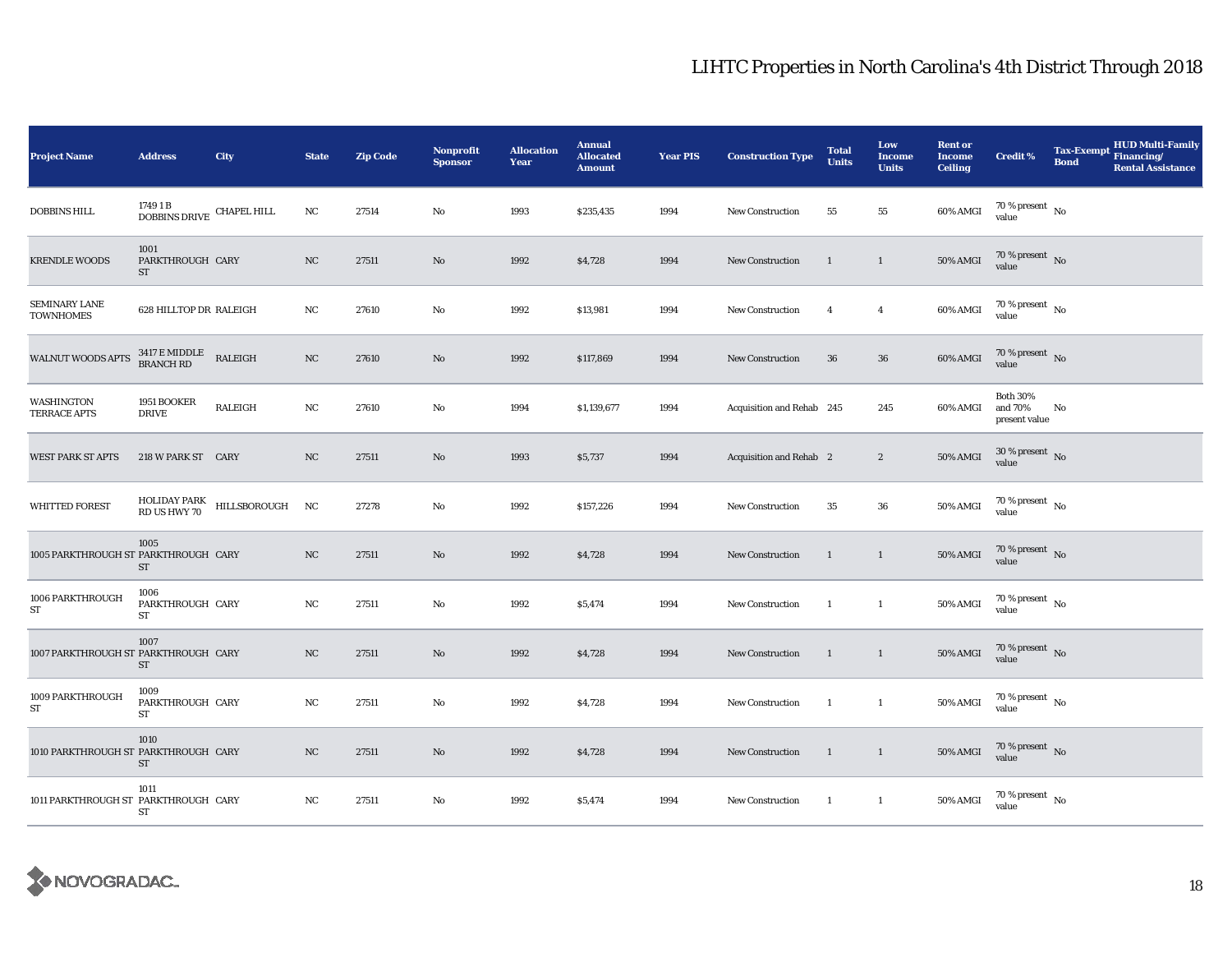| <b>Project Name</b>                  | <b>Address</b>                                                                                                                                                                                           | City                                         | <b>State</b> | <b>Zip Code</b> | <b>Nonprofit</b><br><b>Sponsor</b> | <b>Allocation</b><br>Year | <b>Annual</b><br><b>Allocated</b><br><b>Amount</b> | <b>Year PIS</b> | <b>Construction Type</b>  | <b>Total</b><br><b>Units</b> | Low<br><b>Income</b><br><b>Units</b> | <b>Rent or</b><br><b>Income</b><br><b>Ceiling</b> | <b>Credit %</b>                             | <b>HUD Multi-Family</b><br><b>Tax-Exempt</b><br>Financing/<br><b>Bond</b><br><b>Rental Assistance</b> |
|--------------------------------------|----------------------------------------------------------------------------------------------------------------------------------------------------------------------------------------------------------|----------------------------------------------|--------------|-----------------|------------------------------------|---------------------------|----------------------------------------------------|-----------------|---------------------------|------------------------------|--------------------------------------|---------------------------------------------------|---------------------------------------------|-------------------------------------------------------------------------------------------------------|
| <b>DOBBINS HILL</b>                  | 1749 1 B<br>$\begin{tabular}{lcl} \multicolumn{2}{c}{\textbf{-} & \multicolumn{2}{c}{\textbf{-}} \\ \multicolumn{2}{c}{\textbf{DOBBINS DRIVE}} & \multicolumn{2}{c}{\textbf{CHAPEL HILL}} \end{tabular}$ |                                              | NC           | 27514           | $\mathbf{No}$                      | 1993                      | \$235,435                                          | 1994            | New Construction          | 55                           | 55                                   | 60% AMGI                                          | 70 % present $\hbox{~No}$<br>value          |                                                                                                       |
| <b>KRENDLE WOODS</b>                 | 1001<br>PARKTHROUGH CARY<br>ST                                                                                                                                                                           |                                              | NC           | 27511           | $\mathbf{N}\mathbf{o}$             | 1992                      | \$4,728                                            | 1994            | <b>New Construction</b>   | $\mathbf{1}$                 | $\mathbf{1}$                         | 50% AMGI                                          | $70$ % present $\,$ No $\,$<br>value        |                                                                                                       |
| SEMINARY LANE<br><b>TOWNHOMES</b>    | 628 HILLTOP DR RALEIGH                                                                                                                                                                                   |                                              | NC           | 27610           | No                                 | 1992                      | \$13,981                                           | 1994            | <b>New Construction</b>   | $\overline{4}$               | $\overline{\mathbf{4}}$              | 60% AMGI                                          | $70\,\%$ present $$$ No value               |                                                                                                       |
| WALNUT WOODS APTS                    | 3417 E MIDDLE<br>BRANCH RD                                                                                                                                                                               | <b>RALEIGH</b>                               | $_{\rm NC}$  | 27610           | $\mathbf{N}\mathbf{o}$             | 1992                      | \$117,869                                          | 1994            | <b>New Construction</b>   | 36                           | $36\,$                               | 60% AMGI                                          | 70 % present $\hbox{~No}$<br>value          |                                                                                                       |
| WASHINGTON<br><b>TERRACE APTS</b>    | 1951 BOOKER<br><b>DRIVE</b>                                                                                                                                                                              | RALEIGH                                      | $_{\rm NC}$  | 27610           | No                                 | 1994                      | \$1,139,677                                        | 1994            | Acquisition and Rehab 245 |                              | 245                                  | 60% AMGI                                          | <b>Both 30%</b><br>and 70%<br>present value | No                                                                                                    |
| <b>WEST PARK ST APTS</b>             | 218 W PARK ST CARY                                                                                                                                                                                       |                                              | NC           | 27511           | No                                 | 1993                      | \$5,737                                            | 1994            | Acquisition and Rehab 2   |                              | $\boldsymbol{2}$                     | 50% AMGI                                          | $30\,\%$ present $\,$ No value              |                                                                                                       |
| <b>WHITTED FOREST</b>                |                                                                                                                                                                                                          | HOLIDAY PARK HILLSBOROUGH NC<br>RD US HWY 70 |              | 27278           | $\mathbf{No}$                      | 1992                      | \$157,226                                          | 1994            | <b>New Construction</b>   | 35                           | ${\bf 36}$                           | 50% AMGI                                          | $70$ % present $_{\, \rm No}$<br>value      |                                                                                                       |
| 1005 PARKTHROUGH ST PARKTHROUGH CARY | 1005<br>ST                                                                                                                                                                                               |                                              | NC           | 27511           | $\mathbf{N}\mathbf{o}$             | 1992                      | \$4,728                                            | 1994            | New Construction          | $\mathbf{1}$                 | $\mathbf{1}$                         | 50% AMGI                                          | 70 % present $\bar{N}$<br>value             |                                                                                                       |
| 1006 PARKTHROUGH<br>ST               | 1006<br>PARKTHROUGH CARY<br>ST                                                                                                                                                                           |                                              | NC           | 27511           | No                                 | 1992                      | \$5,474                                            | 1994            | <b>New Construction</b>   | -1                           | $\mathbf{1}$                         | <b>50% AMGI</b>                                   | $70$ % present $\,$ No $\,$<br>value        |                                                                                                       |
| 1007 PARKTHROUGH ST PARKTHROUGH CARY | 1007<br>ST                                                                                                                                                                                               |                                              | NC           | 27511           | No                                 | 1992                      | \$4,728                                            | 1994            | <b>New Construction</b>   | $\mathbf{1}$                 | $\mathbf{1}$                         | 50% AMGI                                          | $70\,\%$ present $_{\rm{No}}$               |                                                                                                       |
| 1009 PARKTHROUGH<br>ST               | 1009<br>PARKTHROUGH CARY<br>ST                                                                                                                                                                           |                                              | $_{\rm NC}$  | 27511           | No                                 | 1992                      | \$4,728                                            | 1994            | New Construction          | $\mathbf{1}$                 | $\mathbf{1}$                         | 50% AMGI                                          | $70$ % present $\,$ No $\,$<br>value        |                                                                                                       |
| 1010 PARKTHROUGH ST PARKTHROUGH CARY | 1010<br>ST                                                                                                                                                                                               |                                              | NC           | 27511           | $\mathbf{N}\mathbf{o}$             | 1992                      | \$4,728                                            | 1994            | New Construction          | $\overline{1}$               | $\mathbf{1}$                         | <b>50% AMGI</b>                                   | $70$ % present $$\rm{No}$$ value            |                                                                                                       |
| 1011 PARKTHROUGH ST PARKTHROUGH CARY | 1011<br>ST                                                                                                                                                                                               |                                              | NC           | 27511           | No                                 | 1992                      | \$5,474                                            | 1994            | New Construction          | $\mathbf{1}$                 | $\mathbf{1}$                         | 50% AMGI                                          | $70$ % present $\,$ No $\,$<br>value        |                                                                                                       |

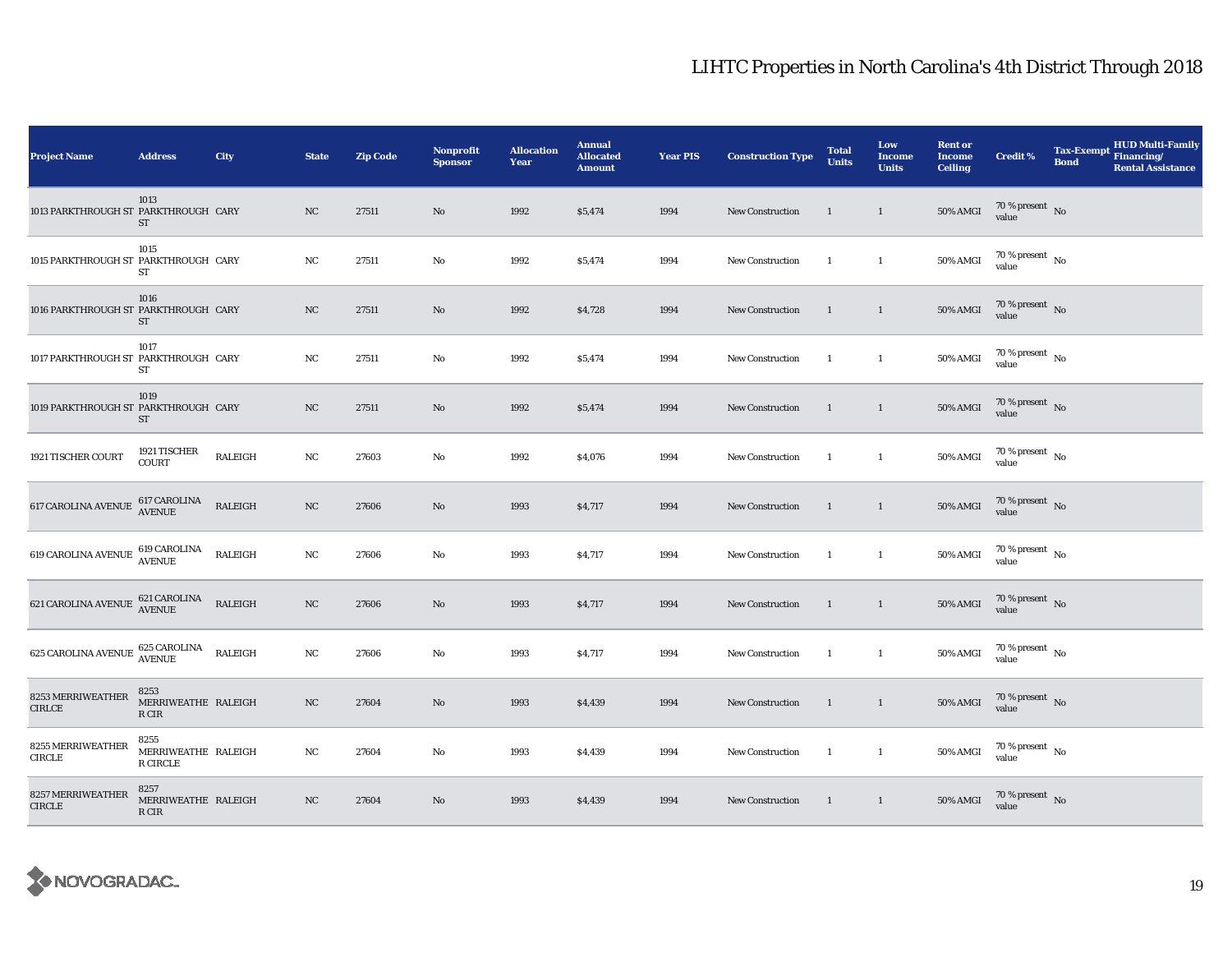| <b>Project Name</b>                                                                                          | <b>Address</b>                          | City           | <b>State</b> | <b>Zip Code</b> | <b>Nonprofit</b><br><b>Sponsor</b> | <b>Allocation</b><br>Year | <b>Annual</b><br><b>Allocated</b><br><b>Amount</b> | <b>Year PIS</b> | <b>Construction Type</b> | <b>Total</b><br><b>Units</b> | Low<br><b>Income</b><br><b>Units</b> | <b>Rent or</b><br><b>Income</b><br><b>Ceiling</b> | <b>Credit %</b>                      | <b>Tax-Exempt</b><br><b>Bond</b> | <b>HUD Multi-Family</b><br>Financing/<br><b>Rental Assistance</b> |
|--------------------------------------------------------------------------------------------------------------|-----------------------------------------|----------------|--------------|-----------------|------------------------------------|---------------------------|----------------------------------------------------|-----------------|--------------------------|------------------------------|--------------------------------------|---------------------------------------------------|--------------------------------------|----------------------------------|-------------------------------------------------------------------|
| 1013 PARKTHROUGH ST PARKTHROUGH CARY                                                                         | 1013<br>ST                              |                | NC           | 27511           | $\mathbf{N}\mathbf{o}$             | 1992                      | \$5,474                                            | 1994            | New Construction         | <sup>1</sup>                 | $\mathbf{1}$                         | <b>50% AMGI</b>                                   | $70$ % present $\,$ No $\,$<br>value |                                  |                                                                   |
| 1015 PARKTHROUGH ST PARKTHROUGH CARY                                                                         | 1015<br>ST                              |                | NC           | 27511           | $\rm No$                           | 1992                      | \$5,474                                            | 1994            | <b>New Construction</b>  | <sup>1</sup>                 | $\mathbf{1}$                         | 50% AMGI                                          | 70 % present $\,$ No $\,$<br>value   |                                  |                                                                   |
| 1016 PARKTHROUGH ST PARKTHROUGH CARY                                                                         | 1016<br><b>ST</b>                       |                | $_{\rm NC}$  | 27511           | $\rm No$                           | 1992                      | \$4,728                                            | 1994            | New Construction         | $\overline{1}$               | $\mathbf{1}$                         | <b>50% AMGI</b>                                   | $70\,\%$ present $\,$ No value       |                                  |                                                                   |
| 1017 PARKTHROUGH ST PARKTHROUGH CARY                                                                         | 1017<br>ST                              |                | NC           | 27511           | $\rm No$                           | 1992                      | \$5,474                                            | 1994            | <b>New Construction</b>  | $\overline{1}$               | $\mathbf{1}$                         | <b>50% AMGI</b>                                   | $70\,\%$ present $\,$ No value       |                                  |                                                                   |
| 1019 PARKTHROUGH ST PARKTHROUGH CARY                                                                         | 1019<br>ST                              |                | NC           | 27511           | $\mathbf{N}\mathbf{o}$             | 1992                      | \$5,474                                            | 1994            | <b>New Construction</b>  | $\mathbf{1}$                 | $\mathbf{1}$                         | <b>50% AMGI</b>                                   | $70\,\%$ present $\,$ No value       |                                  |                                                                   |
| 1921 TISCHER COURT                                                                                           | 1921 TISCHER<br>COURT                   | RALEIGH        | $_{\rm NC}$  | 27603           | $\rm No$                           | 1992                      | \$4,076                                            | 1994            | New Construction         | <sup>1</sup>                 | $\mathbf{1}$                         | 50% AMGI                                          | $70\,\%$ present $\,$ No value       |                                  |                                                                   |
| 617 CAROLINA AVENUE $\begin{array}{ll}\n 617 \text{ CAROLINA} \\  \text{AVENUE} \\  \end{array}$             |                                         | <b>RALEIGH</b> | NC           | 27606           | No                                 | 1993                      | \$4,717                                            | 1994            | <b>New Construction</b>  | $\mathbf{1}$                 | $\mathbf{1}$                         | <b>50% AMGI</b>                                   | $70\,\%$ present $\,$ No value       |                                  |                                                                   |
| 619 CAROLINA AVENUE $\begin{array}{ll}\n 619 \text{ CAROLINA} \\  \text{AVENUE}\n \end{array}$               |                                         | <b>RALEIGH</b> | $_{\rm NC}$  | 27606           | No                                 | 1993                      | \$4,717                                            | 1994            | <b>New Construction</b>  | <sup>1</sup>                 | $\mathbf{1}$                         | <b>50% AMGI</b>                                   | $70\,\%$ present $\,$ No value       |                                  |                                                                   |
| 621 CAROLINA AVENUE $\begin{array}{ll}\n 621 \text{ CAROLINA} \\  \text{AVENUE}\n \end{array}$               |                                         | RALEIGH        | $_{\rm NC}$  | 27606           | $\rm No$                           | 1993                      | \$4,717                                            | 1994            | New Construction         | $\mathbf{1}$                 | $\mathbf{1}$                         | <b>50% AMGI</b>                                   | $70\,\%$ present $\,$ No value       |                                  |                                                                   |
| 625 CAROLINA AVENUE $\begin{array}{cc} 625 \text{ CAROLINA} & \text{RALEIGH} \\ \text{AVENUE} & \end{array}$ |                                         |                | NC           | 27606           | $\rm No$                           | 1993                      | \$4,717                                            | 1994            | <b>New Construction</b>  | <sup>1</sup>                 | $\mathbf{1}$                         | 50% AMGI                                          | $70$ % present $\,$ No $\,$<br>value |                                  |                                                                   |
| 8253 MERRIWEATHER<br><b>CIRLCE</b>                                                                           | 8253<br>MERRIWEATHE RALEIGH<br>R CIR    |                | $_{\rm NC}$  | 27604           | $\mathbf{N}\mathbf{o}$             | 1993                      | \$4,439                                            | 1994            | New Construction         | <sup>1</sup>                 | $\mathbf{1}$                         | <b>50% AMGI</b>                                   | $70\,\%$ present $\,$ No value       |                                  |                                                                   |
| 8255 MERRIWEATHER<br><b>CIRCLE</b>                                                                           | 8255<br>MERRIWEATHE RALEIGH<br>R CIRCLE |                | NC           | 27604           | No                                 | 1993                      | \$4,439                                            | 1994            | New Construction         | $\overline{1}$               | $\mathbf{1}$                         | <b>50% AMGI</b>                                   | 70 % present $\hbox{~No}$<br>value   |                                  |                                                                   |
| 8257 MERRIWEATHER<br><b>CIRCLE</b>                                                                           | 8257<br>MERRIWEATHE RALEIGH<br>R CIR    |                | NC           | 27604           | $\rm No$                           | 1993                      | \$4,439                                            | 1994            | New Construction         | $\overline{\phantom{a}}$     | $\mathbf{1}$                         | <b>50% AMGI</b>                                   | $70\,\%$ present $\,$ No value       |                                  |                                                                   |

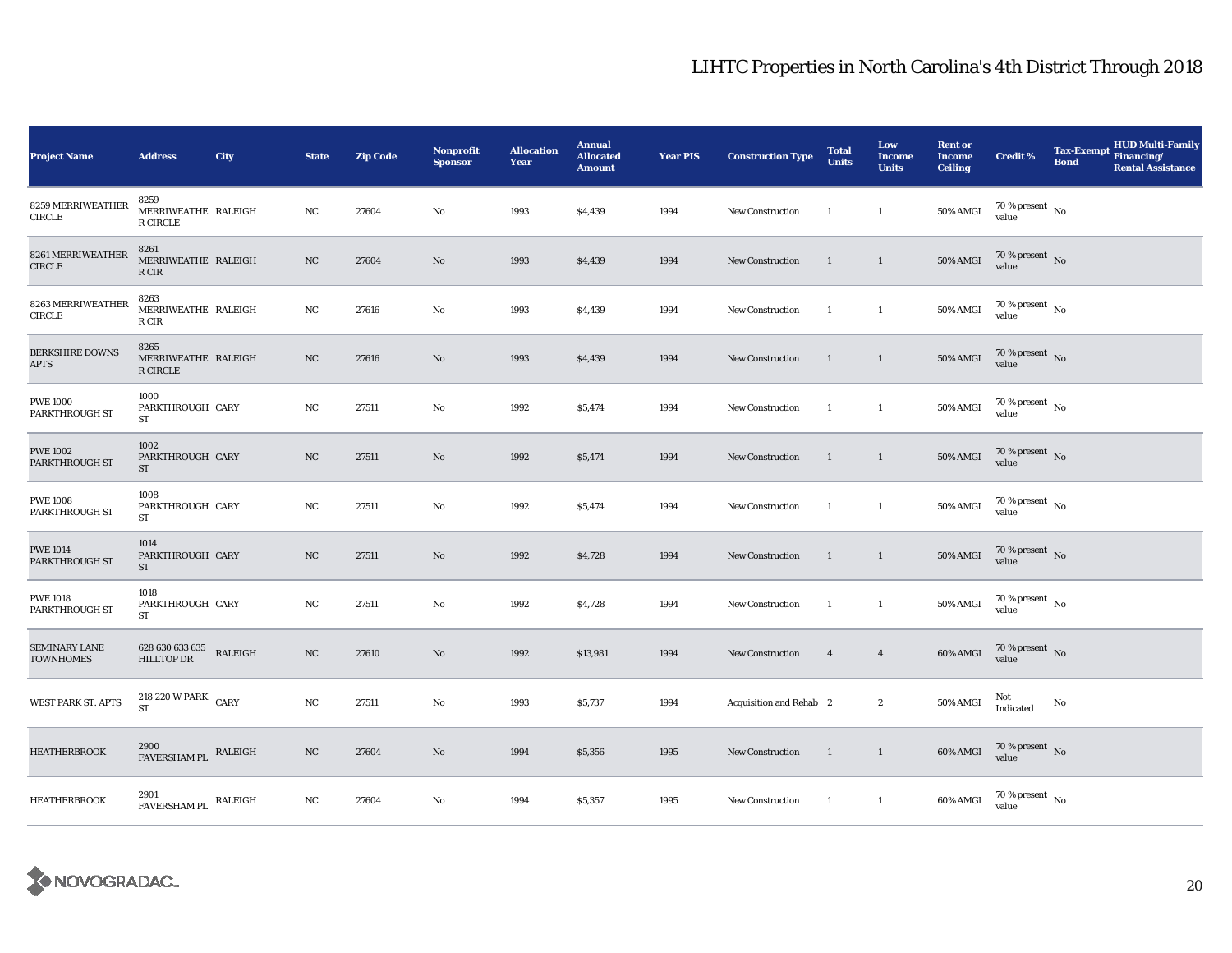| <b>Project Name</b>                      | <b>Address</b>                                 | City    | <b>State</b> | <b>Zip Code</b> | <b>Nonprofit</b><br><b>Sponsor</b> | <b>Allocation</b><br>Year | <b>Annual</b><br><b>Allocated</b><br><b>Amount</b> | <b>Year PIS</b> | <b>Construction Type</b> | <b>Total</b><br><b>Units</b> | Low<br><b>Income</b><br><b>Units</b> | <b>Rent or</b><br><b>Income</b><br><b>Ceiling</b> | <b>Credit %</b>                | <b>Tax-Exempt</b><br><b>Bond</b> | <b>HUD Multi-Family</b><br>Financing/<br><b>Rental Assistance</b> |
|------------------------------------------|------------------------------------------------|---------|--------------|-----------------|------------------------------------|---------------------------|----------------------------------------------------|-----------------|--------------------------|------------------------------|--------------------------------------|---------------------------------------------------|--------------------------------|----------------------------------|-------------------------------------------------------------------|
| 8259 MERRIWEATHER<br>CIRCLE              | 8259<br>MERRIWEATHE RALEIGH<br><b>R CIRCLE</b> |         | NC           | 27604           | No                                 | 1993                      | \$4,439                                            | 1994            | <b>New Construction</b>  | -1                           | $\mathbf{1}$                         | 50% AMGI                                          | $70$ % present $\;$ No value   |                                  |                                                                   |
| 8261 MERRIWEATHER<br>CIRCLE              | 8261<br>MERRIWEATHE RALEIGH<br>R CIR           |         | NC           | 27604           | No                                 | 1993                      | \$4,439                                            | 1994            | <b>New Construction</b>  | $\mathbf{1}$                 | $\mathbf{1}$                         | <b>50% AMGI</b>                                   | $70\,\%$ present $\,$ No value |                                  |                                                                   |
| 8263 MERRIWEATHER<br>CIRCLE              | 8263<br>MERRIWEATHE RALEIGH<br>R CIR           |         | NC           | 27616           | No                                 | 1993                      | \$4,439                                            | 1994            | New Construction         | -1                           | $\mathbf{1}$                         | <b>50% AMGI</b>                                   | $70\,\%$ present $\,$ No value |                                  |                                                                   |
| <b>BERKSHIRE DOWNS</b><br><b>APTS</b>    | 8265<br>MERRIWEATHE RALEIGH<br>R CIRCLE        |         | NC           | 27616           | No                                 | 1993                      | \$4,439                                            | 1994            | New Construction         | $\overline{1}$               | $\mathbf{1}$                         | <b>50% AMGI</b>                                   | $70\,\%$ present $\,$ No value |                                  |                                                                   |
| <b>PWE 1000</b><br>PARKTHROUGH ST        | 1000<br>PARKTHROUGH CARY<br>ST                 |         | $_{\rm NC}$  | 27511           | No                                 | 1992                      | \$5,474                                            | 1994            | <b>New Construction</b>  | $\overline{1}$               | $\mathbf{1}$                         | <b>50% AMGI</b>                                   | $70\,\%$ present $\,$ No value |                                  |                                                                   |
| <b>PWE 1002</b><br><b>PARKTHROUGH ST</b> | 1002<br>PARKTHROUGH CARY<br><b>ST</b>          |         | NC           | 27511           | No                                 | 1992                      | \$5,474                                            | 1994            | New Construction         | $\overline{1}$               | $\mathbf{1}$                         | <b>50% AMGI</b>                                   | $70\,\%$ present $\,$ No value |                                  |                                                                   |
| <b>PWE 1008</b><br><b>PARKTHROUGH ST</b> | 1008<br>PARKTHROUGH CARY<br>ST                 |         | NC           | 27511           | No                                 | 1992                      | \$5,474                                            | 1994            | New Construction         | <sup>1</sup>                 | $\mathbf{1}$                         | <b>50% AMGI</b>                                   | $70\,\%$ present $\,$ No value |                                  |                                                                   |
| <b>PWE 1014</b><br>PARKTHROUGH ST        | 1014<br>PARKTHROUGH CARY<br><b>ST</b>          |         | NC           | 27511           | No                                 | 1992                      | \$4,728                                            | 1994            | New Construction         | $\mathbf{1}$                 | $\mathbf{1}$                         | <b>50% AMGI</b>                                   | $70\,\%$ present $\,$ No value |                                  |                                                                   |
| <b>PWE 1018</b><br><b>PARKTHROUGH ST</b> | 1018<br>PARKTHROUGH CARY<br><b>ST</b>          |         | NC           | 27511           | No                                 | 1992                      | \$4,728                                            | 1994            | New Construction         | $\mathbf{1}$                 | $\mathbf{1}$                         | <b>50% AMGI</b>                                   | $70\,\%$ present $\,$ No value |                                  |                                                                   |
| <b>SEMINARY LANE</b><br><b>TOWNHOMES</b> | 628 630 633 635<br><b>HILLTOP DR</b>           | RALEIGH | NC           | 27610           | No                                 | 1992                      | \$13,981                                           | 1994            | New Construction         | $\overline{4}$               | $\overline{4}$                       | 60% AMGI                                          | $70\,\%$ present $\,$ No value |                                  |                                                                   |
| <b>WEST PARK ST. APTS</b>                | 218 220 W PARK CARY<br><b>ST</b>               |         | NC           | 27511           | No                                 | 1993                      | \$5,737                                            | 1994            | Acquisition and Rehab 2  |                              | $\mathbf{2}$                         | 50% AMGI                                          | Not<br>Indicated               | No                               |                                                                   |
| <b>HEATHERBROOK</b>                      | 2900<br>FAVERSHAM PL RALEIGH                   |         | NC           | 27604           | No                                 | 1994                      | \$5,356                                            | 1995            | <b>New Construction</b>  | $\overline{1}$               | $\mathbf{1}$                         | 60% AMGI                                          | $70\,\%$ present $\,$ No value |                                  |                                                                   |
| <b>HEATHERBROOK</b>                      | 2901<br>${\tt FAVERSHAM \, PL}$ RALEIGH        |         | NC           | 27604           | No                                 | 1994                      | \$5,357                                            | 1995            | New Construction         | - 1                          | $\mathbf{1}$                         | 60% AMGI                                          | $70\,\%$ present $\,$ No value |                                  |                                                                   |

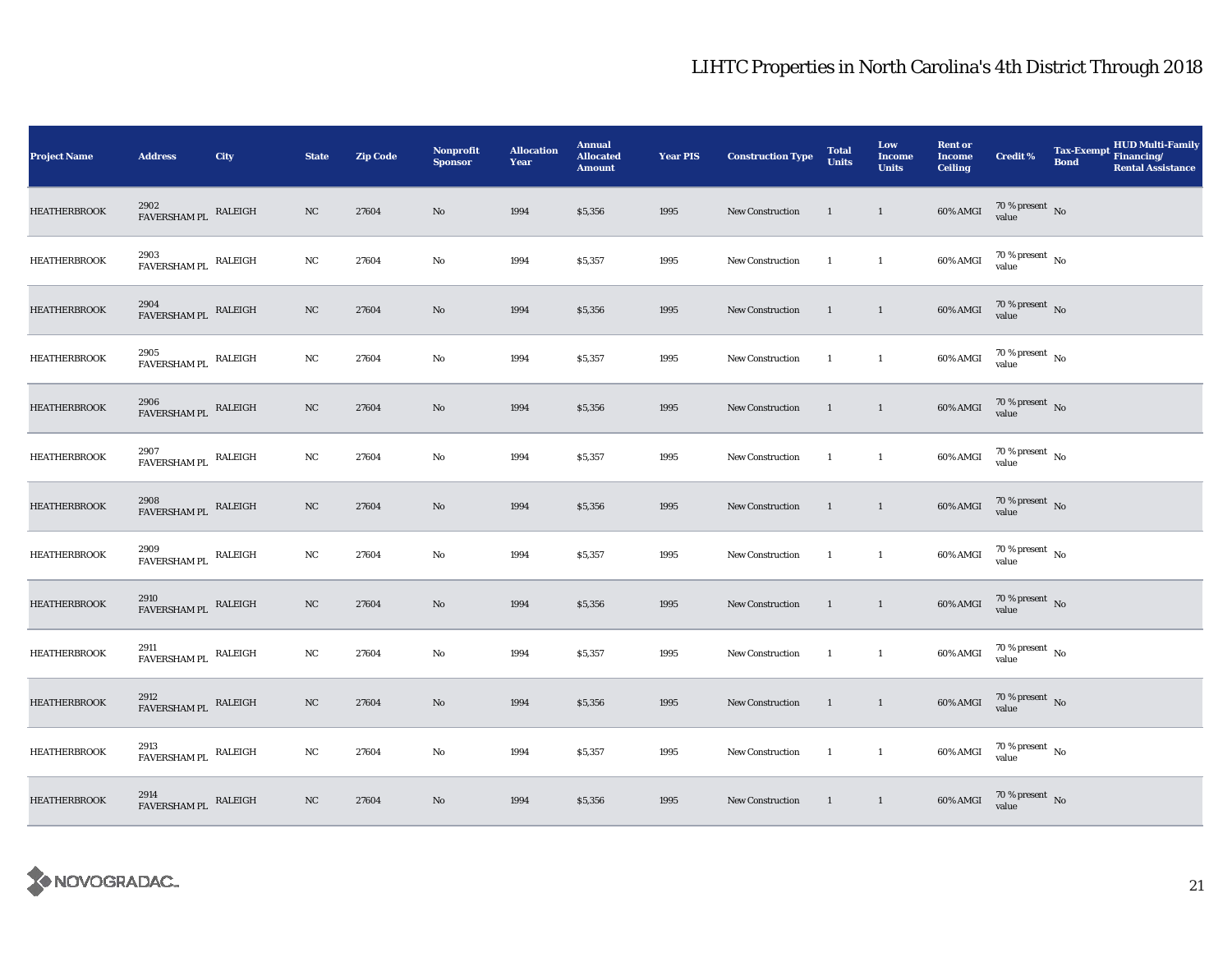| <b>Project Name</b> | <b>Address</b>                                    | City    | <b>State</b>     | <b>Zip Code</b> | <b>Nonprofit</b><br><b>Sponsor</b> | <b>Allocation</b><br>Year | <b>Annual</b><br><b>Allocated</b><br><b>Amount</b> | <b>Year PIS</b> | <b>Construction Type</b> | <b>Total</b><br><b>Units</b> | Low<br>Income<br><b>Units</b> | <b>Rent or</b><br><b>Income</b><br><b>Ceiling</b> | <b>Credit %</b>                                                                                         | Tax-Exempt Financing/<br><b>Bond</b> | HUD Multi-Family<br><b>Rental Assistance</b> |
|---------------------|---------------------------------------------------|---------|------------------|-----------------|------------------------------------|---------------------------|----------------------------------------------------|-----------------|--------------------------|------------------------------|-------------------------------|---------------------------------------------------|---------------------------------------------------------------------------------------------------------|--------------------------------------|----------------------------------------------|
| <b>HEATHERBROOK</b> | 2902<br>FAVERSHAM PL RALEIGH                      |         | NC               | 27604           | No                                 | 1994                      | \$5,356                                            | 1995            | <b>New Construction</b>  | $\overline{1}$               | $\overline{1}$                | 60% AMGI                                          | $70\,\%$ present $\,$ No value                                                                          |                                      |                                              |
| <b>HEATHERBROOK</b> | 2903<br>$\widetilde{\mbox{FAVERSHAM PL}}$ RALEIGH |         | NC               | 27604           | No                                 | 1994                      | \$5,357                                            | 1995            | <b>New Construction</b>  | $\overline{1}$               | $\overline{1}$                | 60% AMGI                                          | $70\%$ present No<br>value                                                                              |                                      |                                              |
| <b>HEATHERBROOK</b> | $2904$ $$\tt FAVERSHAM\,PL$$ $$\tt RALEIGH$$      |         | $_{\mathrm{NC}}$ | 27604           | No                                 | 1994                      | \$5,356                                            | 1995            | New Construction         | $\overline{1}$               | $\overline{1}$                | 60% AMGI                                          | $70\,\%$ present $\,$ No value                                                                          |                                      |                                              |
| <b>HEATHERBROOK</b> | $2905$ $$\tt FAVERSHAM\,PL$$ RALEIGH              |         | NC               | 27604           | No                                 | 1994                      | \$5,357                                            | 1995            | New Construction         | $\mathbf{1}$                 | $\mathbf{1}$                  | 60% AMGI                                          | $70\,\%$ present $\,$ No value                                                                          |                                      |                                              |
| <b>HEATHERBROOK</b> | 2906<br>FAVERSHAM PL RALEIGH                      |         | $_{\mathrm{NC}}$ | 27604           | No                                 | 1994                      | \$5,356                                            | 1995            | New Construction         | $\overline{1}$               | $\mathbf{1}$                  | 60% AMGI                                          | $70\,\%$ present $\,$ No value                                                                          |                                      |                                              |
| <b>HEATHERBROOK</b> | $2907$ $$\tt FAVERSHAM\,PL$$ $$\tt RALEIGH$$      |         | NC               | 27604           | No                                 | 1994                      | \$5,357                                            | 1995            | New Construction         | $\overline{1}$               | $\mathbf{1}$                  | 60% AMGI                                          | $70\,\%$ present $\,$ No value                                                                          |                                      |                                              |
| <b>HEATHERBROOK</b> | 2908<br>FAVERSHAM PL RALEIGH                      |         | $_{\mathrm{NC}}$ | 27604           | No                                 | 1994                      | \$5,356                                            | 1995            | New Construction         | $\overline{\phantom{a}}$     | $\overline{1}$                | 60% AMGI                                          | $70\,\%$ present $\,$ No value                                                                          |                                      |                                              |
| <b>HEATHERBROOK</b> | 2909<br>${\tt FAVERSHAM \, PL}$ RALEIGH           |         | NC               | 27604           | No                                 | 1994                      | \$5,357                                            | 1995            | New Construction         | $\overline{1}$               | $\mathbf{1}$                  | 60% AMGI                                          | $70\,\%$ present $\,$ No value                                                                          |                                      |                                              |
| <b>HEATHERBROOK</b> | $2910$ $$\tt FAVERSHAM\,PL$$ $$\tt RALEIGH$$      |         | NC               | 27604           | No                                 | 1994                      | \$5,356                                            | 1995            | New Construction         | $\overline{1}$               | $\overline{1}$                | 60% AMGI                                          | $70\,\%$ present $\,$ No value                                                                          |                                      |                                              |
| <b>HEATHERBROOK</b> | 2911<br>${\tt FAVERSHAM \, PL}$ RALEIGH           |         | NC               | 27604           | No                                 | 1994                      | \$5,357                                            | 1995            | New Construction         | $\overline{1}$               | $\mathbf{1}$                  | 60% AMGI                                          | $70\,\%$ present $\,$ No value                                                                          |                                      |                                              |
| <b>HEATHERBROOK</b> | 2912<br>FAVERSHAM PL                              | RALEIGH | $_{\rm NC}$      | 27604           | No                                 | 1994                      | \$5,356                                            | 1995            | New Construction         | $\overline{1}$               | $\overline{1}$                | 60% AMGI                                          | $70\,\%$ present $\,$ No value                                                                          |                                      |                                              |
| <b>HEATHERBROOK</b> | $2913$ $$\tt FAVERSHAM\,PL$$ $$\tt RALEIGH$$      |         | NC               | 27604           | No                                 | 1994                      | \$5,357                                            | 1995            | New Construction         | $\blacksquare$               | $\mathbf{1}$                  | 60% AMGI                                          | $70\,\%$ present $\,$ No value                                                                          |                                      |                                              |
| <b>HEATHERBROOK</b> | 2914<br>FAVERSHAM PL RALEIGH                      |         | NC               | 27604           | No                                 | 1994                      | \$5,356                                            | 1995            | New Construction         | $\blacksquare$               | $\overline{1}$                |                                                   | $60\% \text{ AMGI} \quad \begin{array}{l} 70\:\% \text{ present} \\ \text{value} \end{array} \text{No}$ |                                      |                                              |

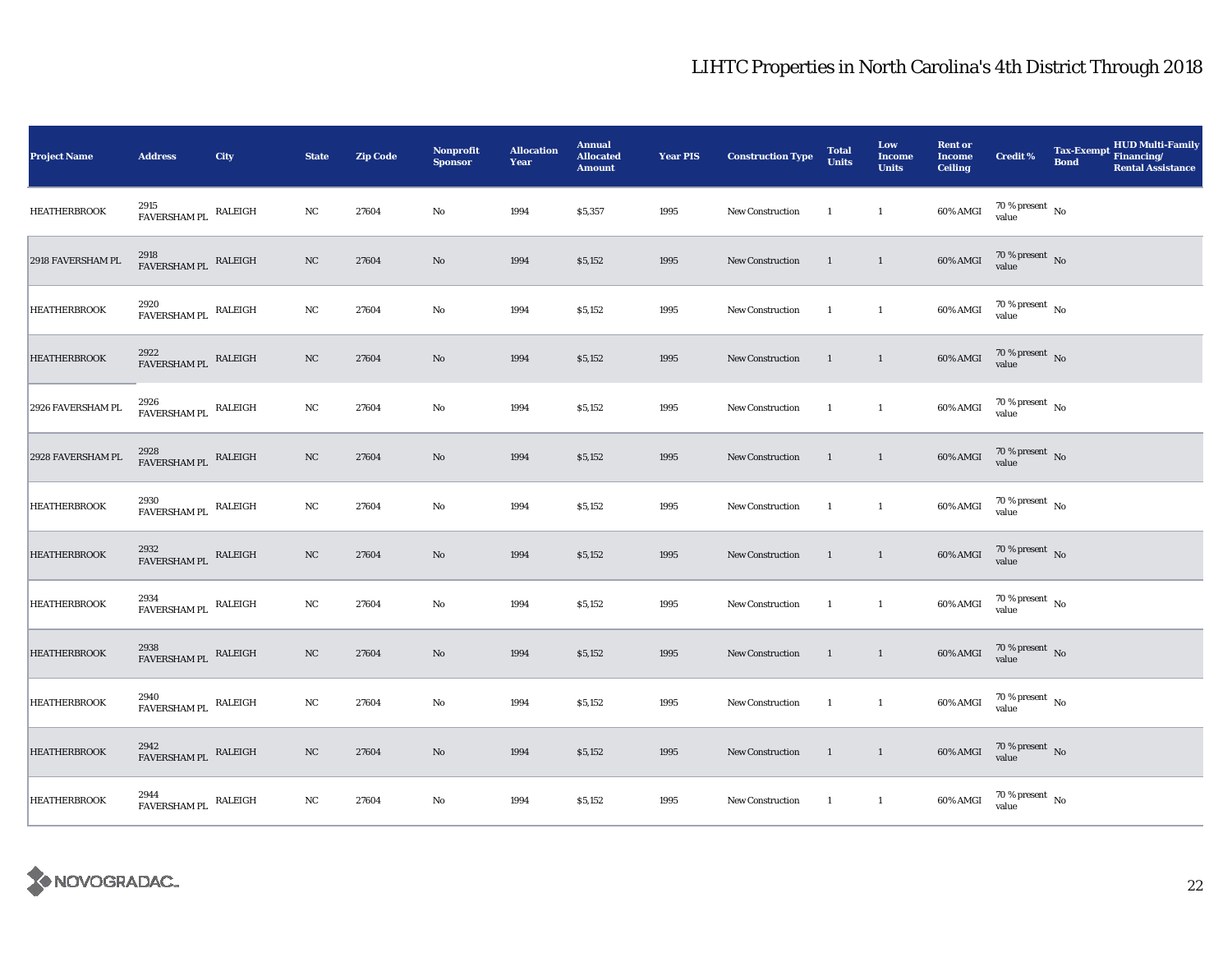| <b>Project Name</b> | <b>Address</b>                               | <b>City</b> | <b>State</b> | <b>Zip Code</b> | <b>Nonprofit</b><br><b>Sponsor</b> | <b>Allocation</b><br>Year | <b>Annual</b><br><b>Allocated</b><br><b>Amount</b> | <b>Year PIS</b> | <b>Construction Type</b> | <b>Total</b><br><b>Units</b> | Low<br><b>Income</b><br><b>Units</b> | <b>Rent or</b><br><b>Income</b><br><b>Ceiling</b> | <b>Credit %</b>                | <b>HUD Multi-Family</b><br>Tax-Exempt Financing/<br><b>Bond</b><br><b>Rental Assistance</b> |
|---------------------|----------------------------------------------|-------------|--------------|-----------------|------------------------------------|---------------------------|----------------------------------------------------|-----------------|--------------------------|------------------------------|--------------------------------------|---------------------------------------------------|--------------------------------|---------------------------------------------------------------------------------------------|
| <b>HEATHERBROOK</b> | 2915<br>${\tt FAVERSHAM \, PL}$ RALEIGH      |             | NC           | 27604           | $\rm No$                           | 1994                      | \$5,357                                            | 1995            | New Construction         | $\overline{1}$               | $\mathbf{1}$                         | 60% AMGI                                          | $70\,\%$ present $\,$ No value |                                                                                             |
| 2918 FAVERSHAM PL   | $2918$ $$\tt FAVERSHAM\,PL$$ $$\tt RALEIGH$$ |             | $_{\rm NC}$  | 27604           | $\mathbf{No}$                      | 1994                      | \$5,152                                            | 1995            | <b>New Construction</b>  | $\mathbf{1}$                 | $\overline{1}$                       | 60% AMGI                                          | $70\,\%$ present $\,$ No value |                                                                                             |
| <b>HEATHERBROOK</b> | 2920<br>FAVERSHAM PL RALEIGH                 |             | NC           | 27604           | No                                 | 1994                      | \$5,152                                            | 1995            | <b>New Construction</b>  | $\overline{1}$               | $\mathbf{1}$                         | 60% AMGI                                          | $70\,\%$ present $\,$ No value |                                                                                             |
| <b>HEATHERBROOK</b> | 2922<br>FAVERSHAM PL RALEIGH                 |             | NC           | 27604           | $\rm No$                           | 1994                      | \$5,152                                            | 1995            | New Construction         | $\blacksquare$               | $\overline{1}$                       | 60% AMGI                                          | $70\,\%$ present $\,$ No value |                                                                                             |
| 2926 FAVERSHAM PL   | 2926<br>${\tt FAVERSHAM \, PL}$ RALEIGH      |             | $_{\rm NC}$  | 27604           | No                                 | 1994                      | \$5,152                                            | 1995            | New Construction         | $\overline{1}$               | $\mathbf{1}$                         | 60% AMGI                                          | $70\,\%$ present $\,$ No value |                                                                                             |
| 2928 FAVERSHAM PL   | $2928$ $$\tt FAVERSHAM\,PL$$ RALEIGH         |             | NC           | 27604           | No                                 | 1994                      | \$5,152                                            | 1995            | <b>New Construction</b>  | $\overline{1}$               | $\overline{1}$                       | 60% AMGI                                          | $70\,\%$ present $\,$ No value |                                                                                             |
| <b>HEATHERBROOK</b> | $2930$ $$\tt FAVERSHAM\,PL$$ $$\tt RALEIGH$$ |             | NC           | 27604           | No                                 | 1994                      | \$5,152                                            | 1995            | New Construction         | $\mathbf{1}$                 | $\mathbf{1}$                         | 60% AMGI                                          | $70\,\%$ present $\,$ No value |                                                                                             |
| <b>HEATHERBROOK</b> | 2932<br>FAVERSHAM PL                         | RALEIGH     | $_{\rm NC}$  | 27604           | $\rm No$                           | 1994                      | \$5,152                                            | 1995            | <b>New Construction</b>  | $\mathbf{1}$                 | $\overline{1}$                       | 60% AMGI                                          | $70\,\%$ present $\,$ No value |                                                                                             |
| <b>HEATHERBROOK</b> | $2934$ $$\tt FAVERSHAM\,PL$$ $$\tt RALEIGH$$ |             | NC           | 27604           | $\rm No$                           | 1994                      | \$5,152                                            | 1995            | New Construction         | $\overline{1}$               | $\mathbf{1}$                         | 60% AMGI                                          | $70\,\%$ present $\,$ No value |                                                                                             |
| <b>HEATHERBROOK</b> | 2938<br>FAVERSHAM PL RALEIGH                 |             | NC           | 27604           | No                                 | 1994                      | \$5,152                                            | 1995            | New Construction         | $\overline{1}$               | $\overline{1}$                       | 60% AMGI                                          | $70\,\%$ present $\,$ No value |                                                                                             |
| <b>HEATHERBROOK</b> | 2940<br>${\tt FAVERSHAM \, PL}$ RALEIGH      |             | NC           | 27604           | $\rm No$                           | 1994                      | \$5,152                                            | 1995            | New Construction         | $\overline{1}$               | $\mathbf{1}$                         | 60% AMGI                                          | $70\,\%$ present $\,$ No value |                                                                                             |
| <b>HEATHERBROOK</b> | $2942$ $$\tt FAVERSHAM\,PL$$ $$\tt RALEIGH$$ |             | NC           | 27604           | No                                 | 1994                      | \$5,152                                            | 1995            | New Construction         | $\blacksquare$               | $\overline{1}$                       | 60% AMGI                                          | $70\,\%$ present $\,$ No value |                                                                                             |
| <b>HEATHERBROOK</b> | 2944<br>${\tt FAVERSHAM \, PL}$ RALEIGH      |             | NC           | 27604           | No                                 | 1994                      | \$5,152                                            | 1995            | New Construction         | $\overline{1}$               | $\mathbf{1}$                         | 60% AMGI                                          | $70\,\%$ present $\;$ No value |                                                                                             |

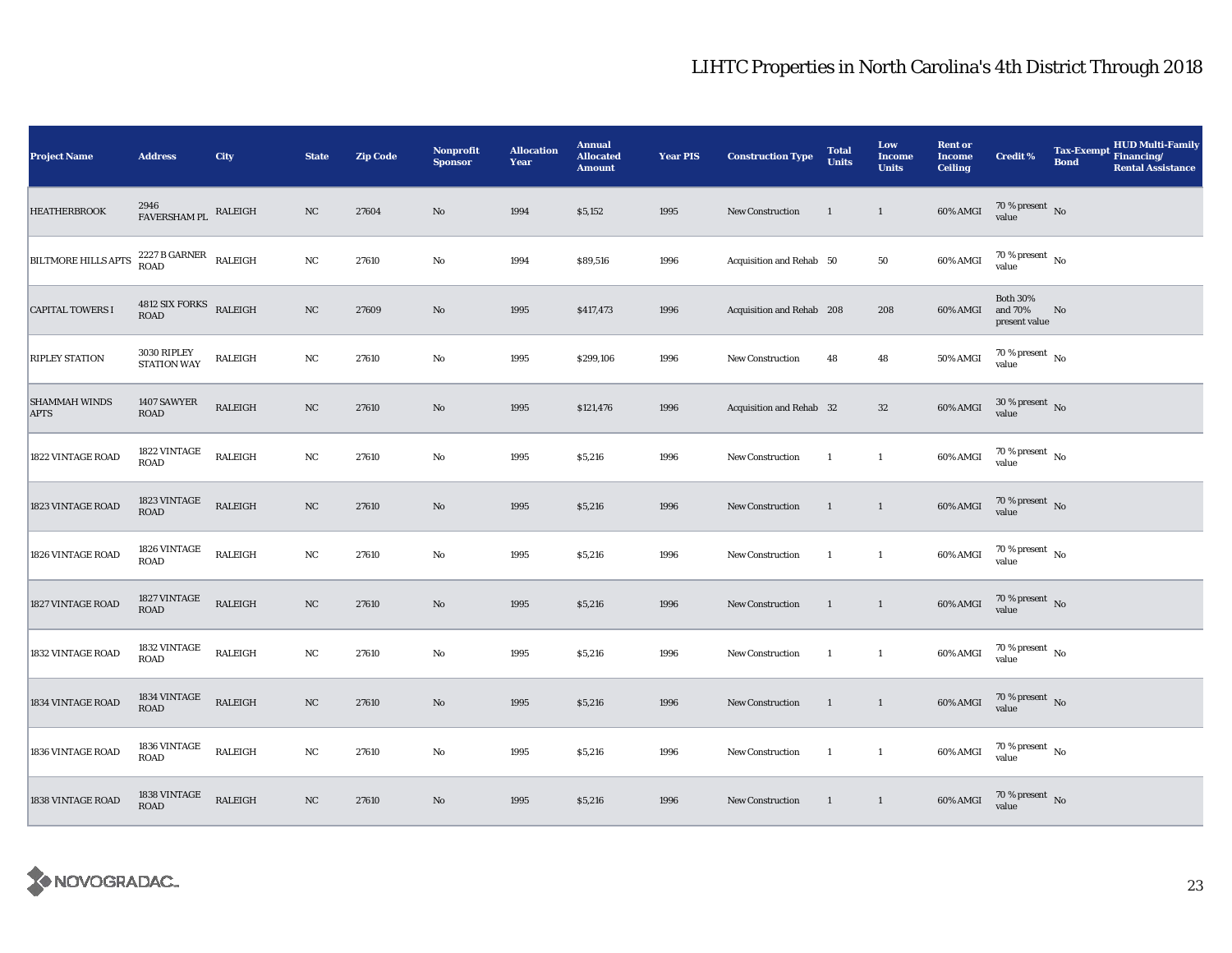| <b>Project Name</b>                 | <b>Address</b>                                    | City           | <b>State</b> | <b>Zip Code</b> | Nonprofit<br><b>Sponsor</b> | <b>Allocation</b><br>Year | <b>Annual</b><br><b>Allocated</b><br><b>Amount</b> | <b>Year PIS</b> | <b>Construction Type</b>  | <b>Total</b><br><b>Units</b> | Low<br><b>Income</b><br><b>Units</b> | <b>Rent or</b><br><b>Income</b><br><b>Ceiling</b> | Credit %                                    | <b>Tax-Exempt</b><br><b>Bond</b> | HUD Multi-Family<br>Financing/<br><b>Rental Assistance</b> |
|-------------------------------------|---------------------------------------------------|----------------|--------------|-----------------|-----------------------------|---------------------------|----------------------------------------------------|-----------------|---------------------------|------------------------------|--------------------------------------|---------------------------------------------------|---------------------------------------------|----------------------------------|------------------------------------------------------------|
| <b>HEATHERBROOK</b>                 | 2946<br>FAVERSHAM PL                              | RALEIGH        | NC           | 27604           | $\rm No$                    | 1994                      | \$5,152                                            | 1995            | New Construction          | 1                            | $\mathbf{1}$                         | 60% AMGI                                          | $70\,\%$ present $${\rm No}$$ value         |                                  |                                                            |
| <b>BILTMORE HILLS APTS</b>          | $2227$ B GARNER<br>$\;$ RALEIGH <code>ROAD</code> |                | $_{\rm NC}$  | 27610           | $\rm No$                    | 1994                      | \$89,516                                           | 1996            | Acquisition and Rehab 50  |                              | ${\bf 50}$                           | 60% AMGI                                          | $70\,\%$ present $\,$ No $\,$<br>value      |                                  |                                                            |
| <b>CAPITAL TOWERS I</b>             | $4812$ SIX FORKS $$\tt RALEIGH$$                  |                | NC           | 27609           | No                          | 1995                      | \$417,473                                          | 1996            | Acquisition and Rehab 208 |                              | 208                                  | 60% AMGI                                          | <b>Both 30%</b><br>and 70%<br>present value | No                               |                                                            |
| <b>RIPLEY STATION</b>               | 3030 RIPLEY<br><b>STATION WAY</b>                 | RALEIGH        | $_{\rm NC}$  | 27610           | No                          | 1995                      | \$299,106                                          | 1996            | New Construction          | 48                           | 48                                   | 50% AMGI                                          | 70 % present $\hbox{~No}$<br>value          |                                  |                                                            |
| <b>SHAMMAH WINDS</b><br><b>APTS</b> | 1407 SAWYER<br>ROAD                               | RALEIGH        | NC           | 27610           | No                          | 1995                      | \$121,476                                          | 1996            | Acquisition and Rehab 32  |                              | $32\,$                               | 60% AMGI                                          | $30\,\%$ present $\,$ No value              |                                  |                                                            |
| 1822 VINTAGE ROAD                   | 1822 VINTAGE<br><b>ROAD</b>                       | RALEIGH        | $_{\rm NC}$  | 27610           | $\rm No$                    | 1995                      | \$5,216                                            | 1996            | New Construction          | $\mathbf{1}$                 | $\mathbf{1}$                         | 60% AMGI                                          | $70\,\%$ present $\,$ No value              |                                  |                                                            |
| 1823 VINTAGE ROAD                   | 1823 VINTAGE<br><b>ROAD</b>                       | RALEIGH        | $_{\rm NC}$  | 27610           | No                          | 1995                      | \$5,216                                            | 1996            | New Construction          | 1                            | $\mathbf{1}$                         | 60% AMGI                                          | $70\,\%$ present $\;$ No value              |                                  |                                                            |
| 1826 VINTAGE ROAD                   | 1826 VINTAGE<br>ROAD                              | RALEIGH        | $_{\rm NC}$  | 27610           | No                          | 1995                      | \$5,216                                            | 1996            | <b>New Construction</b>   | 1                            | $\mathbf{1}$                         | 60% AMGI                                          | $70\,\%$ present $\,$ No value              |                                  |                                                            |
| 1827 VINTAGE ROAD                   | 1827 VINTAGE<br>ROAD                              | RALEIGH        | NC           | 27610           | No                          | 1995                      | \$5,216                                            | 1996            | New Construction          | $\mathbf{1}$                 | $\mathbf{1}$                         | 60% AMGI                                          | $70\,\%$ present $\,$ No value              |                                  |                                                            |
| 1832 VINTAGE ROAD                   | 1832 VINTAGE<br><b>ROAD</b>                       | <b>RALEIGH</b> | NC           | 27610           | No                          | 1995                      | \$5,216                                            | 1996            | <b>New Construction</b>   | $\mathbf{1}$                 | $\overline{1}$                       | 60% AMGI                                          | $70\,\%$ present $\,$ No value              |                                  |                                                            |
| 1834 VINTAGE ROAD                   | 1834 VINTAGE<br><b>ROAD</b>                       | RALEIGH        | NC           | 27610           | $\rm No$                    | 1995                      | \$5,216                                            | 1996            | New Construction          | 1                            | $\mathbf{1}$                         | 60% AMGI                                          | $70\,\%$ present $\,$ No value              |                                  |                                                            |
| 1836 VINTAGE ROAD                   | 1836 VINTAGE<br>ROAD                              | RALEIGH        | $_{\rm NC}$  | 27610           | $\rm No$                    | 1995                      | \$5,216                                            | 1996            | New Construction          | 1                            | $\mathbf{1}$                         | 60% AMGI                                          | $70\,\%$ present $\,$ No value              |                                  |                                                            |
| 1838 VINTAGE ROAD                   | 1838 VINTAGE<br>ROAD                              | RALEIGH        | $_{\rm NC}$  | 27610           | $\rm No$                    | 1995                      | \$5,216                                            | 1996            | New Construction          | $\mathbf{1}$                 | $\mathbf{1}$                         | 60% AMGI                                          | $70\,\%$ present $\;$ No value              |                                  |                                                            |

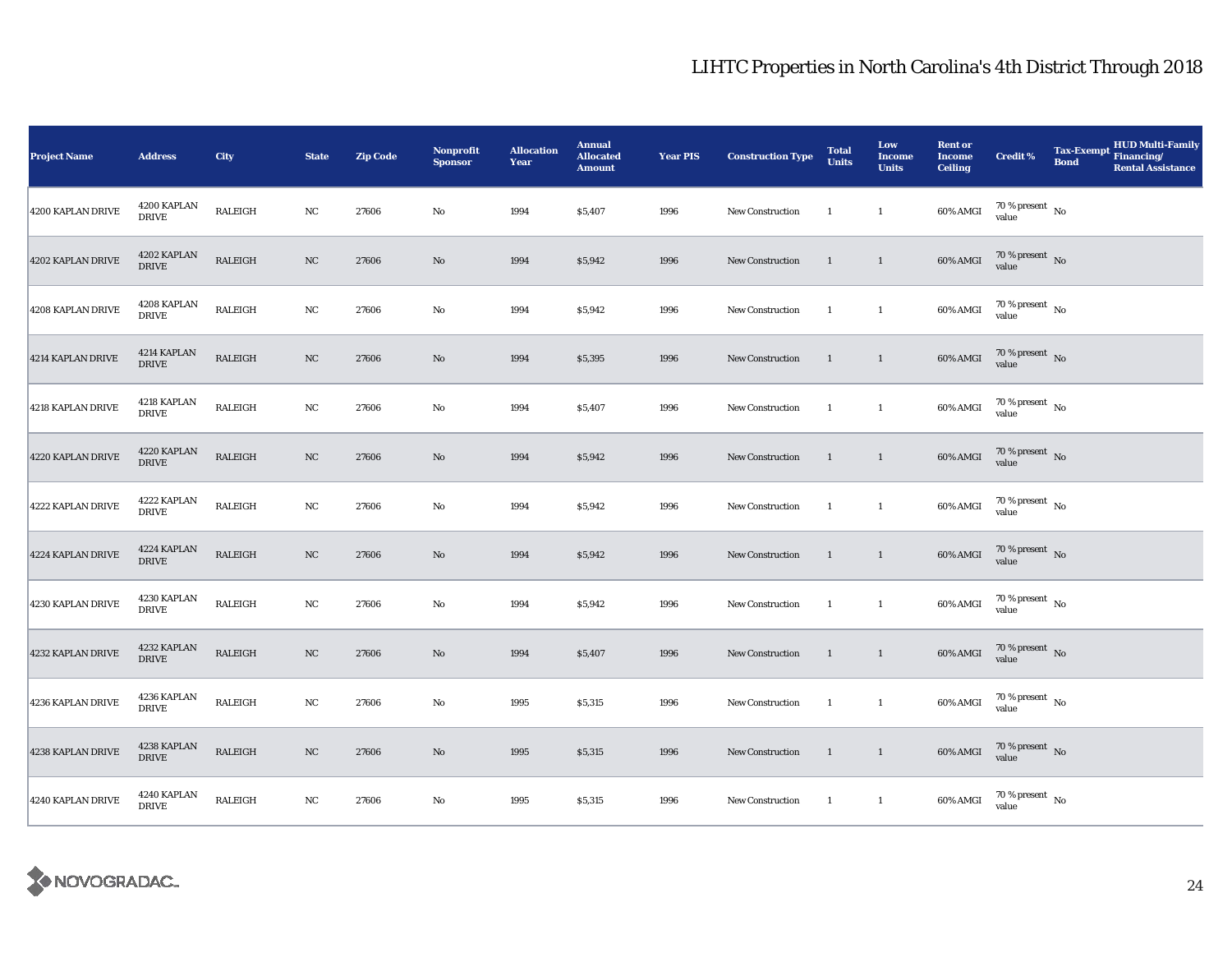| <b>Project Name</b> | <b>Address</b>              | City           | <b>State</b> | <b>Zip Code</b> | Nonprofit<br><b>Sponsor</b> | <b>Allocation</b><br>Year | <b>Annual</b><br><b>Allocated</b><br><b>Amount</b> | <b>Year PIS</b> | <b>Construction Type</b> | <b>Total</b><br><b>Units</b> | Low<br><b>Income</b><br><b>Units</b> | <b>Rent or</b><br><b>Income</b><br><b>Ceiling</b> | <b>Credit %</b>                    | <b>Tax-Exempt</b><br><b>Bond</b> | <b>HUD Multi-Family</b><br>Financing/<br><b>Rental Assistance</b> |
|---------------------|-----------------------------|----------------|--------------|-----------------|-----------------------------|---------------------------|----------------------------------------------------|-----------------|--------------------------|------------------------------|--------------------------------------|---------------------------------------------------|------------------------------------|----------------------------------|-------------------------------------------------------------------|
| 4200 KAPLAN DRIVE   | 4200 KAPLAN<br><b>DRIVE</b> | <b>RALEIGH</b> | NC           | 27606           | No                          | 1994                      | \$5,407                                            | 1996            | <b>New Construction</b>  | <sup>1</sup>                 | $\mathbf{1}$                         | 60% AMGI                                          | 70 % present $\hbox{~No}$<br>value |                                  |                                                                   |
| 4202 KAPLAN DRIVE   | 4202 KAPLAN<br><b>DRIVE</b> | RALEIGH        | $_{\rm NC}$  | 27606           | $\mathbf{No}$               | 1994                      | \$5,942                                            | 1996            | New Construction         | $\mathbf{1}$                 | $\mathbf{1}$                         | 60% AMGI                                          | $70\,\%$ present $\,$ No value     |                                  |                                                                   |
| 4208 KAPLAN DRIVE   | 4208 KAPLAN<br><b>DRIVE</b> | RALEIGH        | $_{\rm NC}$  | 27606           | $\rm No$                    | 1994                      | \$5,942                                            | 1996            | <b>New Construction</b>  | -1                           | $\mathbf{1}$                         | 60% AMGI                                          | $70\,\%$ present $\,$ No value     |                                  |                                                                   |
| 4214 KAPLAN DRIVE   | 4214 KAPLAN<br><b>DRIVE</b> | RALEIGH        | NC           | 27606           | $\rm No$                    | 1994                      | \$5,395                                            | 1996            | New Construction         | $\mathbf{1}$                 | $\overline{1}$                       | 60% AMGI                                          | $70\,\%$ present $\,$ No value     |                                  |                                                                   |
| 4218 KAPLAN DRIVE   | 4218 KAPLAN<br><b>DRIVE</b> | RALEIGH        | $_{\rm NC}$  | 27606           | $\rm No$                    | 1994                      | \$5,407                                            | 1996            | New Construction         | $\mathbf{1}$                 | $\mathbf{1}$                         | 60% AMGI                                          | $70\,\%$ present $\,$ No value     |                                  |                                                                   |
| 4220 KAPLAN DRIVE   | 4220 KAPLAN<br><b>DRIVE</b> | RALEIGH        | NC           | 27606           | No                          | 1994                      | \$5,942                                            | 1996            | New Construction         | $\mathbf{1}$                 | $\overline{1}$                       | 60% AMGI                                          | $70\,\%$ present $\,$ No value     |                                  |                                                                   |
| 4222 KAPLAN DRIVE   | 4222 KAPLAN<br><b>DRIVE</b> | <b>RALEIGH</b> | $_{\rm NC}$  | 27606           | No                          | 1994                      | \$5,942                                            | 1996            | New Construction         | $\overline{1}$               | $\mathbf{1}$                         | 60% AMGI                                          | $70\,\%$ present $\,$ No value     |                                  |                                                                   |
| 4224 KAPLAN DRIVE   | 4224 KAPLAN<br><b>DRIVE</b> | <b>RALEIGH</b> | $_{\rm NC}$  | 27606           | $\rm No$                    | 1994                      | \$5,942                                            | 1996            | New Construction         | $\mathbf{1}$                 | $\mathbf{1}$                         | 60% AMGI                                          | $70\,\%$ present $\,$ No value     |                                  |                                                                   |
| 4230 KAPLAN DRIVE   | 4230 KAPLAN<br><b>DRIVE</b> | RALEIGH        | $_{\rm NC}$  | 27606           | No                          | 1994                      | \$5,942                                            | 1996            | New Construction         | 1                            | $\mathbf{1}$                         | 60% AMGI                                          | $70\,\%$ present $\,$ No value     |                                  |                                                                   |
| 4232 KAPLAN DRIVE   | 4232 KAPLAN<br><b>DRIVE</b> | RALEIGH        | NC           | 27606           | $\mathbf{No}$               | 1994                      | \$5,407                                            | 1996            | New Construction         | $\mathbf{1}$                 | $\overline{1}$                       | 60% AMGI                                          | $70\,\%$ present $\,$ No value     |                                  |                                                                   |
| 4236 KAPLAN DRIVE   | 4236 KAPLAN<br><b>DRIVE</b> | RALEIGH        | NC           | 27606           | $\rm No$                    | 1995                      | \$5,315                                            | 1996            | New Construction         | <sup>1</sup>                 | $\mathbf{1}$                         | 60% AMGI                                          | 70 % present $\hbox{~No}$<br>value |                                  |                                                                   |
| 4238 KAPLAN DRIVE   | 4238 KAPLAN<br><b>DRIVE</b> | RALEIGH        | NC           | 27606           | $\rm No$                    | 1995                      | \$5,315                                            | 1996            | New Construction         | $\mathbf{1}$                 | $\mathbf{1}$                         | 60% AMGI                                          | $70\,\%$ present $\,$ No value     |                                  |                                                                   |
| 4240 KAPLAN DRIVE   | 4240 KAPLAN<br><b>DRIVE</b> | RALEIGH        | NC           | 27606           | $\mathbf{No}$               | 1995                      | \$5,315                                            | 1996            | New Construction         | $\overline{1}$               | $\mathbf{1}$                         | 60% AMGI                                          | $70\,\%$ present $\,$ No value     |                                  |                                                                   |

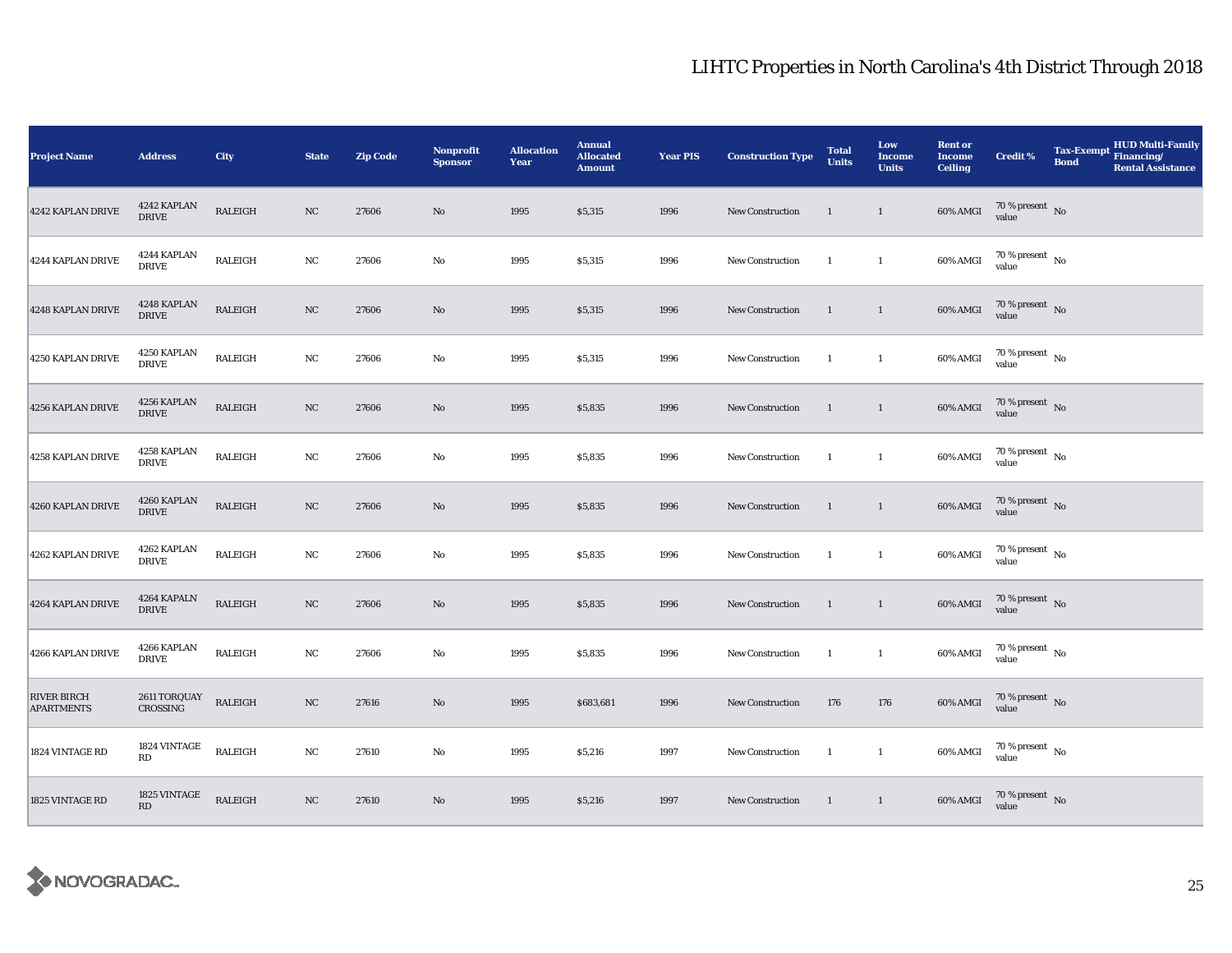| <b>Project Name</b>                     | <b>Address</b>                         | City    | <b>State</b> | <b>Zip Code</b> | Nonprofit<br><b>Sponsor</b> | <b>Allocation</b><br>Year | <b>Annual</b><br><b>Allocated</b><br><b>Amount</b> | <b>Year PIS</b> | <b>Construction Type</b> | <b>Total</b><br><b>Units</b> | Low<br><b>Income</b><br><b>Units</b> | <b>Rent or</b><br><b>Income</b><br><b>Ceiling</b> | <b>Credit %</b>                        | <b>Tax-Exempt</b><br><b>Bond</b> | HUD Multi-Family<br>Financing/<br><b>Rental Assistance</b> |
|-----------------------------------------|----------------------------------------|---------|--------------|-----------------|-----------------------------|---------------------------|----------------------------------------------------|-----------------|--------------------------|------------------------------|--------------------------------------|---------------------------------------------------|----------------------------------------|----------------------------------|------------------------------------------------------------|
| 4242 KAPLAN DRIVE                       | 4242 KAPLAN<br><b>DRIVE</b>            | RALEIGH | NC           | 27606           | No                          | 1995                      | \$5,315                                            | 1996            | <b>New Construction</b>  | 1                            | $\mathbf{1}$                         | 60% AMGI                                          | $70\,\%$ present $\;$ No value         |                                  |                                                            |
| 4244 KAPLAN DRIVE                       | 4244 KAPLAN<br><b>DRIVE</b>            | RALEIGH | $_{\rm NC}$  | 27606           | $\rm No$                    | 1995                      | \$5,315                                            | 1996            | New Construction         | $\mathbf{1}$                 | $\mathbf{1}$                         | 60% AMGI                                          | $70\,\%$ present $\,$ No value         |                                  |                                                            |
| 4248 KAPLAN DRIVE                       | 4248 KAPLAN<br><b>DRIVE</b>            | RALEIGH | $_{\rm NC}$  | 27606           | $\rm No$                    | 1995                      | \$5,315                                            | 1996            | <b>New Construction</b>  | $\mathbf{1}$                 | $\mathbf{1}$                         | 60% AMGI                                          | $70\,\%$ present $\,$ No value         |                                  |                                                            |
| 4250 KAPLAN DRIVE                       | 4250 KAPLAN<br><b>DRIVE</b>            | RALEIGH | NC           | 27606           | No                          | 1995                      | \$5,315                                            | 1996            | New Construction         | $\mathbf{1}$                 | $\mathbf{1}$                         | 60% AMGI                                          | $70\,\%$ present $\,$ No $\,$<br>value |                                  |                                                            |
| 4256 KAPLAN DRIVE                       | 4256 KAPLAN<br><b>DRIVE</b>            | RALEIGH | NC           | 27606           | $\rm No$                    | 1995                      | \$5,835                                            | 1996            | New Construction         | 1                            | $\mathbf{1}$                         | 60% AMGI                                          | $70\,\%$ present $\,$ No value         |                                  |                                                            |
| 4258 KAPLAN DRIVE                       | 4258 KAPLAN<br><b>DRIVE</b>            | RALEIGH | NC           | 27606           | $\rm No$                    | 1995                      | \$5,835                                            | 1996            | New Construction         | $\mathbf{1}$                 | $\mathbf{1}$                         | 60% AMGI                                          | $70\,\%$ present $\;$ No value         |                                  |                                                            |
| 4260 KAPLAN DRIVE                       | 4260 KAPLAN<br><b>DRIVE</b>            | RALEIGH | $_{\rm NC}$  | 27606           | $\rm No$                    | 1995                      | \$5,835                                            | 1996            | New Construction         | $\mathbf{1}$                 | $\mathbf{1}$                         | 60% AMGI                                          | $70\,\%$ present $\;$ No value         |                                  |                                                            |
| 4262 KAPLAN DRIVE                       | 4262 KAPLAN<br><b>DRIVE</b>            | RALEIGH | NC           | 27606           | No                          | 1995                      | \$5,835                                            | 1996            | <b>New Construction</b>  | $\mathbf{1}$                 | $\mathbf{1}$                         | 60% AMGI                                          | $70\,\%$ present $\,$ No value         |                                  |                                                            |
| 4264 KAPLAN DRIVE                       | 4264 KAPALN<br><b>DRIVE</b>            | RALEIGH | NC           | 27606           | No                          | 1995                      | \$5,835                                            | 1996            | New Construction         | $\mathbf{1}$                 | $\mathbf{1}$                         | 60% AMGI                                          | $70\,\%$ present $\,$ No value         |                                  |                                                            |
| 4266 KAPLAN DRIVE                       | 4266 KAPLAN<br><b>DRIVE</b>            | RALEIGH | NC           | 27606           | $\rm No$                    | 1995                      | \$5,835                                            | 1996            | New Construction         | $\mathbf{1}$                 | $\mathbf{1}$                         | 60% AMGI                                          | $70\,\%$ present $\,$ No value         |                                  |                                                            |
| <b>RIVER BIRCH</b><br><b>APARTMENTS</b> | 2611 TORQUAY<br><b>CROSSING</b>        | RALEIGH | NC           | 27616           | $\rm No$                    | 1995                      | \$683,681                                          | 1996            | New Construction         | 176                          | 176                                  | 60% AMGI                                          | $70\,\%$ present $\,$ No value         |                                  |                                                            |
| 1824 VINTAGE RD                         | 1824 VINTAGE<br>$\mathbf{R}\mathbf{D}$ | RALEIGH | NC           | 27610           | No                          | 1995                      | \$5,216                                            | 1997            | New Construction         | 1                            | $\mathbf{1}$                         | 60% AMGI                                          | $70\,\%$ present $\,$ No value         |                                  |                                                            |
| 1825 VINTAGE RD                         | 1825 VINTAGE<br>RD                     | RALEIGH | $_{\rm NC}$  | 27610           | $\rm No$                    | 1995                      | \$5,216                                            | 1997            | New Construction         | $\mathbf{1}$                 | $\mathbf{1}$                         | 60% AMGI                                          | $70\,\%$ present $\;$ No value         |                                  |                                                            |

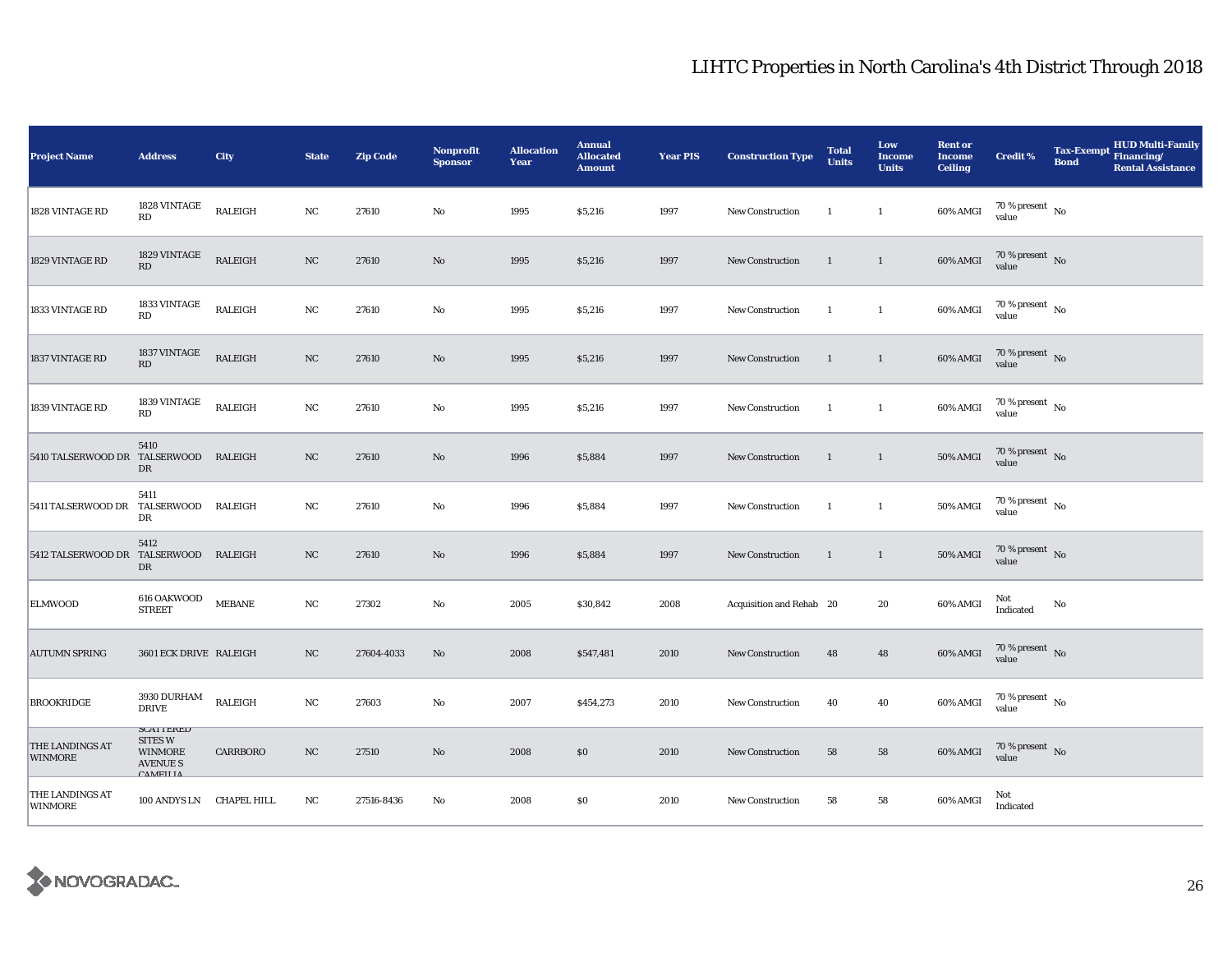| <b>Project Name</b>                   | <b>Address</b>                                                                             | City           | <b>State</b> | <b>Zip Code</b> | <b>Nonprofit</b><br><b>Sponsor</b> | <b>Allocation</b><br>Year | <b>Annual</b><br><b>Allocated</b><br><b>Amount</b> | <b>Year PIS</b> | <b>Construction Type</b> | <b>Total</b><br><b>Units</b> | Low<br><b>Income</b><br><b>Units</b> | <b>Rent or</b><br><b>Income</b><br><b>Ceiling</b> | <b>Credit %</b>                    | Tax-Exempt Financing/<br><b>Bond</b> | <b>HUD Multi-Family</b><br><b>Rental Assistance</b> |
|---------------------------------------|--------------------------------------------------------------------------------------------|----------------|--------------|-----------------|------------------------------------|---------------------------|----------------------------------------------------|-----------------|--------------------------|------------------------------|--------------------------------------|---------------------------------------------------|------------------------------------|--------------------------------------|-----------------------------------------------------|
| 1828 VINTAGE RD                       | 1828 VINTAGE<br>RD                                                                         | RALEIGH        | NC           | 27610           | No                                 | 1995                      | \$5,216                                            | 1997            | New Construction         | $\overline{1}$               | $\mathbf{1}$                         | 60% AMGI                                          | 70 % present $\hbox{~No}$<br>value |                                      |                                                     |
| 1829 VINTAGE RD                       | 1829 VINTAGE<br>RD                                                                         | <b>RALEIGH</b> | $_{\rm NC}$  | 27610           | $\rm No$                           | 1995                      | \$5,216                                            | 1997            | <b>New Construction</b>  | $\mathbf{1}$                 | $\mathbf{1}$                         | 60% AMGI                                          | 70 % present No<br>value           |                                      |                                                     |
| 1833 VINTAGE RD                       | 1833 VINTAGE<br>RD                                                                         | <b>RALEIGH</b> | $_{\rm NC}$  | 27610           | $\rm No$                           | 1995                      | \$5,216                                            | 1997            | New Construction         | <sup>1</sup>                 | $\mathbf{1}$                         | 60% AMGI                                          | $70\,\%$ present $\,$ No value     |                                      |                                                     |
| 1837 VINTAGE RD                       | 1837 VINTAGE<br>RD                                                                         | <b>RALEIGH</b> | $_{\rm NC}$  | 27610           | No                                 | 1995                      | \$5,216                                            | 1997            | New Construction         | <sup>1</sup>                 | $\overline{1}$                       | 60% AMGI                                          | $70\,\%$ present $\,$ No value     |                                      |                                                     |
| 1839 VINTAGE RD                       | 1839 VINTAGE<br>RD                                                                         | <b>RALEIGH</b> | $_{\rm NC}$  | 27610           | No                                 | 1995                      | \$5,216                                            | 1997            | New Construction         | -1                           | $\mathbf{1}$                         | 60% AMGI                                          | $70\,\%$ present $\,$ No value     |                                      |                                                     |
| 5410 TALSERWOOD DR TALSERWOOD RALEIGH | 5410<br>DR                                                                                 |                | NC           | 27610           | No                                 | 1996                      | \$5,884                                            | 1997            | New Construction         | $\mathbf{1}$                 | $\overline{1}$                       | $50\%$ AMGI                                       | $70\,\%$ present $\,$ No value     |                                      |                                                     |
| 5411 TALSERWOOD DR TALSERWOOD RALEIGH | 5411<br>DR                                                                                 |                | NC           | 27610           | $\rm No$                           | 1996                      | \$5,884                                            | 1997            | New Construction         | -1                           | $\mathbf{1}$                         | <b>50% AMGI</b>                                   | $70\,\%$ present $\,$ No value     |                                      |                                                     |
| 5412 TALSERWOOD DR                    | 5412<br>TALSERWOOD RALEIGH<br>DR                                                           |                | NC           | 27610           | $\mathbf{No}$                      | 1996                      | \$5,884                                            | 1997            | <b>New Construction</b>  | <sup>1</sup>                 | $\mathbf{1}$                         | <b>50% AMGI</b>                                   | $70\,\%$ present $\,$ No value     |                                      |                                                     |
| <b>ELMWOOD</b>                        | $616$ OAKWOOD<br><b>STREET</b>                                                             | <b>MEBANE</b>  | $_{\rm NC}$  | 27302           | No                                 | 2005                      | \$30,842                                           | 2008            | Acquisition and Rehab 20 |                              | 20                                   | 60% AMGI                                          | Not<br>Indicated                   | No                                   |                                                     |
| <b>AUTUMN SPRING</b>                  | 3601 ECK DRIVE RALEIGH                                                                     |                | NC           | 27604-4033      | No                                 | 2008                      | \$547,481                                          | 2010            | New Construction         | 48                           | 48                                   | 60% AMGI                                          | $70\,\%$ present $\,$ No value     |                                      |                                                     |
| <b>BROOKRIDGE</b>                     | 3930 DURHAM<br><b>DRIVE</b>                                                                | RALEIGH        | $_{\rm NC}$  | 27603           | No                                 | 2007                      | \$454,273                                          | 2010            | New Construction         | 40                           | 40                                   | 60% AMGI                                          | $70\,\%$ present $\,$ No value     |                                      |                                                     |
| THE LANDINGS AT<br><b>WINMORE</b>     | <b>SUATTERED</b><br><b>SITES W</b><br><b>WINMORE</b><br><b>AVENUE S</b><br><b>CAMEILIA</b> | CARRBORO       | NC           | 27510           | No                                 | 2008                      | \$0                                                | 2010            | New Construction         | 58                           | 58                                   | 60% AMGI                                          | $70\,\%$ present $\,$ No value     |                                      |                                                     |
| THE LANDINGS AT<br><b>WINMORE</b>     | 100 ANDYS LN CHAPEL HILL                                                                   |                | NC           | 27516-8436      | No                                 | 2008                      | \$0                                                | 2010            | <b>New Construction</b>  | 58                           | 58                                   | 60% AMGI                                          | Not<br>Indicated                   |                                      |                                                     |

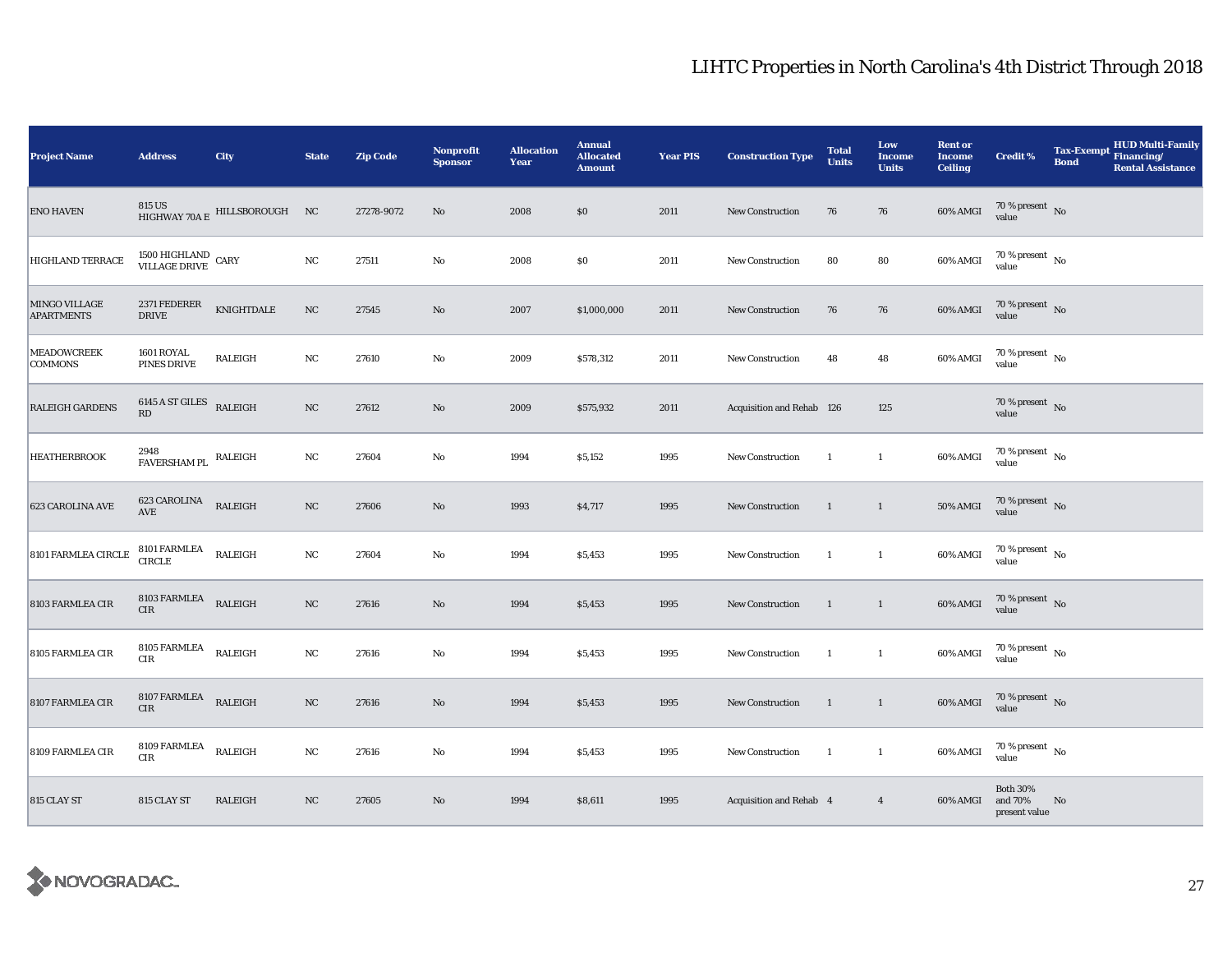| <b>Project Name</b>                | <b>Address</b>                               | City                                 | <b>State</b> | <b>Zip Code</b> | <b>Nonprofit</b><br><b>Sponsor</b> | <b>Allocation</b><br>Year | <b>Annual</b><br><b>Allocated</b><br><b>Amount</b> | <b>Year PIS</b> | <b>Construction Type</b>  | <b>Total</b><br><b>Units</b> | Low<br><b>Income</b><br><b>Units</b> | <b>Rent or</b><br><b>Income</b><br><b>Ceiling</b> | <b>Credit %</b>                             | <b>Tax-Exempt</b><br><b>Bond</b> | <b>HUD Multi-Family</b><br>Financing/<br><b>Rental Assistance</b> |
|------------------------------------|----------------------------------------------|--------------------------------------|--------------|-----------------|------------------------------------|---------------------------|----------------------------------------------------|-----------------|---------------------------|------------------------------|--------------------------------------|---------------------------------------------------|---------------------------------------------|----------------------------------|-------------------------------------------------------------------|
| <b>ENO HAVEN</b>                   |                                              | 815 US HIGHWAY 70A E HILLSBOROUGH NC |              | 27278-9072      | $\rm No$                           | 2008                      | $\$0$                                              | 2011            | New Construction          | 76                           | 76                                   | 60% AMGI                                          | 70 % present $\hbox{~No}$<br>value          |                                  |                                                                   |
| <b>HIGHLAND TERRACE</b>            | $1500\,$ HIGHLAND $\,$ CARY VILLAGE DRIVE    |                                      | $_{\rm NC}$  | 27511           | No                                 | 2008                      | \$0                                                | 2011            | New Construction          | 80                           | 80                                   | 60% AMGI                                          | $70\,\%$ present $\,$ No value              |                                  |                                                                   |
| MINGO VILLAGE<br><b>APARTMENTS</b> | 2371 FEDERER<br><b>DRIVE</b>                 | KNIGHTDALE                           | $_{\rm NC}$  | 27545           | $\rm No$                           | 2007                      | \$1,000,000                                        | 2011            | <b>New Construction</b>   | 76                           | 76                                   | 60% AMGI                                          | $70\,\%$ present $\,$ No value              |                                  |                                                                   |
| <b>MEADOWCREEK</b><br>COMMONS      | 1601 ROYAL<br>PINES DRIVE                    | RALEIGH                              | $_{\rm NC}$  | 27610           | No                                 | 2009                      | \$578,312                                          | 2011            | New Construction          | 48                           | 48                                   | 60% AMGI                                          | $70\,\%$ present $\;$ No value              |                                  |                                                                   |
| <b>RALEIGH GARDENS</b>             | 6145 A ST GILES<br>RD                        | <b>RALEIGH</b>                       | $_{\rm NC}$  | 27612           | $\rm No$                           | 2009                      | \$575,932                                          | 2011            | Acquisition and Rehab 126 |                              | 125                                  |                                                   | $70\,\%$ present $${\rm No}$$ value         |                                  |                                                                   |
| <b>HEATHERBROOK</b>                | $2948$ $$\tt FAVERSHAM\,PL$$ $$\tt RALEIGH$$ |                                      | $_{\rm NC}$  | 27604           | No                                 | 1994                      | \$5,152                                            | 1995            | New Construction          | $\mathbf{1}$                 | $\mathbf{1}$                         | 60% AMGI                                          | $70\,\%$ present $\,$ No value              |                                  |                                                                   |
| 623 CAROLINA AVE                   | 623 CAROLINA<br>AVE                          | RALEIGH                              | $_{\rm NC}$  | 27606           | $\rm No$                           | 1993                      | \$4,717                                            | 1995            | <b>New Construction</b>   | $\mathbf{1}$                 | $\mathbf{1}$                         | <b>50% AMGI</b>                                   | $70\,\%$ present $\;$ No value              |                                  |                                                                   |
| 8101 FARMLEA CIRCLE                | 8101 FARMLEA<br>CIRCLE                       | RALEIGH                              | $_{\rm NC}$  | 27604           | $\mathbf{No}$                      | 1994                      | \$5,453                                            | 1995            | New Construction          | 1                            | $\mathbf{1}$                         | 60% AMGI                                          | $70$ % present $\,$ No $\,$<br>value        |                                  |                                                                   |
| 8103 FARMLEA CIR                   | $8103$ FARMLEA RALEIGH<br>CIR                |                                      | $_{\rm NC}$  | 27616           | $\rm No$                           | 1994                      | \$5,453                                            | 1995            | New Construction          | -1                           | $\mathbf{1}$                         | 60% AMGI                                          | $70\,\%$ present $\,$ No value              |                                  |                                                                   |
| 8105 FARMLEA CIR                   | 8105 FARMLEA<br>CIR                          | RALEIGH                              | NC           | 27616           | No                                 | 1994                      | \$5,453                                            | 1995            | New Construction          | $\mathbf{1}$                 | $\overline{1}$                       | 60% AMGI                                          | $70$ % present $\,$ No $\,$<br>value        |                                  |                                                                   |
| 8107 FARMLEA CIR                   | 8107 FARMLEA<br>CIR                          | RALEIGH                              | NC           | 27616           | $\rm No$                           | 1994                      | \$5,453                                            | 1995            | New Construction          | $\mathbf{1}$                 | $\mathbf{1}$                         | 60% AMGI                                          | $70\,\%$ present $\;$ No value              |                                  |                                                                   |
| 8109 FARMLEA CIR                   | 8109 FARMLEA<br>CIR                          | RALEIGH                              | NC           | 27616           | $\mathbf{No}$                      | 1994                      | \$5,453                                            | 1995            | New Construction          | <sup>1</sup>                 | $\mathbf{1}$                         | 60% AMGI                                          | 70 % present $\hbox{~No}$<br>value          |                                  |                                                                   |
| 815 CLAY ST                        | 815 CLAY ST                                  | RALEIGH                              | NC           | 27605           | $\rm No$                           | 1994                      | \$8,611                                            | 1995            | Acquisition and Rehab 4   |                              | $\overline{4}$                       | 60% AMGI                                          | <b>Both 30%</b><br>and 70%<br>present value | No                               |                                                                   |

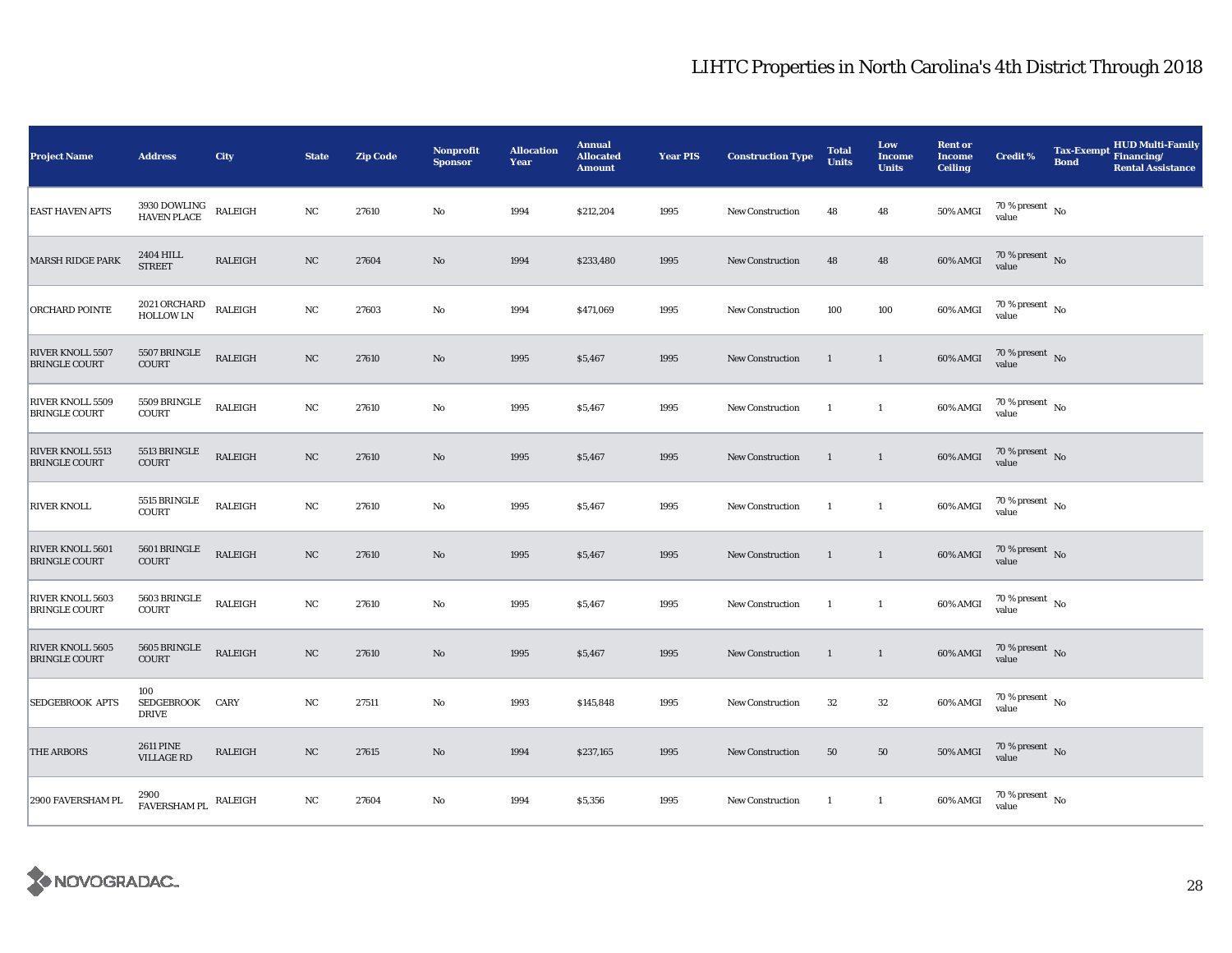| <b>Project Name</b>                             | <b>Address</b>                           | City           | <b>State</b> | <b>Zip Code</b> | <b>Nonprofit</b><br><b>Sponsor</b> | <b>Allocation</b><br>Year | <b>Annual</b><br><b>Allocated</b><br><b>Amount</b> | <b>Year PIS</b> | <b>Construction Type</b> | <b>Total</b><br><b>Units</b> | Low<br><b>Income</b><br><b>Units</b> | <b>Rent or</b><br><b>Income</b><br><b>Ceiling</b> | <b>Credit %</b>                      | Tax-Exempt Financing/<br><b>Bond</b> | <b>HUD Multi-Family</b><br><b>Rental Assistance</b> |
|-------------------------------------------------|------------------------------------------|----------------|--------------|-----------------|------------------------------------|---------------------------|----------------------------------------------------|-----------------|--------------------------|------------------------------|--------------------------------------|---------------------------------------------------|--------------------------------------|--------------------------------------|-----------------------------------------------------|
| <b>EAST HAVEN APTS</b>                          | 3930 DOWLING<br><b>HAVEN PLACE</b>       | RALEIGH        | $_{\rm NC}$  | 27610           | $\rm No$                           | 1994                      | \$212,204                                          | 1995            | New Construction         | 48                           | 48                                   | <b>50% AMGI</b>                                   | 70 % present $\hbox{~No}$<br>value   |                                      |                                                     |
| <b>MARSH RIDGE PARK</b>                         | 2404 HILL<br><b>STREET</b>               | RALEIGH        | NC           | 27604           | $\mathbf{No}$                      | 1994                      | \$233,480                                          | 1995            | <b>New Construction</b>  | 48                           | 48                                   | 60% AMGI                                          | $70\%$ present No<br>value           |                                      |                                                     |
| ORCHARD POINTE                                  | 2021 ORCHARD<br>HOLLOW LN                | RALEIGH        | $_{\rm NC}$  | 27603           | No                                 | 1994                      | \$471,069                                          | 1995            | <b>New Construction</b>  | 100                          | 100                                  | 60% AMGI                                          | $70\,\%$ present $\,$ No value       |                                      |                                                     |
| RIVER KNOLL 5507<br><b>BRINGLE COURT</b>        | 5507 BRINGLE<br><b>COURT</b>             | RALEIGH        | NC           | 27610           | $\mathbf{No}$                      | 1995                      | \$5,467                                            | 1995            | New Construction         | $\mathbf{1}$                 | $\mathbf{1}$                         | 60% AMGI                                          | $70\,\%$ present $\,$ No value       |                                      |                                                     |
| RIVER KNOLL 5509<br><b>BRINGLE COURT</b>        | 5509 BRINGLE<br><b>COURT</b>             | RALEIGH        | NC           | 27610           | $\rm No$                           | 1995                      | \$5,467                                            | 1995            | <b>New Construction</b>  | $\mathbf{1}$                 | $\mathbf{1}$                         | 60% AMGI                                          | $70\,\%$ present $\,$ No value       |                                      |                                                     |
| <b>RIVER KNOLL 5513</b><br><b>BRINGLE COURT</b> | 5513 BRINGLE<br><b>COURT</b>             | RALEIGH        | NC           | 27610           | $\rm No$                           | 1995                      | \$5,467                                            | 1995            | New Construction         | $\mathbf{1}$                 | $\overline{1}$                       | 60% AMGI                                          | $70\,\%$ present $\,$ No value       |                                      |                                                     |
| <b>RIVER KNOLL</b>                              | 5515 BRINGLE<br><b>COURT</b>             | RALEIGH        | $_{\rm NC}$  | 27610           | $\rm No$                           | 1995                      | \$5,467                                            | 1995            | <b>New Construction</b>  | $\overline{1}$               | $\mathbf{1}$                         | 60% AMGI                                          | $70\,\%$ present $\,$ No value       |                                      |                                                     |
| RIVER KNOLL 5601<br><b>BRINGLE COURT</b>        | 5601 BRINGLE<br><b>COURT</b>             | <b>RALEIGH</b> | $_{\rm NC}$  | 27610           | $\mathbf{N}\mathbf{o}$             | 1995                      | \$5,467                                            | 1995            | <b>New Construction</b>  | $\mathbf{1}$                 | $\mathbf{1}$                         | 60% AMGI                                          | $70\,\%$ present $\,$ No value       |                                      |                                                     |
| RIVER KNOLL 5603<br><b>BRINGLE COURT</b>        | 5603 BRINGLE<br>COURT                    | RALEIGH        | $_{\rm NC}$  | 27610           | No                                 | 1995                      | \$5,467                                            | 1995            | New Construction         | $\mathbf{1}$                 | $\mathbf{1}$                         | 60% AMGI                                          | $70$ % present $\,$ No $\,$<br>value |                                      |                                                     |
| RIVER KNOLL 5605<br><b>BRINGLE COURT</b>        | 5605 BRINGLE<br><b>COURT</b>             | RALEIGH        | NC           | 27610           | $\mathbf{N}\mathbf{o}$             | 1995                      | \$5,467                                            | 1995            | New Construction         | $\mathbf{1}$                 | $\mathbf{1}$                         | 60% AMGI                                          | $70\,\%$ present $\,$ No value       |                                      |                                                     |
| SEDGEBROOK APTS                                 | 100<br><b>SEDGEBROOK</b><br><b>DRIVE</b> | CARY           | NC           | 27511           | $\rm No$                           | 1993                      | \$145,848                                          | 1995            | <b>New Construction</b>  | 32                           | 32                                   | 60% AMGI                                          | 70 % present $\hbox{~No}$<br>value   |                                      |                                                     |
| <b>THE ARBORS</b>                               | <b>2611 PINE</b><br><b>VILLAGE RD</b>    | RALEIGH        | $_{\rm NC}$  | 27615           | No                                 | 1994                      | \$237,165                                          | 1995            | New Construction         | 50                           | 50                                   | <b>50% AMGI</b>                                   | $70\,\%$ present $\,$ No value       |                                      |                                                     |
| 2900 FAVERSHAM PL                               | 2900<br>${\tt FAVERSHAM \, PL}$ RALEIGH  |                | NC           | 27604           | No                                 | 1994                      | \$5,356                                            | 1995            | <b>New Construction</b>  | $\mathbf{1}$                 | $\mathbf{1}$                         | 60% AMGI                                          | $70\,\%$ present $\,$ No value       |                                      |                                                     |

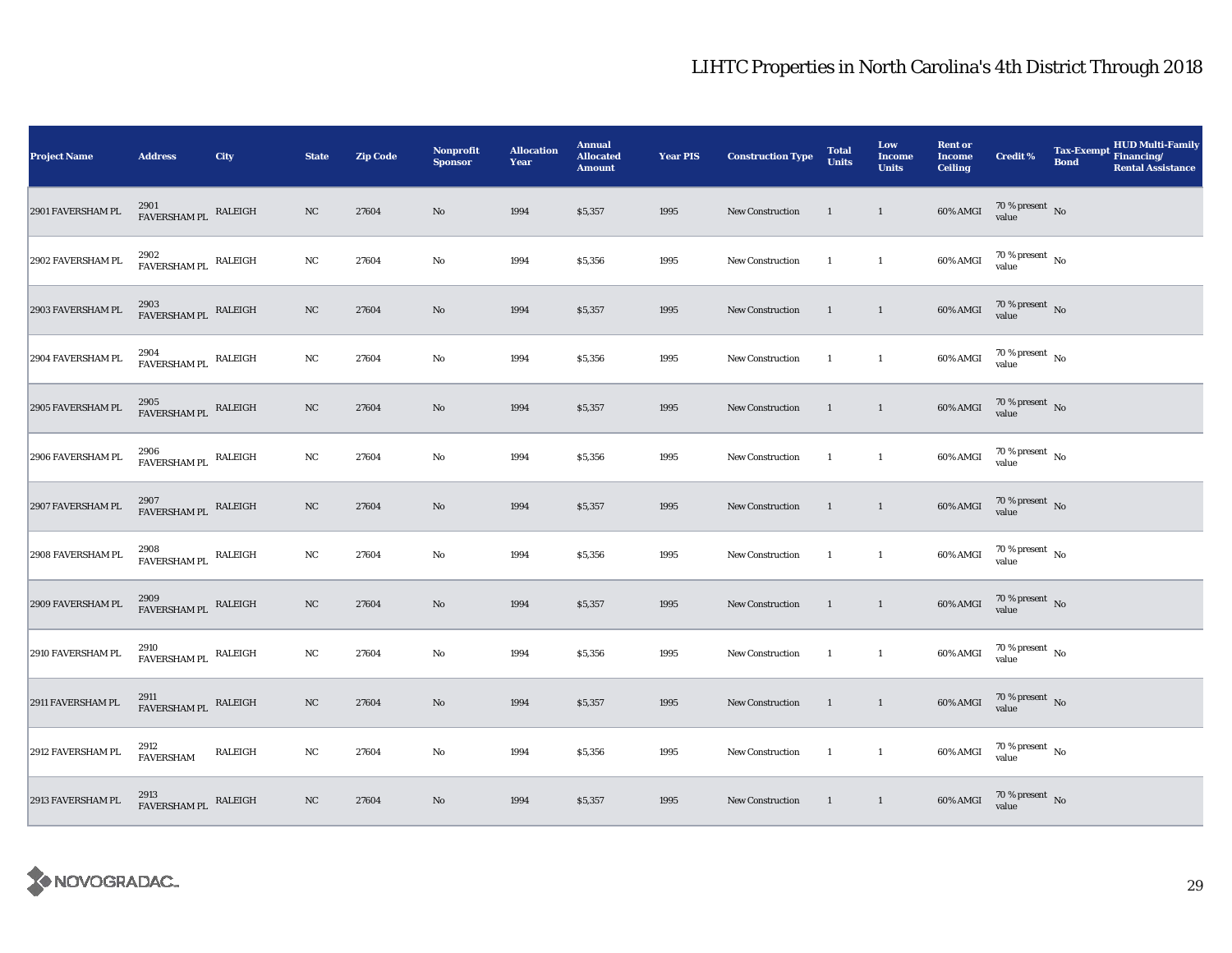| <b>Project Name</b> | <b>Address</b>                               | City    | <b>State</b> | <b>Zip Code</b> | Nonprofit<br><b>Sponsor</b> | <b>Allocation</b><br>Year | <b>Annual</b><br><b>Allocated</b><br><b>Amount</b> | <b>Year PIS</b> | <b>Construction Type</b> | <b>Total</b><br><b>Units</b> | Low<br>Income<br><b>Units</b> | <b>Rent or</b><br><b>Income</b><br><b>Ceiling</b> | <b>Credit %</b>                                                                                         | <b>Tax-Exempt</b><br><b>Bond</b> | HUD Multi-Family<br>Financing/<br><b>Rental Assistance</b> |
|---------------------|----------------------------------------------|---------|--------------|-----------------|-----------------------------|---------------------------|----------------------------------------------------|-----------------|--------------------------|------------------------------|-------------------------------|---------------------------------------------------|---------------------------------------------------------------------------------------------------------|----------------------------------|------------------------------------------------------------|
| 2901 FAVERSHAM PL   | 2901<br>FAVERSHAM PL RALEIGH                 |         | NC           | 27604           | No                          | 1994                      | \$5,357                                            | 1995            | <b>New Construction</b>  | <sup>1</sup>                 | $\mathbf{1}$                  | 60% AMGI                                          | $70\,\%$ present $\,$ No value                                                                          |                                  |                                                            |
| 2902 FAVERSHAM PL   | $2902\,$ FAVERSHAM PL $\,$ RALEIGH           |         | $_{\rm NC}$  | 27604           | $\rm No$                    | 1994                      | \$5,356                                            | 1995            | New Construction         | $\mathbf{1}$                 | $\mathbf{1}$                  | 60% AMGI                                          | $70\,\%$ present $\,$ No value                                                                          |                                  |                                                            |
| 2903 FAVERSHAM PL   | $2903$ $$\tt FAVERSHAM\,PL$$ $$\tt RALEIGH$$ |         | NC           | 27604           | $\rm No$                    | 1994                      | \$5,357                                            | 1995            | New Construction         | 1                            | $\mathbf{1}$                  | 60% AMGI                                          | $70\,\%$ present $\,$ No value                                                                          |                                  |                                                            |
| 2904 FAVERSHAM PL   | 2904<br>${\tt FAVERSHAM \, PL}$ RALEIGH      |         | NC           | 27604           | $\rm No$                    | 1994                      | \$5,356                                            | 1995            | New Construction         | -1                           | $\mathbf{1}$                  | 60% AMGI                                          | $70\,\%$ present $\,$ No value                                                                          |                                  |                                                            |
| 2905 FAVERSHAM PL   | 2905<br>FAVERSHAM PL RALEIGH                 |         | $_{\rm NC}$  | 27604           | $\rm No$                    | 1994                      | \$5,357                                            | 1995            | New Construction         | $\mathbf{1}$                 | $\mathbf{1}$                  | 60% AMGI                                          | $70\,\%$ present $\,$ No value                                                                          |                                  |                                                            |
| 2906 FAVERSHAM PL   | 2906<br>FAVERSHAM PL RALEIGH                 |         | $_{\rm NC}$  | 27604           | $\rm No$                    | 1994                      | \$5,356                                            | 1995            | <b>New Construction</b>  | $\mathbf{1}$                 | $\mathbf{1}$                  | 60% AMGI                                          | $70\,\%$ present $\,$ No value                                                                          |                                  |                                                            |
| 2907 FAVERSHAM PL   | 2907<br>FAVERSHAM PL RALEIGH                 |         | $_{\rm NC}$  | 27604           | $\mathbf{N}\mathbf{o}$      | 1994                      | \$5,357                                            | 1995            | New Construction         | $\mathbf{1}$                 | $\mathbf{1}$                  | 60% AMGI                                          | $70\,\%$ present $\,$ No value                                                                          |                                  |                                                            |
| 2908 FAVERSHAM PL   | 2908<br>${\tt FAVERSHAM \, PL}$ RALEIGH      |         | $_{\rm NC}$  | 27604           | $\rm No$                    | 1994                      | \$5,356                                            | 1995            | <b>New Construction</b>  | $\mathbf{1}$                 | $\mathbf{1}$                  | 60% AMGI                                          | $70\,\%$ present $\,$ No value                                                                          |                                  |                                                            |
| 2909 FAVERSHAM PL   | 2909<br>FAVERSHAM PL RALEIGH                 |         | $_{\rm NC}$  | 27604           | $\rm No$                    | 1994                      | \$5,357                                            | 1995            | New Construction         | $\mathbf{1}$                 | $\mathbf{1}$                  | $60\%$ AMGI                                       | $70\,\%$ present $\,$ No value                                                                          |                                  |                                                            |
| 2910 FAVERSHAM PL   | 2910<br>${\tt FAVERSHAM \, PL}$ RALEIGH      |         | $_{\rm NC}$  | 27604           | $\rm No$                    | 1994                      | \$5,356                                            | 1995            | New Construction         | $\mathbf{1}$                 | $\mathbf{1}$                  | 60% AMGI                                          | $70\,\%$ present $\,$ No value                                                                          |                                  |                                                            |
| 2911 FAVERSHAM PL   | 2911<br>FAVERSHAM PL                         | RALEIGH | NC           | 27604           | $\rm No$                    | 1994                      | \$5,357                                            | 1995            | New Construction         | $\mathbf{1}$                 | $\mathbf{1}$                  | 60% AMGI                                          | $70\,\%$ present $\,$ No value                                                                          |                                  |                                                            |
| 2912 FAVERSHAM PL   | 2912<br><b>FAVERSHAM</b>                     | RALEIGH | $_{\rm NC}$  | 27604           | No                          | 1994                      | \$5,356                                            | 1995            | New Construction         | $\mathbf{1}$                 | $\mathbf{1}$                  | 60% AMGI                                          | $70\,\%$ present $\,$ No value                                                                          |                                  |                                                            |
| 2913 FAVERSHAM PL   | $2913$ $$\tt FAVERSHAM\,PL$$ $$\tt RALEIGH$$ |         | $_{\rm NC}$  | 27604           | No                          | 1994                      | \$5,357                                            | 1995            | New Construction         | $\mathbf{1}$                 | $\mathbf{1}$                  |                                                   | $60\% \text{ AMGI} \quad \begin{array}{l} 70\:\% \text{ present} \\ \text{value} \end{array} \text{No}$ |                                  |                                                            |

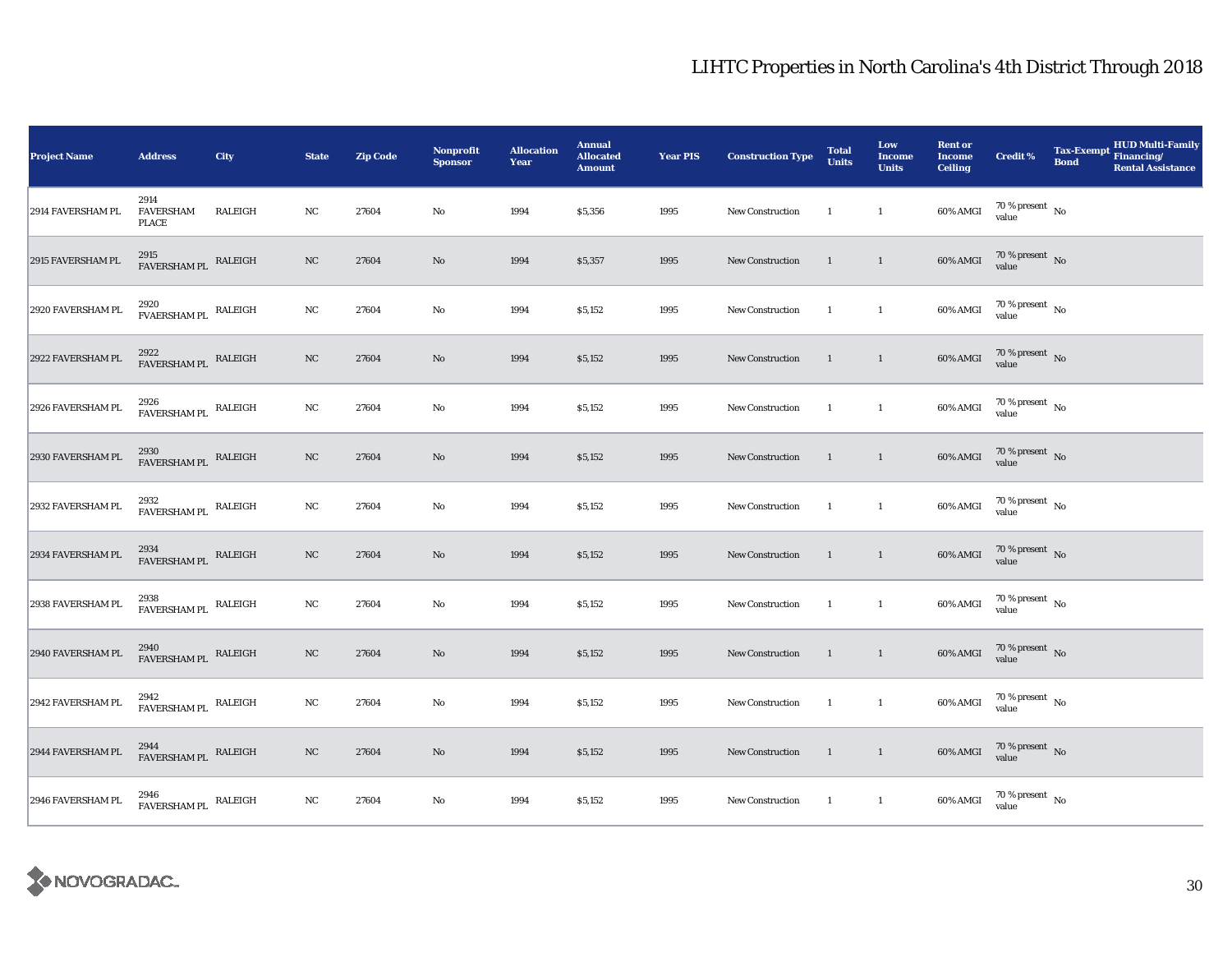| <b>Project Name</b> | <b>Address</b>                               | <b>City</b> | <b>State</b> | <b>Zip Code</b> | Nonprofit<br><b>Sponsor</b> | <b>Allocation</b><br>Year | <b>Annual</b><br><b>Allocated</b><br><b>Amount</b> | <b>Year PIS</b> | <b>Construction Type</b> | <b>Total</b><br><b>Units</b> | Low<br>Income<br><b>Units</b> | <b>Rent or</b><br><b>Income</b><br><b>Ceiling</b> | <b>Credit %</b>                | HUD Multi-Family<br>Tax-Exempt Financing/<br><b>Bond</b><br><b>Rental Assistance</b> |
|---------------------|----------------------------------------------|-------------|--------------|-----------------|-----------------------------|---------------------------|----------------------------------------------------|-----------------|--------------------------|------------------------------|-------------------------------|---------------------------------------------------|--------------------------------|--------------------------------------------------------------------------------------|
| 2914 FAVERSHAM PL   | 2914<br><b>FAVERSHAM</b><br><b>PLACE</b>     | RALEIGH     | $_{\rm NC}$  | 27604           | No                          | 1994                      | \$5,356                                            | 1995            | New Construction         | -1                           | $\mathbf{1}$                  | 60% AMGI                                          | $70\,\%$ present $\,$ No value |                                                                                      |
| 2915 FAVERSHAM PL   | $2915$ $$\tt FAVERSHAM\,PL$$ $$\tt RALEIGH$$ |             | NC           | 27604           | $\mathbf{No}$               | 1994                      | \$5,357                                            | 1995            | <b>New Construction</b>  | $\mathbf{1}$                 | $\mathbf{1}$                  | 60% AMGI                                          | $70\,\%$ present $\,$ No value |                                                                                      |
| 2920 FAVERSHAM PL   | 2920<br>${\tt FVAERSHAM \ PL}$ RALEIGH       |             | NC           | 27604           | $\mathbf{No}$               | 1994                      | \$5,152                                            | 1995            | New Construction         | <sup>1</sup>                 | $\mathbf{1}$                  | 60% AMGI                                          | $70\,\%$ present $\,$ No value |                                                                                      |
| 2922 FAVERSHAM PL   | 2922<br>FAVERSHAM PL RALEIGH                 |             | $_{\rm NC}$  | 27604           | $\rm No$                    | 1994                      | \$5,152                                            | 1995            | New Construction         | $\overline{1}$               | $\overline{1}$                | 60% AMGI                                          | $70\,\%$ present $\,$ No value |                                                                                      |
| 2926 FAVERSHAM PL   | 2926<br>${\tt FAVERSHAM \, PL}$ RALEIGH      |             | NC           | 27604           | No                          | 1994                      | \$5,152                                            | 1995            | New Construction         | $\overline{1}$               | $\mathbf{1}$                  | 60% AMGI                                          | $70\,\%$ present $\,$ No value |                                                                                      |
| 2930 FAVERSHAM PL   | $2930\,$ FAVERSHAM PL $\,$ RALEIGH           |             | $_{\rm NC}$  | 27604           | $\mathbf{No}$               | 1994                      | \$5,152                                            | 1995            | New Construction         | $\overline{1}$               | $\mathbf{1}$                  | 60% AMGI                                          | $70\,\%$ present $\,$ No value |                                                                                      |
| 2932 FAVERSHAM PL   | 2932<br>FAVERSHAM PL RALEIGH                 |             | NC           | 27604           | $\mathbf{No}$               | 1994                      | \$5,152                                            | 1995            | New Construction         | <sup>1</sup>                 | $\mathbf{1}$                  | 60% AMGI                                          | $70\,\%$ present $\,$ No value |                                                                                      |
| 2934 FAVERSHAM PL   | 2934<br>FAVERSHAM PL                         | RALEIGH     | $_{\rm NC}$  | 27604           | $\rm No$                    | 1994                      | \$5,152                                            | 1995            | <b>New Construction</b>  | $\mathbf{1}$                 | $\mathbf{1}$                  | <b>60% AMGI</b>                                   | $70\,\%$ present $\,$ No value |                                                                                      |
| 2938 FAVERSHAM PL   | 2938<br>FAVERSHAM PL RALEIGH                 |             | NC           | 27604           | $\mathbf{No}$               | 1994                      | \$5,152                                            | 1995            | New Construction         | <sup>1</sup>                 | $\mathbf{1}$                  | 60% AMGI                                          | $70\,\%$ present $\,$ No value |                                                                                      |
| 2940 FAVERSHAM PL   | 2940<br>FAVERSHAM PL RALEIGH                 |             | $_{\rm NC}$  | 27604           | $\mathbf{No}$               | 1994                      | \$5,152                                            | 1995            | New Construction         | $\mathbf{1}$                 | $\overline{1}$                | 60% AMGI                                          | $70\,\%$ present $\,$ No value |                                                                                      |
| 2942 FAVERSHAM PL   | 2942<br>FAVERSHAM PL RALEIGH                 |             | NC           | 27604           | No                          | 1994                      | \$5,152                                            | 1995            | New Construction         | <sup>1</sup>                 | $\mathbf{1}$                  | 60% AMGI                                          | $70\,\%$ present $\,$ No value |                                                                                      |
| 2944 FAVERSHAM PL   | 2944<br>FAVERSHAM PL RALEIGH                 |             | $_{\rm NC}$  | 27604           | $\mathbf{No}$               | 1994                      | \$5,152                                            | 1995            | New Construction         | $\overline{1}$               | $\overline{1}$                | 60% AMGI                                          | $70\,\%$ present $\,$ No value |                                                                                      |
| 2946 FAVERSHAM PL   | $2946$ $$\tt FAVERSHAM\,PL$$ $$\tt RALEIGH$$ |             | NC           | 27604           | No                          | 1994                      | \$5,152                                            | 1995            | New Construction         | <sup>1</sup>                 | $\mathbf{1}$                  | 60% AMGI                                          | $70$ % present $\,$ No value   |                                                                                      |

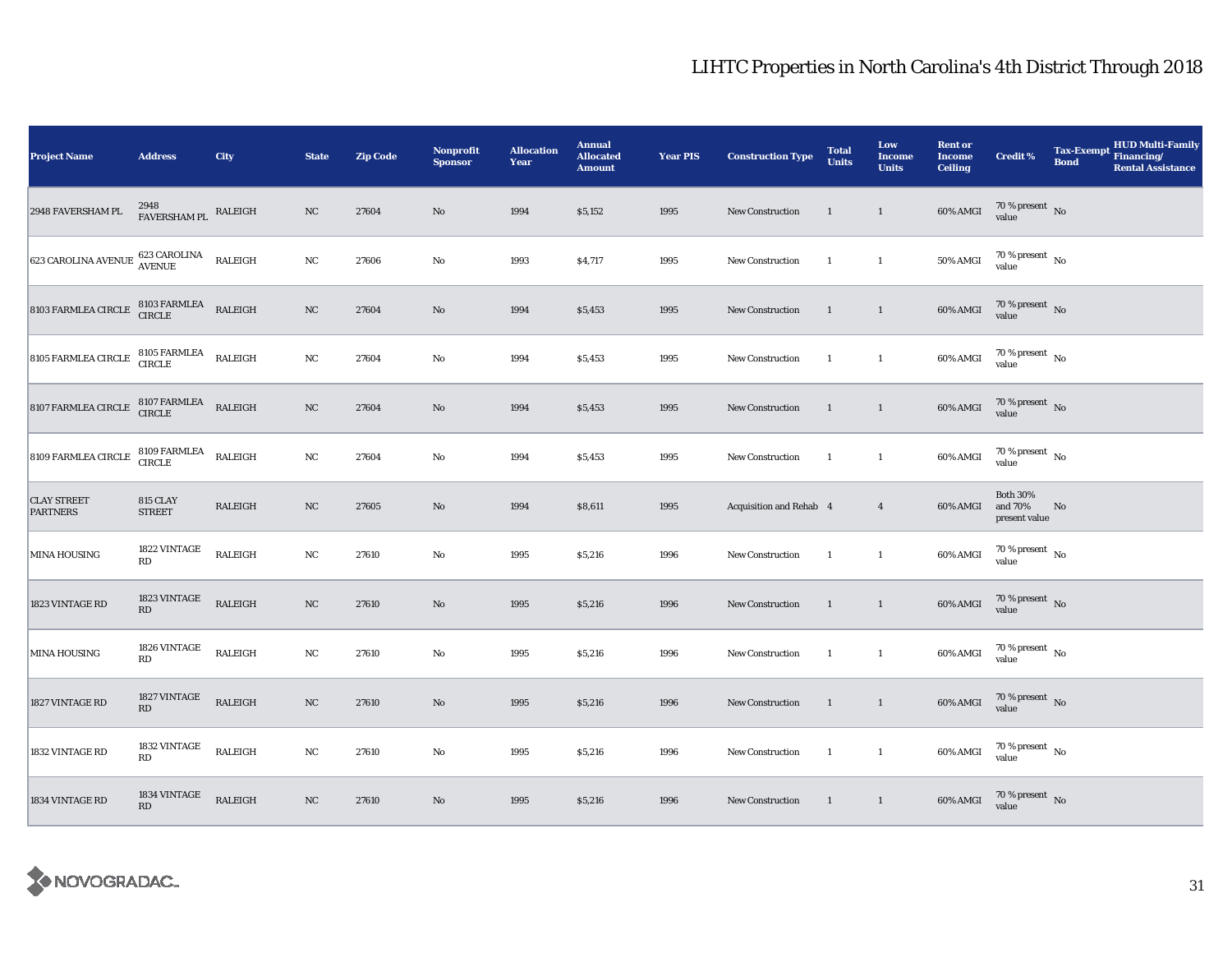| <b>Project Name</b>                                                                                                            | <b>Address</b>                         | City           | <b>State</b> | <b>Zip Code</b> | <b>Nonprofit</b><br><b>Sponsor</b> | <b>Allocation</b><br>Year | <b>Annual</b><br><b>Allocated</b><br><b>Amount</b> | <b>Year PIS</b> | <b>Construction Type</b> | <b>Total</b><br><b>Units</b> | Low<br>Income<br><b>Units</b> | <b>Rent or</b><br><b>Income</b><br><b>Ceiling</b> | <b>Credit %</b>                             | <b>Tax-Exempt</b><br><b>Bond</b> | HUD Multi-Family<br>Financing/<br><b>Rental Assistance</b> |
|--------------------------------------------------------------------------------------------------------------------------------|----------------------------------------|----------------|--------------|-----------------|------------------------------------|---------------------------|----------------------------------------------------|-----------------|--------------------------|------------------------------|-------------------------------|---------------------------------------------------|---------------------------------------------|----------------------------------|------------------------------------------------------------|
| 2948 FAVERSHAM PL                                                                                                              | 2948<br>FAVERSHAM PL                   | RALEIGH        | NC           | 27604           | $\rm No$                           | 1994                      | \$5,152                                            | 1995            | New Construction         | $\mathbf{1}$                 | $\mathbf{1}$                  | 60% AMGI                                          | $70\,\%$ present $\,$ No value              |                                  |                                                            |
| 623 CAROLINA AVENUE                                                                                                            | 623 CAROLINA<br>AVENUE                 | RALEIGH        | $_{\rm NC}$  | 27606           | $\rm No$                           | 1993                      | \$4,717                                            | 1995            | <b>New Construction</b>  | $\mathbf{1}$                 | $\mathbf{1}$                  | <b>50% AMGI</b>                                   | $70\,\%$ present $\,$ No $\,$<br>value      |                                  |                                                            |
| $8103 \; \text{FARMLEA CIRCLE} \quad \begin{array}{ll} 8103 \; \text{FARMLEA} & \text{RALEIGH} \\ \text{CIRCLE} & \end{array}$ |                                        |                | NC           | 27604           | No                                 | 1994                      | \$5,453                                            | 1995            | New Construction         | 1                            | $\mathbf{1}$                  | 60% AMGI                                          | $70\,\%$ present $\,$ No value              |                                  |                                                            |
| 8105 FARMLEA CIRCLE<br>CIRCLE<br>CIRCLE                                                                                        |                                        | RALEIGH        | $_{\rm NC}$  | 27604           | $\mathbf{No}$                      | 1994                      | \$5,453                                            | 1995            | New Construction         | 1                            | $\mathbf{1}$                  | 60% AMGI                                          | $70\,\%$ present $\,$ No value              |                                  |                                                            |
| 8107 FARMLEA CIRCLE                                                                                                            | 8107 FARMLEA<br>CIRCLE                 | RALEIGH        | NC           | 27604           | $\rm No$                           | 1994                      | \$5,453                                            | 1995            | New Construction         | 1                            | $\mathbf{1}$                  | 60% AMGI                                          | $70\,\%$ present $\,$ No value              |                                  |                                                            |
| 8109 FARMLEA CIRCLE                                                                                                            | 8109 FARMLEA<br>CIRCLE                 | <b>RALEIGH</b> | NC           | 27604           | $\mathbf{No}$                      | 1994                      | \$5,453                                            | 1995            | New Construction         | $\mathbf{1}$                 | $\mathbf{1}$                  | 60% AMGI                                          | $70\,\%$ present $\;$ No value              |                                  |                                                            |
| <b>CLAY STREET</b><br><b>PARTNERS</b>                                                                                          | 815 CLAY<br><b>STREET</b>              | RALEIGH        | NC           | 27605           | $\rm No$                           | 1994                      | \$8,611                                            | 1995            | Acquisition and Rehab 4  |                              | $\overline{4}$                | 60% AMGI                                          | <b>Both 30%</b><br>and 70%<br>present value | No                               |                                                            |
| <b>MINA HOUSING</b>                                                                                                            | 1822 VINTAGE<br>RD                     | RALEIGH        | $_{\rm NC}$  | 27610           | No                                 | 1995                      | \$5,216                                            | 1996            | <b>New Construction</b>  | 1                            | $\mathbf{1}$                  | 60% AMGI                                          | $70\,\%$ present $\,$ No value              |                                  |                                                            |
| 1823 VINTAGE RD                                                                                                                | 1823 VINTAGE<br>$\mathbf{R}\mathbf{D}$ | RALEIGH        | NC           | 27610           | No                                 | 1995                      | \$5,216                                            | 1996            | New Construction         | $\mathbf{1}$                 | $\mathbf{1}$                  | 60% AMGI                                          | $70\,\%$ present $\,$ No value              |                                  |                                                            |
| MINA HOUSING                                                                                                                   | 1826 VINTAGE<br>RD                     | <b>RALEIGH</b> | NC           | 27610           | $\rm No$                           | 1995                      | \$5,216                                            | 1996            | New Construction         | $\mathbf{1}$                 | $\overline{1}$                | 60% AMGI                                          | $70\,\%$ present $\,$ No value              |                                  |                                                            |
| 1827 VINTAGE RD                                                                                                                | 1827 VINTAGE<br>RD                     | RALEIGH        | NC           | 27610           | $\rm No$                           | 1995                      | \$5,216                                            | 1996            | New Construction         | $\mathbf{1}$                 | $\mathbf{1}$                  | 60% AMGI                                          | $70\,\%$ present $\;$ No value              |                                  |                                                            |
| 1832 VINTAGE RD                                                                                                                | 1832 VINTAGE<br>$\mathbf{R}\mathbf{D}$ | RALEIGH        | NC           | 27610           | No                                 | 1995                      | \$5,216                                            | 1996            | New Construction         | 1                            | $\mathbf{1}$                  | 60% AMGI                                          | $70\,\%$ present $\,$ No value              |                                  |                                                            |
| 1834 VINTAGE RD                                                                                                                | 1834 VINTAGE<br>RD                     | RALEIGH        | $_{\rm NC}$  | 27610           | $\rm No$                           | 1995                      | \$5,216                                            | 1996            | New Construction         | $\mathbf{1}$                 | $\mathbf{1}$                  |                                                   | 60% AMGI 70 % present No                    |                                  |                                                            |

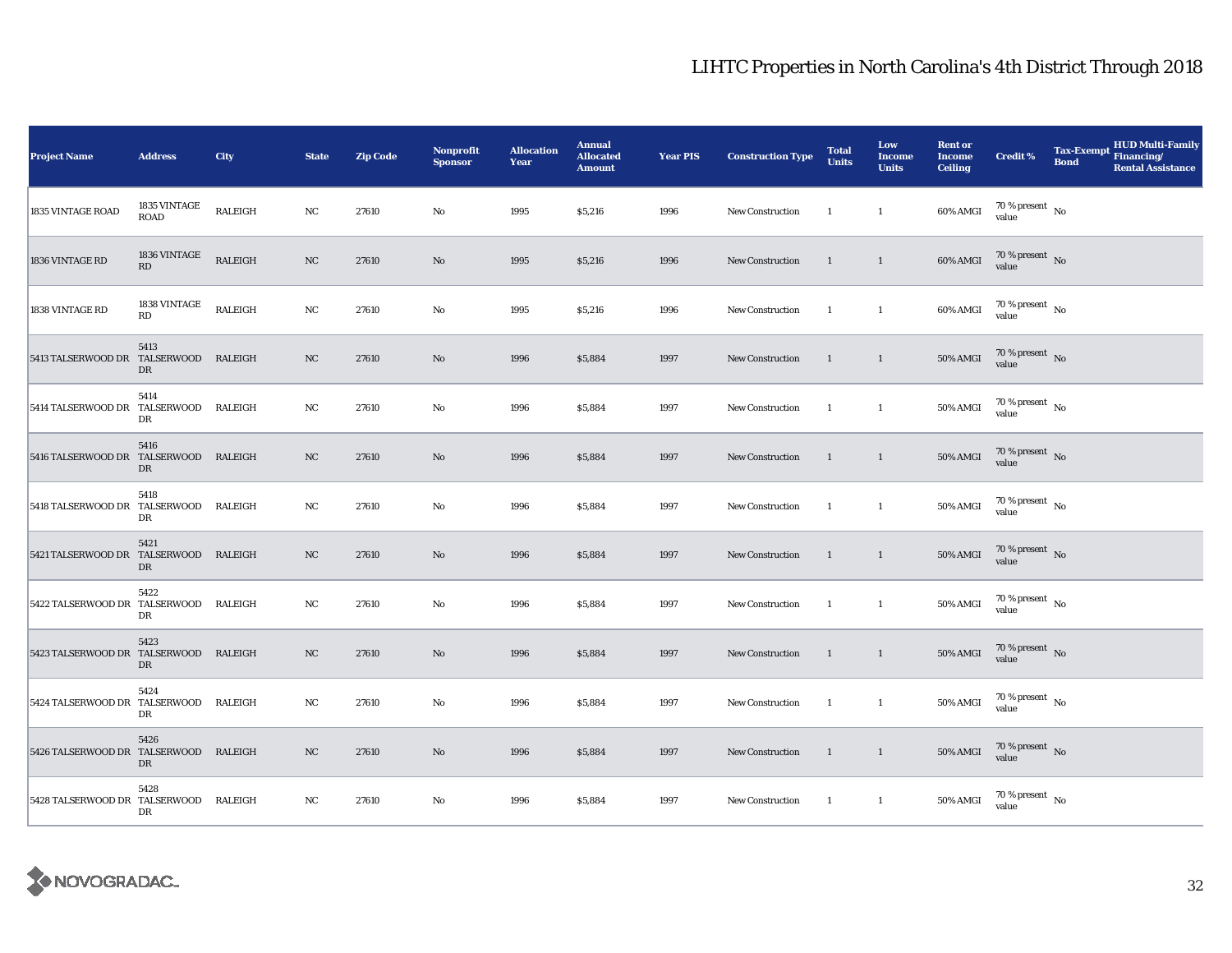| <b>Project Name</b>                   | <b>Address</b>                     | <b>City</b>    | <b>State</b> | <b>Zip Code</b> | <b>Nonprofit</b><br><b>Sponsor</b> | <b>Allocation</b><br>Year | <b>Annual</b><br><b>Allocated</b><br><b>Amount</b> | <b>Year PIS</b> | <b>Construction Type</b> | <b>Total</b><br><b>Units</b> | Low<br><b>Income</b><br><b>Units</b> | <b>Rent or</b><br><b>Income</b><br><b>Ceiling</b> | <b>Credit %</b>                    | Tax-Exempt Financing/<br><b>Bond</b> | <b>HUD Multi-Family</b><br><b>Rental Assistance</b> |
|---------------------------------------|------------------------------------|----------------|--------------|-----------------|------------------------------------|---------------------------|----------------------------------------------------|-----------------|--------------------------|------------------------------|--------------------------------------|---------------------------------------------------|------------------------------------|--------------------------------------|-----------------------------------------------------|
| 1835 VINTAGE ROAD                     | $1835$ VINTAGE $\,$<br><b>ROAD</b> | <b>RALEIGH</b> | $_{\rm NC}$  | 27610           | $\rm No$                           | 1995                      | \$5,216                                            | 1996            | <b>New Construction</b>  | $\overline{1}$               | $\mathbf{1}$                         | 60% AMGI                                          | 70 % present $\hbox{~No}$<br>value |                                      |                                                     |
| 1836 VINTAGE RD                       | 1836 VINTAGE<br>RD                 | <b>RALEIGH</b> | $_{\rm NC}$  | 27610           | No                                 | 1995                      | \$5,216                                            | 1996            | <b>New Construction</b>  | <sup>1</sup>                 | $\mathbf{1}$                         | 60% AMGI                                          | $70\%$ present No<br>value         |                                      |                                                     |
| 1838 VINTAGE RD                       | $1838$ VINTAGE $\,$<br>RD          | <b>RALEIGH</b> | $_{\rm NC}$  | 27610           | $\rm No$                           | 1995                      | \$5,216                                            | 1996            | <b>New Construction</b>  | -1                           | $\mathbf{1}$                         | 60% AMGI                                          | $70\,\%$ present $\,$ No value     |                                      |                                                     |
| 5413 TALSERWOOD DR TALSERWOOD RALEIGH | 5413<br>DR                         |                | NC           | 27610           | $\mathbf{N}\mathbf{o}$             | 1996                      | \$5,884                                            | 1997            | New Construction         | $\overline{1}$               | $\mathbf{1}$                         | 50% AMGI                                          | $70\,\%$ present $\,$ No value     |                                      |                                                     |
| 5414 TALSERWOOD DR TALSERWOOD RALEIGH | 5414<br>DR                         |                | NC           | 27610           | $\rm No$                           | 1996                      | \$5,884                                            | 1997            | <b>New Construction</b>  | -1                           | $\mathbf{1}$                         | <b>50% AMGI</b>                                   | $70\,\%$ present $\,$ No value     |                                      |                                                     |
| 5416 TALSERWOOD DR TALSERWOOD RALEIGH | 5416<br>DR                         |                | NC           | 27610           | No                                 | 1996                      | \$5,884                                            | 1997            | New Construction         | $\mathbf{1}$                 | $\mathbf{1}$                         | $50\%$ AMGI                                       | $70\,\%$ present $\,$ No value     |                                      |                                                     |
| 5418 TALSERWOOD DR TALSERWOOD         | 5418<br>DR                         | RALEIGH        | NC           | 27610           | $\rm No$                           | 1996                      | \$5,884                                            | 1997            | <b>New Construction</b>  | -1                           | $\mathbf{1}$                         | 50% AMGI                                          | $70\,\%$ present $\,$ No value     |                                      |                                                     |
| 5421 TALSERWOOD DR TALSERWOOD RALEIGH | 5421<br>DR                         |                | NC           | 27610           | No                                 | 1996                      | \$5,884                                            | 1997            | New Construction         | $\overline{1}$               | $\mathbf{1}$                         | <b>50% AMGI</b>                                   | $70\,\%$ present $\,$ No value     |                                      |                                                     |
| 5422 TALSERWOOD DR TALSERWOOD RALEIGH | 5422<br>DR                         |                | NC           | 27610           | No                                 | 1996                      | \$5,884                                            | 1997            | New Construction         | $\overline{1}$               | $\mathbf{1}$                         | 50% AMGI                                          | $70\,\%$ present $\,$ No value     |                                      |                                                     |
| 5423 TALSERWOOD DR TALSERWOOD RALEIGH | 5423<br>DR                         |                | NC           | 27610           | No                                 | 1996                      | \$5,884                                            | 1997            | New Construction         | $\mathbf{1}$                 | $\mathbf{1}$                         | <b>50% AMGI</b>                                   | $70\,\%$ present $\,$ No value     |                                      |                                                     |
| 5424 TALSERWOOD DR TALSERWOOD RALEIGH | 5424<br>DR                         |                | NC           | 27610           | No                                 | 1996                      | \$5,884                                            | 1997            | New Construction         | $\overline{1}$               | $\mathbf{1}$                         | 50% AMGI                                          | $70\,\%$ present $\,$ No value     |                                      |                                                     |
| 5426 TALSERWOOD DR TALSERWOOD RALEIGH | 5426<br>DR                         |                | NC           | 27610           | No                                 | 1996                      | \$5,884                                            | 1997            | New Construction         | $\overline{1}$               | $\mathbf{1}$                         | <b>50% AMGI</b>                                   | $70\,\%$ present $\,$ No value     |                                      |                                                     |
| 5428 TALSERWOOD DR TALSERWOOD RALEIGH | 5428<br>DR                         |                | NC           | 27610           | No                                 | 1996                      | \$5,884                                            | 1997            | New Construction         | $\blacksquare$               | $\overline{1}$                       | 50% AMGI                                          | $70\,\%$ present $\,$ No value     |                                      |                                                     |

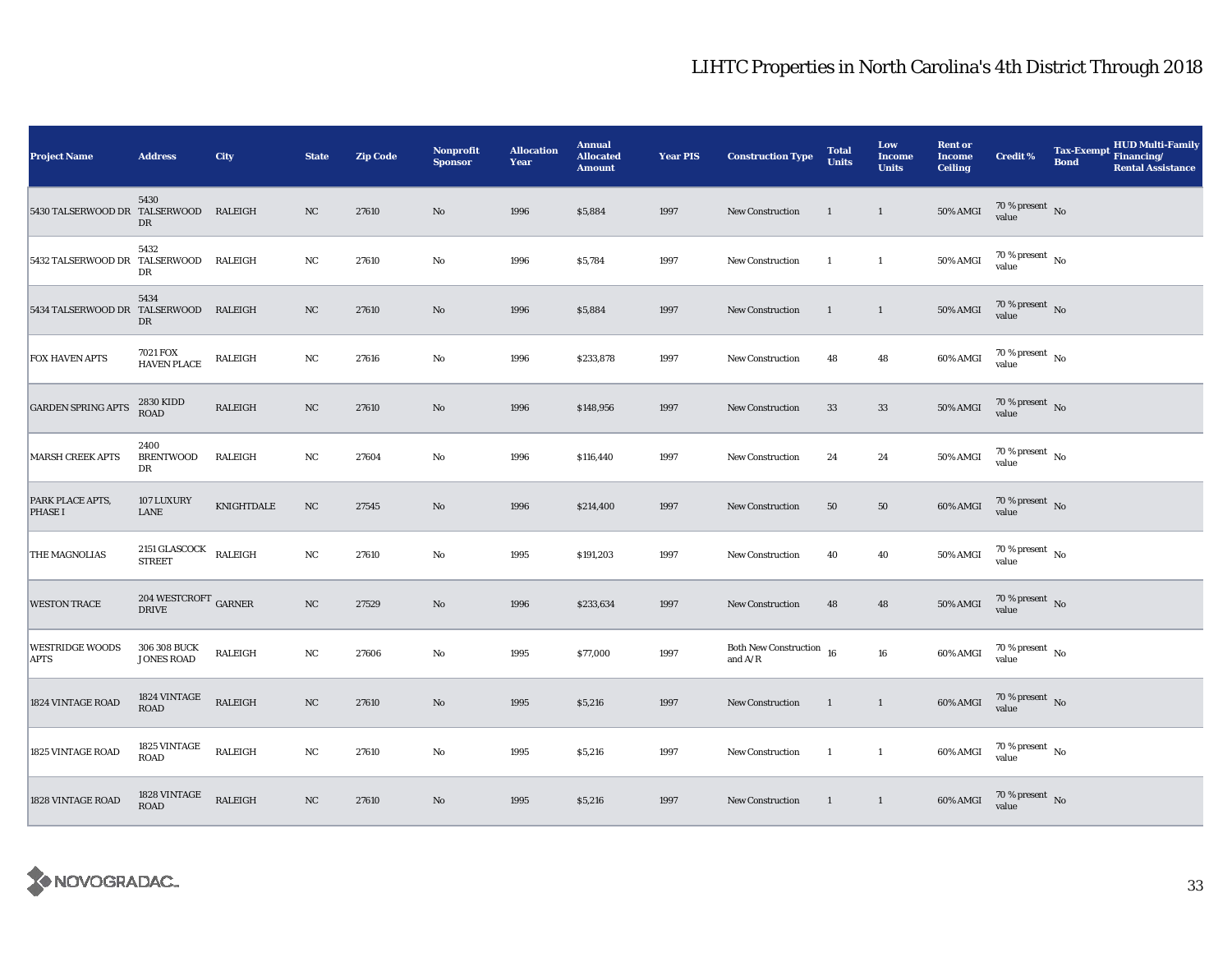| <b>Project Name</b>                   | <b>Address</b>                      | City           | <b>State</b> | <b>Zip Code</b> | Nonprofit<br><b>Sponsor</b> | <b>Allocation</b><br>Year | <b>Annual</b><br><b>Allocated</b><br><b>Amount</b> | <b>Year PIS</b> | <b>Construction Type</b>                                                                    | <b>Total</b><br><b>Units</b> | Low<br><b>Income</b><br><b>Units</b> | <b>Rent or</b><br><b>Income</b><br><b>Ceiling</b> | <b>Credit %</b>                          | <b>Tax-Exempt</b><br><b>Bond</b> | <b>HUD Multi-Family</b><br>Financing/<br><b>Rental Assistance</b> |
|---------------------------------------|-------------------------------------|----------------|--------------|-----------------|-----------------------------|---------------------------|----------------------------------------------------|-----------------|---------------------------------------------------------------------------------------------|------------------------------|--------------------------------------|---------------------------------------------------|------------------------------------------|----------------------------------|-------------------------------------------------------------------|
| 5430 TALSERWOOD DR TALSERWOOD RALEIGH | 5430<br>DR                          |                | NC           | 27610           | No                          | 1996                      | \$5,884                                            | 1997            | New Construction                                                                            | $\mathbf{1}$                 | $\mathbf{1}$                         | <b>50% AMGI</b>                                   | $70\,\%$ present $\,$ No value           |                                  |                                                                   |
| 5432 TALSERWOOD DR TALSERWOOD RALEIGH | 5432<br>DR                          |                | $_{\rm NC}$  | 27610           | $\rm No$                    | 1996                      | \$5,784                                            | 1997            | <b>New Construction</b>                                                                     | -1                           | $\mathbf{1}$                         | 50% AMGI                                          | $70$ % present $\,$ No $\,$<br>value     |                                  |                                                                   |
| 5434 TALSERWOOD DR TALSERWOOD RALEIGH | 5434<br>DR                          |                | NC           | 27610           | No                          | 1996                      | \$5,884                                            | 1997            | New Construction                                                                            | $\mathbf{1}$                 | $\mathbf{1}$                         | 50% AMGI                                          | $70\,\%$ present $\,$ No value           |                                  |                                                                   |
| <b>FOX HAVEN APTS</b>                 | 7021 FOX<br><b>HAVEN PLACE</b>      | RALEIGH        | NC           | 27616           | $\rm No$                    | 1996                      | \$233,878                                          | 1997            | <b>New Construction</b>                                                                     | 48                           | 48                                   | 60% AMGI                                          | $70\,\%$ present $\,$ No value           |                                  |                                                                   |
| <b>GARDEN SPRING APTS</b>             | 2830 KIDD<br>ROAD                   | <b>RALEIGH</b> | NC           | 27610           | No                          | 1996                      | \$148,956                                          | 1997            | <b>New Construction</b>                                                                     | 33                           | $33\,$                               | 50% AMGI                                          | $70\,\%$ present $\,$ No value           |                                  |                                                                   |
| <b>MARSH CREEK APTS</b>               | 2400<br><b>BRENTWOOD</b><br>DR      | RALEIGH        | NC           | 27604           | $\rm No$                    | 1996                      | \$116,440                                          | 1997            | New Construction                                                                            | 24                           | 24                                   | 50% AMGI                                          | $70\,\%$ present $\,$ No value           |                                  |                                                                   |
| PARK PLACE APTS,<br><b>PHASE I</b>    | <b>107 LUXURY</b><br>LANE           | KNIGHTDALE     | NC           | 27545           | No                          | 1996                      | \$214,400                                          | 1997            | <b>New Construction</b>                                                                     | 50                           | 50                                   | 60% AMGI                                          | $70\,\%$ present $\,$ No value           |                                  |                                                                   |
| THE MAGNOLIAS                         | 2151 GLASCOCK<br><b>STREET</b>      | RALEIGH        | NC           | 27610           | $\rm No$                    | 1995                      | \$191,203                                          | 1997            | <b>New Construction</b>                                                                     | 40                           | 40                                   | 50% AMGI                                          | $70\,\%$ present $\,$ No value           |                                  |                                                                   |
| <b>WESTON TRACE</b>                   | $204\ {\rm WESTCROFT}$ GARNER DRIVE |                | NC           | 27529           | No                          | 1996                      | \$233,634                                          | 1997            | New Construction                                                                            | 48                           | 48                                   | 50% AMGI                                          | $70\,\%$ present $\,$ No value           |                                  |                                                                   |
| <b>WESTRIDGE WOODS</b><br><b>APTS</b> | 306 308 BUCK<br><b>JONES ROAD</b>   | RALEIGH        | NC           | 27606           | $\mathbf{No}$               | 1995                      | \$77,000                                           | 1997            | Both New Construction $\,$ 16 $\,$<br>and $\ensuremath{\mathrm{A}}/\ensuremath{\mathrm{R}}$ |                              | ${\bf 16}$                           | 60% AMGI                                          | $70\,\%$ present $_{\, \rm No}$<br>value |                                  |                                                                   |
| 1824 VINTAGE ROAD                     | 1824 VINTAGE<br><b>ROAD</b>         | RALEIGH        | NC           | 27610           | No                          | 1995                      | \$5,216                                            | 1997            | New Construction                                                                            | $\mathbf{1}$                 | $\mathbf{1}$                         | 60% AMGI                                          | $70\,\%$ present $\,$ No value           |                                  |                                                                   |
| 1825 VINTAGE ROAD                     | 1825 VINTAGE<br><b>ROAD</b>         | RALEIGH        | NC           | 27610           | $\rm No$                    | 1995                      | \$5,216                                            | 1997            | New Construction                                                                            | -1                           | $\mathbf{1}$                         | 60% AMGI                                          | $70\,\%$ present $\,$ No value           |                                  |                                                                   |
| 1828 VINTAGE ROAD                     | 1828 VINTAGE<br>ROAD                | <b>RALEIGH</b> | $_{\rm NC}$  | 27610           | No                          | 1995                      | \$5,216                                            | 1997            | New Construction                                                                            | $\mathbf{1}$                 | $\mathbf{1}$                         | 60% AMGI                                          | $70\,\%$ present $\,$ No value           |                                  |                                                                   |

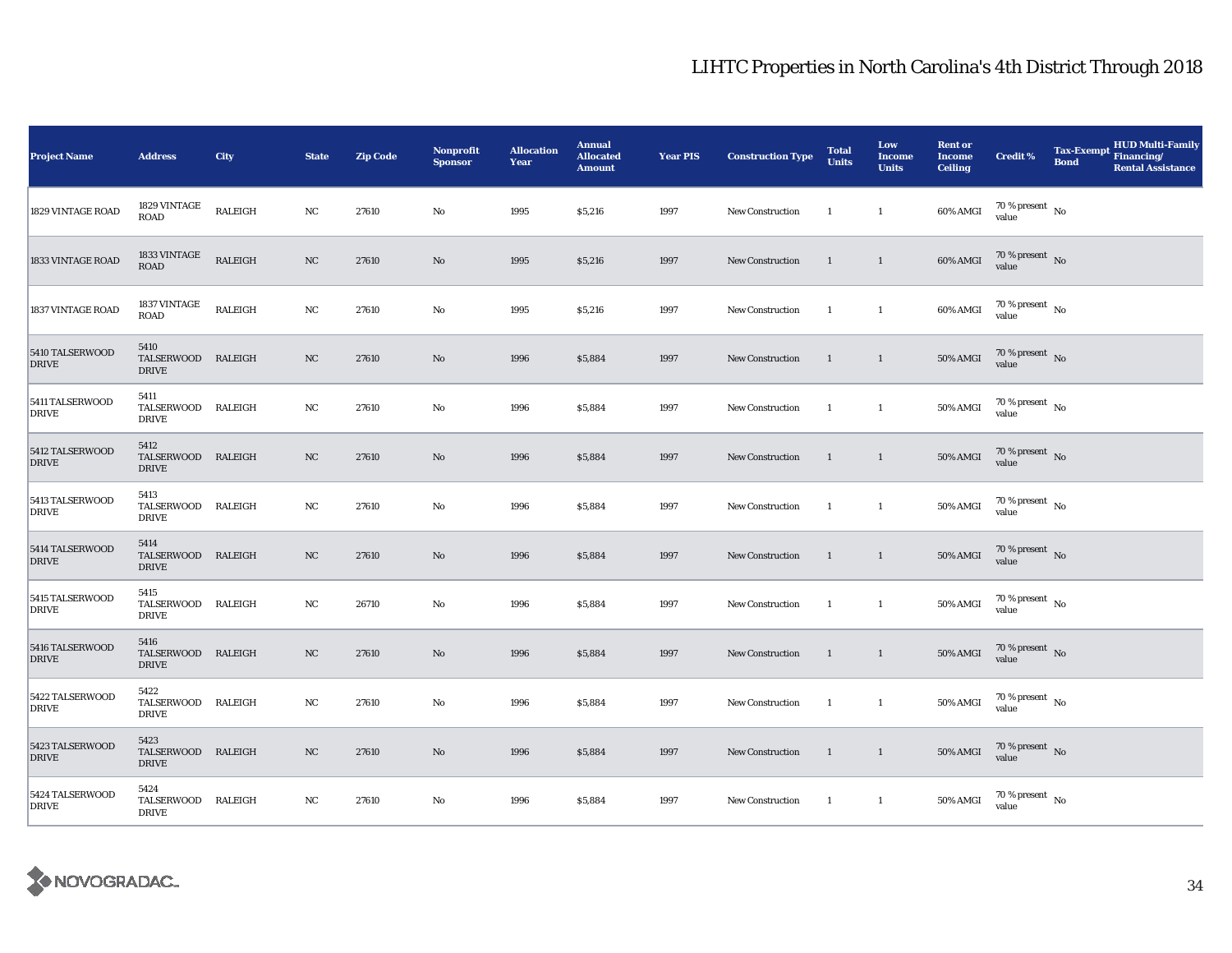| Project Name                    | <b>Address</b>                             | <b>City</b>    | <b>State</b> | <b>Zip Code</b> | <b>Nonprofit</b><br><b>Sponsor</b> | <b>Allocation</b><br>Year | <b>Annual</b><br><b>Allocated</b><br><b>Amount</b> | <b>Year PIS</b> | <b>Construction Type</b> | <b>Total</b><br><b>Units</b> | Low<br><b>Income</b><br><b>Units</b> | <b>Rent or</b><br><b>Income</b><br><b>Ceiling</b> | <b>Credit %</b>                          | <b>Tax-Exempt</b><br><b>Bond</b> | <b>HUD Multi-Family</b><br>Financing/<br><b>Rental Assistance</b> |
|---------------------------------|--------------------------------------------|----------------|--------------|-----------------|------------------------------------|---------------------------|----------------------------------------------------|-----------------|--------------------------|------------------------------|--------------------------------------|---------------------------------------------------|------------------------------------------|----------------------------------|-------------------------------------------------------------------|
| 1829 VINTAGE ROAD               | 1829 VINTAGE<br>ROAD                       | RALEIGH        | NC           | 27610           | No                                 | 1995                      | \$5,216                                            | 1997            | New Construction         | $\overline{1}$               | $\mathbf{1}$                         | 60% AMGI                                          | $70$ % present $\,$ No $\,$<br>value     |                                  |                                                                   |
| 1833 VINTAGE ROAD               | 1833 VINTAGE<br><b>ROAD</b>                | <b>RALEIGH</b> | NC           | 27610           | $\rm No$                           | 1995                      | \$5,216                                            | 1997            | <b>New Construction</b>  | $\mathbf{1}$                 | $\mathbf{1}$                         | 60% AMGI                                          | $70\,\%$ present $\,$ No $\,$<br>value   |                                  |                                                                   |
| 1837 VINTAGE ROAD               | $1837\rm\,VINTAGE$<br><b>ROAD</b>          | <b>RALEIGH</b> | $_{\rm NC}$  | 27610           | $\mathbf{No}$                      | 1995                      | \$5,216                                            | 1997            | <b>New Construction</b>  | <sup>1</sup>                 | $\mathbf{1}$                         | 60% AMGI                                          | $70\,\%$ present $$$ No value            |                                  |                                                                   |
| 5410 TALSERWOOD<br><b>DRIVE</b> | 5410<br>TALSERWOOD RALEIGH<br><b>DRIVE</b> |                | NC           | 27610           | $\mathbf{No}$                      | 1996                      | \$5,884                                            | 1997            | <b>New Construction</b>  | $\overline{1}$               | $\overline{1}$                       | 50% AMGI                                          | 70 % present $\,$ No $\,$<br>value       |                                  |                                                                   |
| 5411 TALSERWOOD<br><b>DRIVE</b> | 5411<br>TALSERWOOD RALEIGH<br>DRIVE        |                | NC           | 27610           | No                                 | 1996                      | \$5,884                                            | 1997            | <b>New Construction</b>  | - 1                          | $\mathbf{1}$                         | <b>50% AMGI</b>                                   | 70 % present $\hbox{~No}$<br>value       |                                  |                                                                   |
| 5412 TALSERWOOD<br><b>DRIVE</b> | 5412<br>TALSERWOOD RALEIGH<br><b>DRIVE</b> |                | NC           | 27610           | No                                 | 1996                      | \$5,884                                            | 1997            | <b>New Construction</b>  | $\mathbf{1}$                 | $\overline{1}$                       | $50\%$ AMGI                                       | $70\,\%$ present $_{\rm No}$<br>value    |                                  |                                                                   |
| 5413 TALSERWOOD<br><b>DRIVE</b> | 5413<br>TALSERWOOD RALEIGH<br><b>DRIVE</b> |                | NC           | 27610           | No                                 | 1996                      | \$5,884                                            | 1997            | <b>New Construction</b>  | -1                           | $\mathbf{1}$                         | <b>50% AMGI</b>                                   | $70\,\%$ present $_{\, \rm No}$<br>value |                                  |                                                                   |
| 5414 TALSERWOOD<br><b>DRIVE</b> | 5414<br>TALSERWOOD RALEIGH<br><b>DRIVE</b> |                | NC           | 27610           | $\mathbf{N}\mathbf{o}$             | 1996                      | \$5,884                                            | 1997            | New Construction         | $\overline{1}$               | $\mathbf{1}$                         | <b>50% AMGI</b>                                   | $70\%$ present No<br>value               |                                  |                                                                   |
| 5415 TALSERWOOD<br><b>DRIVE</b> | 5415<br>TALSERWOOD RALEIGH<br><b>DRIVE</b> |                | NC           | 26710           | $\rm No$                           | 1996                      | \$5,884                                            | 1997            | <b>New Construction</b>  | $\overline{1}$               | $\mathbf{1}$                         | <b>50% AMGI</b>                                   | $70\,\%$ present $\,$ No value           |                                  |                                                                   |
| 5416 TALSERWOOD<br><b>DRIVE</b> | 5416<br>TALSERWOOD RALEIGH<br><b>DRIVE</b> |                | NC           | 27610           | No                                 | 1996                      | \$5,884                                            | 1997            | <b>New Construction</b>  | $\mathbf{1}$                 | $\overline{1}$                       | <b>50% AMGI</b>                                   | 70 % present $\,$ No $\,$<br>value       |                                  |                                                                   |
| 5422 TALSERWOOD<br><b>DRIVE</b> | 5422<br>TALSERWOOD RALEIGH<br><b>DRIVE</b> |                | $_{\rm NC}$  | 27610           | No                                 | 1996                      | \$5,884                                            | 1997            | New Construction         | $\overline{1}$               | $\mathbf{1}$                         | <b>50% AMGI</b>                                   | $70\,\%$ present $\,$ No value           |                                  |                                                                   |
| 5423 TALSERWOOD<br><b>DRIVE</b> | 5423<br>TALSERWOOD RALEIGH<br><b>DRIVE</b> |                | NC           | 27610           | No                                 | 1996                      | \$5,884                                            | 1997            | New Construction         | $\overline{1}$               | $\overline{1}$                       | <b>50% AMGI</b>                                   | $70\,\%$ present $\,$ No value           |                                  |                                                                   |
| 5424 TALSERWOOD<br><b>DRIVE</b> | 5424<br>TALSERWOOD RALEIGH<br>DRIVE        |                | NC           | 27610           | No                                 | 1996                      | \$5,884                                            | 1997            | New Construction         | $\overline{\phantom{a}}$     | $\overline{1}$                       | <b>50% AMGI</b>                                   | $70\,\%$ present $\,$ No value           |                                  |                                                                   |

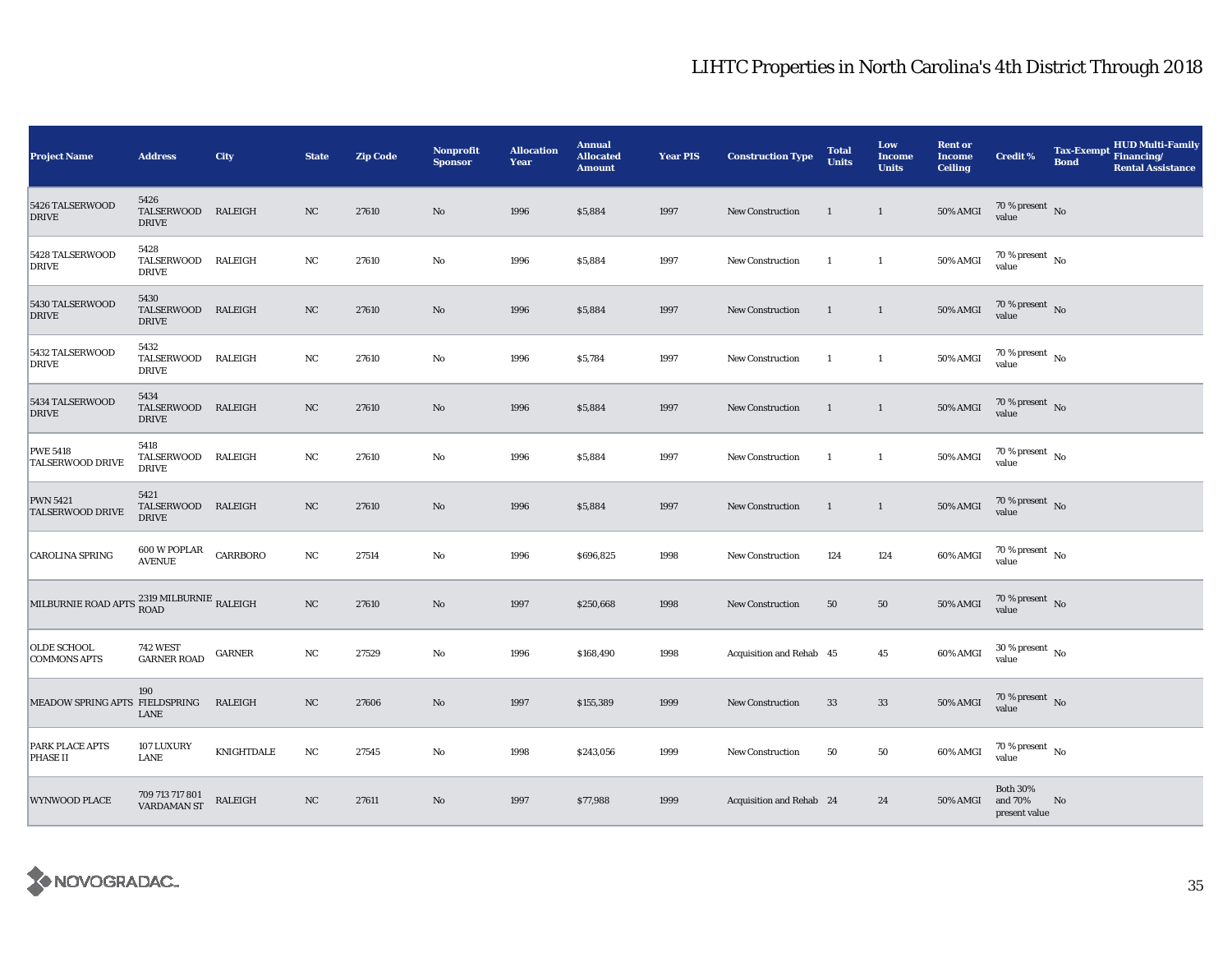| <b>Project Name</b>                                               | <b>Address</b>                             | City           | <b>State</b> | <b>Zip Code</b> | Nonprofit<br><b>Sponsor</b> | <b>Allocation</b><br>Year | <b>Annual</b><br><b>Allocated</b><br><b>Amount</b> | <b>Year PIS</b> | <b>Construction Type</b> | <b>Total</b><br><b>Units</b> | Low<br><b>Income</b><br><b>Units</b> | <b>Rent or</b><br><b>Income</b><br><b>Ceiling</b> | <b>Credit %</b>                             | <b>Tax-Exempt</b><br><b>Bond</b> | <b>HUD Multi-Family</b><br>Financing/<br><b>Rental Assistance</b> |
|-------------------------------------------------------------------|--------------------------------------------|----------------|--------------|-----------------|-----------------------------|---------------------------|----------------------------------------------------|-----------------|--------------------------|------------------------------|--------------------------------------|---------------------------------------------------|---------------------------------------------|----------------------------------|-------------------------------------------------------------------|
| 5426 TALSERWOOD<br><b>DRIVE</b>                                   | 5426<br>TALSERWOOD RALEIGH<br><b>DRIVE</b> |                | NC           | 27610           | $\rm No$                    | 1996                      | \$5,884                                            | 1997            | New Construction         | 1                            | $\mathbf{1}$                         | 50% AMGI                                          | 70 % present $\hbox{~No}$<br>value          |                                  |                                                                   |
| 5428 TALSERWOOD<br><b>DRIVE</b>                                   | 5428<br>TALSERWOOD RALEIGH<br><b>DRIVE</b> |                | NC           | 27610           | No                          | 1996                      | \$5,884                                            | 1997            | <b>New Construction</b>  | 1                            | $\mathbf{1}$                         | 50% AMGI                                          | $70\,\%$ present $\,$ No $\,$<br>value      |                                  |                                                                   |
| 5430 TALSERWOOD<br><b>DRIVE</b>                                   | 5430<br>TALSERWOOD RALEIGH<br><b>DRIVE</b> |                | NC           | 27610           | No                          | 1996                      | \$5,884                                            | 1997            | <b>New Construction</b>  | $\mathbf{1}$                 | $\mathbf{1}$                         | 50% AMGI                                          | $70\,\%$ present $\,$ No value              |                                  |                                                                   |
| 5432 TALSERWOOD<br><b>DRIVE</b>                                   | 5432<br>TALSERWOOD RALEIGH<br><b>DRIVE</b> |                | $_{\rm NC}$  | 27610           | No                          | 1996                      | \$5,784                                            | 1997            | New Construction         | $\mathbf{1}$                 | $\mathbf{1}$                         | 50% AMGI                                          | $70$ % present $\,$ No $\,$<br>value        |                                  |                                                                   |
| 5434 TALSERWOOD<br><b>DRIVE</b>                                   | 5434<br>TALSERWOOD RALEIGH<br><b>DRIVE</b> |                | NC           | 27610           | No                          | 1996                      | \$5,884                                            | 1997            | <b>New Construction</b>  | -1                           | $\mathbf{1}$                         | 50% AMGI                                          | $70\,\%$ present $\,$ No value              |                                  |                                                                   |
| <b>PWE 5418</b><br><b>TALSERWOOD DRIVE</b>                        | 5418<br>TALSERWOOD RALEIGH<br><b>DRIVE</b> |                | NC           | 27610           | $\rm No$                    | 1996                      | \$5,884                                            | 1997            | New Construction         | $\mathbf{1}$                 | $\mathbf{1}$                         | 50% AMGI                                          | $70$ % present $\,$ No $\,$<br>value        |                                  |                                                                   |
| <b>PWN 5421</b><br><b>TALSERWOOD DRIVE</b>                        | 5421<br>TALSERWOOD RALEIGH<br><b>DRIVE</b> |                | NC           | 27610           | No                          | 1996                      | \$5,884                                            | 1997            | New Construction         | $\mathbf{1}$                 | $\mathbf{1}$                         | 50% AMGI                                          | $70$ % present $\,$ No $\,$<br>value        |                                  |                                                                   |
| <b>CAROLINA SPRING</b>                                            | 600 W POPLAR<br><b>AVENUE</b>              | CARRBORO       | $_{\rm NC}$  | 27514           | $\rm No$                    | 1996                      | \$696,825                                          | 1998            | <b>New Construction</b>  | 124                          | 124                                  | 60% AMGI                                          | 70 % present $\hbox{~No}$<br>value          |                                  |                                                                   |
| MILBURNIE ROAD APTS $_{\rm{ROAD}}^{2319\rm{\,MILBURNIE}}$ RALEIGH |                                            |                | $_{\rm NC}$  | 27610           | $\mathbf{N}\mathbf{o}$      | 1997                      | \$250,668                                          | 1998            | New Construction         | 50                           | 50                                   | <b>50% AMGI</b>                                   | $70\,\%$ present $\,$ No value              |                                  |                                                                   |
| OLDE SCHOOL<br><b>COMMONS APTS</b>                                | <b>742 WEST</b><br><b>GARNER ROAD</b>      | <b>GARNER</b>  | NC           | 27529           | $\mathbf{N}\mathbf{o}$      | 1996                      | \$168,490                                          | 1998            | Acquisition and Rehab 45 |                              | $45\,$                               | 60% AMGI                                          | $30\,\%$ present $\,$ No value              |                                  |                                                                   |
| MEADOW SPRING APTS FIELDSPRING                                    | 190<br><b>LANE</b>                         | <b>RALEIGH</b> | NC           | 27606           | No                          | 1997                      | \$155,389                                          | 1999            | <b>New Construction</b>  | 33                           | 33                                   | 50% AMGI                                          | $70\,\%$ present $\;$ No value              |                                  |                                                                   |
| PARK PLACE APTS<br><b>PHASE II</b>                                | 107 LUXURY<br>LANE                         | KNIGHTDALE     | $_{\rm NC}$  | 27545           | No                          | 1998                      | \$243,056                                          | 1999            | <b>New Construction</b>  | 50                           | 50                                   | 60% AMGI                                          | $70\,\%$ present $\,$ No value              |                                  |                                                                   |
| <b>WYNWOOD PLACE</b>                                              | 709 713 717 801<br>VARDAMAN ST             | RALEIGH        | NC           | 27611           | No                          | 1997                      | \$77,988                                           | 1999            | Acquisition and Rehab 24 |                              | 24                                   | 50% AMGI                                          | <b>Both 30%</b><br>and 70%<br>present value | No.                              |                                                                   |

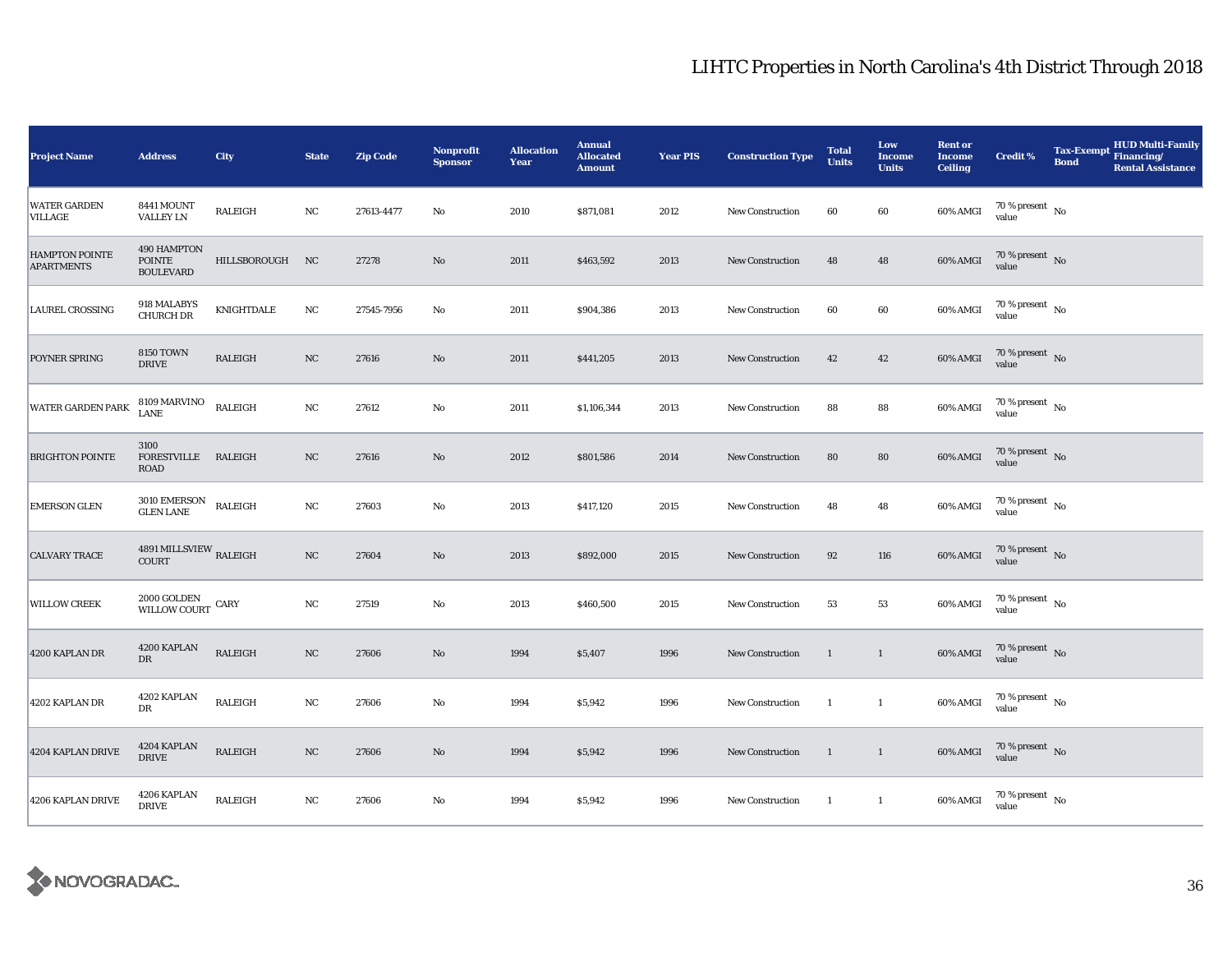| <b>Project Name</b>                        | <b>Address</b>                                   | City            | <b>State</b> | <b>Zip Code</b> | <b>Nonprofit</b><br><b>Sponsor</b> | <b>Allocation</b><br>Year | <b>Annual</b><br><b>Allocated</b><br><b>Amount</b> | <b>Year PIS</b> | <b>Construction Type</b> | <b>Total</b><br><b>Units</b> | Low<br><b>Income</b><br><b>Units</b> | <b>Rent or</b><br><b>Income</b><br><b>Ceiling</b> | <b>Credit %</b>                     | <b>Bond</b> | <b>HUD Multi-Family</b><br>Tax-Exempt Financing/<br><b>Rental Assistance</b> |
|--------------------------------------------|--------------------------------------------------|-----------------|--------------|-----------------|------------------------------------|---------------------------|----------------------------------------------------|-----------------|--------------------------|------------------------------|--------------------------------------|---------------------------------------------------|-------------------------------------|-------------|------------------------------------------------------------------------------|
| <b>WATER GARDEN</b><br>VILLAGE             | 8441 MOUNT<br><b>VALLEY LN</b>                   | <b>RALEIGH</b>  | NC           | 27613-4477      | $\rm No$                           | 2010                      | \$871,081                                          | 2012            | New Construction         | 60                           | 60                                   | 60% AMGI                                          | 70 % present $\hbox{~No}$<br>value  |             |                                                                              |
| <b>HAMPTON POINTE</b><br><b>APARTMENTS</b> | 490 HAMPTON<br><b>POINTE</b><br><b>BOULEVARD</b> | HILLSBOROUGH NC |              | 27278           | $\mathbf{N}\mathbf{o}$             | 2011                      | \$463,592                                          | 2013            | <b>New Construction</b>  | 48                           | 48                                   | 60% AMGI                                          | $70\%$ present No<br>value          |             |                                                                              |
| <b>LAUREL CROSSING</b>                     | 918 MALABYS<br><b>CHURCH DR</b>                  | KNIGHTDALE      | NC           | 27545-7956      | No                                 | 2011                      | \$904,386                                          | 2013            | New Construction         | 60                           | 60                                   | 60% AMGI                                          | $70\,\%$ present $\,$ No value      |             |                                                                              |
| POYNER SPRING                              | <b>8150 TOWN</b><br><b>DRIVE</b>                 | <b>RALEIGH</b>  | NC           | 27616           | $\rm No$                           | 2011                      | \$441,205                                          | 2013            | New Construction         | 42                           | 42                                   | 60% AMGI                                          | $70\,\%$ present $\,$ No value      |             |                                                                              |
| WATER GARDEN PARK                          | 8109 MARVINO<br><b>LANE</b>                      | RALEIGH         | NC           | 27612           | No                                 | 2011                      | \$1,106,344                                        | 2013            | <b>New Construction</b>  | 88                           | 88                                   | 60% AMGI                                          | $70\,\%$ present $${\rm No}$$ value |             |                                                                              |
| <b>BRIGHTON POINTE</b>                     | 3100<br>FORESTVILLE RALEIGH<br>ROAD              |                 | $_{\rm NC}$  | 27616           | $\rm No$                           | 2012                      | \$801,586                                          | 2014            | New Construction         | 80                           | ${\bf 80}$                           | 60% AMGI                                          | $70\,\%$ present $\,$ No value      |             |                                                                              |
| <b>EMERSON GLEN</b>                        | 3010 EMERSON<br>GLEN LANE                        | RALEIGH         | NC           | 27603           | $\mathbf{No}$                      | 2013                      | \$417,120                                          | 2015            | New Construction         | 48                           | 48                                   | 60% AMGI                                          | $70\,\%$ present $\,$ No value      |             |                                                                              |
| <b>CALVARY TRACE</b>                       | 4891 MILLSVIEW $_{\rm RALEIGH}$<br><b>COURT</b>  |                 | $_{\rm NC}$  | 27604           | $\rm No$                           | 2013                      | \$892,000                                          | 2015            | <b>New Construction</b>  | $\bf{92}$                    | 116                                  | 60% AMGI                                          | $70\,\%$ present $\,$ No value      |             |                                                                              |
| <b>WILLOW CREEK</b>                        | $2000\,\mbox{GOLDEN}$ CARY WILLOW COURT          |                 | NC           | 27519           | No                                 | 2013                      | \$460,500                                          | 2015            | New Construction         | 53                           | 53                                   | 60% AMGI                                          | $70\,\%$ present $\,$ No value      |             |                                                                              |
| 4200 KAPLAN DR                             | 4200 KAPLAN<br>$_{\rm DR}$                       | RALEIGH         | NC           | 27606           | $\rm No$                           | 1994                      | \$5,407                                            | 1996            | New Construction         | $\mathbf{1}$                 | $\mathbf{1}$                         | 60% AMGI                                          | $70\,\%$ present $\,$ No value      |             |                                                                              |
| 4202 KAPLAN DR                             | 4202 KAPLAN<br>DR                                | RALEIGH         | NC           | 27606           | No                                 | 1994                      | \$5,942                                            | 1996            | New Construction         | <sup>1</sup>                 | $\mathbf{1}$                         | 60% AMGI                                          | 70 % present $\hbox{~No}$<br>value  |             |                                                                              |
| 4204 KAPLAN DRIVE                          | 4204 KAPLAN<br><b>DRIVE</b>                      | RALEIGH         | $_{\rm NC}$  | 27606           | $\rm No$                           | 1994                      | \$5,942                                            | 1996            | New Construction         | $\overline{1}$               | $\mathbf{1}$                         | 60% AMGI                                          | $70\,\%$ present $\,$ No value      |             |                                                                              |
| 4206 KAPLAN DRIVE                          | 4206 KAPLAN<br><b>DRIVE</b>                      | RALEIGH         | NC           | 27606           | $\rm No$                           | 1994                      | \$5,942                                            | 1996            | New Construction         | <sup>1</sup>                 | $\mathbf{1}$                         | 60% AMGI                                          | $70\,\%$ present $\,$ No value      |             |                                                                              |

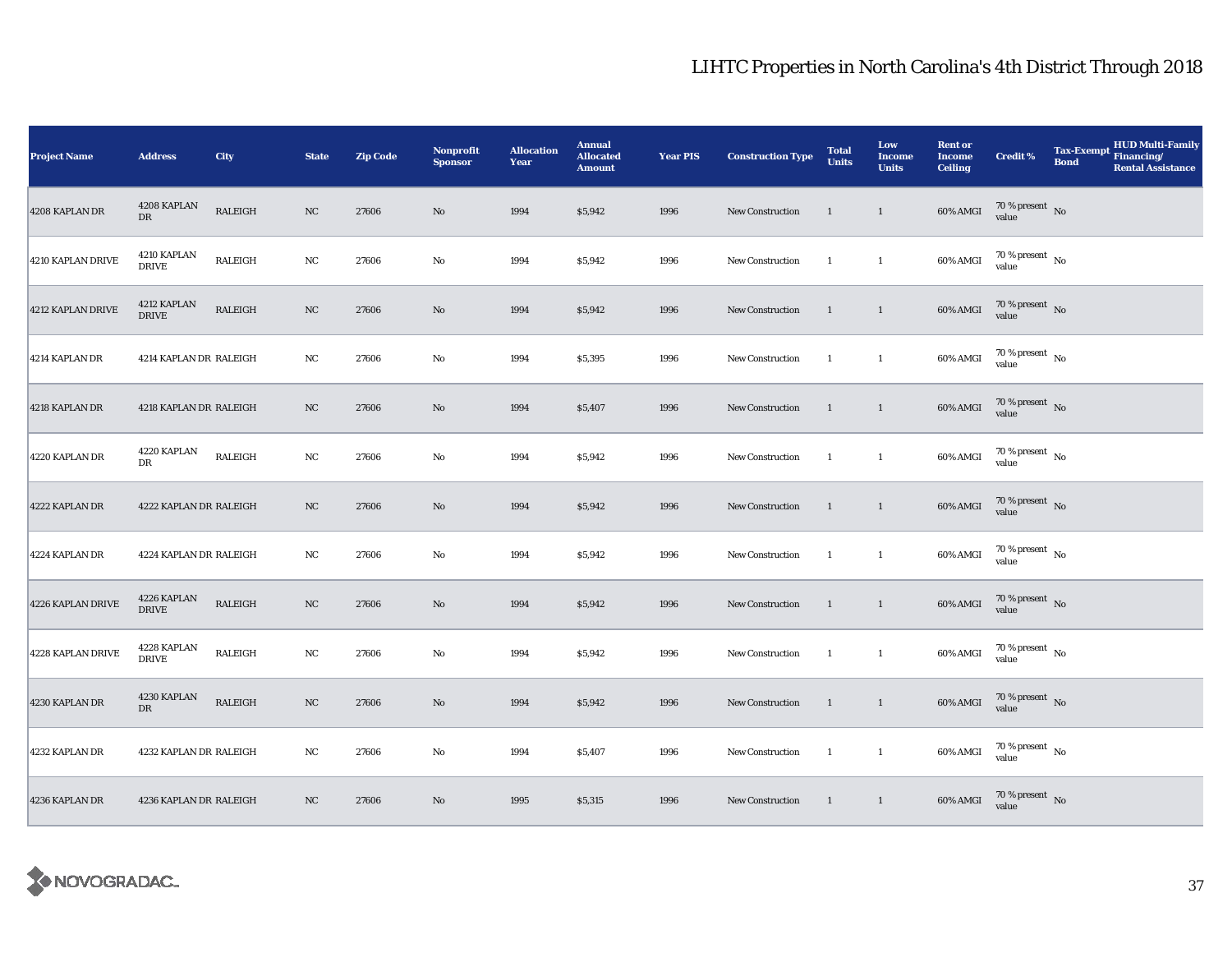| <b>Project Name</b> | <b>Address</b>              | City           | <b>State</b> | <b>Zip Code</b> | <b>Nonprofit</b><br><b>Sponsor</b> | <b>Allocation</b><br>Year | <b>Annual</b><br><b>Allocated</b><br><b>Amount</b> | <b>Year PIS</b> | <b>Construction Type</b> | <b>Total</b><br><b>Units</b> | Low<br><b>Income</b><br><b>Units</b> | <b>Rent or</b><br><b>Income</b><br><b>Ceiling</b> | <b>Credit %</b>                     | <b>Tax-Exempt</b><br><b>Bond</b> | HUD Multi-Family<br>Financing/<br><b>Rental Assistance</b> |
|---------------------|-----------------------------|----------------|--------------|-----------------|------------------------------------|---------------------------|----------------------------------------------------|-----------------|--------------------------|------------------------------|--------------------------------------|---------------------------------------------------|-------------------------------------|----------------------------------|------------------------------------------------------------|
| 4208 KAPLAN DR      | 4208 KAPLAN<br>${\rm DR}$   | RALEIGH        | $_{\rm NC}$  | 27606           | $\rm No$                           | 1994                      | \$5,942                                            | 1996            | New Construction         | <sup>1</sup>                 | $\mathbf{1}$                         | 60% AMGI                                          | $70\,\%$ present $\,$ No value      |                                  |                                                            |
| 4210 KAPLAN DRIVE   | 4210 KAPLAN<br><b>DRIVE</b> | RALEIGH        | $_{\rm NC}$  | 27606           | $\rm No$                           | 1994                      | \$5,942                                            | 1996            | <b>New Construction</b>  | -1                           | $\mathbf{1}$                         | 60% AMGI                                          | $70\,\%$ present $\,$ No value      |                                  |                                                            |
| 4212 KAPLAN DRIVE   | 4212 KAPLAN<br><b>DRIVE</b> | RALEIGH        | $_{\rm NC}$  | 27606           | No                                 | 1994                      | \$5,942                                            | 1996            | New Construction         | $\mathbf{1}$                 | $\mathbf{1}$                         | $60\%$ AMGI                                       | $70\,\%$ present $\,$ No value      |                                  |                                                            |
| 4214 KAPLAN DR      | 4214 KAPLAN DR RALEIGH      |                | NC           | 27606           | No                                 | 1994                      | \$5,395                                            | 1996            | <b>New Construction</b>  | -1                           | $\mathbf{1}$                         | 60% AMGI                                          | $70\,\%$ present $\,$ No value      |                                  |                                                            |
| 4218 KAPLAN DR      | 4218 KAPLAN DR RALEIGH      |                | NC           | 27606           | $\rm No$                           | 1994                      | \$5,407                                            | 1996            | <b>New Construction</b>  | $\mathbf{1}$                 | $\mathbf{1}$                         | 60% AMGI                                          | $70\,\%$ present $${\rm No}$$ value |                                  |                                                            |
| 4220 KAPLAN DR      | 4220 KAPLAN<br>DR           | <b>RALEIGH</b> | NC           | 27606           | No                                 | 1994                      | \$5,942                                            | 1996            | New Construction         | $\mathbf{1}$                 | $\mathbf{1}$                         | 60% AMGI                                          | $70\,\%$ present $\,$ No value      |                                  |                                                            |
| 4222 KAPLAN DR      | 4222 KAPLAN DR RALEIGH      |                | NC           | 27606           | $\rm\thinspace No$                 | 1994                      | \$5,942                                            | 1996            | New Construction         | $\mathbf{1}$                 | $\mathbf{1}$                         | 60% AMGI                                          | $70\,\%$ present $\,$ No value      |                                  |                                                            |
| 4224 KAPLAN DR      | 4224 KAPLAN DR RALEIGH      |                | NC           | 27606           | $\mathbf {No}$                     | 1994                      | \$5,942                                            | 1996            | New Construction         | -1                           | $\mathbf{1}$                         | 60% AMGI                                          | 70 % present $\hbox{~No}$<br>value  |                                  |                                                            |
| 4226 KAPLAN DRIVE   | 4226 KAPLAN<br><b>DRIVE</b> | <b>RALEIGH</b> | $_{\rm NC}$  | 27606           | No                                 | 1994                      | \$5,942                                            | 1996            | New Construction         | $\mathbf{1}$                 | $\mathbf{1}$                         | 60% AMGI                                          | $70\,\%$ present $\,$ No value      |                                  |                                                            |
| 4228 KAPLAN DRIVE   | 4228 KAPLAN<br><b>DRIVE</b> | RALEIGH        | $_{\rm NC}$  | 27606           | $\rm No$                           | 1994                      | \$5,942                                            | 1996            | <b>New Construction</b>  | $\mathbf{1}$                 | $\mathbf{1}$                         | 60% AMGI                                          | $70\,\%$ present $\,$ No value      |                                  |                                                            |
| 4230 KAPLAN DR      | 4230 KAPLAN<br><b>DR</b>    | RALEIGH        | $_{\rm NC}$  | 27606           | No                                 | 1994                      | \$5,942                                            | 1996            | <b>New Construction</b>  | 1                            | $\mathbf{1}$                         | 60% AMGI                                          | $70\,\%$ present $\,$ No value      |                                  |                                                            |
| 4232 KAPLAN DR      | 4232 KAPLAN DR RALEIGH      |                | $_{\rm NC}$  | 27606           | No                                 | 1994                      | \$5,407                                            | 1996            | <b>New Construction</b>  | -1                           | $\mathbf{1}$                         | 60% AMGI                                          | $70\,\%$ present $\,$ No value      |                                  |                                                            |
| 4236 KAPLAN DR      | 4236 KAPLAN DR RALEIGH      |                | NC           | 27606           | No                                 | 1995                      | \$5,315                                            | 1996            | New Construction         | $\mathbf{1}$                 | $\mathbf{1}$                         | 60% AMGI                                          | $70\,\%$ present $\,$ No value      |                                  |                                                            |

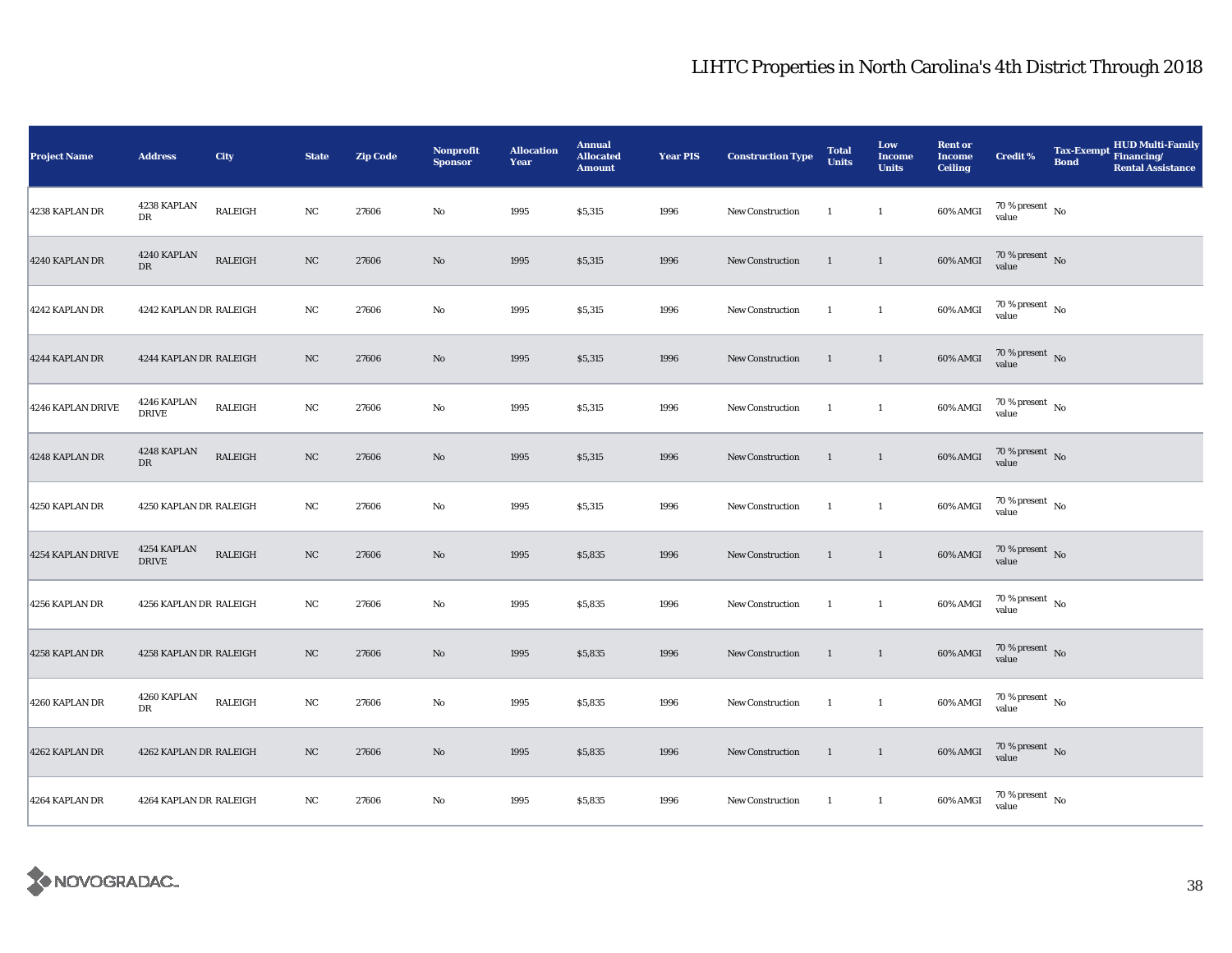| <b>Project Name</b> | <b>Address</b>              | City           | <b>State</b> | <b>Zip Code</b> | Nonprofit<br><b>Sponsor</b> | <b>Allocation</b><br>Year | <b>Annual</b><br><b>Allocated</b><br><b>Amount</b> | <b>Year PIS</b> | <b>Construction Type</b> | <b>Total</b><br><b>Units</b> | Low<br><b>Income</b><br><b>Units</b> | <b>Rent or</b><br><b>Income</b><br><b>Ceiling</b> | <b>Credit %</b>                  | <b>Tax-Exempt</b><br><b>Bond</b> | ${\bf HUD\; Multi-Family}$ ${\bf Financial}$<br><b>Rental Assistance</b> |
|---------------------|-----------------------------|----------------|--------------|-----------------|-----------------------------|---------------------------|----------------------------------------------------|-----------------|--------------------------|------------------------------|--------------------------------------|---------------------------------------------------|----------------------------------|----------------------------------|--------------------------------------------------------------------------|
| 4238 KAPLAN DR      | 4238 KAPLAN<br>DR           | RALEIGH        | NC           | 27606           | No                          | 1995                      | \$5,315                                            | 1996            | New Construction         | <sup>1</sup>                 | $\mathbf{1}$                         | 60% AMGI                                          | $70\,\%$ present $\,$ No value   |                                  |                                                                          |
| 4240 KAPLAN DR      | 4240 KAPLAN<br>DR           | <b>RALEIGH</b> | $_{\rm NC}$  | 27606           | $\rm No$                    | 1995                      | \$5,315                                            | 1996            | <b>New Construction</b>  | $\mathbf{1}$                 | $\mathbf{1}$                         | 60% AMGI                                          | $70\,\%$ present $\,$ No value   |                                  |                                                                          |
| 4242 KAPLAN DR      | 4242 KAPLAN DR RALEIGH      |                | $_{\rm NC}$  | 27606           | No                          | 1995                      | \$5,315                                            | 1996            | New Construction         | -1                           | $\mathbf{1}$                         | 60% AMGI                                          | $70\,\%$ present $\,$ No value   |                                  |                                                                          |
| 4244 KAPLAN DR      | 4244 KAPLAN DR RALEIGH      |                | NC           | 27606           | No                          | 1995                      | \$5,315                                            | 1996            | <b>New Construction</b>  | -1                           | $\mathbf{1}$                         | 60% AMGI                                          | $70\,\%$ present $\,$ No value   |                                  |                                                                          |
| 4246 KAPLAN DRIVE   | 4246 KAPLAN<br><b>DRIVE</b> | RALEIGH        | $_{\rm NC}$  | 27606           | No                          | 1995                      | \$5,315                                            | 1996            | <b>New Construction</b>  | -1                           | $\mathbf{1}$                         | 60% AMGI                                          | $70\,\%$ present $\,$ No value   |                                  |                                                                          |
| 4248 KAPLAN DR      | 4248 KAPLAN<br>DR           | RALEIGH        | NC           | 27606           | No                          | 1995                      | \$5,315                                            | 1996            | New Construction         | $\mathbf{1}$                 | $\overline{1}$                       | 60% AMGI                                          | $70\,\%$ present $\,$ No value   |                                  |                                                                          |
| 4250 KAPLAN DR      | 4250 KAPLAN DR RALEIGH      |                | NC           | 27606           | No                          | 1995                      | \$5,315                                            | 1996            | New Construction         | $\overline{1}$               | $\mathbf{1}$                         | 60% AMGI                                          | $70\,\%$ present $\,$ No value   |                                  |                                                                          |
| 4254 KAPLAN DRIVE   | 4254 KAPLAN<br><b>DRIVE</b> | RALEIGH        | NC           | 27606           | $\rm No$                    | 1995                      | \$5,835                                            | 1996            | New Construction         | $\overline{1}$               | $\mathbf{1}$                         | 60% AMGI                                          | $70\,\%$ present $\,$ No value   |                                  |                                                                          |
| 4256 KAPLAN DR      | 4256 KAPLAN DR RALEIGH      |                | $_{\rm NC}$  | 27606           | $\rm No$                    | 1995                      | \$5,835                                            | 1996            | New Construction         | $\mathbf{1}$                 | $\mathbf{1}$                         | 60% AMGI                                          | $70\,\%$ present $\,$ No value   |                                  |                                                                          |
| 4258 KAPLAN DR      | 4258 KAPLAN DR RALEIGH      |                | NC           | 27606           | $\rm No$                    | 1995                      | \$5,835                                            | 1996            | New Construction         | $\mathbf{1}$                 | $\mathbf{1}$                         | 60% AMGI                                          | $70\,\%$ present $\,$ No value   |                                  |                                                                          |
| 4260 KAPLAN DR      | 4260 KAPLAN<br><b>DR</b>    | <b>RALEIGH</b> | $_{\rm NC}$  | 27606           | No                          | 1995                      | \$5,835                                            | 1996            | New Construction         | $\mathbf{1}$                 | $\mathbf{1}$                         | 60% AMGI                                          | $70\,\%$ present $\,$ No value   |                                  |                                                                          |
| 4262 KAPLAN DR      | 4262 KAPLAN DR RALEIGH      |                | NC           | 27606           | $\rm No$                    | 1995                      | \$5,835                                            | 1996            | <b>New Construction</b>  | $\mathbf{1}$                 | $\mathbf{1}$                         | 60% AMGI                                          | $70$ % present $$\rm{No}$$ value |                                  |                                                                          |
| 4264 KAPLAN DR      | 4264 KAPLAN DR RALEIGH      |                | NC           | 27606           | No                          | 1995                      | \$5,835                                            | 1996            | New Construction         | $\overline{1}$               | $\mathbf{1}$                         | 60% AMGI                                          | $70\,\%$ present $\,$ No value   |                                  |                                                                          |

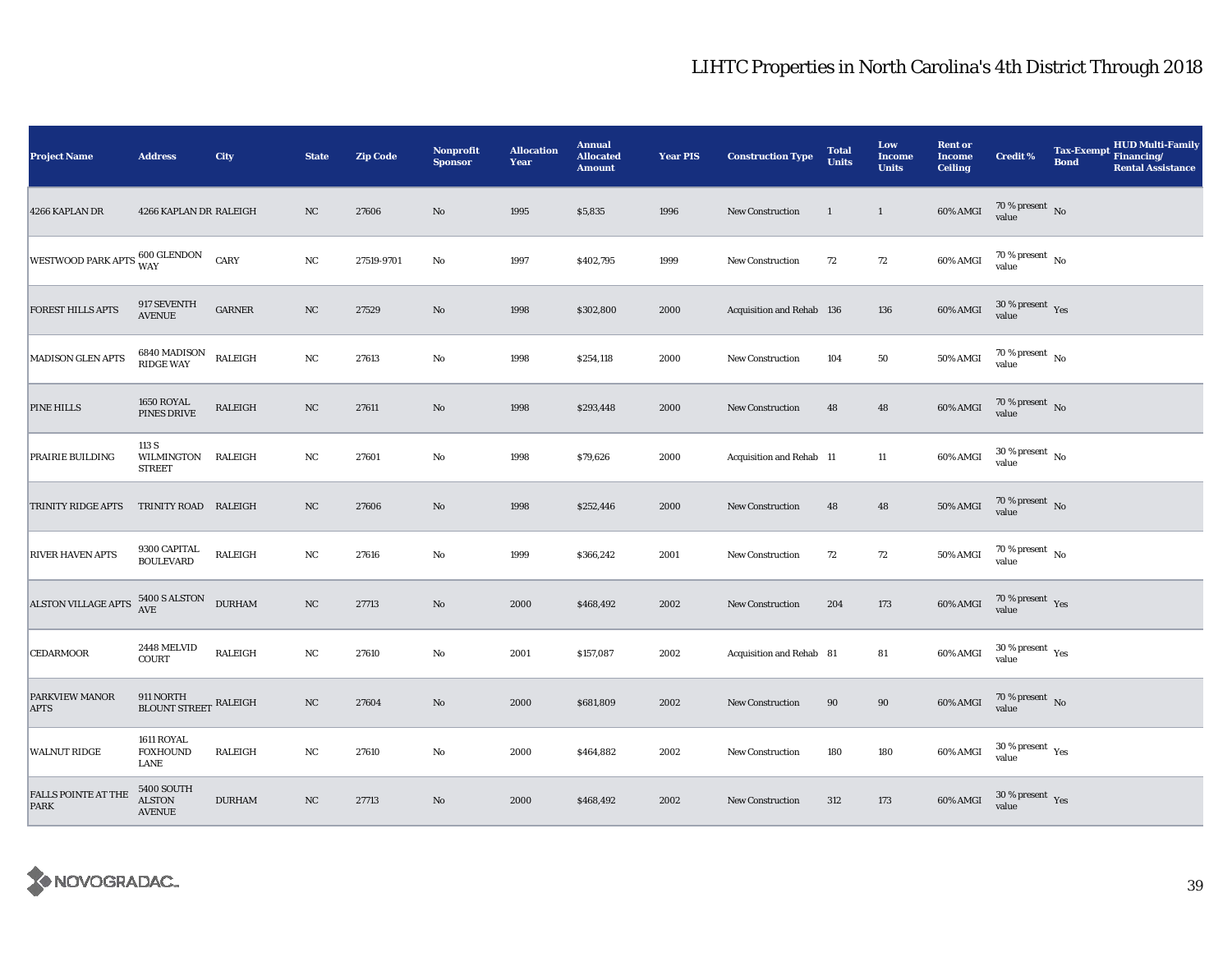| Project Name                       | <b>Address</b>                                      | City            | <b>State</b> | <b>Zip Code</b> | <b>Nonprofit</b><br><b>Sponsor</b> | <b>Allocation</b><br>Year | <b>Annual</b><br><b>Allocated</b><br><b>Amount</b> | <b>Year PIS</b> | <b>Construction Type</b>  | <b>Total</b><br><b>Units</b> | Low<br><b>Income</b><br><b>Units</b> | <b>Rent or</b><br><b>Income</b><br><b>Ceiling</b> | <b>Credit %</b>                          | <b>Tax-Exempt</b><br><b>Bond</b> | HUD Multi-Family<br>Financing/<br><b>Rental Assistance</b> |
|------------------------------------|-----------------------------------------------------|-----------------|--------------|-----------------|------------------------------------|---------------------------|----------------------------------------------------|-----------------|---------------------------|------------------------------|--------------------------------------|---------------------------------------------------|------------------------------------------|----------------------------------|------------------------------------------------------------|
| 4266 KAPLAN DR                     | 4266 KAPLAN DR RALEIGH                              |                 | NC           | 27606           | $\mathbf{No}$                      | 1995                      | \$5,835                                            | 1996            | <b>New Construction</b>   | 1                            | $\mathbf{1}$                         | 60% AMGI                                          | 70 % present $\hbox{~No}$<br>value       |                                  |                                                            |
| WESTWOOD PARK APTS 600 GLENDON     |                                                     | CARY            | $_{\rm NC}$  | 27519-9701      | $\mathbf{No}$                      | 1997                      | \$402,795                                          | 1999            | New Construction          | 72                           | 72                                   | 60% AMGI                                          | $70$ % present $\,$ No $\,$<br>value     |                                  |                                                            |
| <b>FOREST HILLS APTS</b>           | 917 SEVENTH<br>AVENUE                               | $_{\rm GARMER}$ | $_{\rm NC}$  | 27529           | No                                 | 1998                      | \$302,800                                          | 2000            | Acquisition and Rehab 136 |                              | 136                                  | 60% AMGI                                          | $30\,\%$ present $\,$ Yes value          |                                  |                                                            |
| <b>MADISON GLEN APTS</b>           | 6840 MADISON<br>RIDGE WAY                           | <b>RALEIGH</b>  | $_{\rm NC}$  | 27613           | No                                 | 1998                      | \$254,118                                          | 2000            | <b>New Construction</b>   | 104                          | 50                                   | 50% AMGI                                          | $70$ % present $\,$ No $\,$<br>value     |                                  |                                                            |
| PINE HILLS                         | 1650 ROYAL<br>PINES DRIVE                           | <b>RALEIGH</b>  | NC           | 27611           | $\mathbf{No}$                      | 1998                      | \$293,448                                          | 2000            | <b>New Construction</b>   | 48                           | 48                                   | 60% AMGI                                          | $70\,\%$ present $\,$ No value           |                                  |                                                            |
| PRAIRIE BUILDING                   | 113 S<br>WILMINGTON RALEIGH<br><b>STREET</b>        |                 | NC           | 27601           | No                                 | 1998                      | \$79,626                                           | 2000            | Acquisition and Rehab 11  |                              | 11                                   | $60\%$ AMGI                                       | $30\,\%$ present $\,$ No $\,$<br>value   |                                  |                                                            |
| TRINITY RIDGE APTS                 | TRINITY ROAD RALEIGH                                |                 | NC           | 27606           | $\mathbf{No}$                      | 1998                      | \$252,446                                          | 2000            | <b>New Construction</b>   | 48                           | 48                                   | <b>50% AMGI</b>                                   | $70\,\%$ present $\,$ No value           |                                  |                                                            |
| <b>RIVER HAVEN APTS</b>            | 9300 CAPITAL<br><b>BOULEVARD</b>                    | RALEIGH         | NC           | 27616           | No                                 | 1999                      | \$366,242                                          | 2001            | New Construction          | 72                           | 72                                   | <b>50% AMGI</b>                                   | 70 % present $\hbox{~No}$<br>value       |                                  |                                                            |
| <b>ALSTON VILLAGE APTS</b>         | 5400 S ALSTON<br>AVE                                | <b>DURHAM</b>   | $_{\rm NC}$  | 27713           | $\mathbf{No}$                      | 2000                      | \$468,492                                          | 2002            | New Construction          | 204                          | 173                                  | $60\%$ AMGI                                       | $70\,\%$ present $\,$ Yes value          |                                  |                                                            |
| <b>CEDARMOOR</b>                   | 2448 MELVID<br><b>COURT</b>                         | RALEIGH         | $_{\rm NC}$  | 27610           | No                                 | 2001                      | \$157,087                                          | 2002            | Acquisition and Rehab 81  |                              | ${\bf 81}$                           | 60% AMGI                                          | $30\,\%$ present $\,$ $\rm Yes$<br>value |                                  |                                                            |
| PARKVIEW MANOR<br><b>APTS</b>      | 911 NORTH<br>BLOUNT STREET RALEIGH                  |                 | NC           | 27604           | $\rm No$                           | 2000                      | \$681,809                                          | 2002            | New Construction          | 90                           | $90\,$                               | 60% AMGI                                          | $70\,\%$ present $\,$ No value           |                                  |                                                            |
| <b>WALNUT RIDGE</b>                | 1611 ROYAL<br><b>FOXHOUND</b><br>LANE               | <b>RALEIGH</b>  | NC           | 27610           | $\rm No$                           | 2000                      | \$464,882                                          | 2002            | <b>New Construction</b>   | 180                          | 180                                  | 60% AMGI                                          | $30\,\%$ present $\,$ Yes value          |                                  |                                                            |
| FALLS POINTE AT THE<br><b>PARK</b> | <b>5400 SOUTH</b><br><b>ALSTON</b><br><b>AVENUE</b> | <b>DURHAM</b>   | NC           | 27713           | $\mathbf{No}$                      | 2000                      | \$468,492                                          | 2002            | <b>New Construction</b>   | 312                          | 173                                  | 60% AMGI                                          | $30\,\%$ present $\,$ Yes value          |                                  |                                                            |

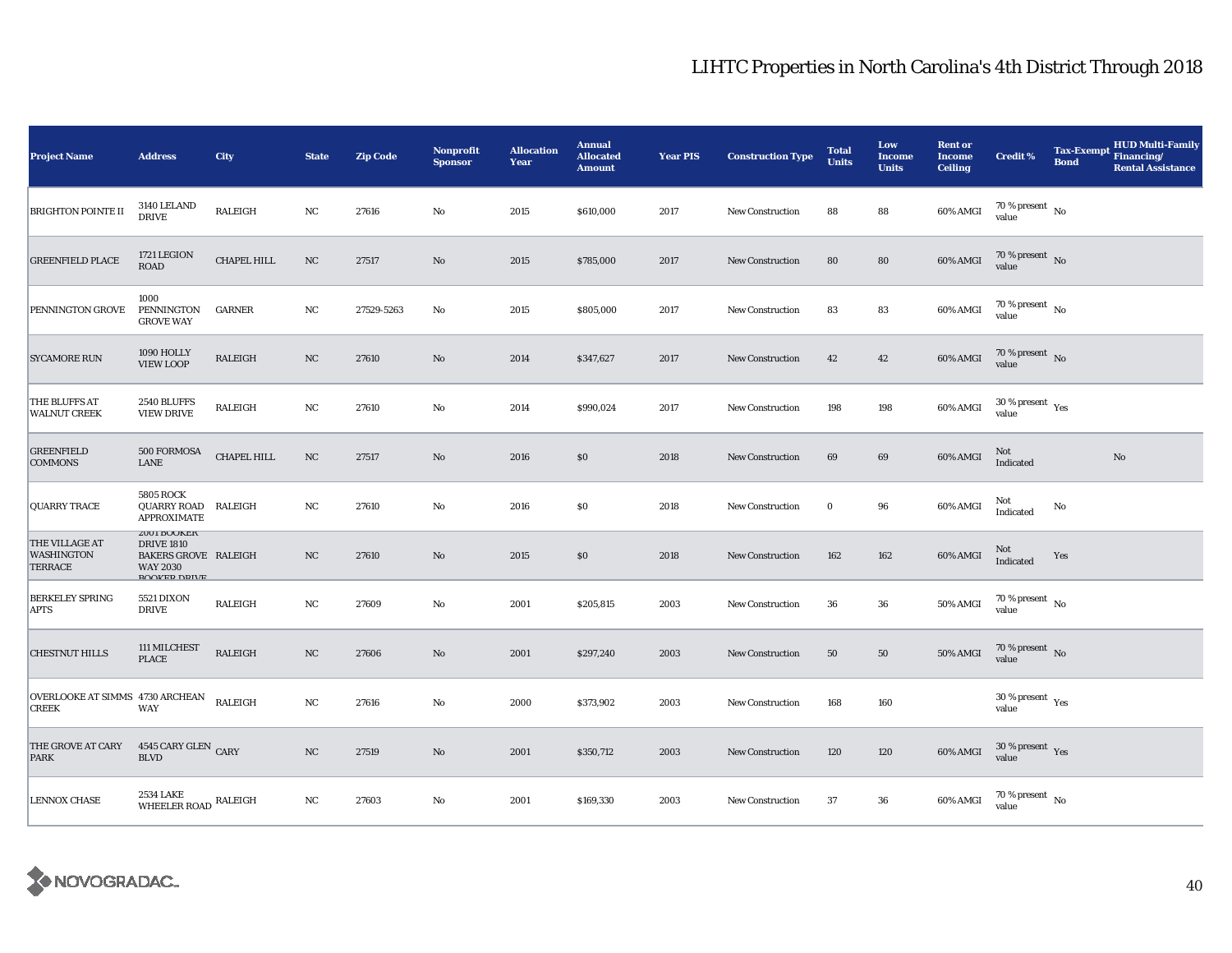| <b>Project Name</b>                                   | <b>Address</b>                                                                                                          | <b>City</b>    | <b>State</b> | <b>Zip Code</b> | <b>Nonprofit</b><br><b>Sponsor</b> | <b>Allocation</b><br>Year | <b>Annual</b><br><b>Allocated</b><br><b>Amount</b> | <b>Year PIS</b> | <b>Construction Type</b> | <b>Total</b><br><b>Units</b> | Low<br><b>Income</b><br><b>Units</b> | <b>Rent or</b><br><b>Income</b><br><b>Ceiling</b> | <b>Credit %</b>                                 | <b>Tax-Exempt</b><br><b>Bond</b> | <b>HUD Multi-Family</b><br>Financing/<br><b>Rental Assistance</b> |
|-------------------------------------------------------|-------------------------------------------------------------------------------------------------------------------------|----------------|--------------|-----------------|------------------------------------|---------------------------|----------------------------------------------------|-----------------|--------------------------|------------------------------|--------------------------------------|---------------------------------------------------|-------------------------------------------------|----------------------------------|-------------------------------------------------------------------|
| <b>BRIGHTON POINTE II</b>                             | 3140 LELAND<br><b>DRIVE</b>                                                                                             | <b>RALEIGH</b> | NC           | 27616           | $\rm No$                           | 2015                      | \$610,000                                          | 2017            | New Construction         | 88                           | 88                                   | 60% AMGI                                          | 70 % present $\hbox{~No}$<br>value              |                                  |                                                                   |
| <b>GREENFIELD PLACE</b>                               | 1721 LEGION<br>ROAD                                                                                                     | CHAPEL HILL    | $_{\rm NC}$  | 27517           | $\mathbf{N}\mathbf{o}$             | 2015                      | \$785,000                                          | 2017            | <b>New Construction</b>  | 80                           | 80                                   | 60% AMGI                                          | 70 % present No<br>value                        |                                  |                                                                   |
| PENNINGTON GROVE                                      | 1000<br>PENNINGTON<br><b>GROVE WAY</b>                                                                                  | <b>GARNER</b>  | NC           | 27529-5263      | No                                 | 2015                      | \$805,000                                          | 2017            | New Construction         | 83                           | 83                                   | 60% AMGI                                          | $70$ % present $_{\, \rm No}$<br>value          |                                  |                                                                   |
| <b>SYCAMORE RUN</b>                                   | 1090 HOLLY<br><b>VIEW LOOP</b>                                                                                          | <b>RALEIGH</b> | NC           | 27610           | $\mathbf{No}$                      | 2014                      | \$347,627                                          | 2017            | New Construction         | 42                           | 42                                   | 60% AMGI                                          | 70 % present $\hbox{~No}$<br>value              |                                  |                                                                   |
| THE BLUFFS AT<br><b>WALNUT CREEK</b>                  | 2540 BLUFFS<br><b>VIEW DRIVE</b>                                                                                        | RALEIGH        | NC           | 27610           | $\rm No$                           | 2014                      | \$990,024                                          | 2017            | <b>New Construction</b>  | 198                          | 198                                  | 60% AMGI                                          | $30\,\%$ present $\,$ $\rm Yes$<br>value        |                                  |                                                                   |
| <b>GREENFIELD</b><br><b>COMMONS</b>                   | 500 FORMOSA<br><b>LANE</b>                                                                                              | CHAPEL HILL    | NC           | 27517           | $\rm No$                           | 2016                      | \$0                                                | 2018            | New Construction         | 69                           | 69                                   | 60% AMGI                                          | Not<br>Indicated                                |                                  | $\rm No$                                                          |
| <b>QUARRY TRACE</b>                                   | <b>5805 ROCK</b><br>QUARRY ROAD<br>APPROXIMATE                                                                          | RALEIGH        | NC           | 27610           | $\mathbf{No}$                      | 2016                      | \$0                                                | 2018            | <b>New Construction</b>  | $\bf{0}$                     | 96                                   | 60% AMGI                                          | Not<br>Indicated                                | No                               |                                                                   |
| THE VILLAGE AT<br><b>WASHINGTON</b><br><b>TERRACE</b> | <b><i>LUUI BUURER</i></b><br><b>DRIVE 1810</b><br><b>BAKERS GROVE RALEIGH</b><br><b>WAY 2030</b><br><b>ROOKED DRIVE</b> |                | NC           | 27610           | $\mathbf{No}$                      | 2015                      | \$0                                                | 2018            | <b>New Construction</b>  | 162                          | 162                                  | 60% AMGI                                          | Not<br>Indicated                                | Yes                              |                                                                   |
| <b>BERKELEY SPRING</b><br><b>APTS</b>                 | <b>5521 DIXON</b><br><b>DRIVE</b>                                                                                       | RALEIGH        | NC           | 27609           | No                                 | 2001                      | \$205,815                                          | 2003            | New Construction         | 36                           | 36                                   | 50% AMGI                                          | $70$ % present $\,$ No $\,$<br>value            |                                  |                                                                   |
| <b>CHESTNUT HILLS</b>                                 | 111 MILCHEST<br><b>PLACE</b>                                                                                            | RALEIGH        | NC           | 27606           | $\mathbf{N}\mathbf{o}$             | 2001                      | \$297,240                                          | 2003            | New Construction         | 50                           | 50                                   | <b>50% AMGI</b>                                   | 70 % present $\,$ No $\,$<br>value              |                                  |                                                                   |
| OVERLOOKE AT SIMMS 4730 ARCHEAN<br><b>CREEK</b>       | <b>WAY</b>                                                                                                              | RALEIGH        | NC           | 27616           | $\rm No$                           | 2000                      | \$373,902                                          | 2003            | New Construction         | 168                          | 160                                  |                                                   | $30\,\%$ present $\rm\thinspace_{Yes}$<br>value |                                  |                                                                   |
| THE GROVE AT CARY<br><b>PARK</b>                      | 4545 CARY GLEN CARY<br><b>BLVD</b>                                                                                      |                | $_{\rm NC}$  | 27519           | $\mathbf{N}\mathbf{o}$             | 2001                      | \$350,712                                          | 2003            | New Construction         | 120                          | 120                                  | 60% AMGI                                          | $30\,\%$ present $\,$ Yes value                 |                                  |                                                                   |
| <b>LENNOX CHASE</b>                                   | 2534 LAKE<br>WHEELER ROAD RALEIGH                                                                                       |                | $_{\rm NC}$  | 27603           | $\mathbf{No}$                      | 2001                      | \$169,330                                          | 2003            | New Construction         | 37                           | 36                                   | 60% AMGI                                          | $70$ % present $\,$ No $\,$<br>value            |                                  |                                                                   |

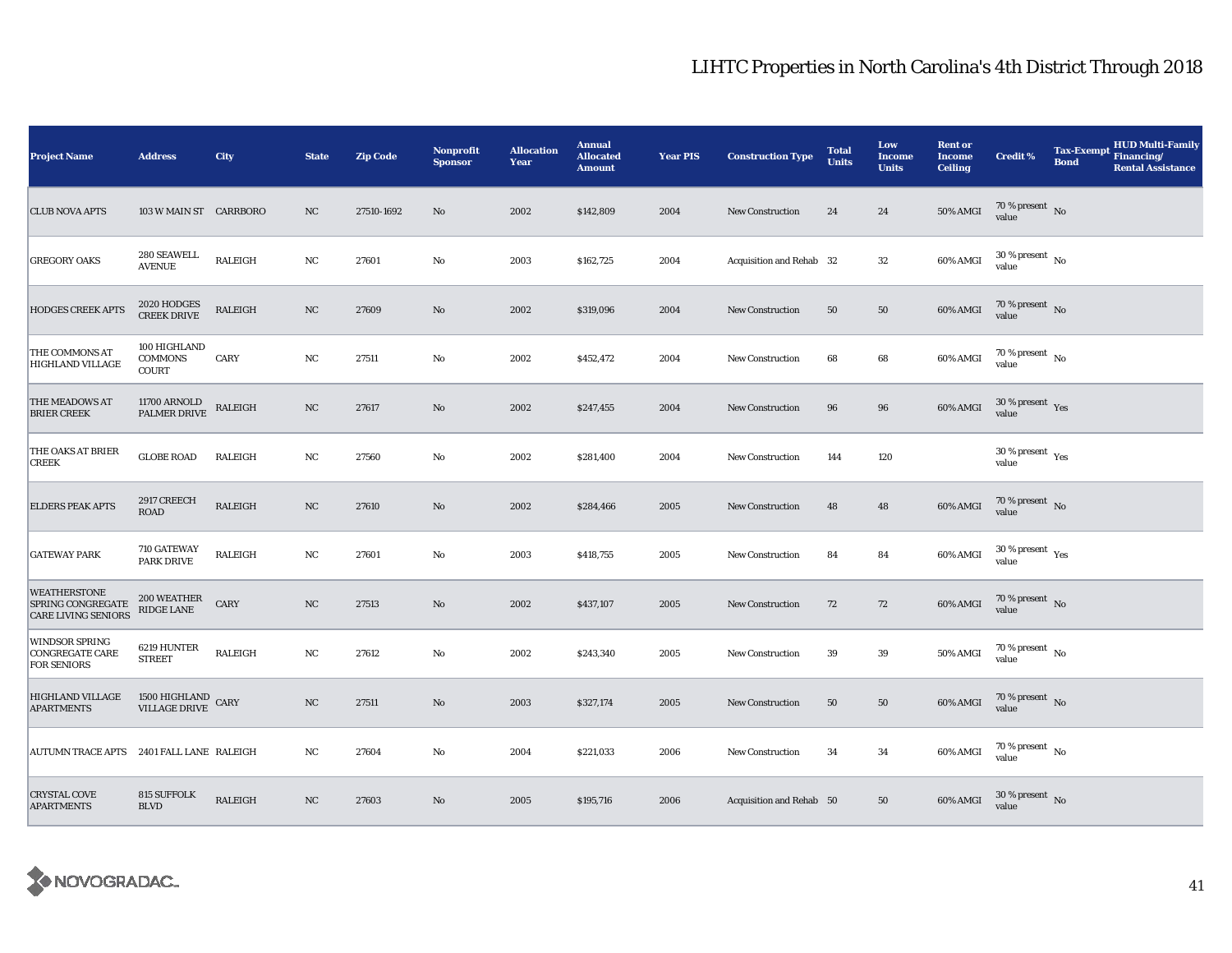| <b>Project Name</b>                                             | <b>Address</b>                                 | City           | <b>State</b> | <b>Zip Code</b> | Nonprofit<br><b>Sponsor</b> | <b>Allocation</b><br><b>Year</b> | <b>Annual</b><br><b>Allocated</b><br><b>Amount</b> | <b>Year PIS</b> | <b>Construction Type</b> | <b>Total</b><br><b>Units</b> | Low<br><b>Income</b><br><b>Units</b> | <b>Rent or</b><br><b>Income</b><br><b>Ceiling</b> | <b>Credit %</b>                          | <b>Tax-Exempt</b><br><b>Bond</b> | <b>HUD Multi-Family</b><br>Financing/<br><b>Rental Assistance</b> |
|-----------------------------------------------------------------|------------------------------------------------|----------------|--------------|-----------------|-----------------------------|----------------------------------|----------------------------------------------------|-----------------|--------------------------|------------------------------|--------------------------------------|---------------------------------------------------|------------------------------------------|----------------------------------|-------------------------------------------------------------------|
| <b>CLUB NOVA APTS</b>                                           | 103 W MAIN ST CARRBORO                         |                | NC           | 27510-1692      | No                          | 2002                             | \$142,809                                          | 2004            | <b>New Construction</b>  | 24                           | 24                                   | 50% AMGI                                          | 70 % present $\,$ No $\,$<br>value       |                                  |                                                                   |
| <b>GREGORY OAKS</b>                                             | 280 SEAWELL<br><b>AVENUE</b>                   | RALEIGH        | NC           | 27601           | No                          | 2003                             | \$162,725                                          | 2004            | Acquisition and Rehab 32 |                              | 32                                   | 60% AMGI                                          | $30\,\%$ present $\,$ No $\,$<br>value   |                                  |                                                                   |
| <b>HODGES CREEK APTS</b>                                        | 2020 HODGES<br>CREEK DRIVE                     | RALEIGH        | $_{\rm NC}$  | 27609           | $\mathbf{N}\mathbf{o}$      | 2002                             | \$319,096                                          | 2004            | <b>New Construction</b>  | 50                           | $50\,$                               | 60% AMGI                                          | $70\,\%$ present $$$ No value            |                                  |                                                                   |
| THE COMMONS AT<br>HIGHLAND VILLAGE                              | 100 HIGHLAND<br><b>COMMONS</b><br><b>COURT</b> | CARY           | NC           | 27511           | No                          | 2002                             | \$452,472                                          | 2004            | New Construction         | 68                           | 68                                   | 60% AMGI                                          | $70$ % present $\,$ No $\,$<br>value     |                                  |                                                                   |
| THE MEADOWS AT<br><b>BRIER CREEK</b>                            | 11700 ARNOLD<br>PALMER DRIVE                   | RALEIGH        | NC           | 27617           | $\mathbf{N}\mathbf{o}$      | 2002                             | \$247,455                                          | 2004            | <b>New Construction</b>  | 96                           | 96                                   | 60% AMGI                                          | $30\,\%$ present $\,$ Yes<br>value       |                                  |                                                                   |
| THE OAKS AT BRIER<br><b>CREEK</b>                               | <b>GLOBE ROAD</b>                              | <b>RALEIGH</b> | NC           | 27560           | $\mathbf{No}$               | 2002                             | \$281,400                                          | 2004            | New Construction         | 144                          | 120                                  |                                                   | $30\,\%$ present $\,$ $\rm Yes$<br>value |                                  |                                                                   |
| <b>ELDERS PEAK APTS</b>                                         | 2917 CREECH<br>ROAD                            | RALEIGH        | $_{\rm NC}$  | 27610           | $\mathbf{N}\mathbf{o}$      | 2002                             | \$284,466                                          | 2005            | New Construction         | 48                           | 48                                   | 60% AMGI                                          | 70 % present $\hbox{~No}$<br>value       |                                  |                                                                   |
| <b>GATEWAY PARK</b>                                             | 710 GATEWAY<br><b>PARK DRIVE</b>               | <b>RALEIGH</b> | NC           | 27601           | No                          | 2003                             | \$418,755                                          | 2005            | New Construction         | 84                           | 84                                   | 60% AMGI                                          | 30 % present $\,$ $\rm Yes$<br>value     |                                  |                                                                   |
| WEATHERSTONE<br>SPRING CONGREGATE<br><b>CARE LIVING SENIORS</b> | 200 WEATHER<br>RIDGE LANE                      | CARY           | NC           | 27513           | No                          | 2002                             | \$437,107                                          | 2005            | New Construction         | 72                           | 72                                   | 60% AMGI                                          | $70$ % present $\,$ No $\,$<br>value     |                                  |                                                                   |
| WINDSOR SPRING<br><b>CONGREGATE CARE</b><br><b>FOR SENIORS</b>  | 6219 HUNTER<br><b>STREET</b>                   | <b>RALEIGH</b> | NC           | 27612           | No                          | 2002                             | \$243,340                                          | 2005            | <b>New Construction</b>  | 39                           | 39                                   | 50% AMGI                                          | $70$ % present $\,$ No $\,$<br>value     |                                  |                                                                   |
| <b>HIGHLAND VILLAGE</b><br><b>APARTMENTS</b>                    | 1500 HIGHLAND CARY<br>VILLAGE DRIVE CARY       |                | NC           | 27511           | $\mathbf{N}\mathbf{o}$      | 2003                             | \$327,174                                          | 2005            | New Construction         | 50                           | 50                                   | 60% AMGI                                          | $70$ % present $\,$ No $\,$<br>value     |                                  |                                                                   |
| AUTUMN TRACE APTS 2401 FALL LANE RALEIGH                        |                                                |                | NC           | 27604           | No                          | 2004                             | \$221,033                                          | 2006            | <b>New Construction</b>  | 34                           | 34                                   | 60% AMGI                                          | 70 % present $\hbox{~No}$<br>value       |                                  |                                                                   |
| <b>CRYSTAL COVE</b><br><b>APARTMENTS</b>                        | <b>815 SUFFOLK</b><br><b>BLVD</b>              | RALEIGH        | NC           | 27603           | $\mathbf{No}$               | 2005                             | \$195,716                                          | 2006            | Acquisition and Rehab 50 |                              | 50                                   | 60% AMGI                                          | $30\,\%$ present $\,$ No value           |                                  |                                                                   |

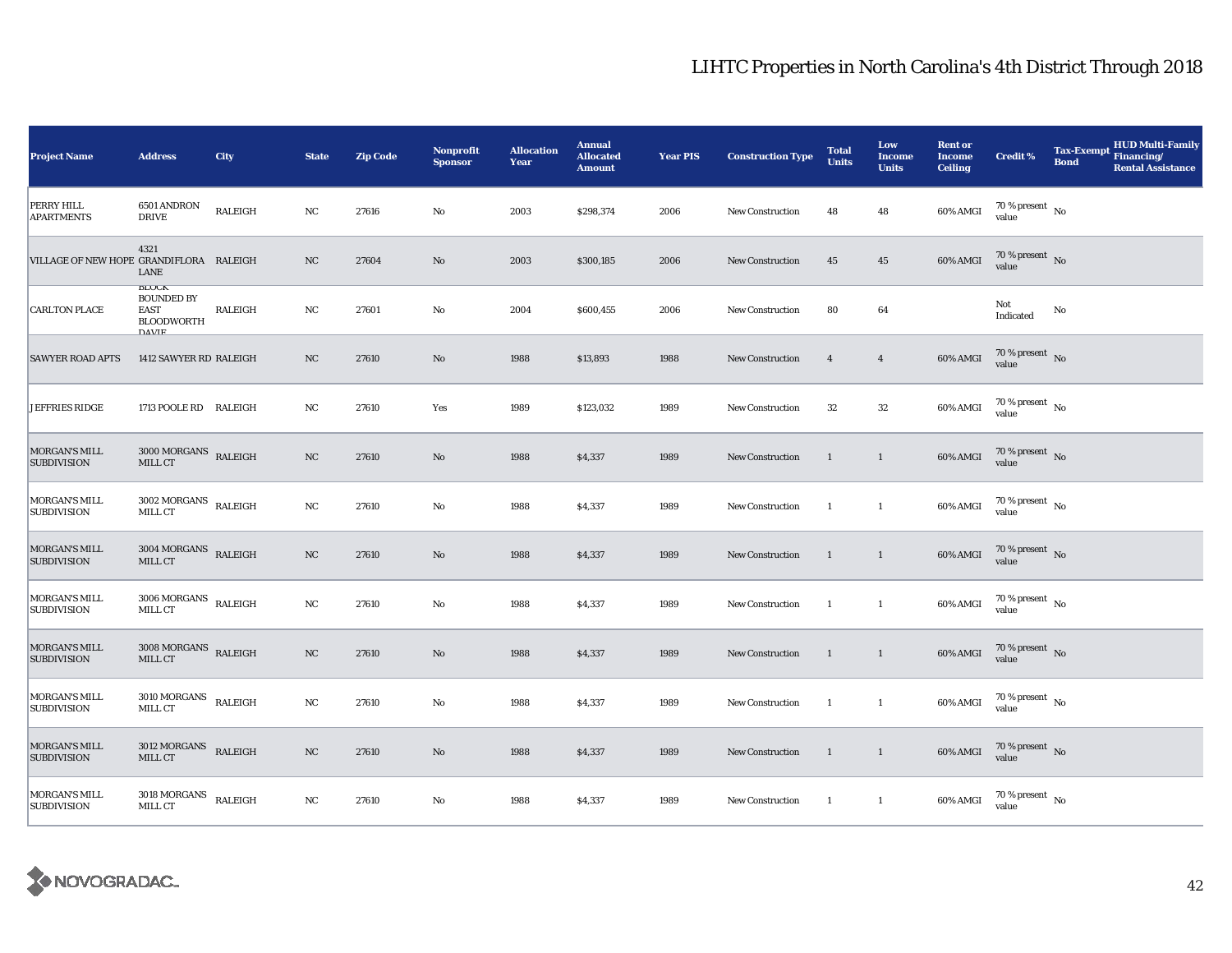| <b>Project Name</b>                        | <b>Address</b>                                                                        | City           | <b>State</b> | <b>Zip Code</b> | Nonprofit<br><b>Sponsor</b> | <b>Allocation</b><br>Year | <b>Annual</b><br><b>Allocated</b><br><b>Amount</b> | <b>Year PIS</b> | <b>Construction Type</b> | <b>Total</b><br><b>Units</b> | Low<br><b>Income</b><br><b>Units</b> | <b>Rent or</b><br><b>Income</b><br><b>Ceiling</b> | <b>Credit %</b>                        | <b>Tax-Exempt</b><br><b>Bond</b> | <b>HUD Multi-Family</b><br>Financing/<br><b>Rental Assistance</b> |
|--------------------------------------------|---------------------------------------------------------------------------------------|----------------|--------------|-----------------|-----------------------------|---------------------------|----------------------------------------------------|-----------------|--------------------------|------------------------------|--------------------------------------|---------------------------------------------------|----------------------------------------|----------------------------------|-------------------------------------------------------------------|
| PERRY HILL<br><b>APARTMENTS</b>            | 6501 ANDRON<br><b>DRIVE</b>                                                           | RALEIGH        | NC           | 27616           | No                          | 2003                      | \$298,374                                          | 2006            | New Construction         | 48                           | 48                                   | 60% AMGI                                          | 70 % present $\hbox{~No}$<br>value     |                                  |                                                                   |
| VILLAGE OF NEW HOPE GRANDIFLORA RALEIGH    | 4321<br>LANE                                                                          |                | NC           | 27604           | No                          | 2003                      | \$300,185                                          | 2006            | <b>New Construction</b>  | 45                           | $45\,$                               | 60% AMGI                                          | 70 % present $\,$ No $\,$<br>value     |                                  |                                                                   |
| <b>CARLTON PLACE</b>                       | <b>BLUUN</b><br><b>BOUNDED BY</b><br><b>EAST</b><br><b>BLOODWORTH</b><br><b>DAVIE</b> | <b>RALEIGH</b> | NC           | 27601           | No                          | 2004                      | \$600,455                                          | 2006            | <b>New Construction</b>  | 80                           | 64                                   |                                                   | Not<br>Indicated                       | No                               |                                                                   |
| <b>SAWYER ROAD APTS</b>                    | 1412 SAWYER RD RALEIGH                                                                |                | NC           | 27610           | No                          | 1988                      | \$13,893                                           | 1988            | <b>New Construction</b>  | $\overline{4}$               | $\overline{4}$                       | 60% AMGI                                          | 70 % present $\,$ No $\,$<br>value     |                                  |                                                                   |
| <b>JEFFRIES RIDGE</b>                      | 1713 POOLE RD RALEIGH                                                                 |                | NC           | 27610           | Yes                         | 1989                      | \$123,032                                          | 1989            | <b>New Construction</b>  | 32                           | $32\,$                               | 60% AMGI                                          | 70 % present $\hbox{~No}$<br>value     |                                  |                                                                   |
| MORGAN'S MILL<br><b>SUBDIVISION</b>        | $3000\,\mathrm{MORGANS}$ RALEIGH<br>MILL CT                                           |                | NC           | 27610           | $\rm No$                    | 1988                      | \$4,337                                            | 1989            | <b>New Construction</b>  | $\mathbf{1}$                 | $\mathbf{1}$                         | 60% AMGI                                          | 70 % present No<br>value               |                                  |                                                                   |
| <b>MORGAN'S MILL</b><br><b>SUBDIVISION</b> | $3002$ MORGANS $\;$ RALEIGH<br>MILL CT                                                |                | NC           | 27610           | No                          | 1988                      | \$4,337                                            | 1989            | New Construction         | <sup>1</sup>                 | $\mathbf{1}$                         | $60\%$ AMGI                                       | $70$ % present $\,$ No $\,$<br>value   |                                  |                                                                   |
| <b>MORGAN'S MILL</b><br><b>SUBDIVISION</b> | $3004$ MORGANS $\,$ RALEIGH<br>MILL CT                                                |                | NC           | 27610           | $\rm No$                    | 1988                      | \$4,337                                            | 1989            | <b>New Construction</b>  | <sup>1</sup>                 | <sup>1</sup>                         | 60% AMGI                                          | 70 % present $\,$ No $\,$<br>value     |                                  |                                                                   |
| MORGAN'S MILL<br><b>SUBDIVISION</b>        | $3006 \, \mbox{MORGANS} \quad \mbox{RALEIGH} \label{eq:1}$ MILL CT                    |                | NC           | 27610           | No                          | 1988                      | \$4,337                                            | 1989            | <b>New Construction</b>  | -1                           | $\mathbf{1}$                         | 60% AMGI                                          | $70\,\%$ present $\,$ No $\,$<br>value |                                  |                                                                   |
| MORGAN'S MILL<br><b>SUBDIVISION</b>        | $3008$ MORGANS $\,$ RALEIGH<br>MILL CT                                                |                | NC           | 27610           | No                          | 1988                      | \$4,337                                            | 1989            | <b>New Construction</b>  | $\mathbf{1}$                 | $\mathbf{1}$                         | 60% AMGI                                          | $70\,\%$ present $\,$ No value         |                                  |                                                                   |
| MORGAN'S MILL<br><b>SUBDIVISION</b>        | $3010\, \mbox{MORGANS}$ RALEIGH<br>MILL CT                                            |                | NC           | 27610           | No                          | 1988                      | \$4,337                                            | 1989            | <b>New Construction</b>  | $\mathbf{1}$                 | $\mathbf{1}$                         | 60% AMGI                                          | $70\,\%$ present $\,$ No value         |                                  |                                                                   |
| MORGAN'S MILL<br><b>SUBDIVISION</b>        | 3012 MORGANS<br>MILL CT                                                               | <b>RALEIGH</b> | NC           | 27610           | No                          | 1988                      | \$4,337                                            | 1989            | <b>New Construction</b>  | $\overline{1}$               | $\mathbf{1}$                         | 60% AMGI                                          | $70\,\%$ present $\,$ No value         |                                  |                                                                   |
| MORGAN'S MILL<br><b>SUBDIVISION</b>        | $3018$ MORGANS $\quad$ RALEIGH<br>MILL CT                                             |                | NC           | 27610           | $\mathbf{No}$               | 1988                      | \$4,337                                            | 1989            | New Construction         | $\mathbf{1}$                 | $\overline{1}$                       | 60% AMGI                                          | $70$ % present $\,$ No $\,$<br>value   |                                  |                                                                   |

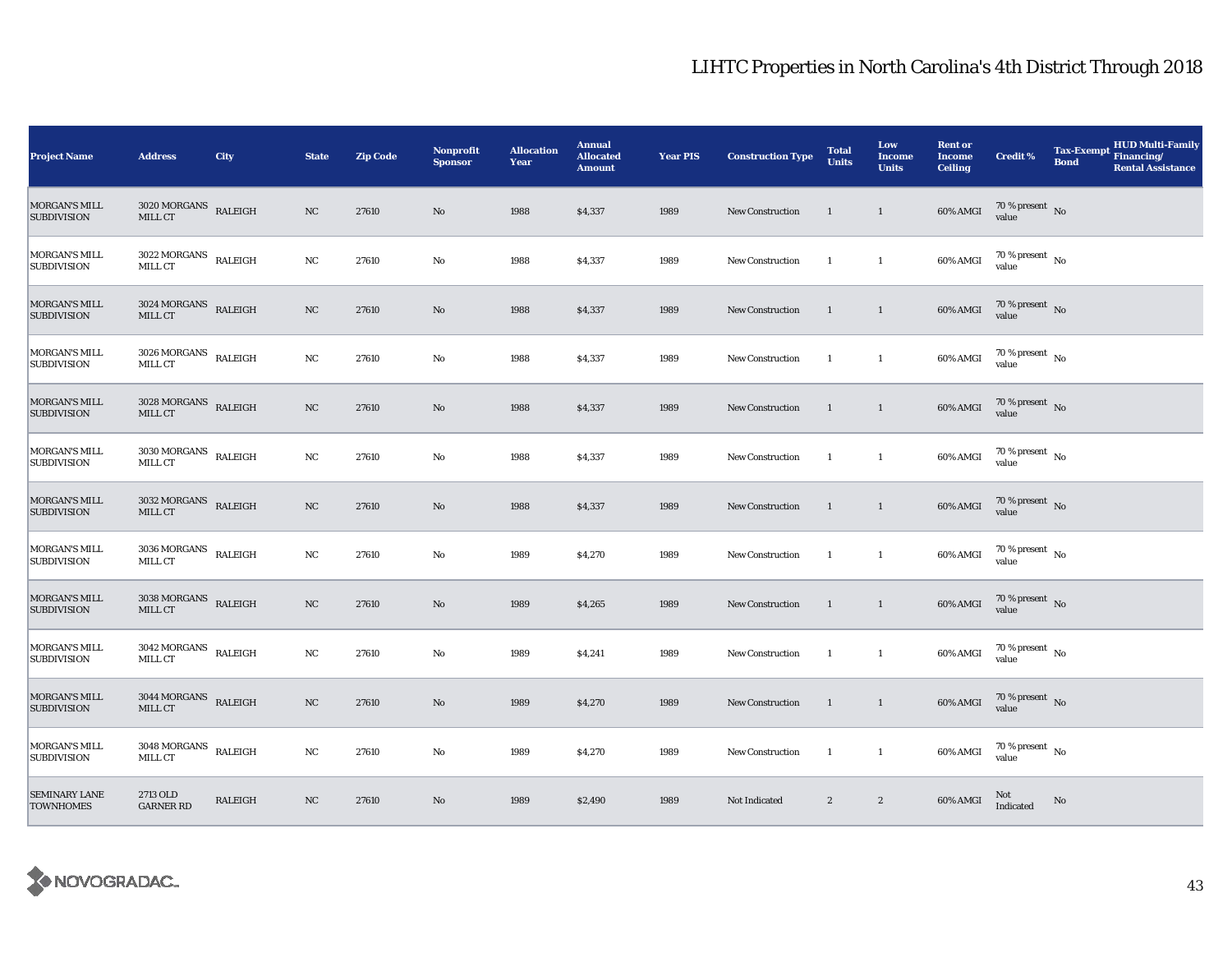| <b>Project Name</b>                        | <b>Address</b>                              | City                     | <b>State</b> | <b>Zip Code</b> | <b>Nonprofit</b><br><b>Sponsor</b> | <b>Allocation</b><br>Year | <b>Annual</b><br><b>Allocated</b><br><b>Amount</b> | <b>Year PIS</b> | <b>Construction Type</b> | <b>Total</b><br><b>Units</b> | Low<br><b>Income</b><br><b>Units</b> | <b>Rent or</b><br><b>Income</b><br><b>Ceiling</b> | <b>Credit %</b>                          | <b>Tax-Exempt</b><br><b>Bond</b> | <b>HUD Multi-Family</b><br>Financing/<br><b>Rental Assistance</b> |
|--------------------------------------------|---------------------------------------------|--------------------------|--------------|-----------------|------------------------------------|---------------------------|----------------------------------------------------|-----------------|--------------------------|------------------------------|--------------------------------------|---------------------------------------------------|------------------------------------------|----------------------------------|-------------------------------------------------------------------|
| MORGAN'S MILL<br><b>SUBDIVISION</b>        | <b>3020 MORGANS</b><br>MILL CT              | RALEIGH                  | NC           | 27610           | No                                 | 1988                      | \$4,337                                            | 1989            | <b>New Construction</b>  | 1                            | $\mathbf{1}$                         | 60% AMGI                                          | 70 % present $\hbox{~No}$<br>value       |                                  |                                                                   |
| <b>MORGAN'S MILL</b><br><b>SUBDIVISION</b> | 3022 MORGANS<br>MILL CT                     | RALEIGH                  | $_{\rm NC}$  | 27610           | $\rm No$                           | 1988                      | \$4,337                                            | 1989            | New Construction         | $\mathbf{1}$                 | $\mathbf{1}$                         | 60% AMGI                                          | $70$ % present $\,$ No $\,$<br>value     |                                  |                                                                   |
| <b>MORGAN'S MILL</b><br><b>SUBDIVISION</b> | $3024\,\mbox{MORGANS}$ RALEIGH<br>MILL CT   |                          | $_{\rm NC}$  | 27610           | $\rm No$                           | 1988                      | \$4,337                                            | 1989            | <b>New Construction</b>  | $\mathbf{1}$                 | $\mathbf{1}$                         | 60% AMGI                                          | $70\,\%$ present $\,$ No value           |                                  |                                                                   |
| <b>MORGAN'S MILL</b><br><b>SUBDIVISION</b> | $3026\, \mbox{MORGANS}$ RALEIGH<br>MILL CT  |                          | NC           | 27610           | No                                 | 1988                      | \$4,337                                            | 1989            | New Construction         | $\mathbf{1}$                 | $\mathbf{1}$                         | 60% AMGI                                          | $70$ % present $\,$ No $\,$<br>value     |                                  |                                                                   |
| MORGAN'S MILL<br><b>SUBDIVISION</b>        | $3028\,\mathrm{MORGANS}$ RALEIGH<br>MILL CT |                          | NC           | 27610           | $\rm No$                           | 1988                      | \$4,337                                            | 1989            | New Construction         | 1                            | $\mathbf{1}$                         | 60% AMGI                                          | $70$ % present $\,$ No $\,$<br>value     |                                  |                                                                   |
| <b>MORGAN'S MILL</b><br><b>SUBDIVISION</b> | <b>3030 MORGANS</b><br>MILL CT              | RALEIGH                  | NC           | 27610           | No                                 | 1988                      | \$4,337                                            | 1989            | New Construction         | $\mathbf{1}$                 | $\mathbf{1}$                         | 60% AMGI                                          | $70$ % present $\,$ $_{\rm No}$<br>value |                                  |                                                                   |
| MORGAN'S MILL<br><b>SUBDIVISION</b>        | $3032\text{\,MORGANS}$ RALEIGH<br>MILL CT   |                          | $_{\rm NC}$  | 27610           | $\mathbf{No}$                      | 1988                      | \$4,337                                            | 1989            | New Construction         | $\mathbf{1}$                 | $\mathbf{1}$                         | 60% AMGI                                          | 70 % present $\bar{N}$ o<br>value        |                                  |                                                                   |
| <b>MORGAN'S MILL</b><br><b>SUBDIVISION</b> | $3036\,\mathrm{MORGANS}$ RALEIGH<br>MILL CT |                          | NC           | 27610           | No                                 | 1989                      | \$4,270                                            | 1989            | <b>New Construction</b>  | $\mathbf{1}$                 | $\mathbf{1}$                         | 60% AMGI                                          | 70 % present $\,$ No $\,$<br>value       |                                  |                                                                   |
| MORGAN'S MILL<br><b>SUBDIVISION</b>        | $3038$ MORGANS $\;$ RALEIGH<br>MILL CT      |                          | $_{\rm NC}$  | 27610           | No                                 | 1989                      | \$4,265                                            | 1989            | New Construction         | $\mathbf{1}$                 | $\mathbf{1}$                         | 60% AMGI                                          | $70$ % present $\,$ No $\,$<br>value     |                                  |                                                                   |
| <b>MORGAN'S MILL</b><br><b>SUBDIVISION</b> | $3042\rm\, MORGANS$<br>MILL CT              | RALEIGH                  | NC           | 27610           | No                                 | 1989                      | \$4,241                                            | 1989            | New Construction         | $\mathbf{1}$                 | $\mathbf{1}$                         | 60% AMGI                                          | $70$ % present $\,$ $_{\rm No}$<br>value |                                  |                                                                   |
| MORGAN'S MILL<br><b>SUBDIVISION</b>        | 3044 MORGANS<br>MILL CT                     | $\operatorname{RALEIGH}$ | NC           | 27610           | $\rm No$                           | 1989                      | \$4,270                                            | 1989            | New Construction         | 1                            | $\mathbf{1}$                         | 60% AMGI                                          | $70\,\%$ present $\,$ No $\,$<br>value   |                                  |                                                                   |
| <b>MORGAN'S MILL</b><br><b>SUBDIVISION</b> | 3048 MORGANS<br>MILL CT                     | RALEIGH                  | NC           | 27610           | No                                 | 1989                      | \$4,270                                            | 1989            | New Construction         | 1                            | $\mathbf{1}$                         | 60% AMGI                                          | 70 % present $\hbox{~No}$<br>value       |                                  |                                                                   |
| <b>SEMINARY LANE</b><br><b>TOWNHOMES</b>   | 2713 OLD<br><b>GARNER RD</b>                | RALEIGH                  | NC           | 27610           | No                                 | 1989                      | \$2,490                                            | 1989            | Not Indicated            | $\boldsymbol{2}$             | $\boldsymbol{2}$                     | 60% AMGI                                          | Not<br>Indicated                         | No                               |                                                                   |

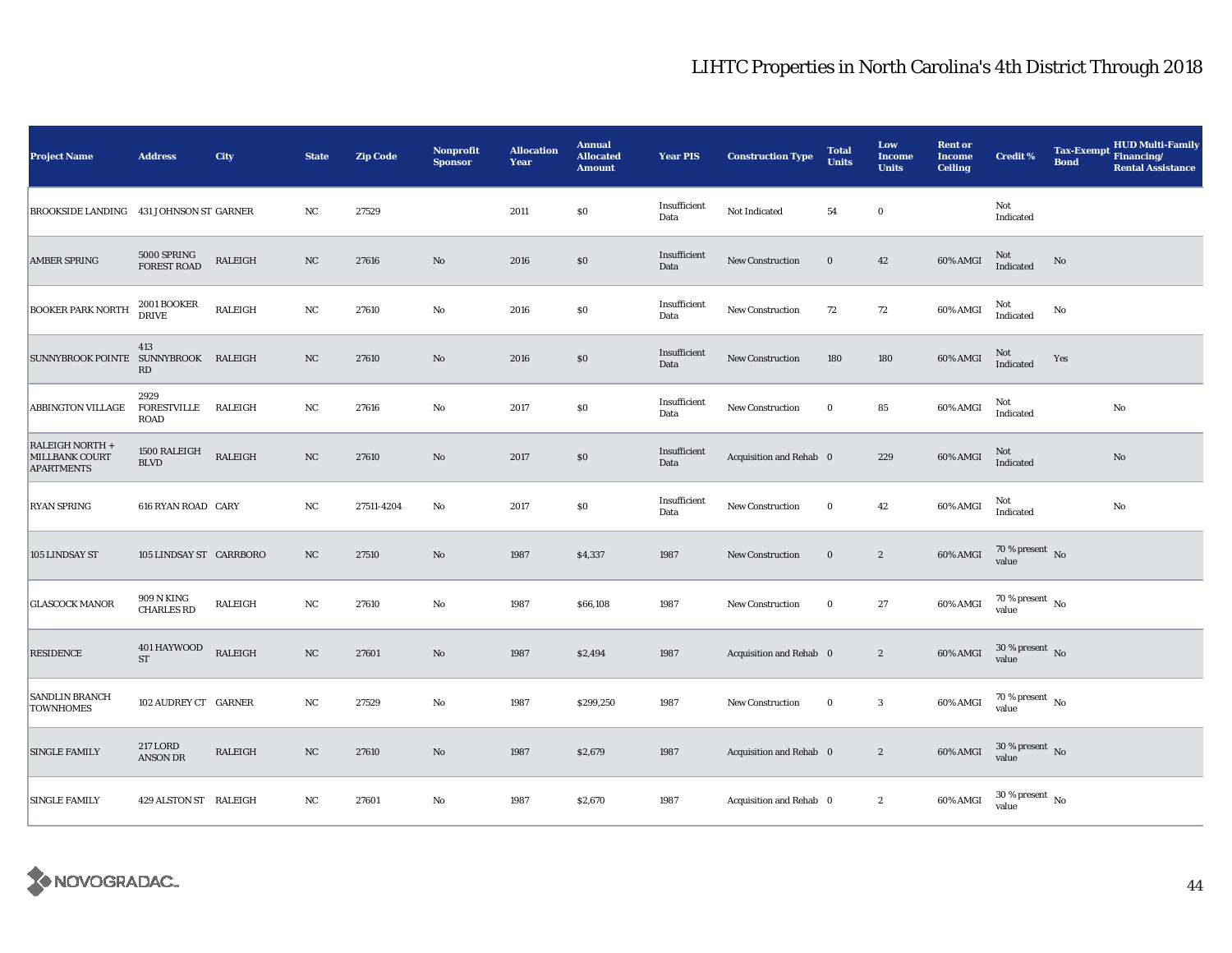| <b>Project Name</b>                                    | <b>Address</b>                            | City           | <b>State</b>     | <b>Zip Code</b> | <b>Nonprofit</b><br><b>Sponsor</b> | <b>Allocation</b><br>Year | <b>Annual</b><br><b>Allocated</b><br><b>Amount</b> | <b>Year PIS</b>      | <b>Construction Type</b> | <b>Total</b><br><b>Units</b> | Low<br>Income<br><b>Units</b> | <b>Rent or</b><br><b>Income</b><br><b>Ceiling</b> | <b>Credit %</b>                        | <b>Tax-Exempt</b><br><b>Bond</b> | <b>HUD Multi-Family</b><br>Financing/<br><b>Rental Assistance</b> |
|--------------------------------------------------------|-------------------------------------------|----------------|------------------|-----------------|------------------------------------|---------------------------|----------------------------------------------------|----------------------|--------------------------|------------------------------|-------------------------------|---------------------------------------------------|----------------------------------------|----------------------------------|-------------------------------------------------------------------|
| BROOKSIDE LANDING 431 JOHNSON ST GARNER                |                                           |                | NC               | 27529           |                                    | 2011                      | \$0                                                | Insufficient<br>Data | Not Indicated            | 54                           | $\bf{0}$                      |                                                   | Not<br>Indicated                       |                                  |                                                                   |
| <b>AMBER SPRING</b>                                    | $5000$ SPRING FOREST ROAD                 | <b>RALEIGH</b> | NC               | 27616           | $\rm No$                           | 2016                      | $\$0$                                              | Insufficient<br>Data | <b>New Construction</b>  | $\bf{0}$                     | 42                            | 60% AMGI                                          | Not<br>Indicated                       | No                               |                                                                   |
| <b>BOOKER PARK NORTH</b>                               | $2001\, \mbox{BOOKER}$ DRIVE              | RALEIGH        | $_{\rm NC}$      | 27610           | $\rm No$                           | 2016                      | $\$0$                                              | Insufficient<br>Data | New Construction         | 72                           | 72                            | 60% AMGI                                          | Not<br>Indicated                       | No                               |                                                                   |
| SUNNYBROOK POINTE SUNNYBROOK RALEIGH                   | 413<br>RD                                 |                | NC               | 27610           | $\rm No$                           | 2016                      | $\$0$                                              | Insufficient<br>Data | New Construction         | 180                          | 180                           | 60% AMGI                                          | Not<br>Indicated                       | Yes                              |                                                                   |
| ABBINGTON VILLAGE                                      | 2929<br><b>FORESTVILLE</b><br><b>ROAD</b> | RALEIGH        | NC               | 27616           | $\rm No$                           | 2017                      | $\$0$                                              | Insufficient<br>Data | New Construction         | $\bf{0}$                     | 85                            | 60% AMGI                                          | Not<br>Indicated                       |                                  | No                                                                |
| RALEIGH NORTH +<br>MILLBANK COURT<br><b>APARTMENTS</b> | 1500 RALEIGH<br>$\operatorname{BLVD}$     | <b>RALEIGH</b> | $_{\rm NC}$      | 27610           | $\rm No$                           | 2017                      | $\$0$                                              | Insufficient<br>Data | Acquisition and Rehab 0  |                              | 229                           | 60% AMGI                                          | Not<br>Indicated                       |                                  | $\rm No$                                                          |
| <b>RYAN SPRING</b>                                     | 616 RYAN ROAD CARY                        |                | $_{\rm NC}$      | 27511-4204      | $\rm No$                           | 2017                      | $\$0$                                              | Insufficient<br>Data | <b>New Construction</b>  | $\bf{0}$                     | 42                            | 60% AMGI                                          | Not<br>Indicated                       |                                  | $\rm No$                                                          |
| 105 LINDSAY ST                                         | 105 LINDSAY ST CARRBORO                   |                | $_{\rm NC}$      | 27510           | $\rm No$                           | 1987                      | \$4,337                                            | 1987                 | <b>New Construction</b>  | $\bf{0}$                     | $\boldsymbol{2}$              | 60% AMGI                                          | $70\,\%$ present $\,$ No value         |                                  |                                                                   |
| <b>GLASCOCK MANOR</b>                                  | 909 N KING<br><b>CHARLES RD</b>           | RALEIGH        | NC               | 27610           | No                                 | 1987                      | \$66,108                                           | 1987                 | New Construction         | $\bf{0}$                     | 27                            | 60% AMGI                                          | $70$ % present $_{\, \rm No}$<br>value |                                  |                                                                   |
| <b>RESIDENCE</b>                                       | 401 HAYWOOD<br><b>ST</b>                  | RALEIGH        | $_{\rm NC}$      | 27601           | $\rm No$                           | 1987                      | \$2,494                                            | 1987                 | Acquisition and Rehab 0  |                              | $\boldsymbol{2}$              | 60% AMGI                                          | $30$ % present $\,$ No value           |                                  |                                                                   |
| SANDLIN BRANCH<br><b>TOWNHOMES</b>                     | 102 AUDREY CT GARNER                      |                | NC               | 27529           | $\rm No$                           | 1987                      | \$299,250                                          | 1987                 | New Construction         | $\bf{0}$                     | $\mathbf{3}$                  | 60% AMGI                                          | 70 % present $\hbox{~No}$<br>value     |                                  |                                                                   |
| <b>SINGLE FAMILY</b>                                   | <b>217 LORD</b><br><b>ANSON DR</b>        | RALEIGH        | $_{\rm NC}$      | 27610           | $\rm No$                           | 1987                      | \$2,679                                            | 1987                 | Acquisition and Rehab 0  |                              | $\boldsymbol{2}$              | 60% AMGI                                          | $30$ % present $\,$ No value           |                                  |                                                                   |
| <b>SINGLE FAMILY</b>                                   | 429 ALSTON ST RALEIGH                     |                | $_{\mathrm{NC}}$ | 27601           | $\mathbf{No}$                      | 1987                      | \$2,670                                            | 1987                 | Acquisition and Rehab 0  |                              | $\boldsymbol{2}$              | 60% AMGI                                          | $30$ % present $\,$ No $\,$<br>value   |                                  |                                                                   |

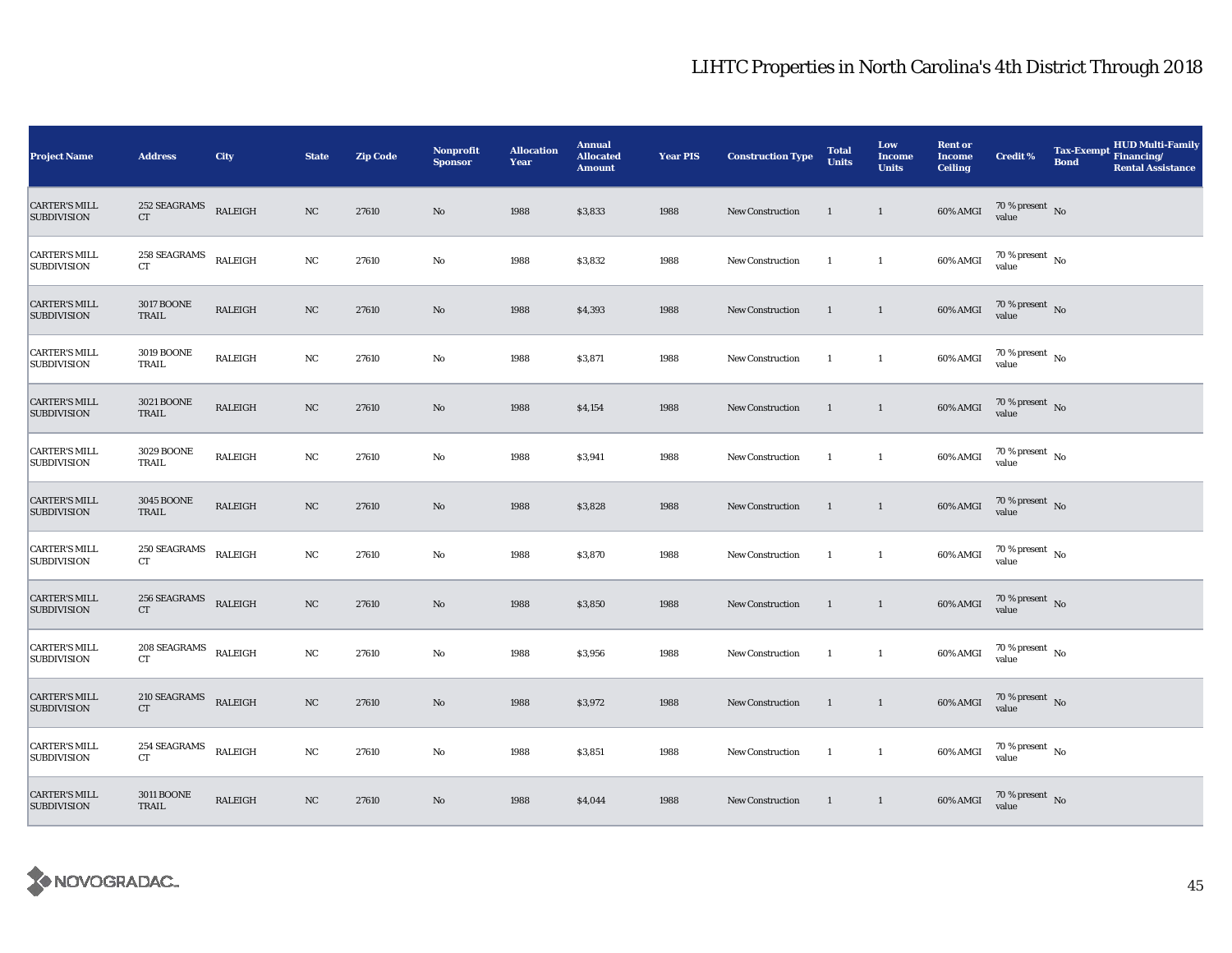| <b>Project Name</b>                        | <b>Address</b>                                     | City                     | <b>State</b> | <b>Zip Code</b> | <b>Nonprofit</b><br><b>Sponsor</b> | <b>Allocation</b><br>Year | <b>Annual</b><br><b>Allocated</b><br><b>Amount</b> | <b>Year PIS</b> | <b>Construction Type</b> | <b>Total</b><br><b>Units</b> | Low<br><b>Income</b><br><b>Units</b> | <b>Rent or</b><br><b>Income</b><br><b>Ceiling</b> | <b>Credit %</b>                        | <b>Tax-Exempt</b><br><b>Bond</b> | <b>HUD Multi-Family</b><br>Financing/<br><b>Rental Assistance</b> |
|--------------------------------------------|----------------------------------------------------|--------------------------|--------------|-----------------|------------------------------------|---------------------------|----------------------------------------------------|-----------------|--------------------------|------------------------------|--------------------------------------|---------------------------------------------------|----------------------------------------|----------------------------------|-------------------------------------------------------------------|
| <b>CARTER'S MILL</b><br><b>SUBDIVISION</b> | 252 SEAGRAMS<br>CT                                 | RALEIGH                  | NC           | 27610           | $\rm No$                           | 1988                      | \$3,833                                            | 1988            | <b>New Construction</b>  | 1                            | $\mathbf{1}$                         | 60% AMGI                                          | $70\,\%$ present $\;$ No value         |                                  |                                                                   |
| <b>CARTER'S MILL</b><br><b>SUBDIVISION</b> | 258 SEAGRAMS<br><b>CT</b>                          | RALEIGH                  | $_{\rm NC}$  | 27610           | $\rm No$                           | 1988                      | \$3,832                                            | 1988            | New Construction         | $\mathbf{1}$                 | $\mathbf{1}$                         | 60% AMGI                                          | $70\,\%$ present $\,$ No $\,$<br>value |                                  |                                                                   |
| <b>CARTER'S MILL</b><br><b>SUBDIVISION</b> | <b>3017 BOONE</b><br>TRAIL                         | RALEIGH                  | $_{\rm NC}$  | 27610           | $\rm No$                           | 1988                      | \$4,393                                            | 1988            | <b>New Construction</b>  | $\mathbf{1}$                 | $\mathbf{1}$                         | 60% AMGI                                          | $70\,\%$ present $\,$ No value         |                                  |                                                                   |
| <b>CARTER'S MILL</b><br><b>SUBDIVISION</b> | <b>3019 BOONE</b><br>TRAIL                         | RALEIGH                  | NC           | 27610           | No                                 | 1988                      | \$3,871                                            | 1988            | New Construction         | $\mathbf{1}$                 | $\mathbf{1}$                         | 60% AMGI                                          | $70\,\%$ present $\;$ No value         |                                  |                                                                   |
| <b>CARTER'S MILL</b><br><b>SUBDIVISION</b> | <b>3021 BOONE</b><br>TRAIL                         | RALEIGH                  | NC           | 27610           | $\rm No$                           | 1988                      | \$4,154                                            | 1988            | New Construction         | 1                            | $\mathbf{1}$                         | 60% AMGI                                          | $70\,\%$ present $\,$ No value         |                                  |                                                                   |
| <b>CARTER'S MILL</b><br><b>SUBDIVISION</b> | 3029 BOONE<br>TRAIL                                | RALEIGH                  | NC           | 27610           | $\rm No$                           | 1988                      | \$3,941                                            | 1988            | New Construction         | $\mathbf{1}$                 | $\mathbf{1}$                         | 60% AMGI                                          | $70\,\%$ present $\;$ No value         |                                  |                                                                   |
| <b>CARTER'S MILL</b><br><b>SUBDIVISION</b> | <b>3045 BOONE</b><br>TRAIL                         | RALEIGH                  | $_{\rm NC}$  | 27610           | $\mathbf{No}$                      | 1988                      | \$3,828                                            | 1988            | New Construction         | $\mathbf{1}$                 | $\mathbf{1}$                         | 60% AMGI                                          | $70\,\%$ present $\;$ No value         |                                  |                                                                   |
| <b>CARTER'S MILL</b><br><b>SUBDIVISION</b> | $250\ \mathrm{SEAGRAMS}$<br><b>CT</b>              | $\operatorname{RALEIGH}$ | NC           | 27610           | No                                 | 1988                      | \$3,870                                            | 1988            | New Construction         | $\mathbf{1}$                 | $\mathbf{1}$                         | 60% AMGI                                          | $70\,\%$ present $\,$ No value         |                                  |                                                                   |
| <b>CARTER'S MILL</b><br><b>SUBDIVISION</b> | $256\operatorname{\textsf{SEAGRAMS}}$<br><b>CT</b> | RALEIGH                  | $_{\rm NC}$  | 27610           | No                                 | 1988                      | \$3,850                                            | 1988            | New Construction         | $\mathbf{1}$                 | $\mathbf{1}$                         | 60% AMGI                                          | $70\,\%$ present $\,$ No value         |                                  |                                                                   |
| <b>CARTER'S MILL</b><br><b>SUBDIVISION</b> | 208 SEAGRAMS<br><b>CT</b>                          | RALEIGH                  | NC           | 27610           | $\rm No$                           | 1988                      | \$3,956                                            | 1988            | New Construction         | $\mathbf{1}$                 | $\mathbf{1}$                         | 60% AMGI                                          | $70\,\%$ present $\,$ No value         |                                  |                                                                   |
| <b>CARTER'S MILL</b><br><b>SUBDIVISION</b> | $210\ \mathrm{SEAGRAMS}$<br>CT                     | RALEIGH                  | NC           | 27610           | $\rm No$                           | 1988                      | \$3,972                                            | 1988            | New Construction         | $\mathbf{1}$                 | $\mathbf{1}$                         | 60% AMGI                                          | $70\,\%$ present $\,$ No value         |                                  |                                                                   |
| <b>CARTER'S MILL</b><br><b>SUBDIVISION</b> | $254\ \mathrm{SEAGRAMS}$<br><b>CT</b>              | RALEIGH                  | NC           | 27610           | No                                 | 1988                      | \$3,851                                            | 1988            | New Construction         | 1                            | $\mathbf{1}$                         | 60% AMGI                                          | $70\,\%$ present $\,$ No value         |                                  |                                                                   |
| <b>CARTER'S MILL</b><br><b>SUBDIVISION</b> | <b>3011 BOONE</b><br>TRAIL                         | RALEIGH                  | NC           | 27610           | $\rm No$                           | 1988                      | \$4,044                                            | 1988            | New Construction         | $\mathbf{1}$                 | $\mathbf{1}$                         | 60% AMGI                                          | $70\,\%$ present $\;$ No value         |                                  |                                                                   |

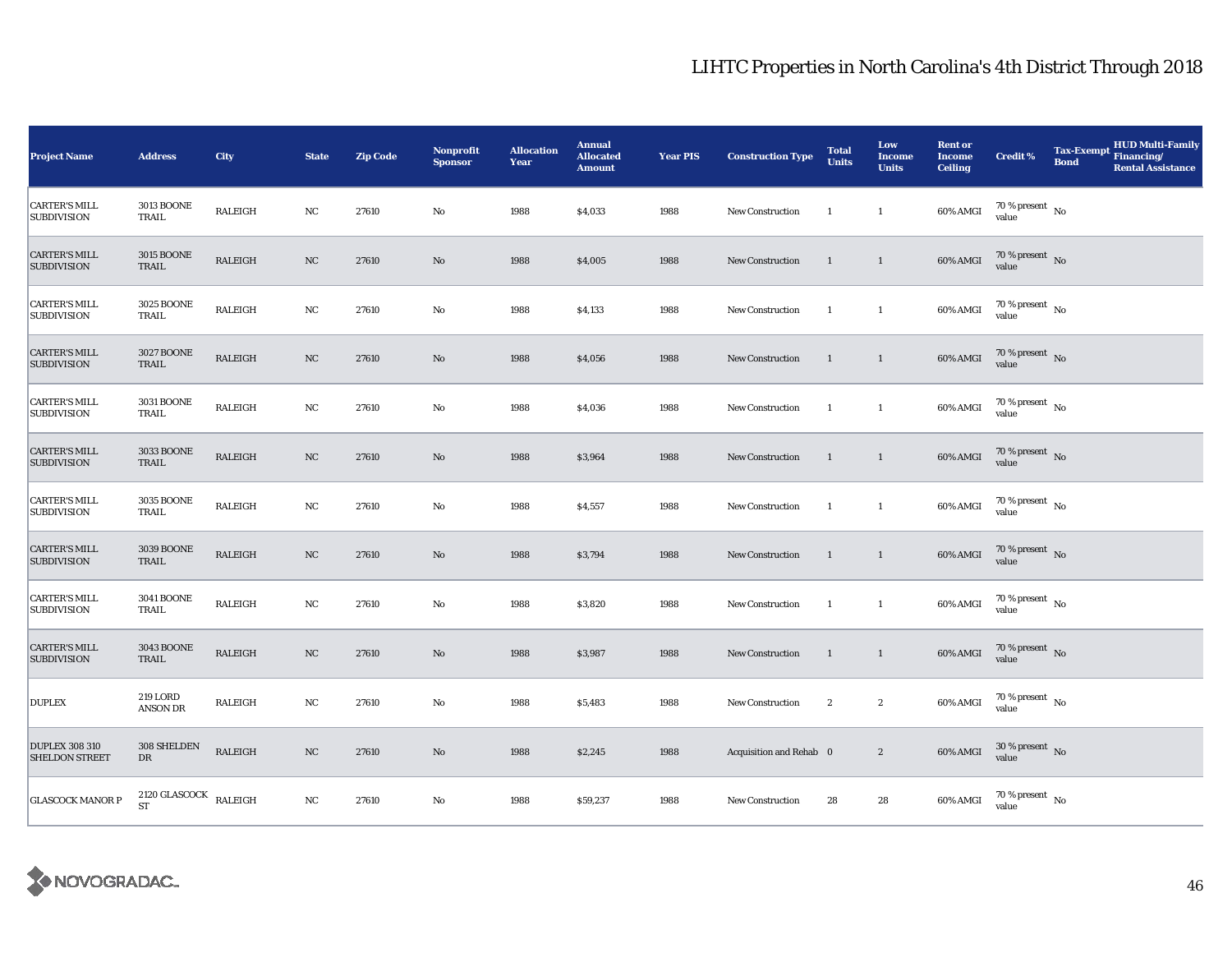| <b>Project Name</b>                            | <b>Address</b>                               | City           | <b>State</b> | <b>Zip Code</b> | Nonprofit<br><b>Sponsor</b> | <b>Allocation</b><br>Year | <b>Annual</b><br><b>Allocated</b><br><b>Amount</b> | <b>Year PIS</b> | <b>Construction Type</b> | <b>Total</b><br><b>Units</b> | Low<br><b>Income</b><br><b>Units</b> | <b>Rent or</b><br><b>Income</b><br><b>Ceiling</b> | <b>Credit %</b>                      | <b>Tax-Exempt</b><br><b>Bond</b> | HUD Multi-Family<br>Financing/<br><b>Rental Assistance</b> |
|------------------------------------------------|----------------------------------------------|----------------|--------------|-----------------|-----------------------------|---------------------------|----------------------------------------------------|-----------------|--------------------------|------------------------------|--------------------------------------|---------------------------------------------------|--------------------------------------|----------------------------------|------------------------------------------------------------|
| <b>CARTER'S MILL</b><br><b>SUBDIVISION</b>     | <b>3013 BOONE</b><br>TRAIL                   | RALEIGH        | NC           | 27610           | No                          | 1988                      | \$4,033                                            | 1988            | New Construction         | <sup>1</sup>                 | $\mathbf{1}$                         | 60% AMGI                                          | 70 % present $\hbox{~No}$<br>value   |                                  |                                                            |
| <b>CARTER'S MILL</b><br><b>SUBDIVISION</b>     | <b>3015 BOONE</b><br>TRAIL                   | RALEIGH        | $_{\rm NC}$  | 27610           | $\rm No$                    | 1988                      | \$4,005                                            | 1988            | <b>New Construction</b>  | 1                            | $\mathbf{1}$                         | 60% AMGI                                          | $70$ % present $\,$ No $\,$<br>value |                                  |                                                            |
| <b>CARTER'S MILL</b><br><b>SUBDIVISION</b>     | 3025 BOONE<br>TRAIL                          | RALEIGH        | $_{\rm NC}$  | 27610           | No                          | 1988                      | \$4,133                                            | 1988            | New Construction         | -1                           | $\mathbf{1}$                         | 60% AMGI                                          | $70\,\%$ present $\,$ No value       |                                  |                                                            |
| <b>CARTER'S MILL</b><br><b>SUBDIVISION</b>     | 3027 BOONE<br>TRAIL                          | <b>RALEIGH</b> | NC           | 27610           | $\rm No$                    | 1988                      | \$4,056                                            | 1988            | New Construction         | 1                            | $\mathbf{1}$                         | $60\%$ AMGI                                       | $70\,\%$ present $\,$ No value       |                                  |                                                            |
| <b>CARTER'S MILL</b><br><b>SUBDIVISION</b>     | <b>3031 BOONE</b><br>TRAIL                   | RALEIGH        | NC           | 27610           | No                          | 1988                      | \$4,036                                            | 1988            | New Construction         | 1                            | $\mathbf{1}$                         | 60% AMGI                                          | 70 % present $\hbox{~No}$<br>value   |                                  |                                                            |
| <b>CARTER'S MILL</b><br><b>SUBDIVISION</b>     | 3033 BOONE<br>TRAIL                          | RALEIGH        | NC           | 27610           | $\rm No$                    | 1988                      | \$3,964                                            | 1988            | New Construction         | $\overline{1}$               | $\mathbf{1}$                         | 60% AMGI                                          | $70\,\%$ present $\,$ No value       |                                  |                                                            |
| <b>CARTER'S MILL</b><br><b>SUBDIVISION</b>     | 3035 BOONE<br>TRAIL                          | RALEIGH        | NC           | 27610           | No                          | 1988                      | \$4,557                                            | 1988            | New Construction         | $\overline{1}$               | $\mathbf{1}$                         | 60% AMGI                                          | $70\,\%$ present $\,$ No value       |                                  |                                                            |
| <b>CARTER'S MILL</b><br><b>SUBDIVISION</b>     | <b>3039 BOONE</b><br>TRAIL                   | <b>RALEIGH</b> | $_{\rm NC}$  | 27610           | $\rm No$                    | 1988                      | \$3,794                                            | 1988            | New Construction         | 1                            | $\mathbf{1}$                         | 60% AMGI                                          | $70\,\%$ present $\,$ No value       |                                  |                                                            |
| <b>CARTER'S MILL</b><br><b>SUBDIVISION</b>     | <b>3041 BOONE</b><br>TRAIL                   | RALEIGH        | $_{\rm NC}$  | 27610           | No                          | 1988                      | \$3,820                                            | 1988            | New Construction         | <sup>1</sup>                 | $\mathbf{1}$                         | 60% AMGI                                          | $70\,\%$ present $\,$ No value       |                                  |                                                            |
| <b>CARTER'S MILL</b><br><b>SUBDIVISION</b>     | 3043 BOONE<br>TRAIL                          | RALEIGH        | NC           | 27610           | $\rm No$                    | 1988                      | \$3,987                                            | 1988            | <b>New Construction</b>  | $\mathbf{1}$                 | $\mathbf{1}$                         | 60% AMGI                                          | $70\,\%$ present $\,$ No value       |                                  |                                                            |
| <b>DUPLEX</b>                                  | 219 LORD<br><b>ANSON DR</b>                  | RALEIGH        | NC           | 27610           | No                          | 1988                      | \$5,483                                            | 1988            | New Construction         | $\boldsymbol{2}$             | $\boldsymbol{2}$                     | 60% AMGI                                          | $70\,\%$ present $\,$ No value       |                                  |                                                            |
| <b>DUPLEX 308 310</b><br><b>SHELDON STREET</b> | 308 SHELDEN<br>${\rm DR}$                    | RALEIGH        | NC           | 27610           | $\rm No$                    | 1988                      | \$2,245                                            | 1988            | Acquisition and Rehab 0  |                              | $\boldsymbol{2}$                     | 60% AMGI                                          | $30\,\%$ present $\,$ No value       |                                  |                                                            |
| <b>GLASCOCK MANOR P</b>                        | $2120$ GLASCOCK $$\tt RALEIGH$$<br><b>ST</b> |                | NC           | 27610           | No                          | 1988                      | \$59,237                                           | 1988            | New Construction         | 28                           | 28                                   | 60% AMGI                                          | $70\,\%$ present $\,$ No value       |                                  |                                                            |